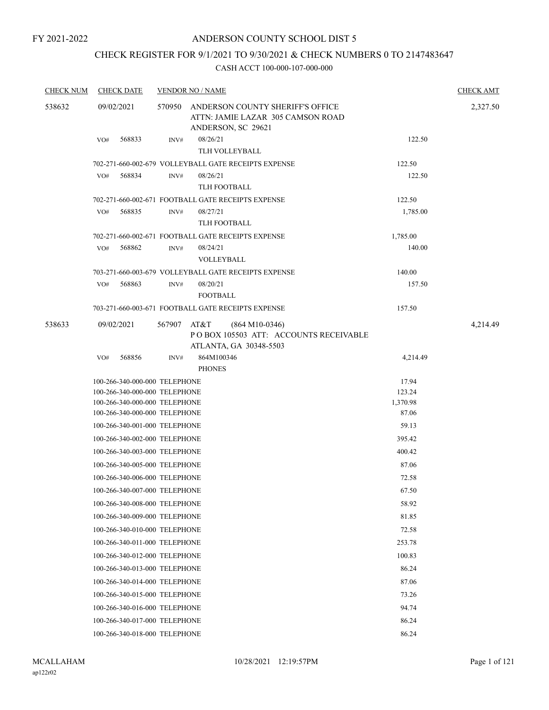# ANDERSON COUNTY SCHOOL DIST 5

# CHECK REGISTER FOR 9/1/2021 TO 9/30/2021 & CHECK NUMBERS 0 TO 2147483647

| <b>CHECK NUM</b> | <b>CHECK DATE</b>             |        | <b>VENDOR NO / NAME</b>                                                                      |          | <b>CHECK AMT</b> |
|------------------|-------------------------------|--------|----------------------------------------------------------------------------------------------|----------|------------------|
| 538632           | 09/02/2021                    | 570950 | ANDERSON COUNTY SHERIFF'S OFFICE<br>ATTN: JAMIE LAZAR 305 CAMSON ROAD<br>ANDERSON, SC 29621  |          | 2,327.50         |
|                  | 568833<br>VO#                 | INV#   | 08/26/21<br>TLH VOLLEYBALL                                                                   | 122.50   |                  |
|                  |                               |        | 702-271-660-002-679 VOLLEYBALL GATE RECEIPTS EXPENSE                                         | 122.50   |                  |
|                  | 568834<br>VO#                 | INV#   | 08/26/21<br><b>TLH FOOTBALL</b>                                                              | 122.50   |                  |
|                  |                               |        | 702-271-660-002-671 FOOTBALL GATE RECEIPTS EXPENSE                                           | 122.50   |                  |
|                  | 568835<br>VO#                 | INV#   | 08/27/21                                                                                     | 1,785.00 |                  |
|                  |                               |        | TLH FOOTBALL                                                                                 |          |                  |
|                  |                               |        | 702-271-660-002-671 FOOTBALL GATE RECEIPTS EXPENSE                                           | 1,785.00 |                  |
|                  | 568862<br>VO#                 | INV#   | 08/24/21                                                                                     | 140.00   |                  |
|                  |                               |        | VOLLEYBALL                                                                                   |          |                  |
|                  |                               |        | 703-271-660-003-679 VOLLEYBALL GATE RECEIPTS EXPENSE                                         | 140.00   |                  |
|                  | 568863<br>VO#                 | INV#   | 08/20/21<br><b>FOOTBALL</b>                                                                  | 157.50   |                  |
|                  |                               |        | 703-271-660-003-671 FOOTBALL GATE RECEIPTS EXPENSE                                           | 157.50   |                  |
| 538633           | 09/02/2021                    | 567907 | AT&T<br>$(864 M10-0346)$<br>PO BOX 105503 ATT: ACCOUNTS RECEIVABLE<br>ATLANTA, GA 30348-5503 |          | 4,214.49         |
|                  | 568856<br>VO#                 | INV#   | 864M100346                                                                                   | 4,214.49 |                  |
|                  |                               |        | <b>PHONES</b>                                                                                |          |                  |
|                  | 100-266-340-000-000 TELEPHONE |        |                                                                                              | 17.94    |                  |
|                  | 100-266-340-000-000 TELEPHONE |        |                                                                                              | 123.24   |                  |
|                  | 100-266-340-000-000 TELEPHONE |        |                                                                                              | 1,370.98 |                  |
|                  | 100-266-340-000-000 TELEPHONE |        |                                                                                              | 87.06    |                  |
|                  | 100-266-340-001-000 TELEPHONE |        |                                                                                              | 59.13    |                  |
|                  | 100-266-340-002-000 TELEPHONE |        |                                                                                              | 395.42   |                  |
|                  | 100-266-340-003-000 TELEPHONE |        |                                                                                              | 400.42   |                  |
|                  | 100-266-340-005-000 TELEPHONE |        |                                                                                              | 87.06    |                  |
|                  | 100-266-340-006-000 TELEPHONE |        |                                                                                              | 72.58    |                  |
|                  | 100-266-340-007-000 TELEPHONE |        |                                                                                              | 67.50    |                  |
|                  | 100-266-340-008-000 TELEPHONE |        |                                                                                              | 58.92    |                  |
|                  | 100-266-340-009-000 TELEPHONE |        |                                                                                              | 81.85    |                  |
|                  | 100-266-340-010-000 TELEPHONE |        |                                                                                              | 72.58    |                  |
|                  | 100-266-340-011-000 TELEPHONE |        |                                                                                              | 253.78   |                  |
|                  | 100-266-340-012-000 TELEPHONE |        |                                                                                              | 100.83   |                  |
|                  |                               |        |                                                                                              |          |                  |
|                  | 100-266-340-013-000 TELEPHONE |        |                                                                                              | 86.24    |                  |
|                  | 100-266-340-014-000 TELEPHONE |        |                                                                                              | 87.06    |                  |
|                  | 100-266-340-015-000 TELEPHONE |        |                                                                                              | 73.26    |                  |
|                  | 100-266-340-016-000 TELEPHONE |        |                                                                                              | 94.74    |                  |
|                  | 100-266-340-017-000 TELEPHONE |        |                                                                                              | 86.24    |                  |
|                  | 100-266-340-018-000 TELEPHONE |        |                                                                                              | 86.24    |                  |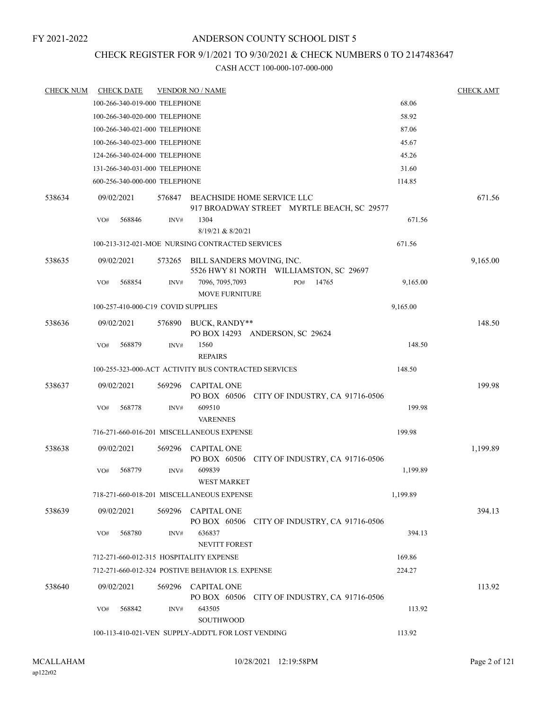# ANDERSON COUNTY SCHOOL DIST 5

# CHECK REGISTER FOR 9/1/2021 TO 9/30/2021 & CHECK NUMBERS 0 TO 2147483647

| <b>CHECK NUM</b> | <b>CHECK DATE</b>                       |        | <b>VENDOR NO / NAME</b>                                              |     |                                              |          | <b>CHECK AMT</b> |
|------------------|-----------------------------------------|--------|----------------------------------------------------------------------|-----|----------------------------------------------|----------|------------------|
|                  | 100-266-340-019-000 TELEPHONE           |        |                                                                      |     |                                              | 68.06    |                  |
|                  | 100-266-340-020-000 TELEPHONE           |        |                                                                      |     |                                              | 58.92    |                  |
|                  | 100-266-340-021-000 TELEPHONE           |        |                                                                      |     |                                              | 87.06    |                  |
|                  | 100-266-340-023-000 TELEPHONE           |        |                                                                      |     |                                              | 45.67    |                  |
|                  | 124-266-340-024-000 TELEPHONE           |        |                                                                      |     |                                              | 45.26    |                  |
|                  | 131-266-340-031-000 TELEPHONE           |        |                                                                      |     |                                              | 31.60    |                  |
|                  | 600-256-340-000-000 TELEPHONE           |        |                                                                      |     |                                              | 114.85   |                  |
| 538634           | 09/02/2021                              | 576847 | BEACHSIDE HOME SERVICE LLC                                           |     | 917 BROADWAY STREET MYRTLE BEACH, SC 29577   |          | 671.56           |
|                  | 568846<br>VO#                           | INV#   | 1304<br>8/19/21 & 8/20/21                                            |     |                                              | 671.56   |                  |
|                  |                                         |        | 100-213-312-021-MOE NURSING CONTRACTED SERVICES                      |     |                                              | 671.56   |                  |
| 538635           | 09/02/2021                              | 573265 | BILL SANDERS MOVING, INC.<br>5526 HWY 81 NORTH WILLIAMSTON, SC 29697 |     |                                              |          | 9,165.00         |
|                  | 568854<br>VO#                           | INV#   | 7096, 7095, 7093<br><b>MOVE FURNITURE</b>                            | PO# | 14765                                        | 9,165.00 |                  |
|                  | 100-257-410-000-C19 COVID SUPPLIES      |        |                                                                      |     |                                              | 9,165.00 |                  |
| 538636           | 09/02/2021                              | 576890 | BUCK, RANDY**<br>PO BOX 14293 ANDERSON, SC 29624                     |     |                                              |          | 148.50           |
|                  | 568879<br>VO#                           | INV#   | 1560<br><b>REPAIRS</b>                                               |     |                                              | 148.50   |                  |
|                  |                                         |        | 100-255-323-000-ACT ACTIVITY BUS CONTRACTED SERVICES                 |     |                                              | 148.50   |                  |
| 538637           | 09/02/2021                              | 569296 | <b>CAPITAL ONE</b>                                                   |     | PO BOX 60506 CITY OF INDUSTRY, CA 91716-0506 |          | 199.98           |
|                  | 568778<br>VO#                           | INV#   | 609510<br><b>VARENNES</b>                                            |     |                                              | 199.98   |                  |
|                  |                                         |        | 716-271-660-016-201 MISCELLANEOUS EXPENSE                            |     |                                              | 199.98   |                  |
| 538638           | 09/02/2021                              | 569296 | <b>CAPITAL ONE</b>                                                   |     | PO BOX 60506 CITY OF INDUSTRY, CA 91716-0506 |          | 1,199.89         |
|                  | 568779<br>VO#                           | INV#   | 609839<br><b>WEST MARKET</b>                                         |     |                                              | 1,199.89 |                  |
|                  |                                         |        | 718-271-660-018-201 MISCELLANEOUS EXPENSE                            |     |                                              | 1,199.89 |                  |
| 538639           | 09/02/2021                              | 569296 | <b>CAPITAL ONE</b>                                                   |     | PO BOX 60506 CITY OF INDUSTRY, CA 91716-0506 |          | 394.13           |
|                  | 568780<br>VO#                           | INV#   | 636837<br><b>NEVITT FOREST</b>                                       |     |                                              | 394.13   |                  |
|                  | 712-271-660-012-315 HOSPITALITY EXPENSE |        |                                                                      |     |                                              | 169.86   |                  |
|                  |                                         |        | 712-271-660-012-324 POSTIVE BEHAVIOR I.S. EXPENSE                    |     |                                              | 224.27   |                  |
| 538640           | 09/02/2021                              | 569296 | <b>CAPITAL ONE</b>                                                   |     | PO BOX 60506 CITY OF INDUSTRY, CA 91716-0506 |          | 113.92           |
|                  | 568842<br>VO#                           | INV#   | 643505<br>SOUTHWOOD                                                  |     |                                              | 113.92   |                  |
|                  |                                         |        | 100-113-410-021-VEN SUPPLY-ADDT'L FOR LOST VENDING                   |     |                                              | 113.92   |                  |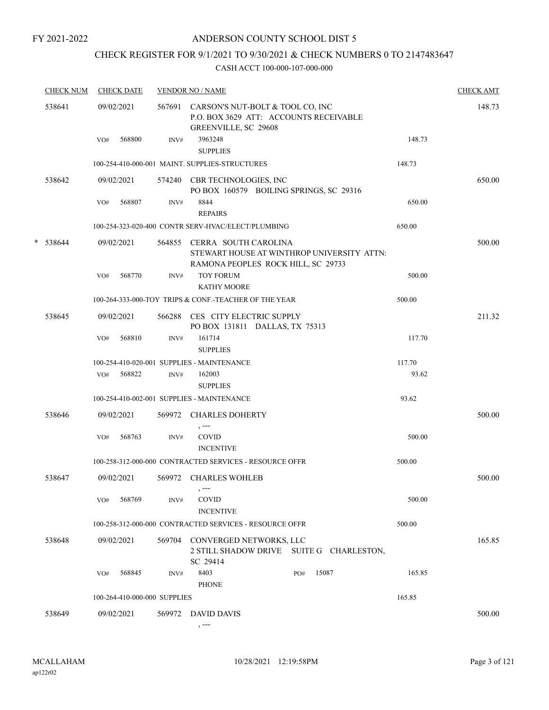# CHECK REGISTER FOR 9/1/2021 TO 9/30/2021 & CHECK NUMBERS 0 TO 2147483647

| <b>CHECK NUM</b> |     | <b>CHECK DATE</b>            |      | <b>VENDOR NO / NAME</b>                                                                                                     |     |                                            |        | <b>CHECK AMT</b> |
|------------------|-----|------------------------------|------|-----------------------------------------------------------------------------------------------------------------------------|-----|--------------------------------------------|--------|------------------|
| 538641           | VO# | 09/02/2021<br>568800         | INV# | 567691 CARSON'S NUT-BOLT & TOOL CO, INC<br>P.O. BOX 3629 ATT: ACCOUNTS RECEIVABLE<br><b>GREENVILLE, SC 29608</b><br>3963248 |     |                                            | 148.73 | 148.73           |
|                  |     |                              |      | <b>SUPPLIES</b>                                                                                                             |     |                                            |        |                  |
|                  |     |                              |      | 100-254-410-000-001 MAINT. SUPPLIES-STRUCTURES                                                                              |     |                                            | 148.73 |                  |
| 538642           |     | 09/02/2021                   |      | 574240 CBR TECHNOLOGIES, INC<br>PO BOX 160579 BOILING SPRINGS, SC 29316                                                     |     |                                            |        | 650.00           |
|                  | VO# | 568807                       | INV# | 8844<br><b>REPAIRS</b>                                                                                                      |     |                                            | 650.00 |                  |
|                  |     |                              |      | 100-254-323-020-400 CONTR SERV-HVAC/ELECT/PLUMBING                                                                          |     |                                            | 650.00 |                  |
| $*$ 538644       |     | 09/02/2021                   |      | 564855 CERRA SOUTH CAROLINA<br>RAMONA PEOPLES ROCK HILL, SC 29733                                                           |     | STEWART HOUSE AT WINTHROP UNIVERSITY ATTN: |        | 500.00           |
|                  | VO# | 568770                       | INV# | <b>TOY FORUM</b><br><b>KATHY MOORE</b>                                                                                      |     |                                            | 500.00 |                  |
|                  |     |                              |      | 100-264-333-000-TOY TRIPS & CONF.-TEACHER OF THE YEAR                                                                       |     |                                            | 500.00 |                  |
| 538645           |     | 09/02/2021                   |      | 566288 CES CITY ELECTRIC SUPPLY<br>PO BOX 131811 DALLAS, TX 75313                                                           |     |                                            |        | 211.32           |
|                  | VO# | 568810                       | INV# | 161714<br><b>SUPPLIES</b>                                                                                                   |     |                                            | 117.70 |                  |
|                  |     |                              |      | 100-254-410-020-001 SUPPLIES - MAINTENANCE                                                                                  |     |                                            | 117.70 |                  |
|                  | VO# | 568822                       | INV# | 162003<br><b>SUPPLIES</b>                                                                                                   |     |                                            | 93.62  |                  |
|                  |     |                              |      | 100-254-410-002-001 SUPPLIES - MAINTENANCE                                                                                  |     |                                            | 93.62  |                  |
| 538646           |     | 09/02/2021                   |      | 569972 CHARLES DOHERTY<br>, ---                                                                                             |     |                                            |        | 500.00           |
|                  | VO# | 568763                       | INV# | COVID<br><b>INCENTIVE</b>                                                                                                   |     |                                            | 500.00 |                  |
|                  |     |                              |      | 100-258-312-000-000 CONTRACTED SERVICES - RESOURCE OFFR                                                                     |     |                                            | 500.00 |                  |
| 538647           |     | 09/02/2021                   |      | 569972 CHARLES WOHLEB                                                                                                       |     |                                            |        | 500.00           |
|                  | VO# | 568769                       | INV# | <b>COVID</b><br><b>INCENTIVE</b>                                                                                            |     |                                            | 500.00 |                  |
|                  |     |                              |      | 100-258-312-000-000 CONTRACTED SERVICES - RESOURCE OFFR                                                                     |     |                                            | 500.00 |                  |
| 538648           |     | 09/02/2021                   |      | 569704 CONVERGED NETWORKS, LLC<br>SC 29414                                                                                  |     | 2 STILL SHADOW DRIVE SUITE G CHARLESTON,   |        | 165.85           |
|                  | VO# | 568845                       | INV# | 8403<br><b>PHONE</b>                                                                                                        | PO# | 15087                                      | 165.85 |                  |
|                  |     | 100-264-410-000-000 SUPPLIES |      |                                                                                                                             |     |                                            | 165.85 |                  |
| 538649           |     | 09/02/2021                   |      | 569972 DAVID DAVIS                                                                                                          |     |                                            |        | 500.00           |
|                  |     |                              |      | $, --$                                                                                                                      |     |                                            |        |                  |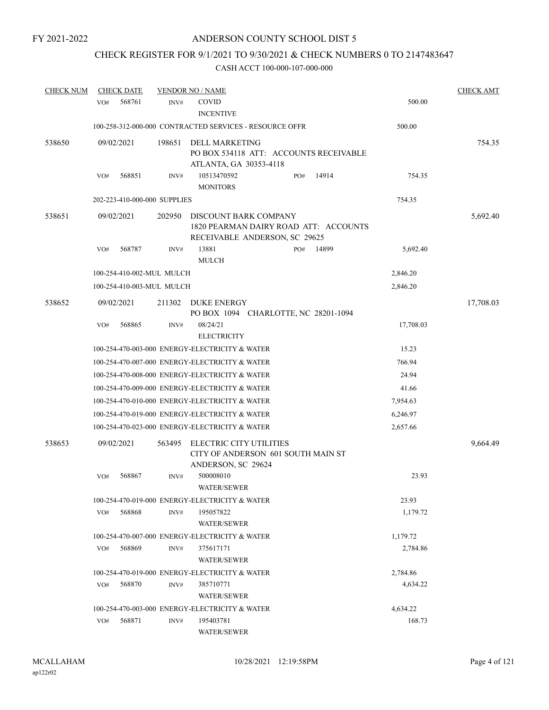# CHECK REGISTER FOR 9/1/2021 TO 9/30/2021 & CHECK NUMBERS 0 TO 2147483647

| <b>CHECK NUM</b> | <b>CHECK DATE</b>            |        |        | <b>VENDOR NO / NAME</b>                                                                         |     |       |           | <b>CHECK AMT</b> |
|------------------|------------------------------|--------|--------|-------------------------------------------------------------------------------------------------|-----|-------|-----------|------------------|
|                  | VO#                          | 568761 | INV#   | <b>COVID</b><br><b>INCENTIVE</b>                                                                |     |       | 500.00    |                  |
|                  |                              |        |        | 100-258-312-000-000 CONTRACTED SERVICES - RESOURCE OFFR                                         |     |       | 500.00    |                  |
| 538650           | 09/02/2021                   |        | 198651 | DELL MARKETING<br>PO BOX 534118 ATT: ACCOUNTS RECEIVABLE<br>ATLANTA, GA 30353-4118              |     |       |           | 754.35           |
|                  | VO#                          | 568851 | INV#   | 10513470592<br><b>MONITORS</b>                                                                  | PO# | 14914 | 754.35    |                  |
|                  | 202-223-410-000-000 SUPPLIES |        |        |                                                                                                 |     |       | 754.35    |                  |
| 538651           | 09/02/2021                   |        | 202950 | DISCOUNT BARK COMPANY<br>1820 PEARMAN DAIRY ROAD ATT: ACCOUNTS<br>RECEIVABLE ANDERSON, SC 29625 |     |       |           | 5,692.40         |
|                  | VO#                          | 568787 | INV#   | 13881<br><b>MULCH</b>                                                                           | PO# | 14899 | 5,692.40  |                  |
|                  | 100-254-410-002-MUL MULCH    |        |        |                                                                                                 |     |       | 2,846.20  |                  |
|                  | 100-254-410-003-MUL MULCH    |        |        |                                                                                                 |     |       | 2,846.20  |                  |
| 538652           | 09/02/2021                   |        | 211302 | <b>DUKE ENERGY</b><br>PO BOX 1094 CHARLOTTE, NC 28201-1094                                      |     |       |           | 17,708.03        |
|                  | VO#                          | 568865 | INV#   | 08/24/21<br><b>ELECTRICITY</b>                                                                  |     |       | 17,708.03 |                  |
|                  |                              |        |        | 100-254-470-003-000 ENERGY-ELECTRICITY & WATER                                                  |     |       | 15.23     |                  |
|                  |                              |        |        | 100-254-470-007-000 ENERGY-ELECTRICITY & WATER                                                  |     |       | 766.94    |                  |
|                  |                              |        |        | 100-254-470-008-000 ENERGY-ELECTRICITY & WATER                                                  |     |       | 24.94     |                  |
|                  |                              |        |        | 100-254-470-009-000 ENERGY-ELECTRICITY & WATER                                                  |     |       | 41.66     |                  |
|                  |                              |        |        | 100-254-470-010-000 ENERGY-ELECTRICITY & WATER                                                  |     |       | 7,954.63  |                  |
|                  |                              |        |        | 100-254-470-019-000 ENERGY-ELECTRICITY & WATER                                                  |     |       | 6,246.97  |                  |
|                  |                              |        |        | 100-254-470-023-000 ENERGY-ELECTRICITY & WATER                                                  |     |       | 2,657.66  |                  |
| 538653           | 09/02/2021                   |        | 563495 | ELECTRIC CITY UTILITIES<br>CITY OF ANDERSON 601 SOUTH MAIN ST<br>ANDERSON, SC 29624             |     |       |           | 9,664.49         |
|                  | VO#                          | 568867 | INV#   | 500008010<br>WATER/SEWER                                                                        |     |       | 23.93     |                  |
|                  |                              |        |        | 100-254-470-019-000 ENERGY-ELECTRICITY & WATER                                                  |     |       | 23.93     |                  |
|                  | VO#                          | 568868 | INV#   | 195057822<br>WATER/SEWER                                                                        |     |       | 1.179.72  |                  |
|                  |                              |        |        | 100-254-470-007-000 ENERGY-ELECTRICITY & WATER                                                  |     |       | 1,179.72  |                  |
|                  | VO#                          | 568869 | INV#   | 375617171<br>WATER/SEWER                                                                        |     |       | 2,784.86  |                  |
|                  |                              |        |        | 100-254-470-019-000 ENERGY-ELECTRICITY & WATER                                                  |     |       | 2,784.86  |                  |
|                  | VO#                          | 568870 | INV#   | 385710771<br><b>WATER/SEWER</b>                                                                 |     |       | 4,634.22  |                  |
|                  |                              |        |        | 100-254-470-003-000 ENERGY-ELECTRICITY & WATER                                                  |     |       | 4,634.22  |                  |
|                  | VO#                          | 568871 | INV#   | 195403781<br>WATER/SEWER                                                                        |     |       | 168.73    |                  |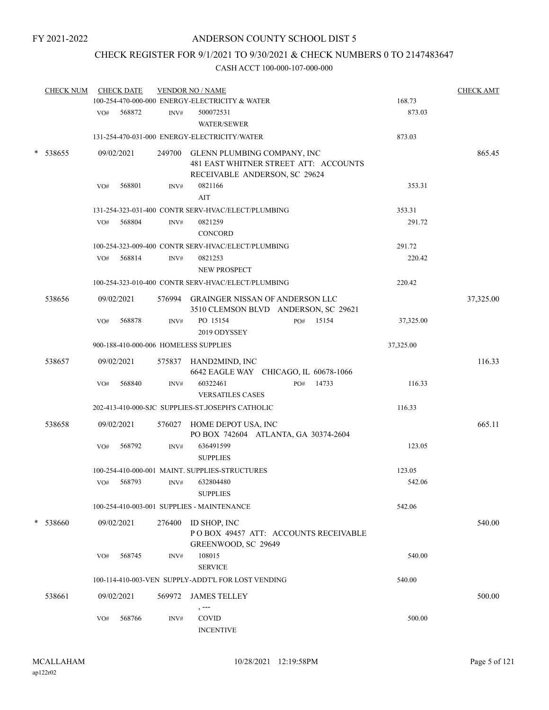# ANDERSON COUNTY SCHOOL DIST 5

# CHECK REGISTER FOR 9/1/2021 TO 9/30/2021 & CHECK NUMBERS 0 TO 2147483647

| <b>CHECK NUM</b> | <b>CHECK DATE</b>                     |        | <b>VENDOR NO / NAME</b><br>100-254-470-000-000 ENERGY-ELECTRICITY & WATER                                    | 168.73    | <b>CHECK AMT</b> |
|------------------|---------------------------------------|--------|--------------------------------------------------------------------------------------------------------------|-----------|------------------|
|                  | VO# 568872                            | INV#   | 500072531<br><b>WATER/SEWER</b>                                                                              | 873.03    |                  |
|                  |                                       |        | 131-254-470-031-000 ENERGY-ELECTRICITY/WATER                                                                 | 873.03    |                  |
| * 538655         | 09/02/2021                            |        | 249700 GLENN PLUMBING COMPANY, INC<br>481 EAST WHITNER STREET ATT: ACCOUNTS<br>RECEIVABLE ANDERSON, SC 29624 |           | 865.45           |
|                  | 568801<br>VO#                         | INV#   | 0821166<br>AIT                                                                                               | 353.31    |                  |
|                  |                                       |        | 131-254-323-031-400 CONTR SERV-HVAC/ELECT/PLUMBING                                                           | 353.31    |                  |
|                  | 568804<br>VO#                         | INV#   | 0821259<br><b>CONCORD</b>                                                                                    | 291.72    |                  |
|                  |                                       |        | 100-254-323-009-400 CONTR SERV-HVAC/ELECT/PLUMBING                                                           | 291.72    |                  |
|                  | 568814<br>VO#                         | INV#   | 0821253<br>NEW PROSPECT                                                                                      | 220.42    |                  |
|                  |                                       |        | 100-254-323-010-400 CONTR SERV-HVAC/ELECT/PLUMBING                                                           | 220.42    |                  |
| 538656           | 09/02/2021                            |        | 576994 GRAINGER NISSAN OF ANDERSON LLC<br>3510 CLEMSON BLVD ANDERSON, SC 29621                               |           | 37,325.00        |
|                  | 568878<br>VO#                         | INV#   | PO 15154<br>PO# 15154<br>2019 ODYSSEY                                                                        | 37,325.00 |                  |
|                  | 900-188-410-000-006 HOMELESS SUPPLIES |        |                                                                                                              | 37,325.00 |                  |
| 538657           | 09/02/2021                            |        | 575837 HAND2MIND, INC<br>6642 EAGLE WAY CHICAGO, IL 60678-1066                                               |           | 116.33           |
|                  | 568840<br>VO#                         | INV#   | 60322461<br>PO# 14733<br><b>VERSATILES CASES</b>                                                             | 116.33    |                  |
|                  |                                       |        | 202-413-410-000-SJC SUPPLIES-ST.JOSEPH'S CATHOLIC                                                            | 116.33    |                  |
| 538658           | 09/02/2021                            |        | 576027 HOME DEPOT USA, INC<br>PO BOX 742604 ATLANTA, GA 30374-2604                                           |           | 665.11           |
|                  | 568792<br>VO#                         | INV#   | 636491599<br><b>SUPPLIES</b>                                                                                 | 123.05    |                  |
|                  |                                       |        | 100-254-410-000-001 MAINT. SUPPLIES-STRUCTURES                                                               | 123.05    |                  |
|                  | 568793<br>VO#                         | INV#   | 632804480<br><b>SUPPLIES</b>                                                                                 | 542.06    |                  |
|                  |                                       |        | 100-254-410-003-001 SUPPLIES - MAINTENANCE                                                                   | 542.06    |                  |
| * 538660         | 09/02/2021                            | 276400 | ID SHOP, INC<br>POBOX 49457 ATT: ACCOUNTS RECEIVABLE                                                         |           | 540.00           |
|                  | 568745<br>VO#                         | INV#   | GREENWOOD, SC 29649<br>108015<br><b>SERVICE</b>                                                              | 540.00    |                  |
|                  |                                       |        | 100-114-410-003-VEN SUPPLY-ADDT'L FOR LOST VENDING                                                           | 540.00    |                  |
| 538661           | 09/02/2021                            | 569972 | <b>JAMES TELLEY</b><br>$, -- -$                                                                              |           | 500.00           |
|                  | 568766<br>VO#                         | INV#   | <b>COVID</b><br><b>INCENTIVE</b>                                                                             | 500.00    |                  |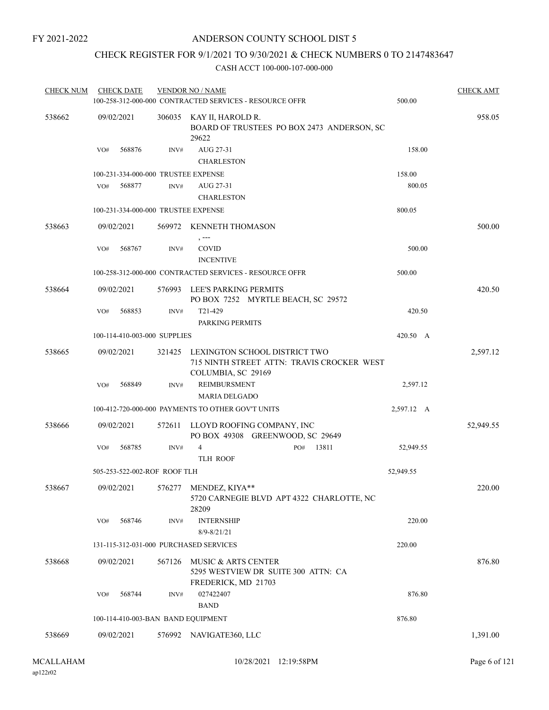# CHECK REGISTER FOR 9/1/2021 TO 9/30/2021 & CHECK NUMBERS 0 TO 2147483647

| <b>CHECK NUM</b> | <b>CHECK DATE</b>            |        |        | <b>VENDOR NO / NAME</b><br>100-258-312-000-000 CONTRACTED SERVICES - RESOURCE OFFR                |     |       | 500.00     | <b>CHECK AMT</b> |
|------------------|------------------------------|--------|--------|---------------------------------------------------------------------------------------------------|-----|-------|------------|------------------|
| 538662           | 09/02/2021                   |        |        | 306035 KAY II, HAROLD R.<br>BOARD OF TRUSTEES PO BOX 2473 ANDERSON, SC<br>29622                   |     |       |            | 958.05           |
|                  | VO#                          | 568876 | INV#   | AUG 27-31<br><b>CHARLESTON</b>                                                                    |     |       | 158.00     |                  |
|                  |                              |        |        | 100-231-334-000-000 TRUSTEE EXPENSE                                                               |     |       | 158.00     |                  |
|                  | VO#                          | 568877 | INV#   | AUG 27-31<br><b>CHARLESTON</b>                                                                    |     |       | 800.05     |                  |
|                  |                              |        |        | 100-231-334-000-000 TRUSTEE EXPENSE                                                               |     |       | 800.05     |                  |
| 538663           | 09/02/2021                   |        |        | 569972 KENNETH THOMASON                                                                           |     |       |            | 500.00           |
|                  | VO#                          | 568767 | INV#   | , ---<br><b>COVID</b><br><b>INCENTIVE</b>                                                         |     |       | 500.00     |                  |
|                  |                              |        |        | 100-258-312-000-000 CONTRACTED SERVICES - RESOURCE OFFR                                           |     |       | 500.00     |                  |
| 538664           | 09/02/2021                   |        | 576993 | LEE'S PARKING PERMITS<br>PO BOX 7252 MYRTLE BEACH, SC 29572                                       |     |       |            | 420.50           |
|                  | VO#                          | 568853 | INV#   | T21-429<br>PARKING PERMITS                                                                        |     |       | 420.50     |                  |
|                  | 100-114-410-003-000 SUPPLIES |        |        |                                                                                                   |     |       | 420.50 A   |                  |
| 538665           | 09/02/2021                   |        | 321425 | LEXINGTON SCHOOL DISTRICT TWO<br>715 NINTH STREET ATTN: TRAVIS CROCKER WEST<br>COLUMBIA, SC 29169 |     |       |            | 2,597.12         |
|                  | VO#                          | 568849 | INV#   | <b>REIMBURSMENT</b><br><b>MARIA DELGADO</b>                                                       |     |       | 2,597.12   |                  |
|                  |                              |        |        | 100-412-720-000-000 PAYMENTS TO OTHER GOV'T UNITS                                                 |     |       | 2,597.12 A |                  |
| 538666           | 09/02/2021                   |        | 572611 | LLOYD ROOFING COMPANY, INC<br>PO BOX 49308 GREENWOOD, SC 29649                                    |     |       |            | 52,949.55        |
|                  | VO#                          | 568785 | INV#   | $\overline{4}$<br><b>TLH ROOF</b>                                                                 | PO# | 13811 | 52,949.55  |                  |
|                  | 505-253-522-002-ROF ROOF TLH |        |        |                                                                                                   |     |       | 52,949.55  |                  |
| 538667           |                              |        |        | 09/02/2021 576277 MENDEZ, KIYA**<br>5720 CARNEGIE BLVD APT 4322 CHARLOTTE, NC<br>28209            |     |       |            | 220.00           |
|                  | VO#                          | 568746 | INV#   | <b>INTERNSHIP</b><br>$8/9 - 8/21/21$                                                              |     |       | 220.00     |                  |
|                  |                              |        |        | 131-115-312-031-000 PURCHASED SERVICES                                                            |     |       | 220.00     |                  |
| 538668           | 09/02/2021                   |        | 567126 | MUSIC & ARTS CENTER<br>5295 WESTVIEW DR SUITE 300 ATTN: CA                                        |     |       |            | 876.80           |
|                  |                              |        |        | FREDERICK, MD 21703                                                                               |     |       |            |                  |
|                  | VO#                          | 568744 | INV#   | 027422407<br><b>BAND</b>                                                                          |     |       | 876.80     |                  |
|                  |                              |        |        | 100-114-410-003-BAN BAND EQUIPMENT                                                                |     |       | 876.80     |                  |
| 538669           | 09/02/2021                   |        |        | 576992 NAVIGATE360, LLC                                                                           |     |       |            | 1,391.00         |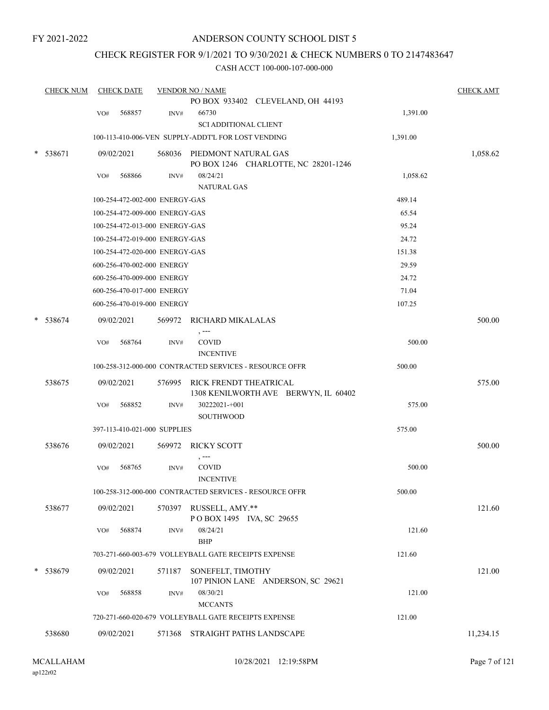# ANDERSON COUNTY SCHOOL DIST 5

# CHECK REGISTER FOR 9/1/2021 TO 9/30/2021 & CHECK NUMBERS 0 TO 2147483647

|        | <b>CHECK NUM</b> |     | <b>CHECK DATE</b>              |        | <b>VENDOR NO / NAME</b>                                             |          | <b>CHECK AMT</b> |
|--------|------------------|-----|--------------------------------|--------|---------------------------------------------------------------------|----------|------------------|
|        |                  |     |                                |        | PO BOX 933402 CLEVELAND, OH 44193                                   |          |                  |
|        |                  | VO# | 568857                         | INV#   | 66730                                                               | 1,391.00 |                  |
|        |                  |     |                                |        | <b>SCI ADDITIONAL CLIENT</b>                                        |          |                  |
|        |                  |     |                                |        | 100-113-410-006-VEN SUPPLY-ADDT'L FOR LOST VENDING                  | 1,391.00 |                  |
| $\ast$ | 538671           |     | 09/02/2021                     |        | 568036 PIEDMONT NATURAL GAS<br>PO BOX 1246 CHARLOTTE, NC 28201-1246 |          | 1,058.62         |
|        |                  | VO# | 568866                         | INV#   | 08/24/21<br><b>NATURAL GAS</b>                                      | 1,058.62 |                  |
|        |                  |     | 100-254-472-002-000 ENERGY-GAS |        |                                                                     | 489.14   |                  |
|        |                  |     | 100-254-472-009-000 ENERGY-GAS |        |                                                                     | 65.54    |                  |
|        |                  |     | 100-254-472-013-000 ENERGY-GAS |        |                                                                     | 95.24    |                  |
|        |                  |     | 100-254-472-019-000 ENERGY-GAS |        |                                                                     | 24.72    |                  |
|        |                  |     | 100-254-472-020-000 ENERGY-GAS |        |                                                                     | 151.38   |                  |
|        |                  |     | 600-256-470-002-000 ENERGY     |        |                                                                     | 29.59    |                  |
|        |                  |     | 600-256-470-009-000 ENERGY     |        |                                                                     | 24.72    |                  |
|        |                  |     | 600-256-470-017-000 ENERGY     |        |                                                                     | 71.04    |                  |
|        |                  |     | 600-256-470-019-000 ENERGY     |        |                                                                     | 107.25   |                  |
| $\ast$ | 538674           |     | 09/02/2021                     |        | 569972 RICHARD MIKALALAS                                            |          | 500.00           |
|        |                  | VO# | 568764                         | INV#   | $, --$<br>COVID<br><b>INCENTIVE</b>                                 | 500.00   |                  |
|        |                  |     |                                |        | 100-258-312-000-000 CONTRACTED SERVICES - RESOURCE OFFR             | 500.00   |                  |
|        | 538675           |     | 09/02/2021                     | 576995 | RICK FRENDT THEATRICAL<br>1308 KENILWORTH AVE BERWYN, IL 60402      |          | 575.00           |
|        |                  | VO# | 568852                         | INV#   | 30222021-+001<br>SOUTHWOOD                                          | 575.00   |                  |
|        |                  |     | 397-113-410-021-000 SUPPLIES   |        |                                                                     | 575.00   |                  |
|        | 538676           |     | 09/02/2021                     |        | 569972 RICKY SCOTT                                                  |          | 500.00           |
|        |                  | VO# | 568765                         | INV#   | , ---<br>COVID<br><b>INCENTIVE</b>                                  | 500.00   |                  |
|        |                  |     |                                |        | 100-258-312-000-000 CONTRACTED SERVICES - RESOURCE OFFR             | 500.00   |                  |
|        | 538677           |     | 09/02/2021                     | 570397 | RUSSELL, AMY.**<br>POBOX 1495 IVA, SC 29655                         |          | 121.60           |
|        |                  | VO# | 568874                         | INV#   | 08/24/21<br><b>BHP</b>                                              | 121.60   |                  |
|        |                  |     |                                |        | 703-271-660-003-679 VOLLEYBALL GATE RECEIPTS EXPENSE                | 121.60   |                  |
| *      | 538679           |     | 09/02/2021                     | 571187 | SONEFELT, TIMOTHY<br>107 PINION LANE ANDERSON, SC 29621             |          | 121.00           |
|        |                  | VO# | 568858                         | INV#   | 08/30/21<br><b>MCCANTS</b>                                          | 121.00   |                  |
|        |                  |     |                                |        | 720-271-660-020-679 VOLLEYBALL GATE RECEIPTS EXPENSE                | 121.00   |                  |
|        | 538680           |     | 09/02/2021                     |        | 571368 STRAIGHT PATHS LANDSCAPE                                     |          | 11,234.15        |
|        |                  |     |                                |        |                                                                     |          |                  |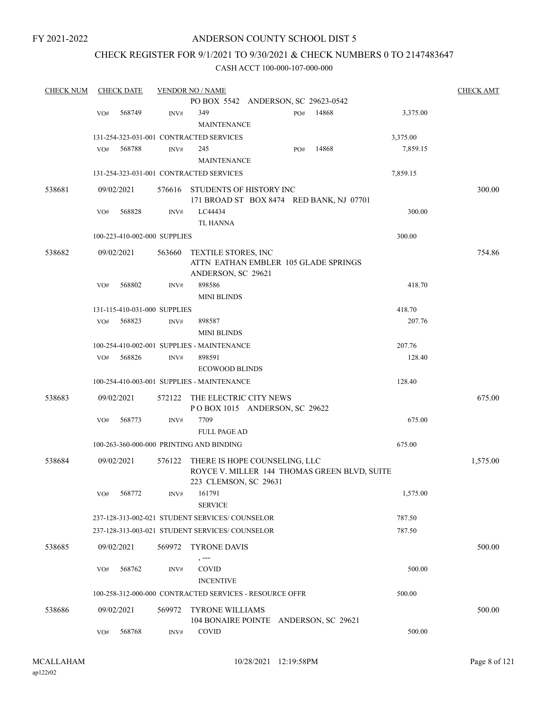# ANDERSON COUNTY SCHOOL DIST 5

# CHECK REGISTER FOR 9/1/2021 TO 9/30/2021 & CHECK NUMBERS 0 TO 2147483647

| <b>CHECK NUM</b> |     | <b>CHECK DATE</b> |                              | <b>VENDOR NO / NAME</b>                                                                                |     |       |          | <b>CHECK AMT</b> |
|------------------|-----|-------------------|------------------------------|--------------------------------------------------------------------------------------------------------|-----|-------|----------|------------------|
|                  |     |                   |                              | PO BOX 5542 ANDERSON, SC 29623-0542                                                                    |     |       |          |                  |
|                  | VO# | 568749            | INV#                         | 349                                                                                                    | PO# | 14868 | 3,375.00 |                  |
|                  |     |                   |                              | <b>MAINTENANCE</b>                                                                                     |     |       |          |                  |
|                  |     |                   |                              | 131-254-323-031-001 CONTRACTED SERVICES                                                                |     |       | 3,375.00 |                  |
|                  | VO# | 568788            | INV#                         | 245                                                                                                    | PO# | 14868 | 7,859.15 |                  |
|                  |     |                   |                              | <b>MAINTENANCE</b>                                                                                     |     |       |          |                  |
|                  |     |                   |                              | 131-254-323-031-001 CONTRACTED SERVICES                                                                |     |       | 7,859.15 |                  |
| 538681           |     | 09/02/2021        |                              | 576616 STUDENTS OF HISTORY INC<br>171 BROAD ST BOX 8474 RED BANK, NJ 07701                             |     |       |          | 300.00           |
|                  | VO# | 568828            | INV#                         | LC44434                                                                                                |     |       | 300.00   |                  |
|                  |     |                   |                              | <b>TL HANNA</b>                                                                                        |     |       |          |                  |
|                  |     |                   | 100-223-410-002-000 SUPPLIES |                                                                                                        |     |       | 300.00   |                  |
| 538682           |     | 09/02/2021        | 563660                       | TEXTILE STORES, INC<br>ATTN EATHAN EMBLER 105 GLADE SPRINGS<br>ANDERSON, SC 29621                      |     |       |          | 754.86           |
|                  | VO# | 568802            | INV#                         | 898586                                                                                                 |     |       | 418.70   |                  |
|                  |     |                   |                              | <b>MINI BLINDS</b>                                                                                     |     |       |          |                  |
|                  |     |                   | 131-115-410-031-000 SUPPLIES |                                                                                                        |     |       | 418.70   |                  |
|                  | VO# | 568823            | INV#                         | 898587                                                                                                 |     |       | 207.76   |                  |
|                  |     |                   |                              | <b>MINI BLINDS</b>                                                                                     |     |       |          |                  |
|                  |     |                   |                              | 100-254-410-002-001 SUPPLIES - MAINTENANCE                                                             |     |       | 207.76   |                  |
|                  | VO# | 568826            | INV#                         | 898591                                                                                                 |     |       | 128.40   |                  |
|                  |     |                   |                              | <b>ECOWOOD BLINDS</b>                                                                                  |     |       |          |                  |
|                  |     |                   |                              | 100-254-410-003-001 SUPPLIES - MAINTENANCE                                                             |     |       | 128.40   |                  |
| 538683           |     | 09/02/2021        | 572122                       | THE ELECTRIC CITY NEWS<br>POBOX 1015 ANDERSON, SC 29622                                                |     |       |          | 675.00           |
|                  | VO# | 568773            | INV#                         | 7709                                                                                                   |     |       | 675.00   |                  |
|                  |     |                   |                              | <b>FULL PAGE AD</b>                                                                                    |     |       |          |                  |
|                  |     |                   |                              | 100-263-360-000-000 PRINTING AND BINDING                                                               |     |       | 675.00   |                  |
| 538684           |     | 09/02/2021        | 576122                       | THERE IS HOPE COUNSELING, LLC<br>ROYCE V. MILLER 144 THOMAS GREEN BLVD, SUITE<br>223 CLEMSON, SC 29631 |     |       |          | 1,575.00         |
|                  | VO# | 568772            | INV#                         | 161791                                                                                                 |     |       | 1,575.00 |                  |
|                  |     |                   |                              | <b>SERVICE</b>                                                                                         |     |       |          |                  |
|                  |     |                   |                              | 237-128-313-002-021 STUDENT SERVICES/ COUNSELOR                                                        |     |       | 787.50   |                  |
|                  |     |                   |                              | 237-128-313-003-021 STUDENT SERVICES/COUNSELOR                                                         |     |       | 787.50   |                  |
| 538685           |     | 09/02/2021        | 569972                       | <b>TYRONE DAVIS</b><br>$, -- -$                                                                        |     |       |          | 500.00           |
|                  | VO# | 568762            | INV#                         | <b>COVID</b><br><b>INCENTIVE</b>                                                                       |     |       | 500.00   |                  |
|                  |     |                   |                              | 100-258-312-000-000 CONTRACTED SERVICES - RESOURCE OFFR                                                |     |       | 500.00   |                  |
|                  |     |                   |                              |                                                                                                        |     |       |          |                  |
| 538686           |     | 09/02/2021        | 569972                       | <b>TYRONE WILLIAMS</b><br>104 BONAIRE POINTE ANDERSON, SC 29621                                        |     |       |          | 500.00           |
|                  | VO# | 568768            | INV#                         | COVID                                                                                                  |     |       | 500.00   |                  |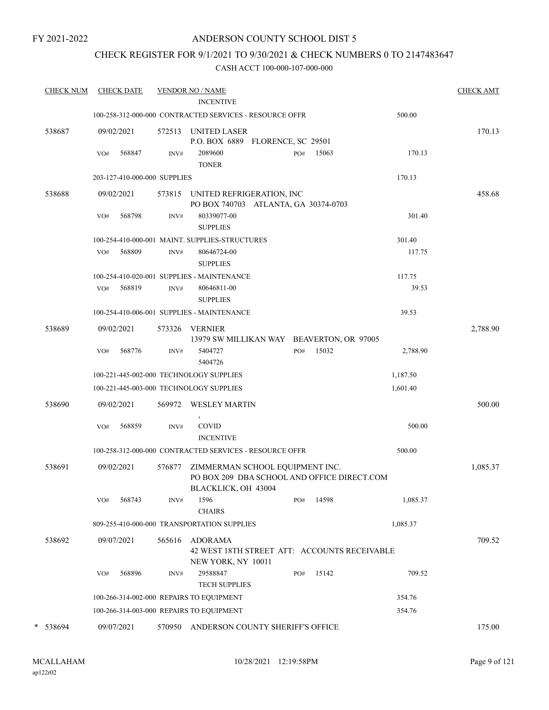# ANDERSON COUNTY SCHOOL DIST 5

# CHECK REGISTER FOR 9/1/2021 TO 9/30/2021 & CHECK NUMBERS 0 TO 2147483647

| <b>CHECK NUM</b> |     | <b>CHECK DATE</b>            |                | <b>VENDOR NO / NAME</b><br><b>INCENTIVE</b>                        |     |       |          | <b>CHECK AMT</b> |
|------------------|-----|------------------------------|----------------|--------------------------------------------------------------------|-----|-------|----------|------------------|
|                  |     |                              |                |                                                                    |     |       |          |                  |
|                  |     |                              |                | 100-258-312-000-000 CONTRACTED SERVICES - RESOURCE OFFR            |     |       | 500.00   |                  |
| 538687           |     | 09/02/2021                   |                | 572513 UNITED LASER<br>P.O. BOX 6889 FLORENCE, SC 29501            |     |       |          | 170.13           |
|                  | VO# | 568847                       | INV#           | 2089600<br><b>TONER</b>                                            | PO# | 15063 | 170.13   |                  |
|                  |     | 203-127-410-000-000 SUPPLIES |                |                                                                    |     |       | 170.13   |                  |
| 538688           |     | 09/02/2021                   |                | 573815 UNITED REFRIGERATION, INC                                   |     |       |          | 458.68           |
|                  |     |                              |                | PO BOX 740703 ATLANTA, GA 30374-0703                               |     |       |          |                  |
|                  | VO# | 568798                       | INV#           | 80339077-00<br><b>SUPPLIES</b>                                     |     |       | 301.40   |                  |
|                  |     |                              |                | 100-254-410-000-001 MAINT. SUPPLIES-STRUCTURES                     |     |       | 301.40   |                  |
|                  | VO# | 568809                       | INV#           | 80646724-00<br><b>SUPPLIES</b>                                     |     |       | 117.75   |                  |
|                  |     |                              |                | 100-254-410-020-001 SUPPLIES - MAINTENANCE                         |     |       | 117.75   |                  |
|                  | VO# | 568819                       | INV#           | 80646811-00<br><b>SUPPLIES</b>                                     |     |       | 39.53    |                  |
|                  |     |                              |                | 100-254-410-006-001 SUPPLIES - MAINTENANCE                         |     |       | 39.53    |                  |
| 538689           |     | 09/02/2021                   |                | 573326 VERNIER<br>13979 SW MILLIKAN WAY BEAVERTON, OR 97005        |     |       |          | 2,788.90         |
|                  | VO# | 568776                       | INV#           | 5404727<br>5404726                                                 | PO# | 15032 | 2,788.90 |                  |
|                  |     |                              |                | 100-221-445-002-000 TECHNOLOGY SUPPLIES                            |     |       | 1,187.50 |                  |
|                  |     |                              |                | 100-221-445-003-000 TECHNOLOGY SUPPLIES                            |     |       | 1,601.40 |                  |
| 538690           |     | 09/02/2021                   | 569972         | <b>WESLEY MARTIN</b>                                               |     |       |          | 500.00           |
|                  | VO# | 568859                       | INV#           | $\,$<br>COVID<br><b>INCENTIVE</b>                                  |     |       | 500.00   |                  |
|                  |     |                              |                | 100-258-312-000-000 CONTRACTED SERVICES - RESOURCE OFFR            |     |       | 500.00   |                  |
| 538691           |     | 09/02/2021                   | 576877         | ZIMMERMAN SCHOOL EQUIPMENT INC.                                    |     |       |          | 1,085.37         |
|                  |     |                              |                | PO BOX 209 DBA SCHOOL AND OFFICE DIRECT.COM<br>BLACKLICK, OH 43004 |     |       |          |                  |
|                  | VO# | 568743                       | INV#           | 1596<br><b>CHAIRS</b>                                              | PO# | 14598 | 1,085.37 |                  |
|                  |     |                              |                | 809-255-410-000-000 TRANSPORTATION SUPPLIES                        |     |       | 1,085.37 |                  |
| 538692           |     | 09/07/2021                   | 565616         | <b>ADORAMA</b>                                                     |     |       |          | 709.52           |
|                  |     |                              |                | 42 WEST 18TH STREET ATT: ACCOUNTS RECEIVABLE                       |     |       |          |                  |
|                  |     |                              |                | NEW YORK, NY 10011                                                 |     |       |          |                  |
|                  | VO# | 568896                       | $\text{INV}\#$ | 29588847<br><b>TECH SUPPLIES</b>                                   | PO# | 15142 | 709.52   |                  |
|                  |     |                              |                | 100-266-314-002-000 REPAIRS TO EQUIPMENT                           |     |       | 354.76   |                  |
|                  |     |                              |                | 100-266-314-003-000 REPAIRS TO EQUIPMENT                           |     |       | 354.76   |                  |
| * 538694         |     | 09/07/2021                   | 570950         | ANDERSON COUNTY SHERIFF'S OFFICE                                   |     |       |          | 175.00           |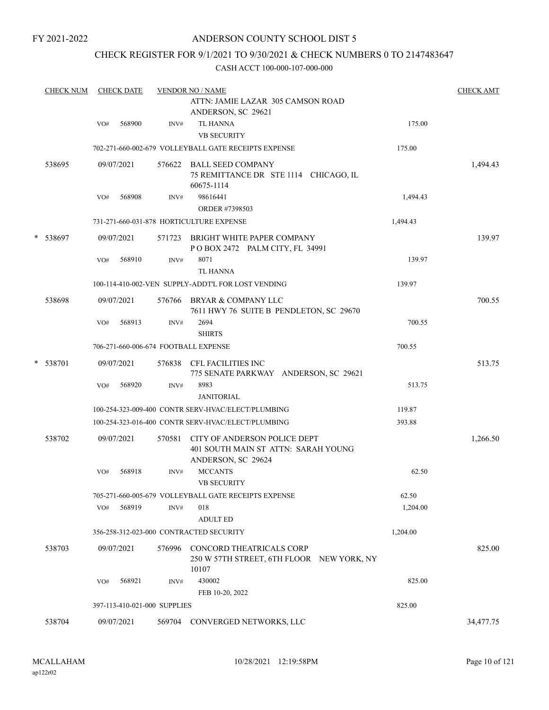# ANDERSON COUNTY SCHOOL DIST 5

# CHECK REGISTER FOR 9/1/2021 TO 9/30/2021 & CHECK NUMBERS 0 TO 2147483647

|   | <b>CHECK NUM</b> |     | <b>CHECK DATE</b> |                              | <b>VENDOR NO / NAME</b>                                                                   |          | <b>CHECK AMT</b> |
|---|------------------|-----|-------------------|------------------------------|-------------------------------------------------------------------------------------------|----------|------------------|
|   |                  |     |                   |                              | ATTN: JAMIE LAZAR 305 CAMSON ROAD<br>ANDERSON, SC 29621                                   |          |                  |
|   |                  | VO# | 568900            | INV#                         | <b>TL HANNA</b><br><b>VB SECURITY</b>                                                     | 175.00   |                  |
|   |                  |     |                   |                              | 702-271-660-002-679 VOLLEYBALL GATE RECEIPTS EXPENSE                                      | 175.00   |                  |
|   | 538695           |     | 09/07/2021        |                              | 576622 BALL SEED COMPANY<br>75 REMITTANCE DR STE 1114 CHICAGO, IL<br>60675-1114           |          | 1,494.43         |
|   |                  | VO# | 568908            | INV#                         | 98616441                                                                                  | 1,494.43 |                  |
|   |                  |     |                   |                              | ORDER #7398503                                                                            |          |                  |
|   |                  |     |                   |                              | 731-271-660-031-878 HORTICULTURE EXPENSE                                                  | 1,494.43 |                  |
| * | 538697           |     | 09/07/2021        |                              | 571723 BRIGHT WHITE PAPER COMPANY<br>POBOX 2472 PALM CITY, FL 34991                       |          | 139.97           |
|   |                  | VO# | 568910            | INV#                         | 8071<br><b>TL HANNA</b>                                                                   | 139.97   |                  |
|   |                  |     |                   |                              | 100-114-410-002-VEN SUPPLY-ADDT'L FOR LOST VENDING                                        | 139.97   |                  |
|   | 538698           |     | 09/07/2021        |                              | 576766 BRYAR & COMPANY LLC<br>7611 HWY 76 SUITE B PENDLETON, SC 29670                     |          | 700.55           |
|   |                  | VO# | 568913            | INV#                         | 2694<br><b>SHIRTS</b>                                                                     | 700.55   |                  |
|   |                  |     |                   |                              | 706-271-660-006-674 FOOTBALL EXPENSE                                                      | 700.55   |                  |
|   | * 538701         |     | 09/07/2021        |                              | 576838 CFL FACILITIES INC<br>775 SENATE PARKWAY ANDERSON, SC 29621                        |          | 513.75           |
|   |                  | VO# | 568920            | INV#                         | 8983<br><b>JANITORIAL</b>                                                                 | 513.75   |                  |
|   |                  |     |                   |                              | 100-254-323-009-400 CONTR SERV-HVAC/ELECT/PLUMBING                                        | 119.87   |                  |
|   |                  |     |                   |                              | 100-254-323-016-400 CONTR SERV-HVAC/ELECT/PLUMBING                                        | 393.88   |                  |
|   | 538702           |     | 09/07/2021        | 570581                       | CITY OF ANDERSON POLICE DEPT<br>401 SOUTH MAIN ST ATTN: SARAH YOUNG<br>ANDERSON, SC 29624 |          | 1,266.50         |
|   |                  | VO# | 568918            | INV#                         | <b>MCCANTS</b><br><b>VB SECURITY</b>                                                      | 62.50    |                  |
|   |                  |     |                   |                              | 705-271-660-005-679 VOLLEYBALL GATE RECEIPTS EXPENSE                                      | 62.50    |                  |
|   |                  | VO# | 568919            | INV#                         | 018<br><b>ADULT ED</b>                                                                    | 1,204.00 |                  |
|   |                  |     |                   |                              | 356-258-312-023-000 CONTRACTED SECURITY                                                   | 1,204.00 |                  |
|   | 538703           |     | 09/07/2021        | 576996                       | CONCORD THEATRICALS CORP<br>250 W 57TH STREET, 6TH FLOOR NEW YORK, NY<br>10107            |          | 825.00           |
|   |                  | VO# | 568921            | INV#                         | 430002<br>FEB 10-20, 2022                                                                 | 825.00   |                  |
|   |                  |     |                   | 397-113-410-021-000 SUPPLIES |                                                                                           | 825.00   |                  |
|   | 538704           |     | 09/07/2021        | 569704                       | CONVERGED NETWORKS, LLC                                                                   |          | 34,477.75        |
|   |                  |     |                   |                              |                                                                                           |          |                  |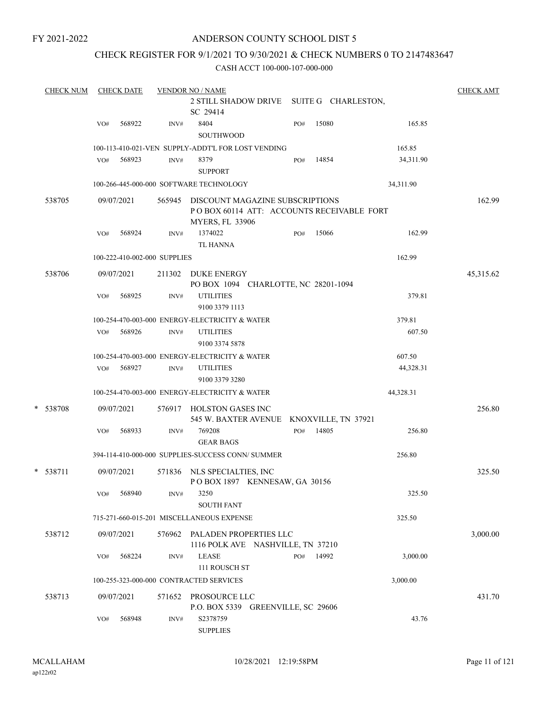# ANDERSON COUNTY SCHOOL DIST 5

# CHECK REGISTER FOR 9/1/2021 TO 9/30/2021 & CHECK NUMBERS 0 TO 2147483647

| <b>CHECK NUM</b> |     | <b>CHECK DATE</b> |                              | <b>VENDOR NO / NAME</b>                                                                                       |     |       |           | <b>CHECK AMT</b> |
|------------------|-----|-------------------|------------------------------|---------------------------------------------------------------------------------------------------------------|-----|-------|-----------|------------------|
|                  |     |                   |                              | 2 STILL SHADOW DRIVE SUITE G CHARLESTON,<br>SC 29414                                                          |     |       |           |                  |
|                  | VO# | 568922            | INV#                         | 8404<br>SOUTHWOOD                                                                                             | PO# | 15080 | 165.85    |                  |
|                  |     |                   |                              | 100-113-410-021-VEN SUPPLY-ADDT'L FOR LOST VENDING                                                            |     |       | 165.85    |                  |
|                  | VO# | 568923            | INV#                         | 8379<br><b>SUPPORT</b>                                                                                        | PO# | 14854 | 34,311.90 |                  |
|                  |     |                   |                              | 100-266-445-000-000 SOFTWARE TECHNOLOGY                                                                       |     |       | 34,311.90 |                  |
| 538705           |     | 09/07/2021        |                              | 565945 DISCOUNT MAGAZINE SUBSCRIPTIONS<br>POBOX 60114 ATT: ACCOUNTS RECEIVABLE FORT<br><b>MYERS, FL 33906</b> |     |       |           | 162.99           |
|                  | VO# | 568924            | INV#                         | 1374022                                                                                                       | PO# | 15066 | 162.99    |                  |
|                  |     |                   |                              | TL HANNA                                                                                                      |     |       |           |                  |
|                  |     |                   | 100-222-410-002-000 SUPPLIES |                                                                                                               |     |       | 162.99    |                  |
| 538706           |     | 09/07/2021        |                              | 211302 DUKE ENERGY<br>PO BOX 1094 CHARLOTTE, NC 28201-1094                                                    |     |       |           | 45,315.62        |
|                  | VO# | 568925            | INV#                         | <b>UTILITIES</b><br>9100 3379 1113                                                                            |     |       | 379.81    |                  |
|                  |     |                   |                              | 100-254-470-003-000 ENERGY-ELECTRICITY & WATER                                                                |     |       | 379.81    |                  |
|                  | VO# | 568926            | INV#                         | <b>UTILITIES</b><br>9100 3374 5878                                                                            |     |       | 607.50    |                  |
|                  |     |                   |                              | 100-254-470-003-000 ENERGY-ELECTRICITY & WATER                                                                |     |       | 607.50    |                  |
|                  |     | VO# 568927        | INV#                         | <b>UTILITIES</b><br>9100 3379 3280                                                                            |     |       | 44,328.31 |                  |
|                  |     |                   |                              | 100-254-470-003-000 ENERGY-ELECTRICITY & WATER                                                                |     |       | 44,328.31 |                  |
| * 538708         |     | 09/07/2021        |                              | 576917 HOLSTON GASES INC                                                                                      |     |       |           | 256.80           |
|                  |     | 568933            |                              | 545 W. BAXTER AVENUE KNOXVILLE, TN 37921<br>769208                                                            |     | 14805 | 256.80    |                  |
|                  | VO# |                   | INV#                         | <b>GEAR BAGS</b>                                                                                              | PO# |       |           |                  |
|                  |     |                   |                              | 394-114-410-000-000 SUPPLIES-SUCCESS CONN/ SUMMER                                                             |     |       | 256.80    |                  |
| * 538711         |     | 09/07/2021        | 571836                       | NLS SPECIALTIES, INC<br>POBOX 1897 KENNESAW, GA 30156                                                         |     |       |           | 325.50           |
|                  | VO# | 568940            | INV#                         | 3250<br><b>SOUTH FANT</b>                                                                                     |     |       | 325.50    |                  |
|                  |     |                   |                              | 715-271-660-015-201 MISCELLANEOUS EXPENSE                                                                     |     |       | 325.50    |                  |
| 538712           |     | 09/07/2021        |                              | 576962 PALADEN PROPERTIES LLC<br>1116 POLK AVE NASHVILLE, TN 37210                                            |     |       |           | 3,000.00         |
|                  | VO# | 568224            | INV#                         | <b>LEASE</b><br>111 ROUSCH ST                                                                                 | PO# | 14992 | 3,000.00  |                  |
|                  |     |                   |                              | 100-255-323-000-000 CONTRACTED SERVICES                                                                       |     |       | 3,000.00  |                  |
| 538713           |     | 09/07/2021        | 571652                       | PROSOURCE LLC<br>P.O. BOX 5339 GREENVILLE, SC 29606                                                           |     |       |           | 431.70           |
|                  | VO# | 568948            | INV#                         | S2378759<br><b>SUPPLIES</b>                                                                                   |     |       | 43.76     |                  |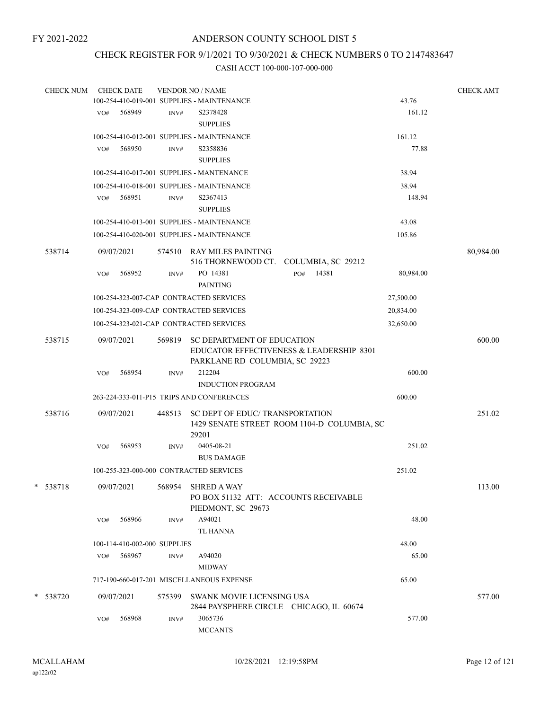# CHECK REGISTER FOR 9/1/2021 TO 9/30/2021 & CHECK NUMBERS 0 TO 2147483647

|   | <b>CHECK NUM</b> |     | <b>CHECK DATE</b>            |        | <b>VENDOR NO / NAME</b>                                                           |                                             |           | <b>CHECK AMT</b> |
|---|------------------|-----|------------------------------|--------|-----------------------------------------------------------------------------------|---------------------------------------------|-----------|------------------|
|   |                  |     |                              |        | 100-254-410-019-001 SUPPLIES - MAINTENANCE                                        |                                             | 43.76     |                  |
|   |                  |     | VO# 568949                   | INV#   | S2378428                                                                          |                                             | 161.12    |                  |
|   |                  |     |                              |        | <b>SUPPLIES</b>                                                                   |                                             |           |                  |
|   |                  |     |                              |        | 100-254-410-012-001 SUPPLIES - MAINTENANCE                                        |                                             | 161.12    |                  |
|   |                  | VO# | 568950                       | INV#   | S2358836                                                                          |                                             | 77.88     |                  |
|   |                  |     |                              |        | <b>SUPPLIES</b>                                                                   |                                             |           |                  |
|   |                  |     |                              |        | 100-254-410-017-001 SUPPLIES - MANTENANCE                                         |                                             | 38.94     |                  |
|   |                  |     |                              |        | 100-254-410-018-001 SUPPLIES - MAINTENANCE                                        |                                             | 38.94     |                  |
|   |                  |     | VO# 568951                   | INV#   | S2367413                                                                          |                                             | 148.94    |                  |
|   |                  |     |                              |        | <b>SUPPLIES</b>                                                                   |                                             |           |                  |
|   |                  |     |                              |        | 100-254-410-013-001 SUPPLIES - MAINTENANCE                                        |                                             | 43.08     |                  |
|   |                  |     |                              |        |                                                                                   |                                             |           |                  |
|   |                  |     |                              |        | 100-254-410-020-001 SUPPLIES - MAINTENANCE                                        |                                             | 105.86    |                  |
|   | 538714           |     | 09/07/2021                   |        | 574510 RAY MILES PAINTING<br>516 THORNEWOOD CT. COLUMBIA, SC 29212                |                                             |           | 80,984.00        |
|   |                  | VO# | 568952                       | INV#   | PO 14381<br><b>PAINTING</b>                                                       | 14381<br>PO#                                | 80,984.00 |                  |
|   |                  |     |                              |        | 100-254-323-007-CAP CONTRACTED SERVICES                                           |                                             | 27,500.00 |                  |
|   |                  |     |                              |        | 100-254-323-009-CAP CONTRACTED SERVICES                                           |                                             | 20,834.00 |                  |
|   |                  |     |                              |        | 100-254-323-021-CAP CONTRACTED SERVICES                                           |                                             | 32,650.00 |                  |
|   |                  |     |                              |        |                                                                                   |                                             |           |                  |
|   | 538715           |     | 09/07/2021                   | 569819 | SC DEPARTMENT OF EDUCATION                                                        |                                             |           | 600.00           |
|   |                  |     |                              |        |                                                                                   | EDUCATOR EFFECTIVENESS & LEADERSHIP 8301    |           |                  |
|   |                  |     |                              |        | PARKLANE RD COLUMBIA, SC 29223<br>212204                                          |                                             | 600.00    |                  |
|   |                  | VO# | 568954                       | INV#   | <b>INDUCTION PROGRAM</b>                                                          |                                             |           |                  |
|   |                  |     |                              |        |                                                                                   |                                             |           |                  |
|   |                  |     |                              |        | 263-224-333-011-P15 TRIPS AND CONFERENCES                                         |                                             | 600.00    |                  |
|   | 538716           |     | 09/07/2021                   | 448513 | SC DEPT OF EDUC/ TRANSPORTATION<br>29201                                          | 1429 SENATE STREET ROOM 1104-D COLUMBIA, SC |           | 251.02           |
|   |                  | VO# | 568953                       | INV#   | 0405-08-21<br><b>BUS DAMAGE</b>                                                   |                                             | 251.02    |                  |
|   |                  |     |                              |        |                                                                                   |                                             |           |                  |
|   |                  |     |                              |        | 100-255-323-000-000 CONTRACTED SERVICES                                           |                                             | 251.02    |                  |
| * | 538718           |     | 09/07/2021                   |        | 568954 SHRED A WAY<br>PO BOX 51132 ATT: ACCOUNTS RECEIVABLE<br>PIEDMONT, SC 29673 |                                             |           | 113.00           |
|   |                  | VO# | 568966                       | INV#   | A94021                                                                            |                                             | 48.00     |                  |
|   |                  |     |                              |        | TL HANNA                                                                          |                                             |           |                  |
|   |                  |     | 100-114-410-002-000 SUPPLIES |        |                                                                                   |                                             | 48.00     |                  |
|   |                  | VO# | 568967                       | INV#   | A94020                                                                            |                                             | 65.00     |                  |
|   |                  |     |                              |        | <b>MIDWAY</b>                                                                     |                                             |           |                  |
|   |                  |     |                              |        | 717-190-660-017-201 MISCELLANEOUS EXPENSE                                         |                                             | 65.00     |                  |
|   |                  |     |                              |        |                                                                                   |                                             |           |                  |
|   | * 538720         |     | 09/07/2021                   |        | 575399 SWANK MOVIE LICENSING USA<br>2844 PAYSPHERE CIRCLE CHICAGO, IL 60674       |                                             |           | 577.00           |
|   |                  | VO# | 568968                       | INV#   | 3065736                                                                           |                                             | 577.00    |                  |
|   |                  |     |                              |        | <b>MCCANTS</b>                                                                    |                                             |           |                  |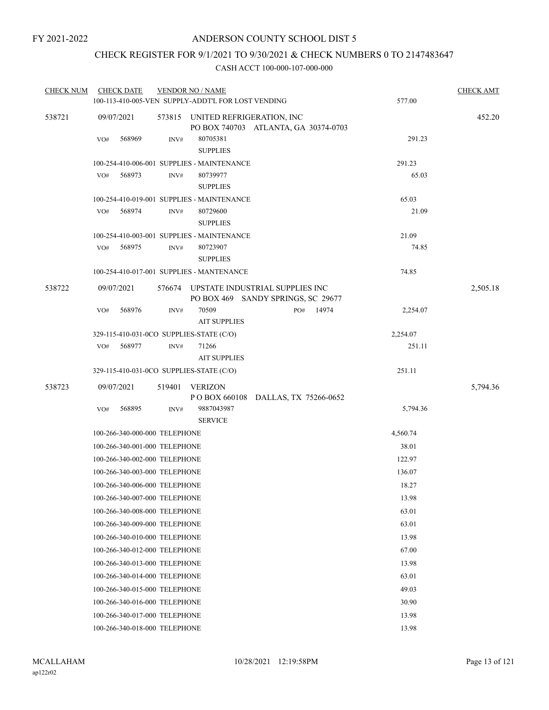# CHECK REGISTER FOR 9/1/2021 TO 9/30/2021 & CHECK NUMBERS 0 TO 2147483647

| <b>CHECK NUM</b> | <b>CHECK DATE</b>                        |        | <b>VENDOR NO / NAME</b>                            |                                      |       |          | <b>CHECK AMT</b> |
|------------------|------------------------------------------|--------|----------------------------------------------------|--------------------------------------|-------|----------|------------------|
|                  |                                          |        | 100-113-410-005-VEN SUPPLY-ADDT'L FOR LOST VENDING |                                      |       | 577.00   |                  |
| 538721           | 09/07/2021                               |        | 573815 UNITED REFRIGERATION, INC                   | PO BOX 740703 ATLANTA, GA 30374-0703 |       |          | 452.20           |
|                  | VO#<br>568969                            | INV#   | 80705381<br><b>SUPPLIES</b>                        |                                      |       | 291.23   |                  |
|                  |                                          |        | 100-254-410-006-001 SUPPLIES - MAINTENANCE         |                                      |       | 291.23   |                  |
|                  | 568973<br>VO#                            | INV#   | 80739977<br><b>SUPPLIES</b>                        |                                      |       | 65.03    |                  |
|                  |                                          |        | 100-254-410-019-001 SUPPLIES - MAINTENANCE         |                                      |       | 65.03    |                  |
|                  | 568974<br>VO#                            | INV#   | 80729600<br><b>SUPPLIES</b>                        |                                      | 21.09 |          |                  |
|                  |                                          |        | 100-254-410-003-001 SUPPLIES - MAINTENANCE         |                                      |       | 21.09    |                  |
|                  | 568975<br>VO#                            | INV#   | 80723907<br><b>SUPPLIES</b>                        |                                      |       | 74.85    |                  |
|                  |                                          |        | 100-254-410-017-001 SUPPLIES - MANTENANCE          |                                      |       | 74.85    |                  |
| 538722           | 09/07/2021                               | 576674 | UPSTATE INDUSTRIAL SUPPLIES INC                    | PO BOX 469 SANDY SPRINGS, SC 29677   |       |          | 2,505.18         |
|                  | 568976<br>VO#                            | INV#   | 70509<br><b>AIT SUPPLIES</b>                       | PO#                                  | 14974 | 2,254.07 |                  |
|                  | 329-115-410-031-0CO SUPPLIES-STATE (C/O) |        |                                                    |                                      |       | 2,254.07 |                  |
|                  | 568977<br>VO#                            | INV#   | 71266<br><b>AIT SUPPLIES</b>                       |                                      |       | 251.11   |                  |
|                  | 329-115-410-031-0CO SUPPLIES-STATE (C/O) |        |                                                    |                                      |       | 251.11   |                  |
| 538723           | 09/07/2021                               | 519401 | VERIZON<br>P O BOX 660108 DALLAS, TX 75266-0652    |                                      |       |          | 5,794.36         |
|                  | 568895<br>VO#                            | INV#   | 9887043987<br><b>SERVICE</b>                       |                                      |       | 5,794.36 |                  |
|                  | 100-266-340-000-000 TELEPHONE            |        |                                                    |                                      |       | 4,560.74 |                  |
|                  | 100-266-340-001-000 TELEPHONE            |        |                                                    |                                      |       | 38.01    |                  |
|                  | 100-266-340-002-000 TELEPHONE            |        |                                                    |                                      |       | 122.97   |                  |
|                  | 100-266-340-003-000 TELEPHONE            |        |                                                    |                                      |       | 136.07   |                  |
|                  | 100-266-340-006-000 TELEPHONE            |        |                                                    |                                      |       | 18.27    |                  |
|                  | 100-266-340-007-000 TELEPHONE            |        |                                                    |                                      |       | 13.98    |                  |
|                  | 100-266-340-008-000 TELEPHONE            |        |                                                    |                                      |       | 63.01    |                  |
|                  | 100-266-340-009-000 TELEPHONE            |        |                                                    |                                      |       | 63.01    |                  |
|                  | 100-266-340-010-000 TELEPHONE            |        |                                                    |                                      |       | 13.98    |                  |
|                  | 100-266-340-012-000 TELEPHONE            |        |                                                    |                                      |       | 67.00    |                  |
|                  | 100-266-340-013-000 TELEPHONE            |        |                                                    | 13.98                                |       |          |                  |
|                  | 100-266-340-014-000 TELEPHONE            |        |                                                    | 63.01                                |       |          |                  |
|                  | 100-266-340-015-000 TELEPHONE            |        |                                                    |                                      | 49.03 |          |                  |
|                  | 100-266-340-016-000 TELEPHONE            |        |                                                    |                                      |       | 30.90    |                  |
|                  | 100-266-340-017-000 TELEPHONE            |        |                                                    |                                      | 13.98 |          |                  |
|                  | 100-266-340-018-000 TELEPHONE            |        |                                                    |                                      |       | 13.98    |                  |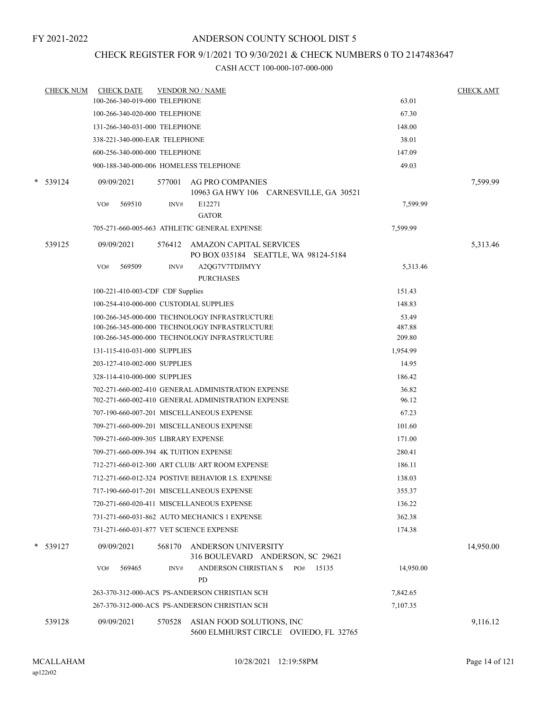# CHECK REGISTER FOR 9/1/2021 TO 9/30/2021 & CHECK NUMBERS 0 TO 2147483647

|        | <b>CHECK NUM</b> | <b>CHECK DATE</b>                | <b>VENDOR NO / NAME</b>                                                                        |                  | <b>CHECK AMT</b> |
|--------|------------------|----------------------------------|------------------------------------------------------------------------------------------------|------------------|------------------|
|        |                  | 100-266-340-019-000 TELEPHONE    |                                                                                                | 63.01            |                  |
|        |                  | 100-266-340-020-000 TELEPHONE    |                                                                                                | 67.30            |                  |
|        |                  | 131-266-340-031-000 TELEPHONE    |                                                                                                | 148.00           |                  |
|        |                  | 338-221-340-000-EAR TELEPHONE    |                                                                                                | 38.01            |                  |
|        |                  | 600-256-340-000-000 TELEPHONE    |                                                                                                | 147.09           |                  |
|        |                  |                                  | 900-188-340-000-006 HOMELESS TELEPHONE                                                         | 49.03            |                  |
|        | $*$ 539124       | 09/09/2021                       | 577001<br>AG PRO COMPANIES<br>10963 GA HWY 106 CARNESVILLE, GA 30521                           |                  | 7,599.99         |
|        |                  | 569510<br>VO#                    | E12271<br>INV#<br><b>GATOR</b>                                                                 | 7,599.99         |                  |
|        |                  |                                  | 705-271-660-005-663 ATHLETIC GENERAL EXPENSE                                                   | 7,599.99         |                  |
|        | 539125           | 09/09/2021                       | 576412 AMAZON CAPITAL SERVICES<br>PO BOX 035184 SEATTLE, WA 98124-5184                         |                  | 5,313.46         |
|        |                  | 569509<br>VO#                    | A2QG7V7TDJIMYY<br>INV#<br><b>PURCHASES</b>                                                     | 5,313.46         |                  |
|        |                  | 100-221-410-003-CDF CDF Supplies |                                                                                                | 151.43           |                  |
|        |                  |                                  | 100-254-410-000-000 CUSTODIAL SUPPLIES                                                         | 148.83           |                  |
|        |                  |                                  | 100-266-345-000-000 TECHNOLOGY INFRASTRUCTURE                                                  | 53.49            |                  |
|        |                  |                                  | 100-266-345-000-000 TECHNOLOGY INFRASTRUCTURE<br>100-266-345-000-000 TECHNOLOGY INFRASTRUCTURE | 487.88<br>209.80 |                  |
|        |                  | 131-115-410-031-000 SUPPLIES     |                                                                                                | 1,954.99         |                  |
|        |                  | 203-127-410-002-000 SUPPLIES     |                                                                                                | 14.95            |                  |
|        |                  | 328-114-410-000-000 SUPPLIES     |                                                                                                | 186.42           |                  |
|        |                  |                                  | 702-271-660-002-410 GENERAL ADMINISTRATION EXPENSE                                             | 36.82            |                  |
|        |                  |                                  | 702-271-660-002-410 GENERAL ADMINISTRATION EXPENSE                                             | 96.12            |                  |
|        |                  |                                  | 707-190-660-007-201 MISCELLANEOUS EXPENSE                                                      | 67.23            |                  |
|        |                  |                                  | 709-271-660-009-201 MISCELLANEOUS EXPENSE                                                      | 101.60           |                  |
|        |                  |                                  | 709-271-660-009-305 LIBRARY EXPENSE                                                            | 171.00           |                  |
|        |                  |                                  | 709-271-660-009-394 4K TUITION EXPENSE                                                         | 280.41           |                  |
|        |                  |                                  | 712-271-660-012-300 ART CLUB/ ART ROOM EXPENSE                                                 | 186.11           |                  |
|        |                  |                                  | 712-271-660-012-324 POSTIVE BEHAVIOR I.S. EXPENSE                                              | 138.03           |                  |
|        |                  |                                  | 717-190-660-017-201 MISCELLANEOUS EXPENSE                                                      | 355.37           |                  |
|        |                  |                                  | 720-271-660-020-411 MISCELLANEOUS EXPENSE                                                      | 136.22           |                  |
|        |                  |                                  | 731-271-660-031-862 AUTO MECHANICS 1 EXPENSE                                                   | 362.38           |                  |
|        |                  |                                  | 731-271-660-031-877 VET SCIENCE EXPENSE                                                        | 174.38           |                  |
| $\ast$ | 539127           | 09/09/2021                       | 568170<br>ANDERSON UNIVERSITY<br>316 BOULEVARD ANDERSON, SC 29621                              |                  | 14,950.00        |
|        |                  | 569465<br>VO#                    | ANDERSON CHRISTIAN S<br>15135<br>PO#<br>INV#<br><b>PD</b>                                      | 14,950.00        |                  |
|        |                  |                                  | 263-370-312-000-ACS PS-ANDERSON CHRISTIAN SCH                                                  | 7,842.65         |                  |
|        |                  |                                  | 267-370-312-000-ACS PS-ANDERSON CHRISTIAN SCH                                                  | 7,107.35         |                  |
|        | 539128           | 09/09/2021                       | 570528<br>ASIAN FOOD SOLUTIONS, INC<br>5600 ELMHURST CIRCLE OVIEDO, FL 32765                   |                  | 9,116.12         |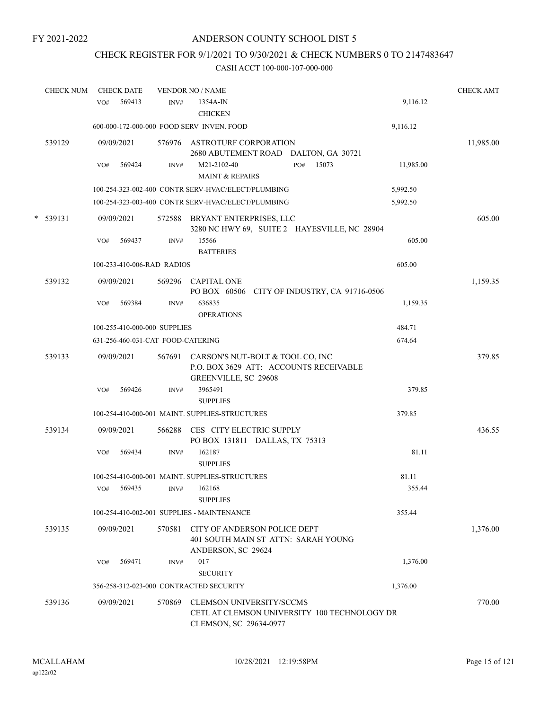# CHECK REGISTER FOR 9/1/2021 TO 9/30/2021 & CHECK NUMBERS 0 TO 2147483647

|   | <b>CHECK NUM</b> | <b>CHECK DATE</b>                       |        | <b>VENDOR NO / NAME</b>                                                                            |           | <b>CHECK AMT</b> |
|---|------------------|-----------------------------------------|--------|----------------------------------------------------------------------------------------------------|-----------|------------------|
|   |                  | 569413<br>VO#                           | INV#   | 1354A-IN<br><b>CHICKEN</b>                                                                         | 9,116.12  |                  |
|   |                  |                                         |        | 600-000-172-000-000 FOOD SERV INVEN. FOOD                                                          | 9,116.12  |                  |
|   | 539129           | 09/09/2021                              |        | 576976 ASTROTURF CORPORATION<br>2680 ABUTEMENT ROAD DALTON, GA 30721                               |           | 11,985.00        |
|   |                  | 569424<br>VO#                           | INV#   | M21-2102-40<br>15073<br>PO#<br>MAINT & REPAIRS                                                     | 11,985.00 |                  |
|   |                  |                                         |        | 100-254-323-002-400 CONTR SERV-HVAC/ELECT/PLUMBING                                                 | 5,992.50  |                  |
|   |                  |                                         |        | 100-254-323-003-400 CONTR SERV-HVAC/ELECT/PLUMBING                                                 | 5,992.50  |                  |
| * | 539131           | 09/09/2021                              |        | 572588 BRYANT ENTERPRISES, LLC<br>3280 NC HWY 69, SUITE 2 HAYESVILLE, NC 28904                     |           | 605.00           |
|   |                  | VO#<br>569437                           | INV#   | 15566<br><b>BATTERIES</b>                                                                          | 605.00    |                  |
|   |                  | 100-233-410-006-RAD RADIOS              |        |                                                                                                    | 605.00    |                  |
|   | 539132           | 09/09/2021                              |        | 569296 CAPITAL ONE<br>PO BOX 60506 CITY OF INDUSTRY, CA 91716-0506                                 |           | 1,159.35         |
|   |                  | 569384<br>VO#                           | INV#   | 636835<br><b>OPERATIONS</b>                                                                        | 1,159.35  |                  |
|   |                  | 100-255-410-000-000 SUPPLIES            |        |                                                                                                    | 484.71    |                  |
|   |                  | 631-256-460-031-CAT FOOD-CATERING       |        |                                                                                                    | 674.64    |                  |
|   | 539133           | 09/09/2021                              | 567691 | CARSON'S NUT-BOLT & TOOL CO, INC<br>P.O. BOX 3629 ATT: ACCOUNTS RECEIVABLE<br>GREENVILLE, SC 29608 |           | 379.85           |
|   |                  | 569426<br>VO#                           | INV#   | 3965491<br><b>SUPPLIES</b>                                                                         | 379.85    |                  |
|   |                  |                                         |        | 100-254-410-000-001 MAINT. SUPPLIES-STRUCTURES                                                     | 379.85    |                  |
|   | 539134           | 09/09/2021                              | 566288 | CES CITY ELECTRIC SUPPLY<br>PO BOX 131811 DALLAS, TX 75313                                         |           | 436.55           |
|   |                  | 569434<br>VO#                           | INV#   | 162187<br><b>SUPPLIES</b>                                                                          | 81.11     |                  |
|   |                  |                                         |        | 100-254-410-000-001 MAINT. SUPPLIES-STRUCTURES                                                     | 81.11     |                  |
|   |                  | 569435<br>VO#                           |        | INV# 162168<br><b>SUPPLIES</b>                                                                     | 355.44    |                  |
|   |                  |                                         |        | 100-254-410-002-001 SUPPLIES - MAINTENANCE                                                         | 355.44    |                  |
|   | 539135           | 09/09/2021                              | 570581 | CITY OF ANDERSON POLICE DEPT<br>401 SOUTH MAIN ST ATTN: SARAH YOUNG<br>ANDERSON, SC 29624          |           | 1,376.00         |
|   |                  | 569471<br>VO#                           | INV#   | 017<br><b>SECURITY</b>                                                                             | 1,376.00  |                  |
|   |                  | 356-258-312-023-000 CONTRACTED SECURITY |        |                                                                                                    | 1,376.00  |                  |
|   | 539136           | 09/09/2021                              | 570869 | CLEMSON UNIVERSITY/SCCMS<br>CETL AT CLEMSON UNIVERSITY 100 TECHNOLOGY DR<br>CLEMSON, SC 29634-0977 |           | 770.00           |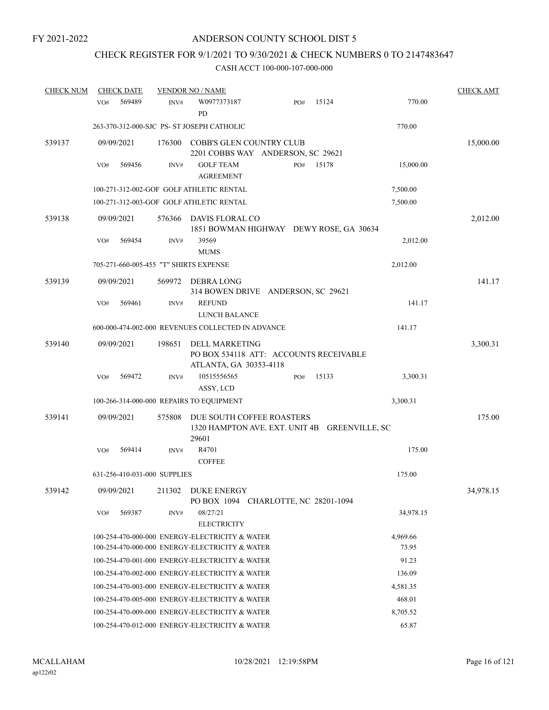# CHECK REGISTER FOR 9/1/2021 TO 9/30/2021 & CHECK NUMBERS 0 TO 2147483647

| <b>CHECK NUM</b> | <b>CHECK DATE</b>                      |        | <b>VENDOR NO / NAME</b>                                                             |     |       |                   | <b>CHECK AMT</b> |
|------------------|----------------------------------------|--------|-------------------------------------------------------------------------------------|-----|-------|-------------------|------------------|
|                  | 569489<br>VO#                          | INV#   | W0977373187<br>PD                                                                   | PO# | 15124 | 770.00            |                  |
|                  |                                        |        | 263-370-312-000-SJC PS- ST JOSEPH CATHOLIC                                          |     |       | 770.00            |                  |
| 539137           | 09/09/2021                             | 176300 | COBB'S GLEN COUNTRY CLUB<br>2201 COBBS WAY ANDERSON, SC 29621                       |     |       |                   | 15,000.00        |
|                  | 569456<br>VO#                          | INV#   | <b>GOLF TEAM</b><br><b>AGREEMENT</b>                                                | PO# | 15178 | 15,000.00         |                  |
|                  |                                        |        | 100-271-312-002-GOF GOLF ATHLETIC RENTAL                                            |     |       | 7,500.00          |                  |
|                  |                                        |        | 100-271-312-003-GOF GOLF ATHLETIC RENTAL                                            |     |       | 7,500.00          |                  |
| 539138           | 09/09/2021                             | 576366 | DAVIS FLORAL CO<br>1851 BOWMAN HIGHWAY DEWY ROSE, GA 30634                          |     |       |                   | 2,012.00         |
|                  | 569454<br>VO#                          | INV#   | 39569<br><b>MUMS</b>                                                                |     |       | 2,012.00          |                  |
|                  | 705-271-660-005-455 "T" SHIRTS EXPENSE |        |                                                                                     |     |       | 2,012.00          |                  |
| 539139           | 09/09/2021                             | 569972 | DEBRA LONG<br>314 BOWEN DRIVE ANDERSON, SC 29621                                    |     |       |                   | 141.17           |
|                  | 569461<br>VO#                          | INV#   | <b>REFUND</b><br>LUNCH BALANCE                                                      |     |       | 141.17            |                  |
|                  |                                        |        | 600-000-474-002-000 REVENUES COLLECTED IN ADVANCE                                   |     |       | 141.17            |                  |
| 539140           | 09/09/2021                             | 198651 | DELL MARKETING<br>PO BOX 534118 ATT: ACCOUNTS RECEIVABLE<br>ATLANTA, GA 30353-4118  |     |       |                   | 3,300.31         |
|                  | 569472<br>VO#                          | INV#   | 10515556565<br>ASSY, LCD                                                            | PO# | 15133 | 3,300.31          |                  |
|                  |                                        |        | 100-266-314-000-000 REPAIRS TO EQUIPMENT                                            |     |       | 3,300.31          |                  |
| 539141           | 09/09/2021                             | 575808 | DUE SOUTH COFFEE ROASTERS<br>1320 HAMPTON AVE. EXT. UNIT 4B GREENVILLE, SC<br>29601 |     |       |                   | 175.00           |
|                  | 569414<br>VO#                          | INV#   | R4701<br><b>COFFEE</b>                                                              |     |       | 175.00            |                  |
|                  | 631-256-410-031-000 SUPPLIES           |        |                                                                                     |     |       | 175.00            |                  |
| 539142           | 09/09/2021                             | 211302 | <b>DUKE ENERGY</b><br>PO BOX 1094 CHARLOTTE, NC 28201-1094                          |     |       |                   | 34,978.15        |
|                  | 569387<br>VO#                          | INV#   | 08/27/21<br><b>ELECTRICITY</b>                                                      |     |       | 34,978.15         |                  |
|                  |                                        |        | 100-254-470-000-000 ENERGY-ELECTRICITY & WATER                                      |     |       | 4,969.66          |                  |
|                  |                                        |        | 100-254-470-000-000 ENERGY-ELECTRICITY & WATER                                      |     |       | 73.95             |                  |
|                  |                                        |        | 100-254-470-001-000 ENERGY-ELECTRICITY & WATER                                      |     |       | 91.23             |                  |
|                  |                                        |        | 100-254-470-002-000 ENERGY-ELECTRICITY & WATER                                      |     |       | 136.09            |                  |
|                  |                                        |        | 100-254-470-003-000 ENERGY-ELECTRICITY & WATER                                      |     |       | 4,581.35          |                  |
|                  |                                        |        | 100-254-470-005-000 ENERGY-ELECTRICITY & WATER                                      |     |       | 468.01            |                  |
|                  |                                        |        | 100-254-470-009-000 ENERGY-ELECTRICITY & WATER                                      |     |       | 8,705.52<br>65.87 |                  |
|                  |                                        |        | 100-254-470-012-000 ENERGY-ELECTRICITY & WATER                                      |     |       |                   |                  |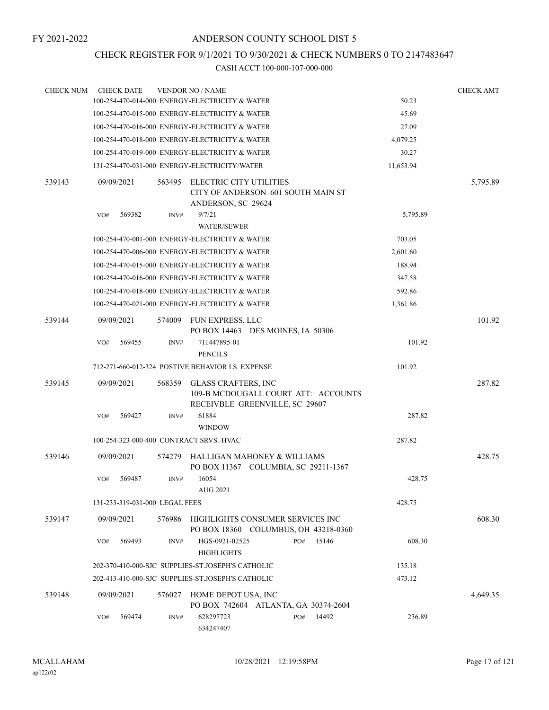# CHECK REGISTER FOR 9/1/2021 TO 9/30/2021 & CHECK NUMBERS 0 TO 2147483647

| <b>CHECK NUM</b> | <b>CHECK DATE</b>                       |        | <b>VENDOR NO / NAME</b>                                                                             |           | <b>CHECK AMT</b> |
|------------------|-----------------------------------------|--------|-----------------------------------------------------------------------------------------------------|-----------|------------------|
|                  |                                         |        | 100-254-470-014-000 ENERGY-ELECTRICITY & WATER                                                      | 50.23     |                  |
|                  |                                         |        | 100-254-470-015-000 ENERGY-ELECTRICITY & WATER                                                      | 45.69     |                  |
|                  |                                         |        | 100-254-470-016-000 ENERGY-ELECTRICITY & WATER                                                      | 27.09     |                  |
|                  |                                         |        | 100-254-470-018-000 ENERGY-ELECTRICITY & WATER                                                      | 4,079.25  |                  |
|                  |                                         |        | 100-254-470-019-000 ENERGY-ELECTRICITY & WATER                                                      | 30.27     |                  |
|                  |                                         |        | 131-254-470-031-000 ENERGY-ELECTRICITY/WATER                                                        | 11,653.94 |                  |
| 539143           | 09/09/2021                              | 563495 | ELECTRIC CITY UTILITIES<br>CITY OF ANDERSON 601 SOUTH MAIN ST<br>ANDERSON, SC 29624                 |           | 5,795.89         |
|                  | 569382<br>VO#                           | INV#   | 9/7/21<br><b>WATER/SEWER</b>                                                                        | 5,795.89  |                  |
|                  |                                         |        | 100-254-470-001-000 ENERGY-ELECTRICITY & WATER                                                      | 703.05    |                  |
|                  |                                         |        | 100-254-470-006-000 ENERGY-ELECTRICITY & WATER                                                      | 2,601.60  |                  |
|                  |                                         |        | 100-254-470-015-000 ENERGY-ELECTRICITY & WATER                                                      | 188.94    |                  |
|                  |                                         |        | 100-254-470-016-000 ENERGY-ELECTRICITY & WATER                                                      | 347.58    |                  |
|                  |                                         |        | 100-254-470-018-000 ENERGY-ELECTRICITY & WATER                                                      | 592.86    |                  |
|                  |                                         |        | 100-254-470-021-000 ENERGY-ELECTRICITY & WATER                                                      | 1,361.86  |                  |
| 539144           | 09/09/2021                              | 574009 | FUN EXPRESS, LLC                                                                                    |           | 101.92           |
|                  | 569455<br>VO#                           | INV#   | PO BOX 14463 DES MOINES, IA 50306<br>711447895-01<br><b>PENCILS</b>                                 | 101.92    |                  |
|                  |                                         |        | 712-271-660-012-324 POSTIVE BEHAVIOR I.S. EXPENSE                                                   | 101.92    |                  |
| 539145           | 09/09/2021                              | 568359 | <b>GLASS CRAFTERS, INC</b><br>109-B MCDOUGALL COURT ATT: ACCOUNTS<br>RECEIVBLE GREENVILLE, SC 29607 |           | 287.82           |
|                  | 569427<br>VO#                           | INV#   | 61884<br><b>WINDOW</b>                                                                              | 287.82    |                  |
|                  | 100-254-323-000-400 CONTRACT SRVS.-HVAC |        |                                                                                                     | 287.82    |                  |
| 539146           | 09/09/2021                              | 574279 | HALLIGAN MAHONEY & WILLIAMS<br>PO BOX 11367 COLUMBIA, SC 29211-1367                                 |           | 428.75           |
|                  | 569487<br>VO#                           | INV#   | 16054<br>AUG 2021                                                                                   | 428.75    |                  |
|                  | 131-233-319-031-000 LEGAL FEES          |        |                                                                                                     | 428.75    |                  |
| 539147           | 09/09/2021                              | 576986 | HIGHLIGHTS CONSUMER SERVICES INC<br>PO BOX 18360 COLUMBUS, OH 43218-0360                            |           | 608.30           |
|                  | 569493<br>VO#                           | INV#   | 15146<br>HGS-0921-02525<br>PO#<br><b>HIGHLIGHTS</b>                                                 | 608.30    |                  |
|                  |                                         |        | 202-370-410-000-SJC SUPPLIES-ST JOSEPH'S CATHOLIC                                                   | 135.18    |                  |
|                  |                                         |        | 202-413-410-000-SJC SUPPLIES-ST.JOSEPH'S CATHOLIC                                                   | 473.12    |                  |
| 539148           | 09/09/2021                              | 576027 | HOME DEPOT USA, INC<br>PO BOX 742604 ATLANTA, GA 30374-2604                                         |           | 4,649.35         |
|                  | 569474<br>VO#                           | INV#   | 628297723<br>14492<br>PO#<br>634247407                                                              | 236.89    |                  |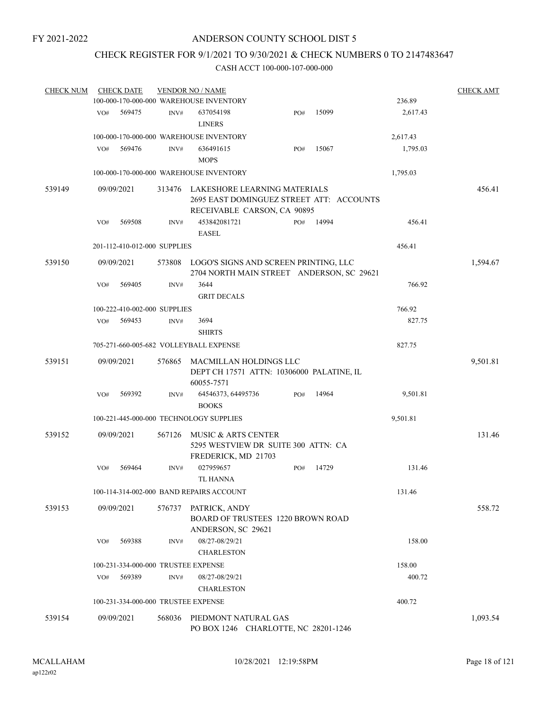# CHECK REGISTER FOR 9/1/2021 TO 9/30/2021 & CHECK NUMBERS 0 TO 2147483647

| <b>CHECK NUM</b> |     | <b>CHECK DATE</b>            |        | <b>VENDOR NO / NAME</b>                                                                                        |     |       |          | <b>CHECK AMT</b> |
|------------------|-----|------------------------------|--------|----------------------------------------------------------------------------------------------------------------|-----|-------|----------|------------------|
|                  |     |                              |        | 100-000-170-000-000 WAREHOUSE INVENTORY                                                                        |     |       | 236.89   |                  |
|                  | VO# | 569475                       | INV#   | 637054198                                                                                                      | PO# | 15099 | 2,617.43 |                  |
|                  |     |                              |        | <b>LINERS</b>                                                                                                  |     |       |          |                  |
|                  |     |                              |        | 100-000-170-000-000 WAREHOUSE INVENTORY                                                                        |     |       | 2,617.43 |                  |
|                  | VO# | 569476                       | INV#   | 636491615                                                                                                      | PO# | 15067 | 1,795.03 |                  |
|                  |     |                              |        | <b>MOPS</b>                                                                                                    |     |       |          |                  |
|                  |     |                              |        | 100-000-170-000-000 WAREHOUSE INVENTORY                                                                        |     |       | 1,795.03 |                  |
| 539149           |     | 09/09/2021                   |        | 313476 LAKESHORE LEARNING MATERIALS<br>2695 EAST DOMINGUEZ STREET ATT: ACCOUNTS<br>RECEIVABLE CARSON, CA 90895 |     |       |          | 456.41           |
|                  | VO# | 569508                       | INV#   | 453842081721<br><b>EASEL</b>                                                                                   | PO# | 14994 | 456.41   |                  |
|                  |     | 201-112-410-012-000 SUPPLIES |        |                                                                                                                |     |       | 456.41   |                  |
| 539150           |     | 09/09/2021                   | 573808 | LOGO'S SIGNS AND SCREEN PRINTING, LLC<br>2704 NORTH MAIN STREET ANDERSON, SC 29621                             |     |       |          | 1,594.67         |
|                  | VO# | 569405                       | INV#   | 3644<br><b>GRIT DECALS</b>                                                                                     |     |       | 766.92   |                  |
|                  |     | 100-222-410-002-000 SUPPLIES |        |                                                                                                                |     |       | 766.92   |                  |
|                  | VO# | 569453                       | INV#   | 3694<br><b>SHIRTS</b>                                                                                          |     |       | 827.75   |                  |
|                  |     |                              |        | 705-271-660-005-682 VOLLEYBALL EXPENSE                                                                         |     |       | 827.75   |                  |
|                  |     |                              |        |                                                                                                                |     |       |          |                  |
| 539151           |     | 09/09/2021                   | 576865 | <b>MACMILLAN HOLDINGS LLC</b><br>DEPT CH 17571 ATTN: 10306000 PALATINE, IL<br>60055-7571                       |     |       |          | 9,501.81         |
|                  | VO# | 569392                       | INV#   | 64546373, 64495736                                                                                             | PO# | 14964 | 9,501.81 |                  |
|                  |     |                              |        | <b>BOOKS</b>                                                                                                   |     |       |          |                  |
|                  |     |                              |        | 100-221-445-000-000 TECHNOLOGY SUPPLIES                                                                        |     |       | 9,501.81 |                  |
| 539152           |     | 09/09/2021                   | 567126 | MUSIC & ARTS CENTER<br>5295 WESTVIEW DR SUITE 300 ATTN: CA<br>FREDERICK, MD 21703                              |     |       |          | 131.46           |
|                  | VO# | 569464                       | INV#   | 027959657<br><b>TL HANNA</b>                                                                                   | PO# | 14729 | 131.46   |                  |
|                  |     |                              |        | 100-114-314-002-000 BAND REPAIRS ACCOUNT                                                                       |     |       | 131.46   |                  |
| 539153           |     | 09/09/2021                   | 576737 | PATRICK, ANDY<br>BOARD OF TRUSTEES 1220 BROWN ROAD<br>ANDERSON, SC 29621                                       |     |       |          | 558.72           |
|                  | VO# | 569388                       | INV#   | 08/27-08/29/21<br><b>CHARLESTON</b>                                                                            |     |       | 158.00   |                  |
|                  |     |                              |        | 100-231-334-000-000 TRUSTEE EXPENSE                                                                            |     |       | 158.00   |                  |
|                  | VO# | 569389                       | INV#   | 08/27-08/29/21                                                                                                 |     |       | 400.72   |                  |
|                  |     |                              |        | <b>CHARLESTON</b>                                                                                              |     |       |          |                  |
|                  |     |                              |        | 100-231-334-000-000 TRUSTEE EXPENSE                                                                            |     |       | 400.72   |                  |
| 539154           |     | 09/09/2021                   | 568036 | PIEDMONT NATURAL GAS<br>PO BOX 1246 CHARLOTTE, NC 28201-1246                                                   |     |       |          | 1,093.54         |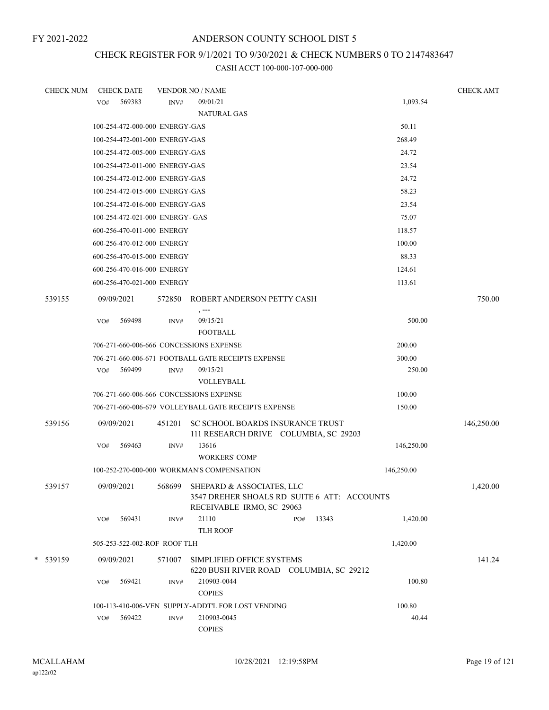# CHECK REGISTER FOR 9/1/2021 TO 9/30/2021 & CHECK NUMBERS 0 TO 2147483647

| <b>CHECK NUM</b> |     | <b>CHECK DATE</b>               |        | <b>VENDOR NO / NAME</b>                                                                                      |              |            | <b>CHECK AMT</b> |
|------------------|-----|---------------------------------|--------|--------------------------------------------------------------------------------------------------------------|--------------|------------|------------------|
|                  | VO# | 569383                          | INV#   | 09/01/21                                                                                                     |              | 1,093.54   |                  |
|                  |     |                                 |        | <b>NATURAL GAS</b>                                                                                           |              |            |                  |
|                  |     | 100-254-472-000-000 ENERGY-GAS  |        |                                                                                                              |              | 50.11      |                  |
|                  |     | 100-254-472-001-000 ENERGY-GAS  |        |                                                                                                              |              | 268.49     |                  |
|                  |     | 100-254-472-005-000 ENERGY-GAS  |        |                                                                                                              |              | 24.72      |                  |
|                  |     | 100-254-472-011-000 ENERGY-GAS  |        |                                                                                                              |              | 23.54      |                  |
|                  |     | 100-254-472-012-000 ENERGY-GAS  |        |                                                                                                              |              | 24.72      |                  |
|                  |     | 100-254-472-015-000 ENERGY-GAS  |        |                                                                                                              |              | 58.23      |                  |
|                  |     | 100-254-472-016-000 ENERGY-GAS  |        |                                                                                                              |              | 23.54      |                  |
|                  |     | 100-254-472-021-000 ENERGY- GAS |        |                                                                                                              |              | 75.07      |                  |
|                  |     | 600-256-470-011-000 ENERGY      |        |                                                                                                              |              | 118.57     |                  |
|                  |     | 600-256-470-012-000 ENERGY      |        |                                                                                                              |              | 100.00     |                  |
|                  |     | 600-256-470-015-000 ENERGY      |        |                                                                                                              |              | 88.33      |                  |
|                  |     | 600-256-470-016-000 ENERGY      |        |                                                                                                              |              | 124.61     |                  |
|                  |     | 600-256-470-021-000 ENERGY      |        |                                                                                                              |              | 113.61     |                  |
| 539155           |     | 09/09/2021                      |        | 572850 ROBERT ANDERSON PETTY CASH<br>$, --$                                                                  |              |            | 750.00           |
|                  | VO# | 569498                          | INV#   | 09/15/21                                                                                                     |              | 500.00     |                  |
|                  |     |                                 |        | <b>FOOTBALL</b>                                                                                              |              |            |                  |
|                  |     |                                 |        | 706-271-660-006-666 CONCESSIONS EXPENSE                                                                      |              | 200.00     |                  |
|                  |     |                                 |        | 706-271-660-006-671 FOOTBALL GATE RECEIPTS EXPENSE                                                           |              | 300.00     |                  |
|                  | VO# | 569499                          | INV#   | 09/15/21                                                                                                     |              | 250.00     |                  |
|                  |     |                                 |        | VOLLEYBALL                                                                                                   |              |            |                  |
|                  |     |                                 |        | 706-271-660-006-666 CONCESSIONS EXPENSE                                                                      |              | 100.00     |                  |
|                  |     |                                 |        | 706-271-660-006-679 VOLLEYBALL GATE RECEIPTS EXPENSE                                                         |              | 150.00     |                  |
| 539156           |     | 09/09/2021                      | 451201 | SC SCHOOL BOARDS INSURANCE TRUST<br>111 RESEARCH DRIVE COLUMBIA, SC 29203                                    |              |            | 146,250.00       |
|                  | VO# | 569463                          | INV#   | 13616<br><b>WORKERS' COMP</b>                                                                                |              | 146,250.00 |                  |
|                  |     |                                 |        | 100-252-270-000-000 WORKMAN'S COMPENSATION                                                                   |              | 146,250.00 |                  |
| 539157           |     | 09/09/2021                      |        | 568699 SHEPARD & ASSOCIATES, LLC<br>3547 DREHER SHOALS RD SUITE 6 ATT: ACCOUNTS<br>RECEIVABLE IRMO, SC 29063 |              |            | 1,420.00         |
|                  | VO# | 569431                          | INV#   | 21110                                                                                                        | 13343<br>PO# | 1,420.00   |                  |
|                  |     |                                 |        | <b>TLH ROOF</b>                                                                                              |              |            |                  |
|                  |     | 505-253-522-002-ROF ROOF TLH    |        |                                                                                                              |              | 1,420.00   |                  |
| * 539159         |     | 09/09/2021                      | 571007 | SIMPLIFIED OFFICE SYSTEMS<br>6220 BUSH RIVER ROAD COLUMBIA, SC 29212                                         |              |            | 141.24           |
|                  | VO# | 569421                          | INV#   | 210903-0044<br><b>COPIES</b>                                                                                 |              | 100.80     |                  |
|                  |     |                                 |        | 100-113-410-006-VEN SUPPLY-ADDT'L FOR LOST VENDING                                                           |              | 100.80     |                  |
|                  | VO# | 569422                          | INV#   | 210903-0045                                                                                                  |              | 40.44      |                  |
|                  |     |                                 |        | <b>COPIES</b>                                                                                                |              |            |                  |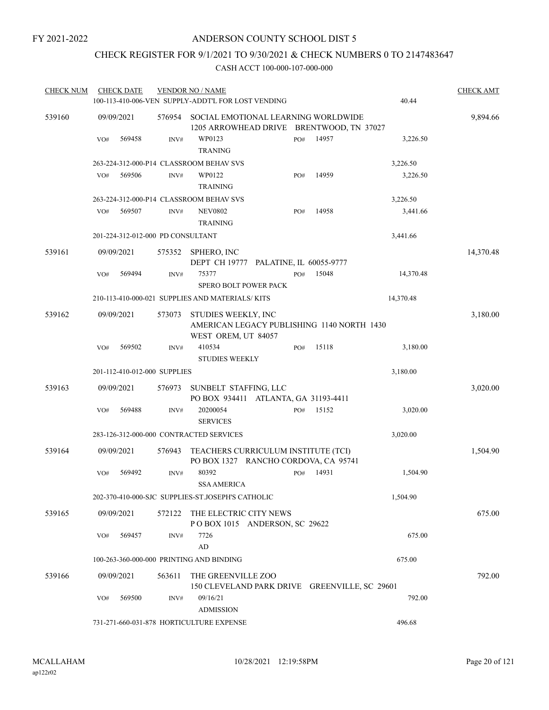# CHECK REGISTER FOR 9/1/2021 TO 9/30/2021 & CHECK NUMBERS 0 TO 2147483647

| <b>CHECK NUM</b> |     | <b>CHECK DATE</b> |                                   | <b>VENDOR NO / NAME</b><br>100-113-410-006-VEN SUPPLY-ADDT'L FOR LOST VENDING            |     |       | 40.44     | <b>CHECK AMT</b> |
|------------------|-----|-------------------|-----------------------------------|------------------------------------------------------------------------------------------|-----|-------|-----------|------------------|
| 539160           |     | 09/09/2021        | 576954                            | SOCIAL EMOTIONAL LEARNING WORLDWIDE<br>1205 ARROWHEAD DRIVE BRENTWOOD, TN 37027          |     |       |           | 9,894.66         |
|                  | VO# | 569458            | INV#                              | WP0123<br><b>TRANING</b>                                                                 | PO# | 14957 | 3,226.50  |                  |
|                  |     |                   |                                   | 263-224-312-000-P14 CLASSROOM BEHAV SVS                                                  |     |       | 3,226.50  |                  |
|                  | VO# | 569506            | INV#                              | WP0122<br><b>TRAINING</b>                                                                | PO# | 14959 | 3,226.50  |                  |
|                  |     |                   |                                   | 263-224-312-000-P14 CLASSROOM BEHAV SVS                                                  |     |       | 3,226.50  |                  |
|                  | VO# | 569507            | INV#                              | <b>NEV0802</b><br><b>TRAINING</b>                                                        | PO# | 14958 | 3,441.66  |                  |
|                  |     |                   | 201-224-312-012-000 PD CONSULTANT |                                                                                          |     |       | 3,441.66  |                  |
| 539161           |     | 09/09/2021        | 575352                            | SPHERO, INC<br>DEPT CH 19777 PALATINE, IL 60055-9777                                     |     |       |           | 14,370.48        |
|                  | VO# | 569494            | INV#                              | 75377<br><b>SPERO BOLT POWER PACK</b>                                                    | PO# | 15048 | 14,370.48 |                  |
|                  |     |                   |                                   | 210-113-410-000-021 SUPPLIES AND MATERIALS/KITS                                          |     |       | 14,370.48 |                  |
| 539162           |     | 09/09/2021        | 573073                            | STUDIES WEEKLY, INC<br>AMERICAN LEGACY PUBLISHING 1140 NORTH 1430<br>WEST OREM, UT 84057 |     |       |           | 3,180.00         |
|                  | VO# | 569502            | INV#                              | 410534<br><b>STUDIES WEEKLY</b>                                                          | PO# | 15118 | 3,180.00  |                  |
|                  |     |                   | 201-112-410-012-000 SUPPLIES      |                                                                                          |     |       | 3,180.00  |                  |
|                  |     |                   |                                   |                                                                                          |     |       |           |                  |
| 539163           |     | 09/09/2021        | 576973                            | SUNBELT STAFFING, LLC<br>PO BOX 934411 ATLANTA, GA 31193-4411                            |     |       |           | 3,020.00         |
|                  | VO# | 569488            | INV#                              | 20200054<br><b>SERVICES</b>                                                              | PO# | 15152 | 3,020.00  |                  |
|                  |     |                   |                                   | 283-126-312-000-000 CONTRACTED SERVICES                                                  |     |       | 3,020.00  |                  |
| 539164           |     | 09/09/2021        | 576943                            | TEACHERS CURRICULUM INSTITUTE (TCI)<br>PO BOX 1327 RANCHO CORDOVA, CA 95741              |     |       |           | 1,504.90         |
|                  | VO# | 569492            | INV#                              | 80392<br><b>SSA AMERICA</b>                                                              | PO# | 14931 | 1,504.90  |                  |
|                  |     |                   |                                   | 202-370-410-000-SJC SUPPLIES-ST.JOSEPH'S CATHOLIC                                        |     |       | 1,504.90  |                  |
| 539165           |     | 09/09/2021        | 572122                            | THE ELECTRIC CITY NEWS<br>POBOX 1015 ANDERSON, SC 29622                                  |     |       |           | 675.00           |
|                  | VO# | 569457            | INV#                              | 7726<br>AD                                                                               |     |       | 675.00    |                  |
|                  |     |                   |                                   | 100-263-360-000-000 PRINTING AND BINDING                                                 |     |       | 675.00    |                  |
| 539166           |     | 09/09/2021        | 563611                            | THE GREENVILLE ZOO<br>150 CLEVELAND PARK DRIVE GREENVILLE, SC 29601                      |     |       |           | 792.00           |
|                  | VO# | 569500            | INV#                              | 09/16/21<br><b>ADMISSION</b>                                                             |     |       | 792.00    |                  |
|                  |     |                   |                                   | 731-271-660-031-878 HORTICULTURE EXPENSE                                                 |     |       | 496.68    |                  |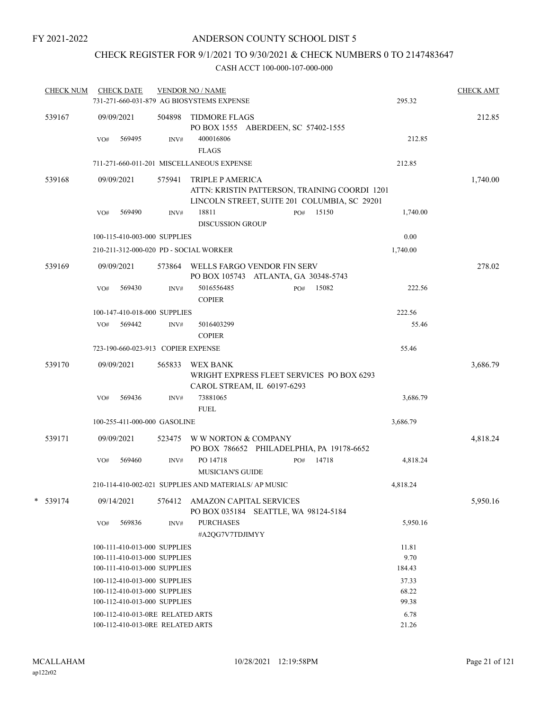# CHECK REGISTER FOR 9/1/2021 TO 9/30/2021 & CHECK NUMBERS 0 TO 2147483647

| <b>CHECK NUM</b> |     | <b>CHECK DATE</b>                                                                            |        | <b>VENDOR NO / NAME</b><br>731-271-660-031-879 AG BIOSYSTEMS EXPENSE                                              |              | 295.32                  | <b>CHECK AMT</b> |
|------------------|-----|----------------------------------------------------------------------------------------------|--------|-------------------------------------------------------------------------------------------------------------------|--------------|-------------------------|------------------|
| 539167           |     | 09/09/2021                                                                                   | 504898 | TIDMORE FLAGS<br>PO BOX 1555 ABERDEEN, SC 57402-1555                                                              |              |                         | 212.85           |
|                  | VO# | 569495                                                                                       | INV#   | 400016806<br><b>FLAGS</b>                                                                                         |              | 212.85                  |                  |
|                  |     |                                                                                              |        | 711-271-660-011-201 MISCELLANEOUS EXPENSE                                                                         |              | 212.85                  |                  |
| 539168           |     | 09/09/2021                                                                                   | 575941 | TRIPLE P AMERICA<br>ATTN: KRISTIN PATTERSON, TRAINING COORDI 1201<br>LINCOLN STREET, SUITE 201 COLUMBIA, SC 29201 |              |                         | 1,740.00         |
|                  | VO# | 569490                                                                                       | INV#   | 18811<br><b>DISCUSSION GROUP</b>                                                                                  | PO# 15150    | 1,740.00                |                  |
|                  |     | 100-115-410-003-000 SUPPLIES                                                                 |        |                                                                                                                   |              | 0.00                    |                  |
|                  |     |                                                                                              |        | 210-211-312-000-020 PD - SOCIAL WORKER                                                                            |              | 1,740.00                |                  |
| 539169           |     | 09/09/2021                                                                                   |        | 573864 WELLS FARGO VENDOR FIN SERV<br>PO BOX 105743 ATLANTA, GA 30348-5743                                        |              |                         | 278.02           |
|                  | VO# | 569430                                                                                       | INV#   | 5016556485<br><b>COPIER</b>                                                                                       | 15082<br>PO# | 222.56                  |                  |
|                  |     | 100-147-410-018-000 SUPPLIES                                                                 |        |                                                                                                                   |              | 222.56                  |                  |
|                  | VO# | 569442                                                                                       | INV#   | 5016403299<br><b>COPIER</b>                                                                                       |              | 55.46                   |                  |
|                  |     | 723-190-660-023-913 COPIER EXPENSE                                                           |        |                                                                                                                   |              | 55.46                   |                  |
| 539170           |     | 09/09/2021                                                                                   | 565833 | WEX BANK<br>WRIGHT EXPRESS FLEET SERVICES PO BOX 6293<br>CAROL STREAM, IL 60197-6293                              |              |                         | 3,686.79         |
|                  | VO# | 569436                                                                                       | INV#   | 73881065<br><b>FUEL</b>                                                                                           |              | 3,686.79                |                  |
|                  |     | 100-255-411-000-000 GASOLINE                                                                 |        |                                                                                                                   |              | 3,686.79                |                  |
| 539171           |     | 09/09/2021                                                                                   | 523475 | W W NORTON & COMPANY<br>PO BOX 786652 PHILADELPHIA, PA 19178-6652                                                 |              |                         | 4,818.24         |
|                  | VO# | 569460                                                                                       | INV#   | PO 14718<br><b>MUSICIAN'S GUIDE</b>                                                                               | 14718<br>PO# | 4,818.24                |                  |
|                  |     |                                                                                              |        | 210-114-410-002-021 SUPPLIES AND MATERIALS/ AP MUSIC                                                              |              | 4,818.24                |                  |
| $*$ 539174       |     | 09/14/2021                                                                                   | 576412 | <b>AMAZON CAPITAL SERVICES</b><br>PO BOX 035184 SEATTLE, WA 98124-5184                                            |              |                         | 5,950.16         |
|                  | VO# | 569836                                                                                       | INV#   | <b>PURCHASES</b><br>#A2QG7V7TDJIMYY                                                                               |              | 5,950.16                |                  |
|                  |     | 100-111-410-013-000 SUPPLIES<br>100-111-410-013-000 SUPPLIES<br>100-111-410-013-000 SUPPLIES |        |                                                                                                                   |              | 11.81<br>9.70<br>184.43 |                  |
|                  |     | 100-112-410-013-000 SUPPLIES<br>100-112-410-013-000 SUPPLIES<br>100-112-410-013-000 SUPPLIES |        |                                                                                                                   |              | 37.33<br>68.22<br>99.38 |                  |
|                  |     | 100-112-410-013-0RE RELATED ARTS<br>100-112-410-013-0RE RELATED ARTS                         |        |                                                                                                                   |              | 6.78<br>21.26           |                  |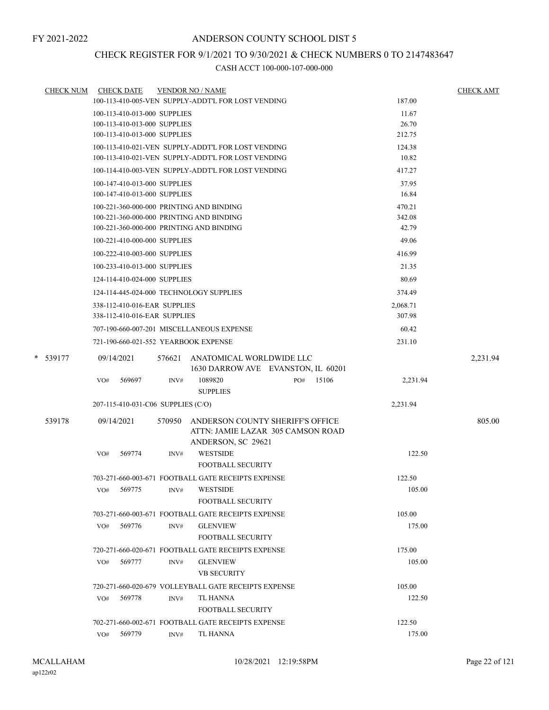# CHECK REGISTER FOR 9/1/2021 TO 9/30/2021 & CHECK NUMBERS 0 TO 2147483647

| <b>CHECK NUM</b> | <b>CHECK DATE</b><br><b>VENDOR NO / NAME</b>                                                  |                  | <b>CHECK AMT</b> |
|------------------|-----------------------------------------------------------------------------------------------|------------------|------------------|
|                  | 100-113-410-005-VEN SUPPLY-ADDT'L FOR LOST VENDING                                            | 187.00           |                  |
|                  | 100-113-410-013-000 SUPPLIES                                                                  | 11.67            |                  |
|                  | 100-113-410-013-000 SUPPLIES                                                                  | 26.70            |                  |
|                  | 100-113-410-013-000 SUPPLIES                                                                  | 212.75           |                  |
|                  | 100-113-410-021-VEN SUPPLY-ADDT'L FOR LOST VENDING                                            | 124.38           |                  |
|                  | 100-113-410-021-VEN SUPPLY-ADDT'L FOR LOST VENDING                                            | 10.82            |                  |
|                  | 100-114-410-003-VEN SUPPLY-ADDT'L FOR LOST VENDING                                            | 417.27           |                  |
|                  | 100-147-410-013-000 SUPPLIES                                                                  | 37.95            |                  |
|                  | 100-147-410-013-000 SUPPLIES                                                                  | 16.84            |                  |
|                  | 100-221-360-000-000 PRINTING AND BINDING                                                      | 470.21           |                  |
|                  | 100-221-360-000-000 PRINTING AND BINDING<br>100-221-360-000-000 PRINTING AND BINDING          | 342.08<br>42.79  |                  |
|                  |                                                                                               |                  |                  |
|                  | 100-221-410-000-000 SUPPLIES                                                                  | 49.06            |                  |
|                  | 100-222-410-003-000 SUPPLIES                                                                  | 416.99           |                  |
|                  | 100-233-410-013-000 SUPPLIES                                                                  | 21.35            |                  |
|                  | 124-114-410-024-000 SUPPLIES                                                                  | 80.69            |                  |
|                  | 124-114-445-024-000 TECHNOLOGY SUPPLIES                                                       | 374.49           |                  |
|                  | 338-112-410-016-EAR SUPPLIES                                                                  | 2,068.71         |                  |
|                  | 338-112-410-016-EAR SUPPLIES                                                                  | 307.98           |                  |
|                  | 707-190-660-007-201 MISCELLANEOUS EXPENSE                                                     | 60.42            |                  |
|                  | 721-190-660-021-552 YEARBOOK EXPENSE                                                          | 231.10           |                  |
| * 539177         | 09/14/2021<br>576621<br>ANATOMICAL WORLDWIDE LLC                                              |                  | 2,231.94         |
|                  | 1630 DARROW AVE EVANSTON, IL 60201                                                            |                  |                  |
|                  | 1089820<br>15106<br>569697<br>INV#<br>PO#<br>VO#                                              | 2,231.94         |                  |
|                  | <b>SUPPLIES</b>                                                                               |                  |                  |
|                  | 207-115-410-031-C06 SUPPLIES (C/O)                                                            | 2,231.94         |                  |
| 539178           | 09/14/2021<br>ANDERSON COUNTY SHERIFF'S OFFICE<br>570950<br>ATTN: JAMIE LAZAR 305 CAMSON ROAD |                  | 805.00           |
|                  | ANDERSON, SC 29621<br><b>WESTSIDE</b><br>569774<br>VO#<br>INV#                                | 122.50           |                  |
|                  | <b>FOOTBALL SECURITY</b>                                                                      |                  |                  |
|                  | 703-271-660-003-671 FOOTBALL GATE RECEIPTS EXPENSE                                            | 122.50           |                  |
|                  | <b>WESTSIDE</b><br>INV#                                                                       | 105.00           |                  |
|                  | VO#<br>569775<br><b>FOOTBALL SECURITY</b>                                                     |                  |                  |
|                  | 703-271-660-003-671 FOOTBALL GATE RECEIPTS EXPENSE                                            | 105.00           |                  |
|                  | 569776<br><b>GLENVIEW</b>                                                                     | 175.00           |                  |
|                  | VO#<br>INV#<br><b>FOOTBALL SECURITY</b>                                                       |                  |                  |
|                  |                                                                                               |                  |                  |
|                  | 720-271-660-020-671 FOOTBALL GATE RECEIPTS EXPENSE                                            | 175.00           |                  |
|                  | 569777<br><b>GLENVIEW</b><br>VO#<br>INV#<br><b>VB SECURITY</b>                                | 105.00           |                  |
|                  | 720-271-660-020-679 VOLLEYBALL GATE RECEIPTS EXPENSE                                          |                  |                  |
|                  |                                                                                               | 105.00<br>122.50 |                  |
|                  | 569778<br>TL HANNA<br>VO#<br>INV#                                                             |                  |                  |
|                  | <b>FOOTBALL SECURITY</b>                                                                      |                  |                  |
|                  | 702-271-660-002-671 FOOTBALL GATE RECEIPTS EXPENSE                                            | 122.50           |                  |
|                  | 569779<br>TL HANNA<br>VO#<br>INV#                                                             | 175.00           |                  |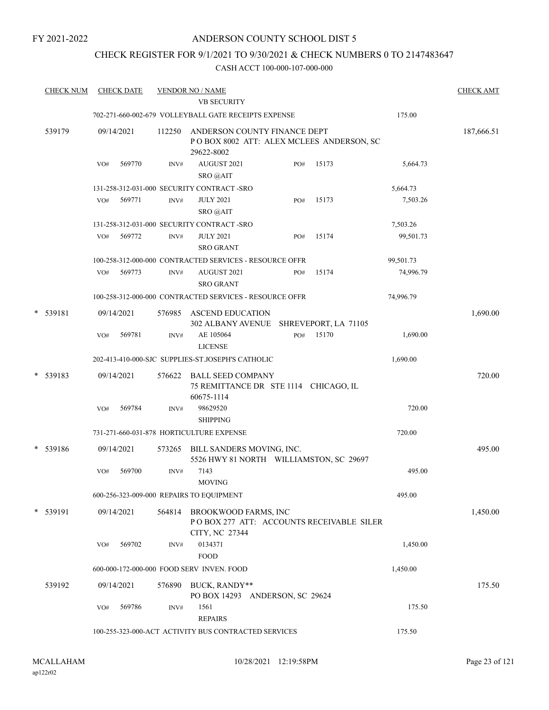# ANDERSON COUNTY SCHOOL DIST 5

# CHECK REGISTER FOR 9/1/2021 TO 9/30/2021 & CHECK NUMBERS 0 TO 2147483647

| <b>CHECK NUM</b> |     | <b>CHECK DATE</b> |        | <b>VENDOR NO / NAME</b><br><b>VB SECURITY</b>                                             |     |       |           | <b>CHECK AMT</b> |
|------------------|-----|-------------------|--------|-------------------------------------------------------------------------------------------|-----|-------|-----------|------------------|
|                  |     |                   |        | 702-271-660-002-679 VOLLEYBALL GATE RECEIPTS EXPENSE                                      |     |       | 175.00    |                  |
| 539179           |     | 09/14/2021        | 112250 | ANDERSON COUNTY FINANCE DEPT<br>POBOX 8002 ATT: ALEX MCLEES ANDERSON, SC<br>29622-8002    |     |       |           | 187,666.51       |
|                  | VO# | 569770            | INV#   | AUGUST 2021<br>SRO @AIT                                                                   | PO# | 15173 | 5,664.73  |                  |
|                  |     |                   |        | 131-258-312-031-000 SECURITY CONTRACT - SRO                                               |     |       | 5,664.73  |                  |
|                  | VO# | 569771            | INV#   | <b>JULY 2021</b><br>SRO @AIT                                                              | PO# | 15173 | 7,503.26  |                  |
|                  |     |                   |        | 131-258-312-031-000 SECURITY CONTRACT -SRO                                                |     |       | 7,503.26  |                  |
|                  | VO# | 569772            | INV#   | <b>JULY 2021</b><br><b>SRO GRANT</b>                                                      | PO# | 15174 | 99,501.73 |                  |
|                  |     |                   |        | 100-258-312-000-000 CONTRACTED SERVICES - RESOURCE OFFR                                   |     |       | 99,501.73 |                  |
|                  | VO# | 569773            | INV#   | AUGUST 2021<br><b>SRO GRANT</b>                                                           | PO# | 15174 | 74,996.79 |                  |
|                  |     |                   |        | 100-258-312-000-000 CONTRACTED SERVICES - RESOURCE OFFR                                   |     |       | 74,996.79 |                  |
| * 539181         |     | 09/14/2021        | 576985 | <b>ASCEND EDUCATION</b><br>302 ALBANY AVENUE SHREVEPORT, LA 71105                         |     |       |           | 1,690.00         |
|                  | VO# | 569781            | INV#   | AE 105064<br><b>LICENSE</b>                                                               | PO# | 15170 | 1,690.00  |                  |
|                  |     |                   |        | 202-413-410-000-SJC SUPPLIES-ST.JOSEPH'S CATHOLIC                                         |     |       | 1,690.00  |                  |
| * 539183         |     | 09/14/2021        | 576622 | <b>BALL SEED COMPANY</b><br>75 REMITTANCE DR STE 1114 CHICAGO, IL<br>60675-1114           |     |       |           | 720.00           |
|                  | VO# | 569784            | INV#   | 98629520<br><b>SHIPPING</b>                                                               |     |       | 720.00    |                  |
|                  |     |                   |        | 731-271-660-031-878 HORTICULTURE EXPENSE                                                  |     |       | 720.00    |                  |
| * 539186         |     | 09/14/2021        | 573265 | BILL SANDERS MOVING, INC.<br>5526 HWY 81 NORTH WILLIAMSTON, SC 29697                      |     |       |           | 495.00           |
|                  | VO# | 569700            | INV#   | 7143<br><b>MOVING</b>                                                                     |     |       | 495.00    |                  |
|                  |     |                   |        | 600-256-323-009-000 REPAIRS TO EQUIPMENT                                                  |     |       | 495.00    |                  |
| * 539191         |     | 09/14/2021        |        | 564814 BROOKWOOD FARMS, INC<br>POBOX 277 ATT: ACCOUNTS RECEIVABLE SILER<br>CITY, NC 27344 |     |       |           | 1,450.00         |
|                  | VO# | 569702            | INV#   | 0134371<br><b>FOOD</b>                                                                    |     |       | 1,450.00  |                  |
|                  |     |                   |        | 600-000-172-000-000 FOOD SERV INVEN. FOOD                                                 |     |       | 1,450.00  |                  |
| 539192           |     | 09/14/2021        | 576890 | BUCK, RANDY**<br>PO BOX 14293 ANDERSON, SC 29624                                          |     |       |           | 175.50           |
|                  | VO# | 569786            | INV#   | 1561<br><b>REPAIRS</b>                                                                    |     |       | 175.50    |                  |
|                  |     |                   |        | 100-255-323-000-ACT ACTIVITY BUS CONTRACTED SERVICES                                      |     |       | 175.50    |                  |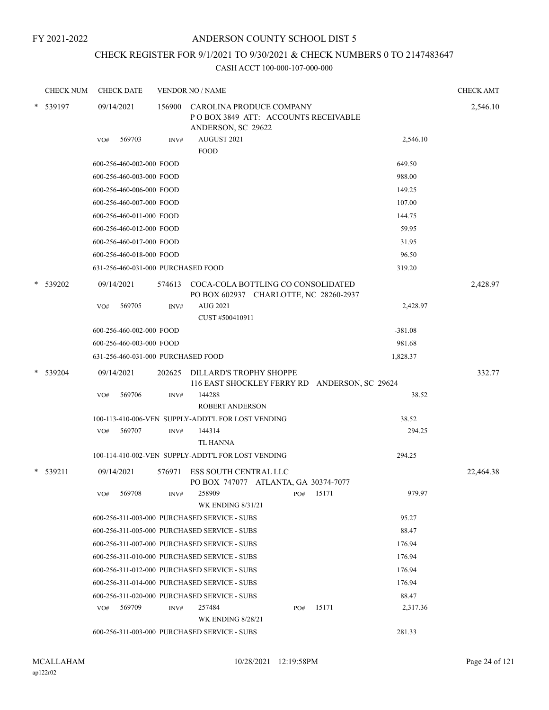# ANDERSON COUNTY SCHOOL DIST 5

# CHECK REGISTER FOR 9/1/2021 TO 9/30/2021 & CHECK NUMBERS 0 TO 2147483647

|   | <b>CHECK NUM</b> |     | <b>CHECK DATE</b>                  |        | <b>VENDOR NO / NAME</b>                                                               |     |       |           | <b>CHECK AMT</b> |
|---|------------------|-----|------------------------------------|--------|---------------------------------------------------------------------------------------|-----|-------|-----------|------------------|
|   | 539197           |     | 09/14/2021                         | 156900 | CAROLINA PRODUCE COMPANY<br>POBOX 3849 ATT: ACCOUNTS RECEIVABLE<br>ANDERSON, SC 29622 |     |       |           | 2,546.10         |
|   |                  | VO# | 569703                             | INV#   | AUGUST 2021<br><b>FOOD</b>                                                            |     |       | 2,546.10  |                  |
|   |                  |     | 600-256-460-002-000 FOOD           |        |                                                                                       |     |       | 649.50    |                  |
|   |                  |     | 600-256-460-003-000 FOOD           |        |                                                                                       |     |       | 988.00    |                  |
|   |                  |     | 600-256-460-006-000 FOOD           |        |                                                                                       |     |       | 149.25    |                  |
|   |                  |     | 600-256-460-007-000 FOOD           |        |                                                                                       |     |       | 107.00    |                  |
|   |                  |     | 600-256-460-011-000 FOOD           |        |                                                                                       |     |       | 144.75    |                  |
|   |                  |     | 600-256-460-012-000 FOOD           |        |                                                                                       |     |       | 59.95     |                  |
|   |                  |     | 600-256-460-017-000 FOOD           |        |                                                                                       |     |       | 31.95     |                  |
|   |                  |     | 600-256-460-018-000 FOOD           |        |                                                                                       |     |       | 96.50     |                  |
|   |                  |     | 631-256-460-031-000 PURCHASED FOOD |        |                                                                                       |     |       | 319.20    |                  |
|   | 539202           |     | 09/14/2021                         |        | 574613 COCA-COLA BOTTLING CO CONSOLIDATED<br>PO BOX 602937 CHARLOTTE, NC 28260-2937   |     |       |           | 2,428.97         |
|   |                  | VO# | 569705                             | INV#   | AUG 2021                                                                              |     |       | 2,428.97  |                  |
|   |                  |     |                                    |        | CUST #500410911                                                                       |     |       |           |                  |
|   |                  |     | 600-256-460-002-000 FOOD           |        |                                                                                       |     |       | $-381.08$ |                  |
|   |                  |     | 600-256-460-003-000 FOOD           |        |                                                                                       |     |       | 981.68    |                  |
|   |                  |     | 631-256-460-031-000 PURCHASED FOOD |        |                                                                                       |     |       | 1,828.37  |                  |
| * | 539204           |     | 09/14/2021                         | 202625 | DILLARD'S TROPHY SHOPPE<br>116 EAST SHOCKLEY FERRY RD ANDERSON, SC 29624              |     |       |           | 332.77           |
|   |                  | VO# | 569706                             | INV#   | 144288<br><b>ROBERT ANDERSON</b>                                                      |     |       | 38.52     |                  |
|   |                  |     |                                    |        | 100-113-410-006-VEN SUPPLY-ADDT'L FOR LOST VENDING                                    |     |       | 38.52     |                  |
|   |                  | VO# | 569707                             | INV#   | 144314<br>TL HANNA                                                                    |     |       | 294.25    |                  |
|   |                  |     |                                    |        | 100-114-410-002-VEN SUPPLY-ADDT'L FOR LOST VENDING                                    |     |       | 294.25    |                  |
|   | * 539211         |     | 09/14/2021                         | 576971 | <b>ESS SOUTH CENTRAL LLC</b><br>PO BOX 747077 ATLANTA, GA 30374-7077                  |     |       |           | 22,464.38        |
|   |                  | VO# | 569708                             | INV#   | 258909<br><b>WK ENDING 8/31/21</b>                                                    | PO# | 15171 | 979.97    |                  |
|   |                  |     |                                    |        | 600-256-311-003-000 PURCHASED SERVICE - SUBS                                          |     |       | 95.27     |                  |
|   |                  |     |                                    |        | 600-256-311-005-000 PURCHASED SERVICE - SUBS                                          |     |       | 88.47     |                  |
|   |                  |     |                                    |        | 600-256-311-007-000 PURCHASED SERVICE - SUBS                                          |     |       | 176.94    |                  |
|   |                  |     |                                    |        | 600-256-311-010-000 PURCHASED SERVICE - SUBS                                          |     |       | 176.94    |                  |
|   |                  |     |                                    |        | 600-256-311-012-000 PURCHASED SERVICE - SUBS                                          |     |       | 176.94    |                  |
|   |                  |     |                                    |        | 600-256-311-014-000 PURCHASED SERVICE - SUBS                                          |     |       | 176.94    |                  |
|   |                  |     |                                    |        | 600-256-311-020-000 PURCHASED SERVICE - SUBS                                          |     |       | 88.47     |                  |
|   |                  | VO# | 569709                             | INV#   | 257484                                                                                | PO# | 15171 | 2,317.36  |                  |
|   |                  |     |                                    |        | <b>WK ENDING 8/28/21</b>                                                              |     |       |           |                  |
|   |                  |     |                                    |        | 600-256-311-003-000 PURCHASED SERVICE - SUBS                                          |     |       | 281.33    |                  |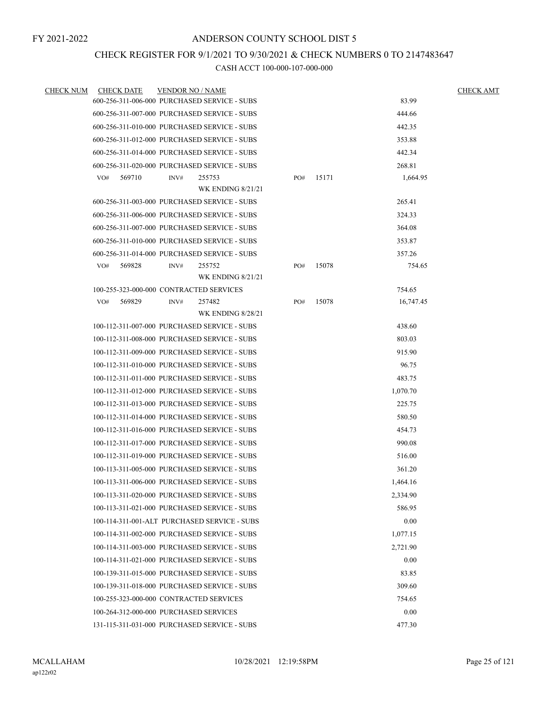# CHECK REGISTER FOR 9/1/2021 TO 9/30/2021 & CHECK NUMBERS 0 TO 2147483647

| <b>CHECK NUM</b> | <b>CHECK DATE</b> | <b>VENDOR NO / NAME</b>                      |     |       |           | <b>CHECK AMT</b> |
|------------------|-------------------|----------------------------------------------|-----|-------|-----------|------------------|
|                  |                   | 600-256-311-006-000 PURCHASED SERVICE - SUBS |     |       | 83.99     |                  |
|                  |                   | 600-256-311-007-000 PURCHASED SERVICE - SUBS |     |       | 444.66    |                  |
|                  |                   | 600-256-311-010-000 PURCHASED SERVICE - SUBS |     |       | 442.35    |                  |
|                  |                   | 600-256-311-012-000 PURCHASED SERVICE - SUBS |     |       | 353.88    |                  |
|                  |                   | 600-256-311-014-000 PURCHASED SERVICE - SUBS |     |       | 442.34    |                  |
|                  |                   | 600-256-311-020-000 PURCHASED SERVICE - SUBS |     |       | 268.81    |                  |
|                  | 569710<br>VO#     | 255753<br>INV#                               | PO# | 15171 | 1,664.95  |                  |
|                  |                   | <b>WK ENDING 8/21/21</b>                     |     |       |           |                  |
|                  |                   | 600-256-311-003-000 PURCHASED SERVICE - SUBS |     |       | 265.41    |                  |
|                  |                   | 600-256-311-006-000 PURCHASED SERVICE - SUBS |     |       | 324.33    |                  |
|                  |                   | 600-256-311-007-000 PURCHASED SERVICE - SUBS |     |       | 364.08    |                  |
|                  |                   | 600-256-311-010-000 PURCHASED SERVICE - SUBS |     |       | 353.87    |                  |
|                  |                   | 600-256-311-014-000 PURCHASED SERVICE - SUBS |     |       | 357.26    |                  |
|                  | 569828<br>VO#     | 255752<br>INV#                               | PO# | 15078 | 754.65    |                  |
|                  |                   | <b>WK ENDING 8/21/21</b>                     |     |       |           |                  |
|                  |                   | 100-255-323-000-000 CONTRACTED SERVICES      |     |       | 754.65    |                  |
|                  | 569829<br>VO#     | 257482<br>INV#<br><b>WK ENDING 8/28/21</b>   | PO# | 15078 | 16,747.45 |                  |
|                  |                   | 100-112-311-007-000 PURCHASED SERVICE - SUBS |     |       | 438.60    |                  |
|                  |                   | 100-112-311-008-000 PURCHASED SERVICE - SUBS |     |       | 803.03    |                  |
|                  |                   | 100-112-311-009-000 PURCHASED SERVICE - SUBS |     |       | 915.90    |                  |
|                  |                   | 100-112-311-010-000 PURCHASED SERVICE - SUBS |     |       | 96.75     |                  |
|                  |                   | 100-112-311-011-000 PURCHASED SERVICE - SUBS |     |       | 483.75    |                  |
|                  |                   | 100-112-311-012-000 PURCHASED SERVICE - SUBS |     |       | 1,070.70  |                  |
|                  |                   | 100-112-311-013-000 PURCHASED SERVICE - SUBS |     |       | 225.75    |                  |
|                  |                   | 100-112-311-014-000 PURCHASED SERVICE - SUBS |     |       | 580.50    |                  |
|                  |                   | 100-112-311-016-000 PURCHASED SERVICE - SUBS |     |       | 454.73    |                  |
|                  |                   | 100-112-311-017-000 PURCHASED SERVICE - SUBS |     |       | 990.08    |                  |
|                  |                   |                                              |     |       |           |                  |
|                  |                   | 100-112-311-019-000 PURCHASED SERVICE - SUBS |     |       | 516.00    |                  |
|                  |                   | 100-113-311-005-000 PURCHASED SERVICE - SUBS |     |       | 361.20    |                  |
|                  |                   | 100-113-311-006-000 PURCHASED SERVICE - SUBS |     |       | 1,464.16  |                  |
|                  |                   | 100-113-311-020-000 PURCHASED SERVICE - SUBS |     |       | 2,334.90  |                  |
|                  |                   | 100-113-311-021-000 PURCHASED SERVICE - SUBS |     |       | 586.95    |                  |
|                  |                   | 100-114-311-001-ALT PURCHASED SERVICE - SUBS |     |       | 0.00      |                  |
|                  |                   | 100-114-311-002-000 PURCHASED SERVICE - SUBS |     |       | 1,077.15  |                  |
|                  |                   | 100-114-311-003-000 PURCHASED SERVICE - SUBS |     |       | 2,721.90  |                  |
|                  |                   | 100-114-311-021-000 PURCHASED SERVICE - SUBS |     |       | 0.00      |                  |
|                  |                   | 100-139-311-015-000 PURCHASED SERVICE - SUBS |     |       | 83.85     |                  |
|                  |                   | 100-139-311-018-000 PURCHASED SERVICE - SUBS |     |       | 309.60    |                  |
|                  |                   | 100-255-323-000-000 CONTRACTED SERVICES      |     |       | 754.65    |                  |
|                  |                   | 100-264-312-000-000 PURCHASED SERVICES       |     |       | 0.00      |                  |
|                  |                   | 131-115-311-031-000 PURCHASED SERVICE - SUBS |     |       | 477.30    |                  |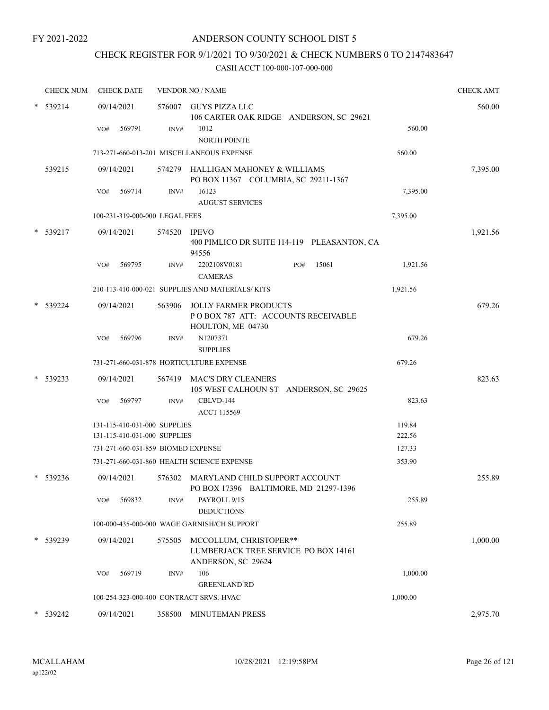# CHECK REGISTER FOR 9/1/2021 TO 9/30/2021 & CHECK NUMBERS 0 TO 2147483647

| <b>CHECK NUM</b> | <b>CHECK DATE</b>                                            |        | <b>VENDOR NO / NAME</b>                                                                 |                  | <b>CHECK AMT</b> |
|------------------|--------------------------------------------------------------|--------|-----------------------------------------------------------------------------------------|------------------|------------------|
| 539214           | 09/14/2021                                                   |        | 576007 GUYS PIZZA LLC<br>106 CARTER OAK RIDGE ANDERSON, SC 29621                        |                  | 560.00           |
|                  | 569791<br>VO#                                                | INV#   | 1012<br><b>NORTH POINTE</b>                                                             | 560.00           |                  |
|                  |                                                              |        | 713-271-660-013-201 MISCELLANEOUS EXPENSE                                               | 560.00           |                  |
| 539215           | 09/14/2021                                                   | 574279 | HALLIGAN MAHONEY & WILLIAMS<br>PO BOX 11367 COLUMBIA, SC 29211-1367                     |                  | 7,395.00         |
|                  | 569714<br>VO#                                                | INV#   | 16123<br><b>AUGUST SERVICES</b>                                                         | 7,395.00         |                  |
|                  | 100-231-319-000-000 LEGAL FEES                               |        |                                                                                         | 7,395.00         |                  |
| $*$ 539217       | 09/14/2021                                                   | 574520 | <b>IPEVO</b><br>400 PIMLICO DR SUITE 114-119 PLEASANTON, CA<br>94556                    |                  | 1,921.56         |
|                  | VO#<br>569795                                                | INV#   | 2202108V0181<br>15061<br>PO#<br><b>CAMERAS</b>                                          | 1,921.56         |                  |
|                  |                                                              |        | 210-113-410-000-021 SUPPLIES AND MATERIALS/KITS                                         | 1,921.56         |                  |
| * 539224         | 09/14/2021                                                   | 563906 | <b>JOLLY FARMER PRODUCTS</b><br>POBOX 787 ATT: ACCOUNTS RECEIVABLE<br>HOULTON, ME 04730 |                  | 679.26           |
|                  | 569796<br>VO#                                                | INV#   | N1207371<br><b>SUPPLIES</b>                                                             | 679.26           |                  |
|                  |                                                              |        | 731-271-660-031-878 HORTICULTURE EXPENSE                                                | 679.26           |                  |
| 539233           | 09/14/2021                                                   | 567419 | <b>MAC'S DRY CLEANERS</b><br>105 WEST CALHOUN ST ANDERSON, SC 29625                     |                  | 823.63           |
|                  | 569797<br>VO#                                                | INV#   | CBLVD-144<br><b>ACCT 115569</b>                                                         | 823.63           |                  |
|                  | 131-115-410-031-000 SUPPLIES<br>131-115-410-031-000 SUPPLIES |        |                                                                                         | 119.84<br>222.56 |                  |
|                  | 731-271-660-031-859 BIOMED EXPENSE                           |        |                                                                                         | 127.33           |                  |
|                  |                                                              |        | 731-271-660-031-860 HEALTH SCIENCE EXPENSE                                              | 353.90           |                  |
| $*$ 539236       | 09/14/2021                                                   |        | 576302 MARYLAND CHILD SUPPORT ACCOUNT<br>PO BOX 17396 BALTIMORE, MD 21297-1396          |                  | 255.89           |
|                  | 569832<br>VO#                                                | INV#   | PAYROLL 9/15<br><b>DEDUCTIONS</b>                                                       | 255.89           |                  |
|                  |                                                              |        | 100-000-435-000-000 WAGE GARNISH/CH SUPPORT                                             | 255.89           |                  |
| * 539239         | 09/14/2021                                                   | 575505 | MCCOLLUM, CHRISTOPER**<br>LUMBERJACK TREE SERVICE PO BOX 14161<br>ANDERSON, SC 29624    |                  | 1,000.00         |
|                  | 569719<br>VO#                                                | INV#   | 106                                                                                     | 1,000.00         |                  |
|                  |                                                              |        | <b>GREENLAND RD</b>                                                                     |                  |                  |
|                  | 100-254-323-000-400 CONTRACT SRVS.-HVAC                      |        |                                                                                         | 1,000.00         |                  |
| * 539242         | 09/14/2021                                                   |        | 358500 MINUTEMAN PRESS                                                                  |                  | 2,975.70         |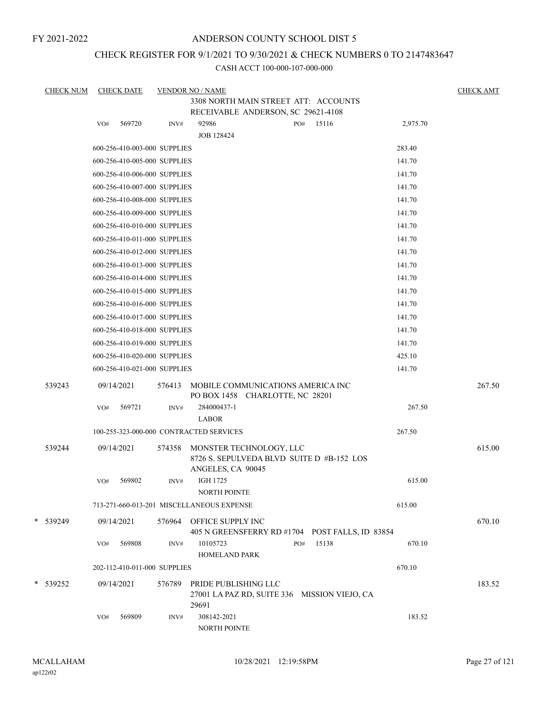# ANDERSON COUNTY SCHOOL DIST 5

# CHECK REGISTER FOR 9/1/2021 TO 9/30/2021 & CHECK NUMBERS 0 TO 2147483647

| <b>CHECK NUM</b> |            | <b>CHECK DATE</b>            |                | <b>VENDOR NO / NAME</b>                                                       |     |       |          | <b>CHECK AMT</b> |
|------------------|------------|------------------------------|----------------|-------------------------------------------------------------------------------|-----|-------|----------|------------------|
|                  |            |                              |                | 3308 NORTH MAIN STREET ATT: ACCOUNTS                                          |     |       |          |                  |
|                  |            |                              |                | RECEIVABLE ANDERSON, SC 29621-4108                                            |     |       |          |                  |
|                  | VO#        | 569720                       | $\text{INV}\#$ | 92986<br><b>JOB 128424</b>                                                    | PO# | 15116 | 2,975.70 |                  |
|                  |            | 600-256-410-003-000 SUPPLIES |                |                                                                               |     |       | 283.40   |                  |
|                  |            | 600-256-410-005-000 SUPPLIES |                |                                                                               |     |       | 141.70   |                  |
|                  |            | 600-256-410-006-000 SUPPLIES |                |                                                                               |     |       | 141.70   |                  |
|                  |            | 600-256-410-007-000 SUPPLIES |                |                                                                               |     |       | 141.70   |                  |
|                  |            | 600-256-410-008-000 SUPPLIES |                |                                                                               |     |       | 141.70   |                  |
|                  |            | 600-256-410-009-000 SUPPLIES |                |                                                                               |     |       | 141.70   |                  |
|                  |            | 600-256-410-010-000 SUPPLIES |                |                                                                               |     |       | 141.70   |                  |
|                  |            | 600-256-410-011-000 SUPPLIES |                |                                                                               |     |       | 141.70   |                  |
|                  |            | 600-256-410-012-000 SUPPLIES |                |                                                                               |     |       | 141.70   |                  |
|                  |            | 600-256-410-013-000 SUPPLIES |                |                                                                               |     |       | 141.70   |                  |
|                  |            | 600-256-410-014-000 SUPPLIES |                |                                                                               |     |       | 141.70   |                  |
|                  |            | 600-256-410-015-000 SUPPLIES |                |                                                                               |     |       | 141.70   |                  |
|                  |            | 600-256-410-016-000 SUPPLIES |                |                                                                               |     |       | 141.70   |                  |
|                  |            | 600-256-410-017-000 SUPPLIES |                |                                                                               |     |       | 141.70   |                  |
|                  |            | 600-256-410-018-000 SUPPLIES |                |                                                                               |     |       | 141.70   |                  |
|                  |            | 600-256-410-019-000 SUPPLIES |                |                                                                               |     |       | 141.70   |                  |
|                  |            | 600-256-410-020-000 SUPPLIES |                |                                                                               |     |       | 425.10   |                  |
|                  |            | 600-256-410-021-000 SUPPLIES |                |                                                                               |     |       | 141.70   |                  |
| 539243           | 09/14/2021 |                              | 576413         | MOBILE COMMUNICATIONS AMERICA INC<br>PO BOX 1458 CHARLOTTE, NC 28201          |     |       |          | 267.50           |
|                  | VO#        | 569721                       | INV#           | 284000437-1<br><b>LABOR</b>                                                   |     |       | 267.50   |                  |
|                  |            |                              |                | 100-255-323-000-000 CONTRACTED SERVICES                                       |     |       | 267.50   |                  |
| 539244           | 09/14/2021 |                              | 574358         | MONSTER TECHNOLOGY, LLC                                                       |     |       |          | 615.00           |
|                  |            |                              |                | 8726 S. SEPULVEDA BLVD SUITE D #B-152 LOS<br>ANGELES, CA 90045                |     |       |          |                  |
|                  | VO#        | 569802                       | INV#           | <b>IGH 1725</b><br>NORTH POINTE                                               |     |       | 615.00   |                  |
|                  |            |                              |                | 713-271-660-013-201 MISCELLANEOUS EXPENSE                                     |     |       | 615.00   |                  |
| * 539249         | 09/14/2021 |                              |                | 576964 OFFICE SUPPLY INC<br>405 N GREENSFERRY RD #1704 POST FALLS, ID 83854   |     |       |          | 670.10           |
|                  | VO#        | 569808                       | INV#           | 10105723<br>HOMELAND PARK                                                     | PO# | 15138 | 670.10   |                  |
|                  |            | 202-112-410-011-000 SUPPLIES |                |                                                                               |     |       | 670.10   |                  |
| * 539252         | 09/14/2021 |                              | 576789         | PRIDE PUBLISHING LLC<br>27001 LA PAZ RD, SUITE 336 MISSION VIEJO, CA<br>29691 |     |       |          | 183.52           |
|                  | VO#        | 569809                       | INV#           | 308142-2021<br>NORTH POINTE                                                   |     |       | 183.52   |                  |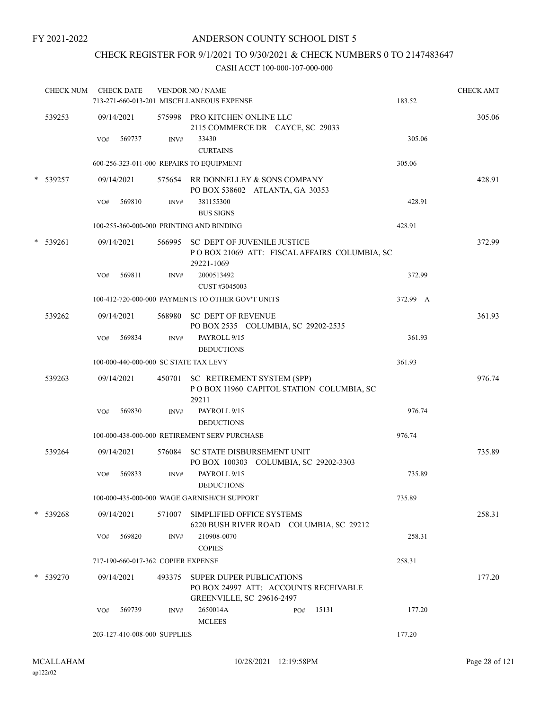# CHECK REGISTER FOR 9/1/2021 TO 9/30/2021 & CHECK NUMBERS 0 TO 2147483647

| <b>CHECK NUM</b> |                   | <b>CHECK DATE</b>                  |      | <b>VENDOR NO / NAME</b><br>713-271-660-013-201 MISCELLANEOUS EXPENSE                                           | 183.52   | <b>CHECK AMT</b> |
|------------------|-------------------|------------------------------------|------|----------------------------------------------------------------------------------------------------------------|----------|------------------|
| 539253           | 09/14/2021        |                                    |      | 575998 PRO KITCHEN ONLINE LLC<br>2115 COMMERCE DR CAYCE, SC 29033                                              |          | 305.06           |
|                  | VO#               | 569737                             | INV# | 33430<br><b>CURTAINS</b>                                                                                       | 305.06   |                  |
|                  |                   |                                    |      | 600-256-323-011-000 REPAIRS TO EQUIPMENT                                                                       | 305.06   |                  |
| * 539257         | 09/14/2021        |                                    |      | 575654 RR DONNELLEY & SONS COMPANY<br>PO BOX 538602 ATLANTA, GA 30353                                          |          | 428.91           |
|                  | VO#               | 569810                             | INV# | 381155300<br><b>BUS SIGNS</b>                                                                                  | 428.91   |                  |
|                  |                   |                                    |      | 100-255-360-000-000 PRINTING AND BINDING                                                                       | 428.91   |                  |
| * 539261         | 09/14/2021<br>VO# | 569811                             | INV# | 566995 SC DEPT OF JUVENILE JUSTICE<br>POBOX 21069 ATT: FISCAL AFFAIRS COLUMBIA, SC<br>29221-1069<br>2000513492 | 372.99   | 372.99           |
|                  |                   |                                    |      | CUST #3045003                                                                                                  |          |                  |
|                  |                   |                                    |      | 100-412-720-000-000 PAYMENTS TO OTHER GOV'T UNITS                                                              | 372.99 A |                  |
| 539262           | 09/14/2021        |                                    |      | 568980 SC DEPT OF REVENUE<br>PO BOX 2535 COLUMBIA, SC 29202-2535                                               |          | 361.93           |
|                  | VO#               | 569834                             | INV# | PAYROLL 9/15<br><b>DEDUCTIONS</b>                                                                              | 361.93   |                  |
|                  |                   |                                    |      | 100-000-440-000-000 SC STATE TAX LEVY                                                                          | 361.93   |                  |
| 539263           | 09/14/2021        |                                    |      | 450701 SC RETIREMENT SYSTEM (SPP)<br>POBOX 11960 CAPITOL STATION COLUMBIA, SC<br>29211                         |          | 976.74           |
|                  | VO#               | 569830                             | INV# | PAYROLL 9/15<br><b>DEDUCTIONS</b>                                                                              | 976.74   |                  |
|                  |                   |                                    |      | 100-000-438-000-000 RETIREMENT SERV PURCHASE                                                                   | 976.74   |                  |
| 539264           | 09/14/2021        |                                    |      | 576084 SC STATE DISBURSEMENT UNIT<br>PO BOX 100303 COLUMBIA, SC 29202-3303                                     |          | 735.89           |
|                  | VO#               | 569833                             | INV# | PAYROLL 9/15<br><b>DEDUCTIONS</b>                                                                              | 735.89   |                  |
|                  |                   |                                    |      | 100-000-435-000-000 WAGE GARNISH/CH SUPPORT                                                                    | 735.89   |                  |
| * 539268         | 09/14/2021        |                                    |      | 571007 SIMPLIFIED OFFICE SYSTEMS<br>6220 BUSH RIVER ROAD COLUMBIA, SC 29212                                    |          | 258.31           |
|                  | VO#               | 569820                             | INV# | 210908-0070<br><b>COPIES</b>                                                                                   | 258.31   |                  |
|                  |                   | 717-190-660-017-362 COPIER EXPENSE |      |                                                                                                                | 258.31   |                  |
| * 539270         | 09/14/2021        |                                    |      | 493375 SUPER DUPER PUBLICATIONS<br>PO BOX 24997 ATT: ACCOUNTS RECEIVABLE<br><b>GREENVILLE, SC 29616-2497</b>   |          | 177.20           |
|                  | VO#               | 569739                             | INV# | 2650014A<br>15131<br>PO#<br><b>MCLEES</b>                                                                      | 177.20   |                  |
|                  |                   | 203-127-410-008-000 SUPPLIES       |      |                                                                                                                | 177.20   |                  |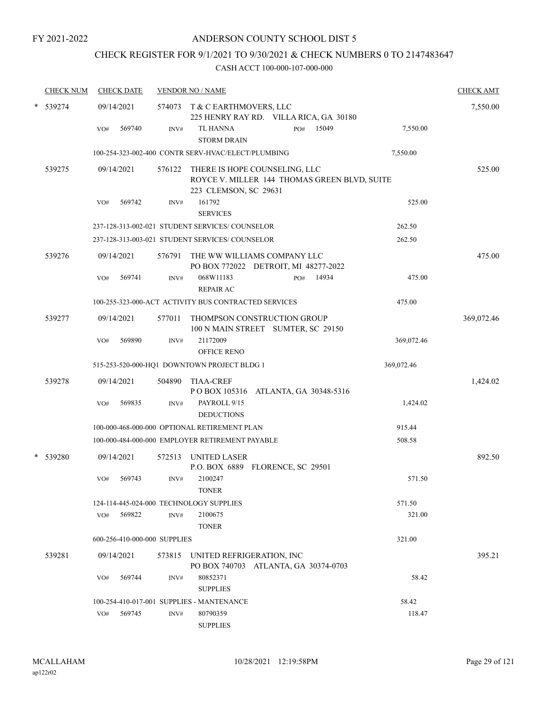# CHECK REGISTER FOR 9/1/2021 TO 9/30/2021 & CHECK NUMBERS 0 TO 2147483647

| <b>CHECK NUM</b> | <b>CHECK DATE</b> |                              |        | <b>VENDOR NO / NAME</b>                              |                                                                                      |            | <b>CHECK AMT</b> |
|------------------|-------------------|------------------------------|--------|------------------------------------------------------|--------------------------------------------------------------------------------------|------------|------------------|
| 539274           | 09/14/2021        |                              |        | 574073 T & C EARTHMOVERS, LLC                        | 225 HENRY RAY RD. VILLA RICA, GA 30180                                               |            | 7,550.00         |
|                  | VO#               | 569740                       | INV#   | TL HANNA<br><b>STORM DRAIN</b>                       | 15049<br>PO#                                                                         | 7,550.00   |                  |
|                  |                   |                              |        | 100-254-323-002-400 CONTR SERV-HVAC/ELECT/PLUMBING   |                                                                                      | 7,550.00   |                  |
| 539275           | 09/14/2021        |                              |        | 223 CLEMSON, SC 29631                                | 576122 THERE IS HOPE COUNSELING, LLC<br>ROYCE V. MILLER 144 THOMAS GREEN BLVD, SUITE |            | 525.00           |
|                  | VO#               | 569742                       | INV#   | 161792<br><b>SERVICES</b>                            |                                                                                      | 525.00     |                  |
|                  |                   |                              |        | 237-128-313-002-021 STUDENT SERVICES/ COUNSELOR      |                                                                                      | 262.50     |                  |
|                  |                   |                              |        | 237-128-313-003-021 STUDENT SERVICES/ COUNSELOR      |                                                                                      | 262.50     |                  |
| 539276           | 09/14/2021        |                              |        |                                                      | 576791 THE WW WILLIAMS COMPANY LLC<br>PO BOX 772022 DETROIT, MI 48277-2022           |            | 475.00           |
|                  | VO#               | 569741                       | INV#   | 068W11183<br><b>REPAIR AC</b>                        | 14934<br>PO#                                                                         | 475.00     |                  |
|                  |                   |                              |        | 100-255-323-000-ACT ACTIVITY BUS CONTRACTED SERVICES |                                                                                      | 475.00     |                  |
| 539277           | 09/14/2021        |                              | 577011 |                                                      | THOMPSON CONSTRUCTION GROUP<br>100 N MAIN STREET SUMTER, SC 29150                    |            | 369,072.46       |
|                  | VO#               | 569890                       | INV#   | 21172009<br><b>OFFICE RENO</b>                       |                                                                                      | 369,072.46 |                  |
|                  |                   |                              |        | 515-253-520-000-HQ1 DOWNTOWN PROJECT BLDG 1          |                                                                                      | 369,072.46 |                  |
| 539278           | 09/14/2021        |                              | 504890 | <b>TIAA-CREF</b>                                     | POBOX 105316 ATLANTA, GA 30348-5316                                                  |            | 1,424.02         |
|                  | VO#               | 569835                       | INV#   | PAYROLL 9/15<br><b>DEDUCTIONS</b>                    |                                                                                      | 1,424.02   |                  |
|                  |                   |                              |        | 100-000-468-000-000 OPTIONAL RETIREMENT PLAN         |                                                                                      | 915.44     |                  |
|                  |                   |                              |        | 100-000-484-000-000 EMPLOYER RETIREMENT PAYABLE      |                                                                                      | 508.58     |                  |
| 539280           | 09/14/2021        |                              |        | 572513 UNITED LASER                                  | P.O. BOX 6889 FLORENCE, SC 29501                                                     |            | 892.50           |
|                  | VO#               | 569743                       | INV#   | 2100247<br><b>TONER</b>                              |                                                                                      | 571.50     |                  |
|                  |                   |                              |        | 124-114-445-024-000 TECHNOLOGY SUPPLIES              |                                                                                      | 571.50     |                  |
|                  | VO#               | 569822                       | INV#   | 2100675<br><b>TONER</b>                              |                                                                                      | 321.00     |                  |
|                  |                   | 600-256-410-000-000 SUPPLIES |        |                                                      |                                                                                      | 321.00     |                  |
| 539281           | 09/14/2021        |                              |        | 573815 UNITED REFRIGERATION, INC                     | PO BOX 740703 ATLANTA, GA 30374-0703                                                 |            | 395.21           |
|                  | VO#               | 569744                       | INV#   | 80852371<br><b>SUPPLIES</b>                          |                                                                                      | 58.42      |                  |
|                  |                   |                              |        | 100-254-410-017-001 SUPPLIES - MANTENANCE            |                                                                                      | 58.42      |                  |
|                  | VO#               | 569745                       | INV#   | 80790359<br><b>SUPPLIES</b>                          |                                                                                      | 118.47     |                  |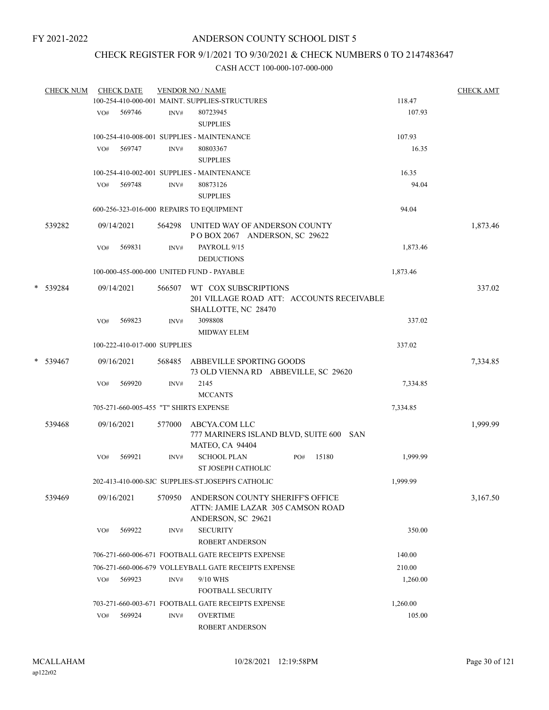# CHECK REGISTER FOR 9/1/2021 TO 9/30/2021 & CHECK NUMBERS 0 TO 2147483647

| <b>CHECK NUM</b> |     | <b>CHECK DATE</b>            |        | <b>VENDOR NO / NAME</b>                              |     |       |          | <b>CHECK AMT</b> |
|------------------|-----|------------------------------|--------|------------------------------------------------------|-----|-------|----------|------------------|
|                  |     |                              |        | 100-254-410-000-001 MAINT. SUPPLIES-STRUCTURES       |     |       | 118.47   |                  |
|                  |     | VO# 569746                   | INV#   | 80723945                                             |     |       | 107.93   |                  |
|                  |     |                              |        | <b>SUPPLIES</b>                                      |     |       |          |                  |
|                  |     |                              |        | 100-254-410-008-001 SUPPLIES - MAINTENANCE           |     |       | 107.93   |                  |
|                  | VO# | 569747                       | INV#   | 80803367                                             |     |       | 16.35    |                  |
|                  |     |                              |        | <b>SUPPLIES</b>                                      |     |       |          |                  |
|                  |     |                              |        | 100-254-410-002-001 SUPPLIES - MAINTENANCE           |     |       | 16.35    |                  |
|                  | VO# | 569748                       | INV#   | 80873126                                             |     |       | 94.04    |                  |
|                  |     |                              |        | <b>SUPPLIES</b>                                      |     |       |          |                  |
|                  |     |                              |        | 600-256-323-016-000 REPAIRS TO EQUIPMENT             |     |       | 94.04    |                  |
| 539282           |     | 09/14/2021                   |        | 564298 UNITED WAY OF ANDERSON COUNTY                 |     |       |          | 1,873.46         |
|                  |     |                              |        | POBOX 2067 ANDERSON, SC 29622                        |     |       |          |                  |
|                  | VO# | 569831                       | INV#   | PAYROLL 9/15                                         |     |       | 1,873.46 |                  |
|                  |     |                              |        | <b>DEDUCTIONS</b>                                    |     |       |          |                  |
|                  |     |                              |        | 100-000-455-000-000 UNITED FUND - PAYABLE            |     |       | 1,873.46 |                  |
| * 539284         |     | 09/14/2021                   | 566507 | WT COX SUBSCRIPTIONS                                 |     |       |          | 337.02           |
|                  |     |                              |        | 201 VILLAGE ROAD ATT: ACCOUNTS RECEIVABLE            |     |       |          |                  |
|                  |     |                              |        | SHALLOTTE, NC 28470                                  |     |       |          |                  |
|                  | VO# | 569823                       | INV#   | 3098808                                              |     |       | 337.02   |                  |
|                  |     |                              |        | <b>MIDWAY ELEM</b>                                   |     |       |          |                  |
|                  |     | 100-222-410-017-000 SUPPLIES |        |                                                      |     |       | 337.02   |                  |
| * 539467         |     | 09/16/2021                   | 568485 | ABBEVILLE SPORTING GOODS                             |     |       |          | 7,334.85         |
|                  |     |                              |        | 73 OLD VIENNA RD ABBEVILLE, SC 29620                 |     |       |          |                  |
|                  | VO# | 569920                       | INV#   | 2145                                                 |     |       | 7,334.85 |                  |
|                  |     |                              |        | <b>MCCANTS</b>                                       |     |       |          |                  |
|                  |     |                              |        | 705-271-660-005-455 "T" SHIRTS EXPENSE               |     |       | 7,334.85 |                  |
| 539468           |     | 09/16/2021                   | 577000 | ABCYA.COM LLC                                        |     |       |          | 1,999.99         |
|                  |     |                              |        | 777 MARINERS ISLAND BLVD, SUITE 600 SAN              |     |       |          |                  |
|                  |     |                              |        | <b>MATEO, CA 94404</b>                               |     |       |          |                  |
|                  | VO# | 569921                       | INV#   | <b>SCHOOL PLAN</b>                                   | PO# | 15180 | 1,999.99 |                  |
|                  |     |                              |        | ST JOSEPH CATHOLIC                                   |     |       |          |                  |
|                  |     |                              |        | 202-413-410-000-SJC SUPPLIES-ST JOSEPH'S CATHOLIC    |     |       | 1,999.99 |                  |
| 539469           |     | 09/16/2021                   | 570950 | ANDERSON COUNTY SHERIFF'S OFFICE                     |     |       |          | 3,167.50         |
|                  |     |                              |        | ATTN: JAMIE LAZAR 305 CAMSON ROAD                    |     |       |          |                  |
|                  |     |                              |        | ANDERSON, SC 29621                                   |     |       |          |                  |
|                  | VO# | 569922                       | INV#   | <b>SECURITY</b>                                      |     |       | 350.00   |                  |
|                  |     |                              |        | ROBERT ANDERSON                                      |     |       |          |                  |
|                  |     |                              |        | 706-271-660-006-671 FOOTBALL GATE RECEIPTS EXPENSE   |     |       | 140.00   |                  |
|                  |     |                              |        | 706-271-660-006-679 VOLLEYBALL GATE RECEIPTS EXPENSE |     |       | 210.00   |                  |
|                  | VO# | 569923                       | INV#   | 9/10 WHS                                             |     |       | 1,260.00 |                  |
|                  |     |                              |        | <b>FOOTBALL SECURITY</b>                             |     |       |          |                  |
|                  |     |                              |        | 703-271-660-003-671 FOOTBALL GATE RECEIPTS EXPENSE   |     |       | 1,260.00 |                  |
|                  | VO# | 569924                       | INV#   | <b>OVERTIME</b>                                      |     |       | 105.00   |                  |
|                  |     |                              |        | <b>ROBERT ANDERSON</b>                               |     |       |          |                  |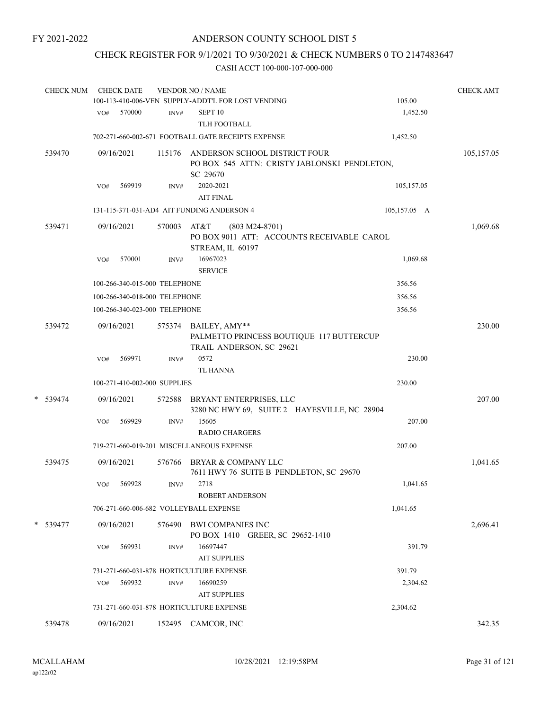# CHECK REGISTER FOR 9/1/2021 TO 9/30/2021 & CHECK NUMBERS 0 TO 2147483647

|   | <b>CHECK NUM</b> |     | <b>CHECK DATE</b> |                               | <b>VENDOR NO / NAME</b><br>100-113-410-006-VEN SUPPLY-ADDT'L FOR LOST VENDING | 105.00       | <b>CHECK AMT</b> |
|---|------------------|-----|-------------------|-------------------------------|-------------------------------------------------------------------------------|--------------|------------------|
|   |                  | VO# | 570000            | INV#                          | SEPT <sub>10</sub>                                                            | 1,452.50     |                  |
|   |                  |     |                   |                               | <b>TLH FOOTBALL</b>                                                           |              |                  |
|   |                  |     |                   |                               | 702-271-660-002-671 FOOTBALL GATE RECEIPTS EXPENSE                            | 1,452.50     |                  |
|   | 539470           |     | 09/16/2021        | 115176                        | ANDERSON SCHOOL DISTRICT FOUR                                                 |              | 105,157.05       |
|   |                  |     |                   |                               | PO BOX 545 ATTN: CRISTY JABLONSKI PENDLETON,                                  |              |                  |
|   |                  |     |                   |                               | SC 29670                                                                      |              |                  |
|   |                  | VO# | 569919            | INV#                          | 2020-2021                                                                     | 105,157.05   |                  |
|   |                  |     |                   |                               | <b>AIT FINAL</b>                                                              |              |                  |
|   |                  |     |                   |                               | 131-115-371-031-AD4 AIT FUNDING ANDERSON 4                                    | 105,157.05 A |                  |
|   | 539471           |     | 09/16/2021        | 570003                        | AT&T<br>$(803 M24-8701)$                                                      |              | 1,069.68         |
|   |                  |     |                   |                               | PO BOX 9011 ATT: ACCOUNTS RECEIVABLE CAROL                                    |              |                  |
|   |                  |     |                   |                               | STREAM, IL 60197                                                              |              |                  |
|   |                  | VO# | 570001            | INV#                          | 16967023<br><b>SERVICE</b>                                                    | 1,069.68     |                  |
|   |                  |     |                   | 100-266-340-015-000 TELEPHONE |                                                                               | 356.56       |                  |
|   |                  |     |                   | 100-266-340-018-000 TELEPHONE |                                                                               | 356.56       |                  |
|   |                  |     |                   | 100-266-340-023-000 TELEPHONE |                                                                               | 356.56       |                  |
|   |                  |     |                   |                               |                                                                               |              |                  |
|   | 539472           |     | 09/16/2021        | 575374                        | BAILEY, AMY**<br>PALMETTO PRINCESS BOUTIQUE 117 BUTTERCUP                     |              | 230.00           |
|   |                  |     |                   |                               | TRAIL ANDERSON, SC 29621                                                      |              |                  |
|   |                  | VO# | 569971            | INV#                          | 0572                                                                          | 230.00       |                  |
|   |                  |     |                   |                               | <b>TL HANNA</b>                                                               |              |                  |
|   |                  |     |                   | 100-271-410-002-000 SUPPLIES  |                                                                               | 230.00       |                  |
| * |                  |     | 09/16/2021        |                               |                                                                               |              | 207.00           |
|   | 539474           |     |                   | 572588                        | BRYANT ENTERPRISES, LLC<br>3280 NC HWY 69, SUITE 2 HAYESVILLE, NC 28904       |              |                  |
|   |                  | VO# | 569929            | INV#                          | 15605                                                                         | 207.00       |                  |
|   |                  |     |                   |                               | <b>RADIO CHARGERS</b>                                                         |              |                  |
|   |                  |     |                   |                               | 719-271-660-019-201 MISCELLANEOUS EXPENSE                                     | 207.00       |                  |
|   | 539475           |     | 09/16/2021        | 576766                        | BRYAR & COMPANY LLC                                                           |              | 1,041.65         |
|   |                  |     |                   |                               | 7611 HWY 76 SUITE B PENDLETON, SC 29670                                       |              |                  |
|   |                  | VO# | 569928            | INV#                          | 2718                                                                          | 1,041.65     |                  |
|   |                  |     |                   |                               | <b>ROBERT ANDERSON</b>                                                        |              |                  |
|   |                  |     |                   |                               | 706-271-660-006-682 VOLLEYBALL EXPENSE                                        | 1,041.65     |                  |
|   | * 539477         |     | 09/16/2021        | 576490                        | <b>BWI COMPANIES INC</b>                                                      |              | 2,696.41         |
|   |                  |     |                   |                               | PO BOX 1410 GREER, SC 29652-1410                                              |              |                  |
|   |                  | VO# | 569931            | INV#                          | 16697447                                                                      | 391.79       |                  |
|   |                  |     |                   |                               | <b>AIT SUPPLIES</b>                                                           |              |                  |
|   |                  |     |                   |                               | 731-271-660-031-878 HORTICULTURE EXPENSE                                      | 391.79       |                  |
|   |                  | VO# | 569932            | INV#                          | 16690259                                                                      | 2,304.62     |                  |
|   |                  |     |                   |                               | <b>AIT SUPPLIES</b>                                                           |              |                  |
|   |                  |     |                   |                               | 731-271-660-031-878 HORTICULTURE EXPENSE                                      | 2,304.62     |                  |
|   | 539478           |     | 09/16/2021        |                               | 152495 CAMCOR, INC                                                            |              | 342.35           |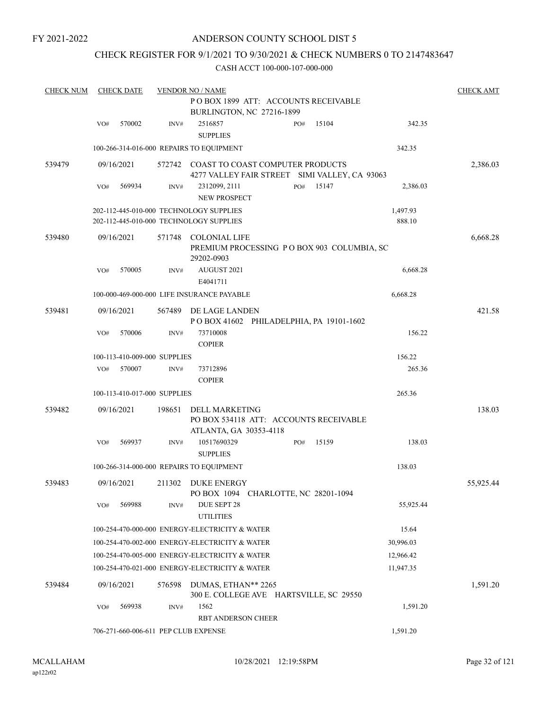# ANDERSON COUNTY SCHOOL DIST 5

# CHECK REGISTER FOR 9/1/2021 TO 9/30/2021 & CHECK NUMBERS 0 TO 2147483647

| <b>CHECK NUM</b> |     | <b>CHECK DATE</b> |                              | <b>VENDOR NO / NAME</b>                                                                  |     |       |                    | <b>CHECK AMT</b> |
|------------------|-----|-------------------|------------------------------|------------------------------------------------------------------------------------------|-----|-------|--------------------|------------------|
|                  |     |                   |                              | POBOX 1899 ATT: ACCOUNTS RECEIVABLE<br>BURLINGTON, NC 27216-1899                         |     |       |                    |                  |
|                  | VO# | 570002            | INV#                         | 2516857<br><b>SUPPLIES</b>                                                               | PO# | 15104 | 342.35             |                  |
|                  |     |                   |                              | 100-266-314-016-000 REPAIRS TO EQUIPMENT                                                 |     |       | 342.35             |                  |
| 539479           |     | 09/16/2021        |                              | 572742 COAST TO COAST COMPUTER PRODUCTS<br>4277 VALLEY FAIR STREET SIMI VALLEY, CA 93063 |     |       |                    | 2,386.03         |
|                  | VO# | 569934            | INV#                         | 2312099, 2111<br><b>NEW PROSPECT</b>                                                     | PO# | 15147 | 2,386.03           |                  |
|                  |     |                   |                              | 202-112-445-010-000 TECHNOLOGY SUPPLIES<br>202-112-445-010-000 TECHNOLOGY SUPPLIES       |     |       | 1,497.93<br>888.10 |                  |
| 539480           |     | 09/16/2021        | 571748                       | <b>COLONIAL LIFE</b><br>PREMIUM PROCESSING PO BOX 903 COLUMBIA, SC<br>29202-0903         |     |       |                    | 6,668.28         |
|                  | VO# | 570005            | INV#                         | AUGUST 2021<br>E4041711                                                                  |     |       | 6,668.28           |                  |
|                  |     |                   |                              | 100-000-469-000-000 LIFE INSURANCE PAYABLE                                               |     |       | 6,668.28           |                  |
| 539481           |     | 09/16/2021        | 567489                       | DE LAGE LANDEN<br>POBOX 41602 PHILADELPHIA, PA 19101-1602                                |     |       |                    | 421.58           |
|                  | VO# | 570006            | INV#                         | 73710008<br><b>COPIER</b>                                                                |     |       | 156.22             |                  |
|                  |     |                   | 100-113-410-009-000 SUPPLIES |                                                                                          |     |       | 156.22             |                  |
|                  | VO# | 570007            | INV#                         | 73712896<br><b>COPIER</b>                                                                |     |       | 265.36             |                  |
|                  |     |                   | 100-113-410-017-000 SUPPLIES |                                                                                          |     |       | 265.36             |                  |
| 539482           |     | 09/16/2021        | 198651                       | DELL MARKETING<br>PO BOX 534118 ATT: ACCOUNTS RECEIVABLE<br>ATLANTA, GA 30353-4118       |     |       |                    | 138.03           |
|                  | VO# | 569937            | INV#                         | 10517690329<br><b>SUPPLIES</b>                                                           | PO# | 15159 | 138.03             |                  |
|                  |     |                   |                              | 100-266-314-000-000 REPAIRS TO EQUIPMENT                                                 |     |       | 138.03             |                  |
| 539483           |     | 09/16/2021        | 211302                       | DUKE ENERGY<br>PO BOX 1094 CHARLOTTE, NC 28201-1094                                      |     |       |                    | 55,925.44        |
|                  | VO# | 569988            | INV#                         | DUE SEPT 28<br><b>UTILITIES</b>                                                          |     |       | 55,925.44          |                  |
|                  |     |                   |                              | 100-254-470-000-000 ENERGY-ELECTRICITY & WATER                                           |     |       | 15.64              |                  |
|                  |     |                   |                              | 100-254-470-002-000 ENERGY-ELECTRICITY & WATER                                           |     |       | 30,996.03          |                  |
|                  |     |                   |                              | 100-254-470-005-000 ENERGY-ELECTRICITY & WATER                                           |     |       | 12,966.42          |                  |
|                  |     |                   |                              | 100-254-470-021-000 ENERGY-ELECTRICITY & WATER                                           |     |       | 11,947.35          |                  |
| 539484           |     | 09/16/2021        | 576598                       | DUMAS, ETHAN** 2265<br>300 E. COLLEGE AVE HARTSVILLE, SC 29550                           |     |       |                    | 1,591.20         |
|                  | VO# | 569938            | INV#                         | 1562<br><b>RBT ANDERSON CHEER</b>                                                        |     |       | 1,591.20           |                  |
|                  |     |                   |                              | 706-271-660-006-611 PEP CLUB EXPENSE                                                     |     |       | 1,591.20           |                  |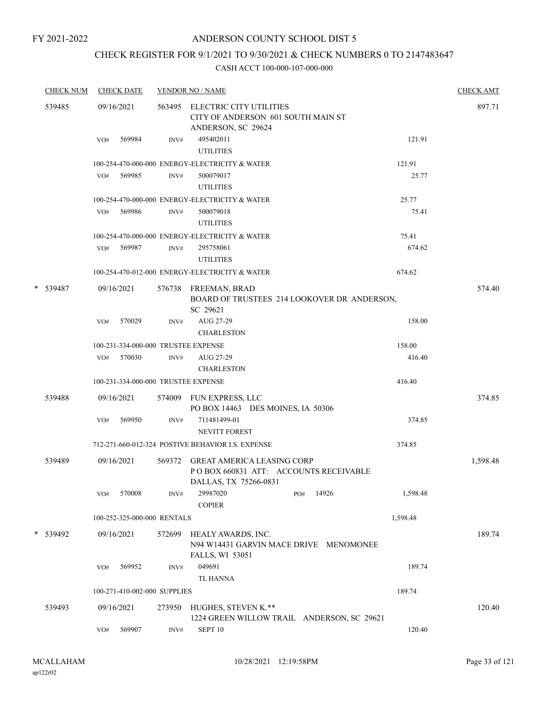# CHECK REGISTER FOR 9/1/2021 TO 9/30/2021 & CHECK NUMBERS 0 TO 2147483647

| <b>CHECK NUM</b> |     | <b>CHECK DATE</b>                   |        | <b>VENDOR NO / NAME</b>                                                                             | <b>CHECK AMT</b> |
|------------------|-----|-------------------------------------|--------|-----------------------------------------------------------------------------------------------------|------------------|
| 539485           |     | 09/16/2021                          |        | 563495 ELECTRIC CITY UTILITIES<br>CITY OF ANDERSON 601 SOUTH MAIN ST<br>ANDERSON, SC 29624          | 897.71           |
|                  | VO# | 569984                              | INV#   | 495402011<br>121.91<br><b>UTILITIES</b>                                                             |                  |
|                  |     |                                     |        | 100-254-470-000-000 ENERGY-ELECTRICITY & WATER<br>121.91                                            |                  |
|                  | VO# | 569985                              | INV#   | 25.77<br>500079017<br><b>UTILITIES</b>                                                              |                  |
|                  |     |                                     |        | 100-254-470-000-000 ENERGY-ELECTRICITY & WATER<br>25.77                                             |                  |
|                  |     | VO# 569986                          | INV#   | 500079018<br>75.41<br><b>UTILITIES</b>                                                              |                  |
|                  |     |                                     |        | 100-254-470-000-000 ENERGY-ELECTRICITY & WATER<br>75.41                                             |                  |
|                  | VO# | 569987                              | INV#   | 674.62<br>295758061<br><b>UTILITIES</b>                                                             |                  |
|                  |     |                                     |        | 100-254-470-012-000 ENERGY-ELECTRICITY & WATER<br>674.62                                            |                  |
| * 539487         |     | 09/16/2021                          |        | 576738 FREEMAN, BRAD<br>BOARD OF TRUSTEES 214 LOOKOVER DR ANDERSON,<br>SC 29621                     | 574.40           |
|                  | VO# | 570029                              | INV#   | AUG 27-29<br>158.00<br><b>CHARLESTON</b>                                                            |                  |
|                  |     | 100-231-334-000-000 TRUSTEE EXPENSE |        | 158.00                                                                                              |                  |
|                  | VO# | 570030                              | INV#   | AUG 27-29<br>416.40<br><b>CHARLESTON</b>                                                            |                  |
|                  |     | 100-231-334-000-000 TRUSTEE EXPENSE |        | 416.40                                                                                              |                  |
| 539488           |     | 09/16/2021                          |        | 574009 FUN EXPRESS, LLC<br>PO BOX 14463 DES MOINES, IA 50306                                        | 374.85           |
|                  | VO# | 569950                              | INV#   | 711481499-01<br>374.85<br><b>NEVITT FOREST</b>                                                      |                  |
|                  |     |                                     |        | 712-271-660-012-324 POSTIVE BEHAVIOR I.S. EXPENSE<br>374.85                                         |                  |
| 539489           |     | 09/16/2021                          | 569372 | <b>GREAT AMERICA LEASING CORP</b><br>POBOX 660831 ATT: ACCOUNTS RECEIVABLE<br>DALLAS, TX 75266-0831 | 1,598.48         |
|                  | VO# | 570008                              | INV#   | 14926<br>29987020<br>1,598.48<br>PO#<br><b>COPIER</b>                                               |                  |
|                  |     | 100-252-325-000-000 RENTALS         |        | 1,598.48                                                                                            |                  |
| * 539492         |     | 09/16/2021                          | 572699 | HEALY AWARDS, INC.<br>N94 W14431 GARVIN MACE DRIVE MENOMONEE<br><b>FALLS, WI 53051</b>              | 189.74           |
|                  | VO# | 569952                              | INV#   | 049691<br>189.74<br><b>TL HANNA</b>                                                                 |                  |
|                  |     | 100-271-410-002-000 SUPPLIES        |        | 189.74                                                                                              |                  |
| 539493           |     | 09/16/2021                          | 273950 | HUGHES, STEVEN K.**<br>1224 GREEN WILLOW TRAIL ANDERSON, SC 29621                                   | 120.40           |
|                  | VO# | 569907                              | INV#   | SEPT <sub>10</sub><br>120.40                                                                        |                  |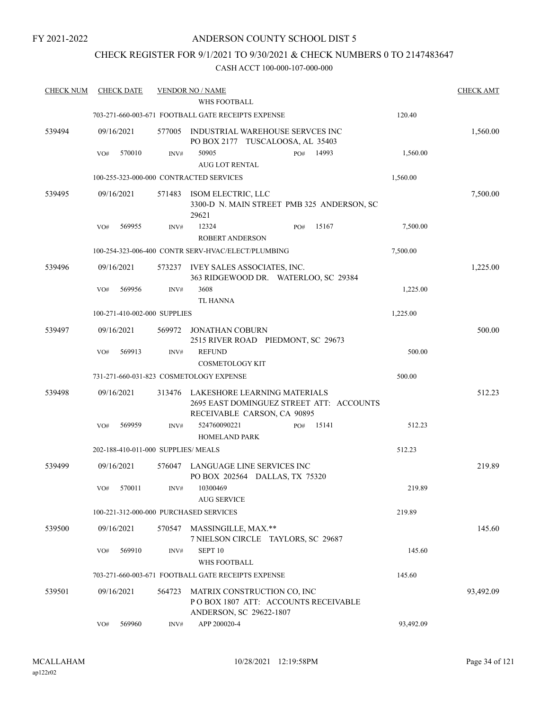# ANDERSON COUNTY SCHOOL DIST 5

# CHECK REGISTER FOR 9/1/2021 TO 9/30/2021 & CHECK NUMBERS 0 TO 2147483647

| <b>CHECK NUM</b> | <b>CHECK DATE</b>                       |        | <b>VENDOR NO / NAME</b>                                                                                 |           | <b>CHECK AMT</b> |
|------------------|-----------------------------------------|--------|---------------------------------------------------------------------------------------------------------|-----------|------------------|
|                  |                                         |        | WHS FOOTBALL                                                                                            |           |                  |
|                  |                                         |        | 703-271-660-003-671 FOOTBALL GATE RECEIPTS EXPENSE                                                      | 120.40    |                  |
| 539494           | 09/16/2021                              | 577005 | INDUSTRIAL WAREHOUSE SERVCES INC<br>PO BOX 2177 TUSCALOOSA, AL 35403                                    |           | 1,560.00         |
|                  | 570010<br>VO#                           | INV#   | 50905<br>14993<br>PO#<br><b>AUG LOT RENTAL</b>                                                          | 1,560.00  |                  |
|                  | 100-255-323-000-000 CONTRACTED SERVICES |        |                                                                                                         | 1,560.00  |                  |
| 539495           | 09/16/2021                              | 571483 | ISOM ELECTRIC, LLC<br>3300-D N. MAIN STREET PMB 325 ANDERSON, SC<br>29621                               |           | 7,500.00         |
|                  | 569955<br>VO#                           | INV#   | 12324<br>15167<br>PO#<br><b>ROBERT ANDERSON</b>                                                         | 7,500.00  |                  |
|                  |                                         |        | 100-254-323-006-400 CONTR SERV-HVAC/ELECT/PLUMBING                                                      | 7,500.00  |                  |
| 539496           | 09/16/2021                              |        | 573237 IVEY SALES ASSOCIATES, INC.<br>363 RIDGEWOOD DR. WATERLOO, SC 29384                              |           | 1,225.00         |
|                  | 569956<br>VO#                           | INV#   | 3608<br><b>TL HANNA</b>                                                                                 | 1,225.00  |                  |
|                  | 100-271-410-002-000 SUPPLIES            |        |                                                                                                         | 1,225.00  |                  |
| 539497           | 09/16/2021                              |        | 569972 JONATHAN COBURN<br>2515 RIVER ROAD PIEDMONT, SC 29673                                            |           | 500.00           |
|                  | 569913<br>VO#                           | INV#   | <b>REFUND</b><br><b>COSMETOLOGY KIT</b>                                                                 | 500.00    |                  |
|                  |                                         |        | 731-271-660-031-823 COSMETOLOGY EXPENSE                                                                 | 500.00    |                  |
| 539498           | 09/16/2021                              | 313476 | LAKESHORE LEARNING MATERIALS<br>2695 EAST DOMINGUEZ STREET ATT: ACCOUNTS<br>RECEIVABLE CARSON, CA 90895 |           | 512.23           |
|                  | 569959<br>VO#                           | INV#   | 524760090221<br>15141<br>PO#<br><b>HOMELAND PARK</b>                                                    | 512.23    |                  |
|                  | 202-188-410-011-000 SUPPLIES/MEALS      |        |                                                                                                         | 512.23    |                  |
| 539499           | 09/16/2021                              |        | 576047 LANGUAGE LINE SERVICES INC<br>PO BOX 202564 DALLAS, TX 75320                                     |           | 219.89           |
|                  | VO# 570011                              |        | INV# 10300469<br><b>AUG SERVICE</b>                                                                     | 219.89    |                  |
|                  | 100-221-312-000-000 PURCHASED SERVICES  |        |                                                                                                         | 219.89    |                  |
| 539500           | 09/16/2021                              |        | 570547 MASSINGILLE, MAX.**<br>7 NIELSON CIRCLE TAYLORS, SC 29687                                        |           | 145.60           |
|                  | 569910<br>VO#                           | INV#   | SEPT <sub>10</sub><br>WHS FOOTBALL                                                                      | 145.60    |                  |
|                  |                                         |        | 703-271-660-003-671 FOOTBALL GATE RECEIPTS EXPENSE                                                      | 145.60    |                  |
| 539501           | 09/16/2021                              | 564723 | MATRIX CONSTRUCTION CO, INC<br>POBOX 1807 ATT: ACCOUNTS RECEIVABLE<br>ANDERSON, SC 29622-1807           |           | 93,492.09        |
|                  | 569960<br>VO#                           | INV#   | APP 200020-4                                                                                            | 93,492.09 |                  |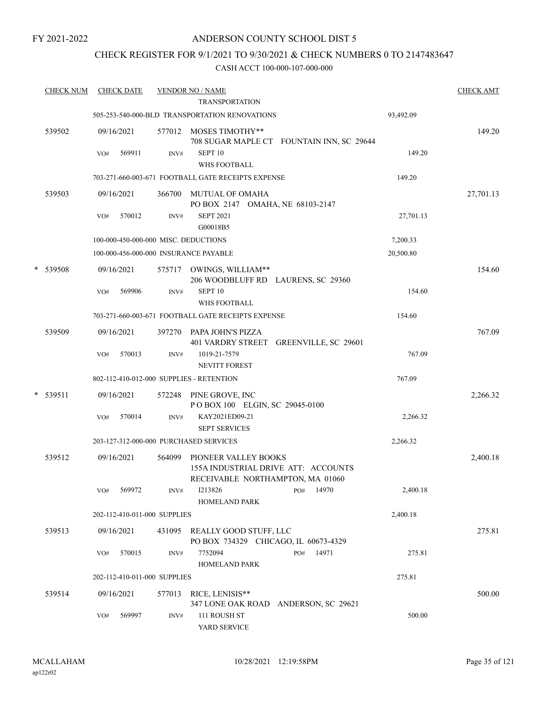# CHECK REGISTER FOR 9/1/2021 TO 9/30/2021 & CHECK NUMBERS 0 TO 2147483647

| <b>CHECK NUM</b> |            | <b>CHECK DATE</b> |                              | <b>VENDOR NO / NAME</b><br><b>TRANSPORTATION</b>                                                |           | <b>CHECK AMT</b> |
|------------------|------------|-------------------|------------------------------|-------------------------------------------------------------------------------------------------|-----------|------------------|
|                  |            |                   |                              | 505-253-540-000-BLD TRANSPORTATION RENOVATIONS                                                  | 93,492.09 |                  |
| 539502           | 09/16/2021 | 569911            |                              | 577012 MOSES TIMOTHY**<br>708 SUGAR MAPLE CT FOUNTAIN INN, SC 29644<br>SEPT <sub>10</sub>       | 149.20    | 149.20           |
|                  | VO#        |                   | INV#                         | WHS FOOTBALL                                                                                    |           |                  |
|                  |            |                   |                              | 703-271-660-003-671 FOOTBALL GATE RECEIPTS EXPENSE                                              | 149.20    |                  |
| 539503           | 09/16/2021 |                   |                              | 366700 MUTUAL OF OMAHA<br>PO BOX 2147 OMAHA, NE 68103-2147                                      |           | 27,701.13        |
|                  | VO#        | 570012            | INV#                         | <b>SEPT 2021</b><br>G00018B5                                                                    | 27,701.13 |                  |
|                  |            |                   |                              | 100-000-450-000-000 MISC. DEDUCTIONS                                                            | 7,200.33  |                  |
|                  |            |                   |                              | 100-000-456-000-000 INSURANCE PAYABLE                                                           | 20,500.80 |                  |
| * 539508         | 09/16/2021 |                   |                              | 575717 OWINGS, WILLIAM**<br>206 WOODBLUFF RD LAURENS, SC 29360                                  |           | 154.60           |
|                  | VO#        | 569906            | INV#                         | SEPT <sub>10</sub><br><b>WHS FOOTBALL</b>                                                       | 154.60    |                  |
|                  |            |                   |                              | 703-271-660-003-671 FOOTBALL GATE RECEIPTS EXPENSE                                              | 154.60    |                  |
| 539509           | 09/16/2021 |                   |                              | 397270 PAPA JOHN'S PIZZA<br>401 VARDRY STREET GREENVILLE, SC 29601                              |           | 767.09           |
|                  | VO#        | 570013            | INV#                         | 1019-21-7579<br><b>NEVITT FOREST</b>                                                            | 767.09    |                  |
|                  |            |                   |                              | 802-112-410-012-000 SUPPLIES - RETENTION                                                        | 767.09    |                  |
| $*$ 539511       | 09/16/2021 |                   | 572248                       | PINE GROVE, INC<br>POBOX 100 ELGIN, SC 29045-0100                                               |           | 2,266.32         |
|                  | VO#        | 570014            | INV#                         | KAY2021ED09-21<br><b>SEPT SERVICES</b>                                                          | 2,266.32  |                  |
|                  |            |                   |                              | 203-127-312-000-000 PURCHASED SERVICES                                                          | 2,266.32  |                  |
| 539512           | 09/16/2021 |                   | 564099                       | PIONEER VALLEY BOOKS<br>155A INDUSTRIAL DRIVE ATT: ACCOUNTS<br>RECEIVABLE NORTHAMPTON, MA 01060 |           | 2,400.18         |
|                  |            | VO# 569972        | INV#                         | 1213826<br>PO# 14970<br><b>HOMELAND PARK</b>                                                    | 2,400.18  |                  |
|                  |            |                   | 202-112-410-011-000 SUPPLIES |                                                                                                 | 2,400.18  |                  |
| 539513           | 09/16/2021 |                   |                              | 431095 REALLY GOOD STUFF, LLC<br>PO BOX 734329 CHICAGO, IL 60673-4329                           |           | 275.81           |
|                  | VO#        | 570015            | INV#                         | 7752094<br>PO# 14971<br>HOMELAND PARK                                                           | 275.81    |                  |
|                  |            |                   | 202-112-410-011-000 SUPPLIES |                                                                                                 | 275.81    |                  |
| 539514           | 09/16/2021 |                   | 577013                       | RICE, LENISIS**<br>347 LONE OAK ROAD ANDERSON, SC 29621                                         |           | 500.00           |
|                  | VO#        | 569997            | INV#                         | 111 ROUSH ST<br>YARD SERVICE                                                                    | 500.00    |                  |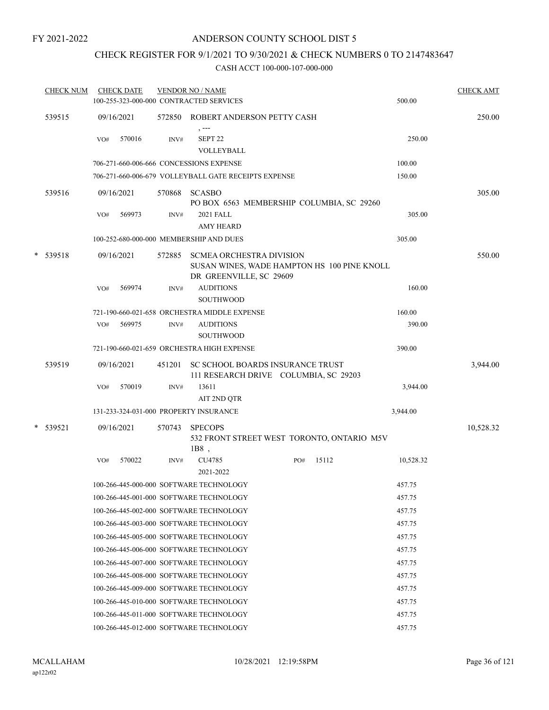# ANDERSON COUNTY SCHOOL DIST 5

# CHECK REGISTER FOR 9/1/2021 TO 9/30/2021 & CHECK NUMBERS 0 TO 2147483647

| <b>CHECK NUM</b> |     | <b>CHECK DATE</b> |        | <b>VENDOR NO / NAME</b><br>100-255-323-000-000 CONTRACTED SERVICES        |     |                                             | 500.00    | <b>CHECK AMT</b> |
|------------------|-----|-------------------|--------|---------------------------------------------------------------------------|-----|---------------------------------------------|-----------|------------------|
| 539515           |     | 09/16/2021        | 572850 | ROBERT ANDERSON PETTY CASH                                                |     |                                             |           | 250.00           |
|                  | VO# | 570016            | INV#   | , ---<br>SEPT <sub>22</sub><br>VOLLEYBALL                                 |     |                                             | 250.00    |                  |
|                  |     |                   |        | 706-271-660-006-666 CONCESSIONS EXPENSE                                   |     |                                             | 100.00    |                  |
|                  |     |                   |        | 706-271-660-006-679 VOLLEYBALL GATE RECEIPTS EXPENSE                      |     |                                             | 150.00    |                  |
|                  |     |                   |        |                                                                           |     |                                             |           |                  |
| 539516           |     | 09/16/2021        | 570868 | <b>SCASBO</b><br>PO BOX 6563 MEMBERSHIP COLUMBIA, SC 29260                |     |                                             |           | 305.00           |
|                  | VO# | 569973            | INV#   | 2021 FALL<br><b>AMY HEARD</b>                                             |     |                                             | 305.00    |                  |
|                  |     |                   |        | 100-252-680-000-000 MEMBERSHIP AND DUES                                   |     |                                             | 305.00    |                  |
| * 539518         |     | 09/16/2021        | 572885 | <b>SCMEA ORCHESTRA DIVISION</b><br>DR GREENVILLE, SC 29609                |     | SUSAN WINES, WADE HAMPTON HS 100 PINE KNOLL |           | 550.00           |
|                  | VO# | 569974            | INV#   | <b>AUDITIONS</b><br><b>SOUTHWOOD</b>                                      |     |                                             | 160.00    |                  |
|                  |     |                   |        | 721-190-660-021-658 ORCHESTRA MIDDLE EXPENSE                              |     |                                             | 160.00    |                  |
|                  | VO# | 569975            | INV#   | <b>AUDITIONS</b><br><b>SOUTHWOOD</b>                                      |     |                                             | 390.00    |                  |
|                  |     |                   |        | 721-190-660-021-659 ORCHESTRA HIGH EXPENSE                                |     |                                             | 390.00    |                  |
| 539519           |     | 09/16/2021        | 451201 | SC SCHOOL BOARDS INSURANCE TRUST<br>111 RESEARCH DRIVE COLUMBIA, SC 29203 |     |                                             |           | 3,944.00         |
|                  | VO# | 570019            | INV#   | 13611<br>AIT 2ND QTR                                                      |     |                                             | 3,944.00  |                  |
|                  |     |                   |        | 131-233-324-031-000 PROPERTY INSURANCE                                    |     |                                             | 3,944.00  |                  |
| * 539521         |     | 09/16/2021        | 570743 | <b>SPECOPS</b><br>$1B8$ ,                                                 |     | 532 FRONT STREET WEST TORONTO, ONTARIO M5V  |           | 10,528.32        |
|                  | VO# | 570022            | INV#   | CU4785<br>2021-2022                                                       | PO# | 15112                                       | 10,528.32 |                  |
|                  |     |                   |        | 100-266-445-000-000 SOFTWARE TECHNOLOGY                                   |     |                                             | 457.75    |                  |
|                  |     |                   |        | 100-266-445-001-000 SOFTWARE TECHNOLOGY                                   |     |                                             | 457.75    |                  |
|                  |     |                   |        | 100-266-445-002-000 SOFTWARE TECHNOLOGY                                   |     |                                             | 457.75    |                  |
|                  |     |                   |        | 100-266-445-003-000 SOFTWARE TECHNOLOGY                                   |     |                                             | 457.75    |                  |
|                  |     |                   |        | 100-266-445-005-000 SOFTWARE TECHNOLOGY                                   |     |                                             | 457.75    |                  |
|                  |     |                   |        | 100-266-445-006-000 SOFTWARE TECHNOLOGY                                   |     |                                             | 457.75    |                  |
|                  |     |                   |        | 100-266-445-007-000 SOFTWARE TECHNOLOGY                                   |     |                                             | 457.75    |                  |
|                  |     |                   |        | 100-266-445-008-000 SOFTWARE TECHNOLOGY                                   |     |                                             | 457.75    |                  |
|                  |     |                   |        | 100-266-445-009-000 SOFTWARE TECHNOLOGY                                   |     |                                             | 457.75    |                  |
|                  |     |                   |        | 100-266-445-010-000 SOFTWARE TECHNOLOGY                                   |     |                                             | 457.75    |                  |
|                  |     |                   |        | 100-266-445-011-000 SOFTWARE TECHNOLOGY                                   |     |                                             | 457.75    |                  |
|                  |     |                   |        | 100-266-445-012-000 SOFTWARE TECHNOLOGY                                   |     |                                             | 457.75    |                  |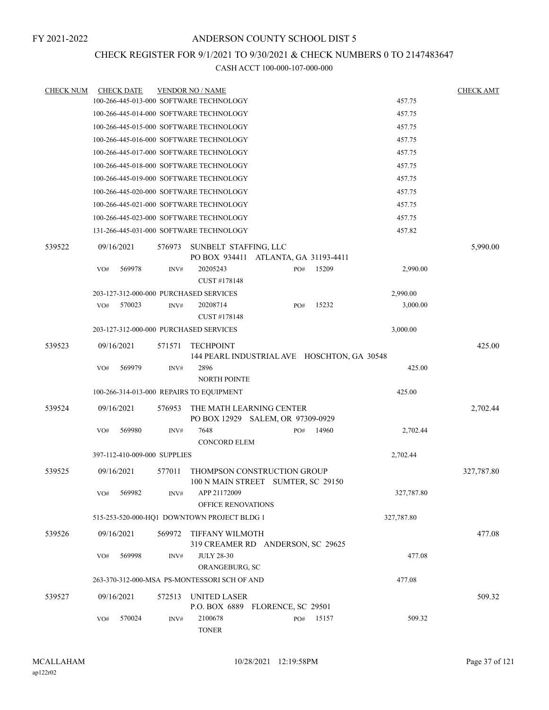### CHECK REGISTER FOR 9/1/2021 TO 9/30/2021 & CHECK NUMBERS 0 TO 2147483647

| <b>CHECK NUM</b> |            | <b>CHECK DATE</b>            |        | <b>VENDOR NO / NAME</b>                                           |     |       |            | <b>CHECK AMT</b> |
|------------------|------------|------------------------------|--------|-------------------------------------------------------------------|-----|-------|------------|------------------|
|                  |            |                              |        | 100-266-445-013-000 SOFTWARE TECHNOLOGY                           |     |       | 457.75     |                  |
|                  |            |                              |        | 100-266-445-014-000 SOFTWARE TECHNOLOGY                           |     |       | 457.75     |                  |
|                  |            |                              |        | 100-266-445-015-000 SOFTWARE TECHNOLOGY                           |     |       | 457.75     |                  |
|                  |            |                              |        | 100-266-445-016-000 SOFTWARE TECHNOLOGY                           |     |       | 457.75     |                  |
|                  |            |                              |        | 100-266-445-017-000 SOFTWARE TECHNOLOGY                           |     |       | 457.75     |                  |
|                  |            |                              |        | 100-266-445-018-000 SOFTWARE TECHNOLOGY                           |     |       | 457.75     |                  |
|                  |            |                              |        | 100-266-445-019-000 SOFTWARE TECHNOLOGY                           |     |       | 457.75     |                  |
|                  |            |                              |        | 100-266-445-020-000 SOFTWARE TECHNOLOGY                           |     |       | 457.75     |                  |
|                  |            |                              |        | 100-266-445-021-000 SOFTWARE TECHNOLOGY                           |     |       | 457.75     |                  |
|                  |            |                              |        | 100-266-445-023-000 SOFTWARE TECHNOLOGY                           |     |       | 457.75     |                  |
|                  |            |                              |        | 131-266-445-031-000 SOFTWARE TECHNOLOGY                           |     |       | 457.82     |                  |
| 539522           | 09/16/2021 |                              | 576973 | SUNBELT STAFFING, LLC<br>PO BOX 934411 ATLANTA, GA 31193-4411     |     |       |            | 5,990.00         |
|                  | VO#        | 569978                       | INV#   | 20205243<br>CUST #178148                                          | PO# | 15209 | 2,990.00   |                  |
|                  |            |                              |        | 203-127-312-000-000 PURCHASED SERVICES                            |     |       | 2,990.00   |                  |
|                  | VO#        | 570023                       | INV#   | 20208714<br>CUST #178148                                          | PO# | 15232 | 3,000.00   |                  |
|                  |            |                              |        | 203-127-312-000-000 PURCHASED SERVICES                            |     |       | 3,000.00   |                  |
| 539523           |            | 09/16/2021                   | 571571 | <b>TECHPOINT</b>                                                  |     |       |            | 425.00           |
|                  |            |                              |        | 144 PEARL INDUSTRIAL AVE HOSCHTON, GA 30548                       |     |       |            |                  |
|                  | VO#        | 569979                       | INV#   | 2896<br><b>NORTH POINTE</b>                                       |     |       | 425.00     |                  |
|                  |            |                              |        | 100-266-314-013-000 REPAIRS TO EQUIPMENT                          |     |       | 425.00     |                  |
| 539524           | 09/16/2021 |                              | 576953 | THE MATH LEARNING CENTER<br>PO BOX 12929 SALEM, OR 97309-0929     |     |       |            | 2,702.44         |
|                  | VO#        | 569980                       | INV#   | 7648<br><b>CONCORD ELEM</b>                                       | PO# | 14960 | 2,702.44   |                  |
|                  |            | 397-112-410-009-000 SUPPLIES |        |                                                                   |     |       | 2,702.44   |                  |
| 539525           |            | 09/16/2021                   | 577011 | THOMPSON CONSTRUCTION GROUP<br>100 N MAIN STREET SUMTER, SC 29150 |     |       |            | 327,787.80       |
|                  | VO#        | 569982                       | INV#   | APP 21172009<br>OFFICE RENOVATIONS                                |     |       | 327,787.80 |                  |
|                  |            |                              |        | 515-253-520-000-HQ1 DOWNTOWN PROJECT BLDG 1                       |     |       | 327,787.80 |                  |
| 539526           |            | 09/16/2021                   | 569972 | TIFFANY WILMOTH<br>319 CREAMER RD ANDERSON, SC 29625              |     |       |            | 477.08           |
|                  | VO#        | 569998                       | INV#   | <b>JULY 28-30</b><br>ORANGEBURG, SC                               |     |       | 477.08     |                  |
|                  |            |                              |        | 263-370-312-000-MSA PS-MONTESSORI SCH OF AND                      |     |       | 477.08     |                  |
| 539527           |            | 09/16/2021                   | 572513 | UNITED LASER<br>P.O. BOX 6889 FLORENCE, SC 29501                  |     |       |            | 509.32           |
|                  | VO#        | 570024                       | INV#   | 2100678<br><b>TONER</b>                                           | PO# | 15157 | 509.32     |                  |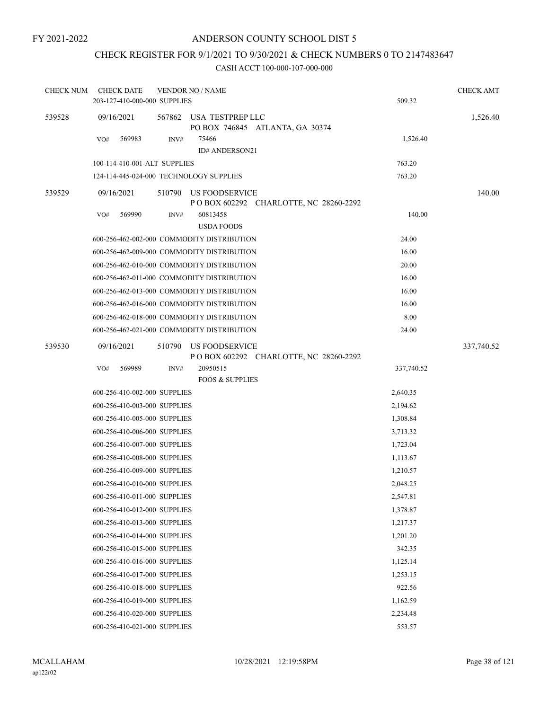# CHECK REGISTER FOR 9/1/2021 TO 9/30/2021 & CHECK NUMBERS 0 TO 2147483647

| <b>CHECK NUM</b> | <b>CHECK DATE</b>                       |        | <b>VENDOR NO / NAME</b>                                   |            | <b>CHECK AMT</b> |
|------------------|-----------------------------------------|--------|-----------------------------------------------------------|------------|------------------|
|                  | 203-127-410-000-000 SUPPLIES            |        |                                                           | 509.32     |                  |
| 539528           | 09/16/2021                              | 567862 | USA TESTPREP LLC<br>PO BOX 746845 ATLANTA, GA 30374       |            | 1,526.40         |
|                  | VO#<br>569983                           | INV#   | 75466                                                     | 1,526.40   |                  |
|                  |                                         |        | ID# ANDERSON21                                            |            |                  |
|                  | 100-114-410-001-ALT SUPPLIES            |        |                                                           | 763.20     |                  |
|                  | 124-114-445-024-000 TECHNOLOGY SUPPLIES |        |                                                           | 763.20     |                  |
| 539529           | 09/16/2021                              | 510790 | US FOODSERVICE<br>P O BOX 602292 CHARLOTTE, NC 28260-2292 |            | 140.00           |
|                  | 569990<br>VO#                           | INV#   | 60813458<br><b>USDA FOODS</b>                             | 140.00     |                  |
|                  |                                         |        | 600-256-462-002-000 COMMODITY DISTRIBUTION                | 24.00      |                  |
|                  |                                         |        | 600-256-462-009-000 COMMODITY DISTRIBUTION                | 16.00      |                  |
|                  |                                         |        | 600-256-462-010-000 COMMODITY DISTRIBUTION                | 20.00      |                  |
|                  |                                         |        | 600-256-462-011-000 COMMODITY DISTRIBUTION                | 16.00      |                  |
|                  |                                         |        | 600-256-462-013-000 COMMODITY DISTRIBUTION                | 16.00      |                  |
|                  |                                         |        | 600-256-462-016-000 COMMODITY DISTRIBUTION                | 16.00      |                  |
|                  |                                         |        | 600-256-462-018-000 COMMODITY DISTRIBUTION                | 8.00       |                  |
|                  |                                         |        | 600-256-462-021-000 COMMODITY DISTRIBUTION                | 24.00      |                  |
| 539530           | 09/16/2021                              | 510790 | US FOODSERVICE<br>P O BOX 602292 CHARLOTTE, NC 28260-2292 |            | 337,740.52       |
|                  | 569989<br>VO#                           | INV#   | 20950515                                                  | 337,740.52 |                  |
|                  |                                         |        | <b>FOOS &amp; SUPPLIES</b>                                |            |                  |
|                  | 600-256-410-002-000 SUPPLIES            |        |                                                           | 2,640.35   |                  |
|                  | 600-256-410-003-000 SUPPLIES            |        |                                                           | 2,194.62   |                  |
|                  | 600-256-410-005-000 SUPPLIES            |        |                                                           | 1,308.84   |                  |
|                  | 600-256-410-006-000 SUPPLIES            |        |                                                           | 3,713.32   |                  |
|                  | 600-256-410-007-000 SUPPLIES            |        |                                                           | 1,723.04   |                  |
|                  | 600-256-410-008-000 SUPPLIES            |        |                                                           | 1,113.67   |                  |
|                  | 600-256-410-009-000 SUPPLIES            |        |                                                           | 1,210.57   |                  |
|                  | 600-256-410-010-000 SUPPLIES            |        |                                                           | 2.048.25   |                  |
|                  | 600-256-410-011-000 SUPPLIES            |        |                                                           | 2,547.81   |                  |
|                  | 600-256-410-012-000 SUPPLIES            |        |                                                           | 1,378.87   |                  |
|                  | 600-256-410-013-000 SUPPLIES            |        |                                                           | 1,217.37   |                  |
|                  | 600-256-410-014-000 SUPPLIES            |        |                                                           | 1,201.20   |                  |
|                  | 600-256-410-015-000 SUPPLIES            |        |                                                           | 342.35     |                  |
|                  | 600-256-410-016-000 SUPPLIES            |        |                                                           | 1,125.14   |                  |
|                  | 600-256-410-017-000 SUPPLIES            |        |                                                           | 1,253.15   |                  |
|                  | 600-256-410-018-000 SUPPLIES            |        |                                                           | 922.56     |                  |
|                  | 600-256-410-019-000 SUPPLIES            |        |                                                           | 1,162.59   |                  |
|                  | 600-256-410-020-000 SUPPLIES            |        |                                                           | 2,234.48   |                  |
|                  | 600-256-410-021-000 SUPPLIES            |        |                                                           | 553.57     |                  |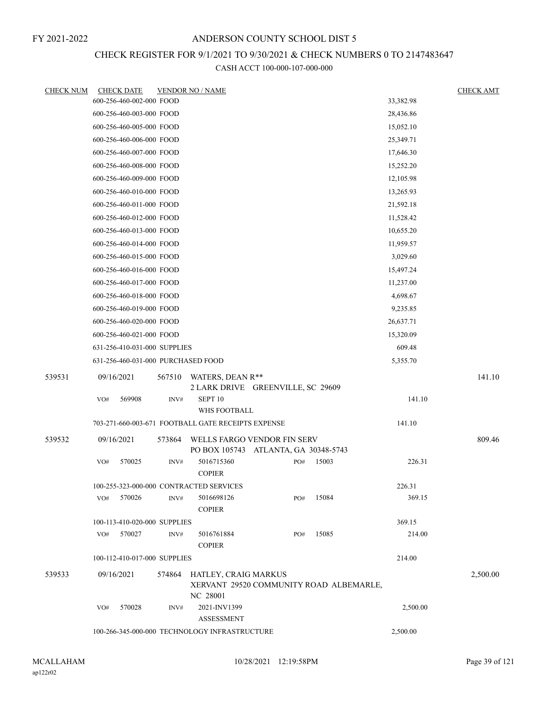# CHECK REGISTER FOR 9/1/2021 TO 9/30/2021 & CHECK NUMBERS 0 TO 2147483647

| <b>CHECK NUM</b> | <b>CHECK DATE</b>                  |        | <b>VENDOR NO / NAME</b>                            |                                             |       |           | <b>CHECK AMT</b> |
|------------------|------------------------------------|--------|----------------------------------------------------|---------------------------------------------|-------|-----------|------------------|
|                  | 600-256-460-002-000 FOOD           |        |                                                    |                                             |       | 33,382.98 |                  |
|                  | 600-256-460-003-000 FOOD           |        |                                                    |                                             |       | 28,436.86 |                  |
|                  | 600-256-460-005-000 FOOD           |        |                                                    |                                             |       | 15,052.10 |                  |
|                  | 600-256-460-006-000 FOOD           |        |                                                    |                                             |       | 25,349.71 |                  |
|                  | 600-256-460-007-000 FOOD           |        |                                                    |                                             |       | 17,646.30 |                  |
|                  | 600-256-460-008-000 FOOD           |        |                                                    |                                             |       | 15,252.20 |                  |
|                  | 600-256-460-009-000 FOOD           |        |                                                    |                                             |       | 12,105.98 |                  |
|                  | 600-256-460-010-000 FOOD           |        |                                                    |                                             |       | 13,265.93 |                  |
|                  | 600-256-460-011-000 FOOD           |        |                                                    |                                             |       | 21,592.18 |                  |
|                  | 600-256-460-012-000 FOOD           |        |                                                    |                                             |       | 11,528.42 |                  |
|                  | 600-256-460-013-000 FOOD           |        |                                                    |                                             |       | 10,655.20 |                  |
|                  | 600-256-460-014-000 FOOD           |        |                                                    |                                             |       | 11,959.57 |                  |
|                  | 600-256-460-015-000 FOOD           |        |                                                    |                                             |       | 3,029.60  |                  |
|                  | 600-256-460-016-000 FOOD           |        |                                                    |                                             |       | 15,497.24 |                  |
|                  | 600-256-460-017-000 FOOD           |        |                                                    |                                             |       | 11,237.00 |                  |
|                  | 600-256-460-018-000 FOOD           |        |                                                    |                                             |       | 4,698.67  |                  |
|                  | 600-256-460-019-000 FOOD           |        |                                                    |                                             |       | 9,235.85  |                  |
|                  | 600-256-460-020-000 FOOD           |        |                                                    |                                             |       | 26,637.71 |                  |
|                  | 600-256-460-021-000 FOOD           |        |                                                    |                                             |       | 15,320.09 |                  |
|                  | 631-256-410-031-000 SUPPLIES       |        |                                                    |                                             |       | 609.48    |                  |
|                  | 631-256-460-031-000 PURCHASED FOOD |        |                                                    |                                             |       | 5,355.70  |                  |
| 539531           | 09/16/2021                         | 567510 | WATERS, DEAN R**                                   |                                             |       |           | 141.10           |
|                  |                                    |        |                                                    | 2 LARK DRIVE GREENVILLE, SC 29609           |       |           |                  |
|                  | 569908<br>VO#                      | INV#   | SEPT <sub>10</sub><br>WHS FOOTBALL                 |                                             |       | 141.10    |                  |
|                  |                                    |        | 703-271-660-003-671 FOOTBALL GATE RECEIPTS EXPENSE |                                             |       | 141.10    |                  |
| 539532           | 09/16/2021                         | 573864 |                                                    | WELLS FARGO VENDOR FIN SERV                 |       |           | 809.46           |
|                  | 570025<br>VO#                      | INV#   | 5016715360<br><b>COPIER</b>                        | PO BOX 105743 ATLANTA, GA 30348-5743<br>PO# | 15003 | 226.31    |                  |
|                  |                                    |        | 100-255-323-000-000 CONTRACTED SERVICES            |                                             |       | 226.31    |                  |
|                  | 570026<br>VO#                      | INV#   | 5016698126<br><b>COPIER</b>                        | PO#                                         | 15084 | 369.15    |                  |
|                  | 100-113-410-020-000 SUPPLIES       |        |                                                    |                                             |       | 369.15    |                  |
|                  | 570027<br>VO#                      | INV#   | 5016761884                                         | PO#                                         | 15085 | 214.00    |                  |
|                  |                                    |        | <b>COPIER</b>                                      |                                             |       |           |                  |
|                  | 100-112-410-017-000 SUPPLIES       |        |                                                    |                                             |       | 214.00    |                  |
| 539533           | 09/16/2021                         | 574864 | HATLEY, CRAIG MARKUS<br>NC 28001                   | XERVANT 29520 COMMUNITY ROAD ALBEMARLE,     |       |           | 2,500.00         |
|                  | 570028<br>VO#                      | INV#   | 2021-INV1399<br>ASSESSMENT                         |                                             |       | 2,500.00  |                  |
|                  |                                    |        | 100-266-345-000-000 TECHNOLOGY INFRASTRUCTURE      |                                             |       | 2,500.00  |                  |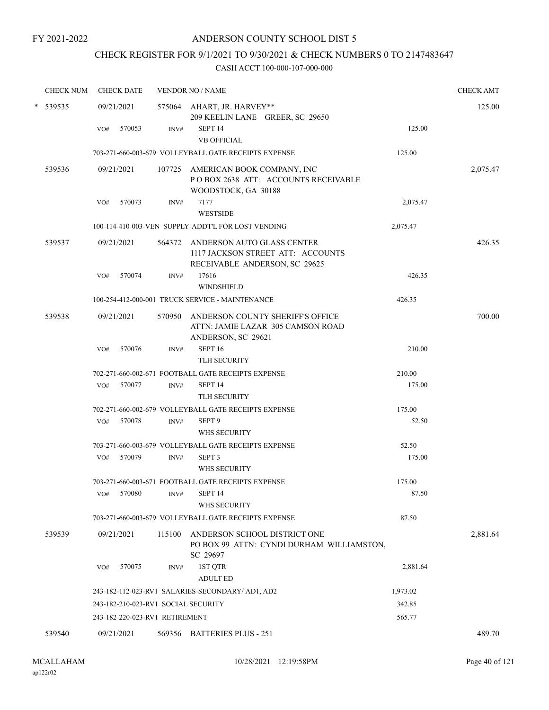# CHECK REGISTER FOR 9/1/2021 TO 9/30/2021 & CHECK NUMBERS 0 TO 2147483647

| <b>CHECK NUM</b> |     | <b>CHECK DATE</b> |                                | <b>VENDOR NO / NAME</b>                                                                                 |          | <b>CHECK AMT</b> |
|------------------|-----|-------------------|--------------------------------|---------------------------------------------------------------------------------------------------------|----------|------------------|
| * 539535         |     | 09/21/2021        |                                | 575064 AHART, JR. HARVEY**<br>209 KEELIN LANE GREER, SC 29650                                           |          | 125.00           |
|                  | VO# | 570053            | INV#                           | SEPT <sub>14</sub><br><b>VB OFFICIAL</b>                                                                | 125.00   |                  |
|                  |     |                   |                                | 703-271-660-003-679 VOLLEYBALL GATE RECEIPTS EXPENSE                                                    | 125.00   |                  |
| 539536           |     | 09/21/2021        | 107725                         | AMERICAN BOOK COMPANY, INC<br>POBOX 2638 ATT: ACCOUNTS RECEIVABLE<br>WOODSTOCK, GA 30188                |          | 2,075.47         |
|                  | VO# | 570073            | INV#                           | 7177<br><b>WESTSIDE</b>                                                                                 | 2,075.47 |                  |
|                  |     |                   |                                | 100-114-410-003-VEN SUPPLY-ADDT'L FOR LOST VENDING                                                      | 2,075.47 |                  |
| 539537           |     | 09/21/2021        |                                | 564372 ANDERSON AUTO GLASS CENTER<br>1117 JACKSON STREET ATT: ACCOUNTS<br>RECEIVABLE ANDERSON, SC 29625 |          | 426.35           |
|                  | VO# | 570074            | INV#                           | 17616                                                                                                   | 426.35   |                  |
|                  |     |                   |                                | <b>WINDSHIELD</b>                                                                                       |          |                  |
|                  |     |                   |                                | 100-254-412-000-001 TRUCK SERVICE - MAINTENANCE                                                         | 426.35   |                  |
| 539538           |     | 09/21/2021        | 570950                         | ANDERSON COUNTY SHERIFF'S OFFICE<br>ATTN: JAMIE LAZAR 305 CAMSON ROAD<br>ANDERSON, SC 29621             |          | 700.00           |
|                  | VO# | 570076            | INV#                           | SEPT <sub>16</sub><br>TLH SECURITY                                                                      | 210.00   |                  |
|                  |     |                   |                                | 702-271-660-002-671 FOOTBALL GATE RECEIPTS EXPENSE                                                      | 210.00   |                  |
|                  | VO# | 570077            | INV#                           | SEPT <sub>14</sub><br>TLH SECURITY                                                                      | 175.00   |                  |
|                  |     |                   |                                | 702-271-660-002-679 VOLLEYBALL GATE RECEIPTS EXPENSE                                                    | 175.00   |                  |
|                  | VO# | 570078            | INV#                           | SEPT <sub>9</sub><br>WHS SECURITY                                                                       | 52.50    |                  |
|                  |     |                   |                                | 703-271-660-003-679 VOLLEYBALL GATE RECEIPTS EXPENSE                                                    | 52.50    |                  |
|                  | VO# | 570079            | INV#                           | SEPT <sub>3</sub><br>WHS SECURITY                                                                       | 175.00   |                  |
|                  |     |                   |                                | 703-271-660-003-671 FOOTBALL GATE RECEIPTS EXPENSE                                                      | 175.00   |                  |
|                  | VO# | 570080            | INV#                           | SEPT <sub>14</sub><br>WHS SECURITY                                                                      | 87.50    |                  |
|                  |     |                   |                                | 703-271-660-003-679 VOLLEYBALL GATE RECEIPTS EXPENSE                                                    | 87.50    |                  |
| 539539           |     | 09/21/2021        | 115100                         | ANDERSON SCHOOL DISTRICT ONE<br>PO BOX 99 ATTN: CYNDI DURHAM WILLIAMSTON,<br>SC 29697                   |          | 2,881.64         |
|                  | VO# | 570075            | INV#                           | 1ST QTR<br><b>ADULT ED</b>                                                                              | 2,881.64 |                  |
|                  |     |                   |                                | 243-182-112-023-RV1 SALARIES-SECONDARY/ AD1, AD2                                                        | 1,973.02 |                  |
|                  |     |                   |                                | 243-182-210-023-RV1 SOCIAL SECURITY                                                                     | 342.85   |                  |
|                  |     |                   | 243-182-220-023-RV1 RETIREMENT |                                                                                                         | 565.77   |                  |
| 539540           |     | 09/21/2021        |                                | 569356 BATTERIES PLUS - 251                                                                             |          | 489.70           |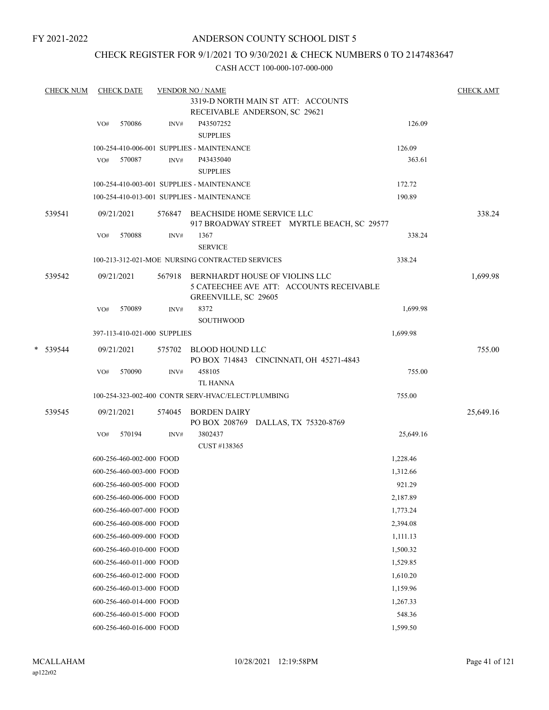### ANDERSON COUNTY SCHOOL DIST 5

### CHECK REGISTER FOR 9/1/2021 TO 9/30/2021 & CHECK NUMBERS 0 TO 2147483647

| <b>CHECK NUM</b> |     | <b>CHECK DATE</b>            |        | <b>VENDOR NO / NAME</b>                                                                                   |           | <b>CHECK AMT</b> |
|------------------|-----|------------------------------|--------|-----------------------------------------------------------------------------------------------------------|-----------|------------------|
|                  |     |                              |        | 3319-D NORTH MAIN ST ATT: ACCOUNTS                                                                        |           |                  |
|                  |     |                              |        | RECEIVABLE ANDERSON, SC 29621                                                                             |           |                  |
|                  | VO# | 570086                       | INV#   | P43507252<br><b>SUPPLIES</b>                                                                              | 126.09    |                  |
|                  |     |                              |        | 100-254-410-006-001 SUPPLIES - MAINTENANCE                                                                | 126.09    |                  |
|                  |     | VO# 570087                   | INV#   | P43435040                                                                                                 | 363.61    |                  |
|                  |     |                              |        | <b>SUPPLIES</b>                                                                                           |           |                  |
|                  |     |                              |        | 100-254-410-003-001 SUPPLIES - MAINTENANCE                                                                | 172.72    |                  |
|                  |     |                              |        | 100-254-410-013-001 SUPPLIES - MAINTENANCE                                                                | 190.89    |                  |
| 539541           |     | 09/21/2021                   |        | 576847 BEACHSIDE HOME SERVICE LLC<br>917 BROADWAY STREET MYRTLE BEACH, SC 29577                           |           | 338.24           |
|                  | VO# | 570088                       | INV#   | 1367<br><b>SERVICE</b>                                                                                    | 338.24    |                  |
|                  |     |                              |        | 100-213-312-021-MOE NURSING CONTRACTED SERVICES                                                           | 338.24    |                  |
| 539542           |     | 09/21/2021                   |        | 567918 BERNHARDT HOUSE OF VIOLINS LLC<br>5 CATEECHEE AVE ATT: ACCOUNTS RECEIVABLE<br>GREENVILLE, SC 29605 |           | 1,699.98         |
|                  | VO# | 570089                       | INV#   | 8372<br><b>SOUTHWOOD</b>                                                                                  | 1,699.98  |                  |
|                  |     | 397-113-410-021-000 SUPPLIES |        |                                                                                                           | 1,699.98  |                  |
| * 539544         |     | 09/21/2021                   |        | 575702 BLOOD HOUND LLC<br>PO BOX 714843 CINCINNATI, OH 45271-4843                                         |           | 755.00           |
|                  | VO# | 570090                       | INV#   | 458105<br><b>TL HANNA</b>                                                                                 | 755.00    |                  |
|                  |     |                              |        | 100-254-323-002-400 CONTR SERV-HVAC/ELECT/PLUMBING                                                        | 755.00    |                  |
| 539545           |     | 09/21/2021                   | 574045 | <b>BORDEN DAIRY</b><br>PO BOX 208769 DALLAS, TX 75320-8769                                                |           | 25,649.16        |
|                  | VO# | 570194                       | INV#   | 3802437<br>CUST #138365                                                                                   | 25,649.16 |                  |
|                  |     | 600-256-460-002-000 FOOD     |        |                                                                                                           | 1,228.46  |                  |
|                  |     | 600-256-460-003-000 FOOD     |        |                                                                                                           | 1,312.66  |                  |
|                  |     | 600-256-460-005-000 FOOD     |        |                                                                                                           | 921.29    |                  |
|                  |     | 600-256-460-006-000 FOOD     |        |                                                                                                           | 2,187.89  |                  |
|                  |     | 600-256-460-007-000 FOOD     |        |                                                                                                           | 1,773.24  |                  |
|                  |     | 600-256-460-008-000 FOOD     |        |                                                                                                           | 2,394.08  |                  |
|                  |     | 600-256-460-009-000 FOOD     |        |                                                                                                           | 1,111.13  |                  |
|                  |     | 600-256-460-010-000 FOOD     |        |                                                                                                           | 1,500.32  |                  |
|                  |     | 600-256-460-011-000 FOOD     |        |                                                                                                           | 1,529.85  |                  |
|                  |     | 600-256-460-012-000 FOOD     |        |                                                                                                           | 1,610.20  |                  |
|                  |     | 600-256-460-013-000 FOOD     |        |                                                                                                           | 1,159.96  |                  |
|                  |     | 600-256-460-014-000 FOOD     |        |                                                                                                           | 1,267.33  |                  |
|                  |     | 600-256-460-015-000 FOOD     |        |                                                                                                           | 548.36    |                  |
|                  |     | 600-256-460-016-000 FOOD     |        |                                                                                                           | 1,599.50  |                  |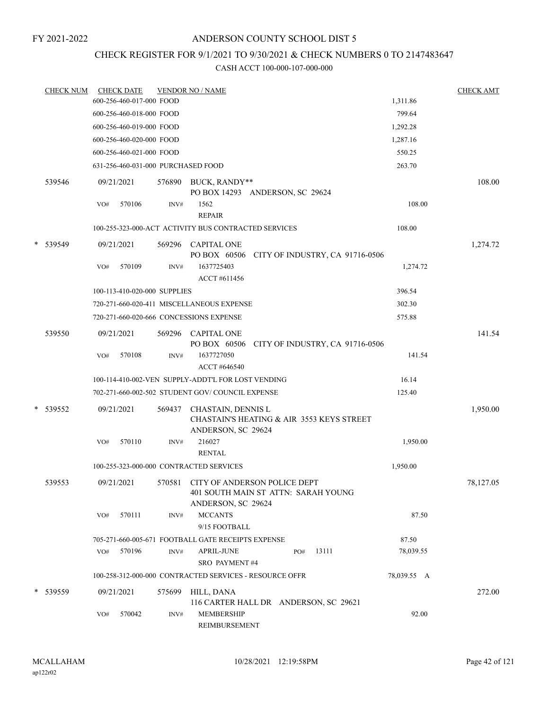### ANDERSON COUNTY SCHOOL DIST 5

# CHECK REGISTER FOR 9/1/2021 TO 9/30/2021 & CHECK NUMBERS 0 TO 2147483647

| <b>CHECK NUM</b> |     | <b>CHECK DATE</b>                  |        | <b>VENDOR NO / NAME</b>                                                                   |     |                                 |             | <b>CHECK AMT</b> |
|------------------|-----|------------------------------------|--------|-------------------------------------------------------------------------------------------|-----|---------------------------------|-------------|------------------|
|                  |     | 600-256-460-017-000 FOOD           |        |                                                                                           |     |                                 | 1,311.86    |                  |
|                  |     | 600-256-460-018-000 FOOD           |        |                                                                                           |     |                                 | 799.64      |                  |
|                  |     | 600-256-460-019-000 FOOD           |        |                                                                                           |     |                                 | 1,292.28    |                  |
|                  |     | 600-256-460-020-000 FOOD           |        |                                                                                           |     |                                 | 1,287.16    |                  |
|                  |     | 600-256-460-021-000 FOOD           |        |                                                                                           |     |                                 | 550.25      |                  |
|                  |     | 631-256-460-031-000 PURCHASED FOOD |        |                                                                                           |     |                                 | 263.70      |                  |
| 539546           |     | 09/21/2021                         | 576890 | BUCK, RANDY**<br>PO BOX 14293 ANDERSON, SC 29624                                          |     |                                 |             | 108.00           |
|                  | VO# | 570106                             | INV#   | 1562<br><b>REPAIR</b>                                                                     |     |                                 | 108.00      |                  |
|                  |     |                                    |        | 100-255-323-000-ACT ACTIVITY BUS CONTRACTED SERVICES                                      |     |                                 | 108.00      |                  |
| * 539549         |     | 09/21/2021                         |        | 569296 CAPITAL ONE<br>PO BOX 60506 CITY OF INDUSTRY, CA 91716-0506                        |     |                                 |             | 1,274.72         |
|                  | VO# | 570109                             | INV#   | 1637725403<br>ACCT #611456                                                                |     |                                 | 1,274.72    |                  |
|                  |     | 100-113-410-020-000 SUPPLIES       |        |                                                                                           |     |                                 | 396.54      |                  |
|                  |     |                                    |        | 720-271-660-020-411 MISCELLANEOUS EXPENSE                                                 |     |                                 | 302.30      |                  |
|                  |     |                                    |        | 720-271-660-020-666 CONCESSIONS EXPENSE                                                   |     |                                 | 575.88      |                  |
| 539550           |     | 09/21/2021                         | 569296 | <b>CAPITAL ONE</b><br>PO BOX 60506                                                        |     | CITY OF INDUSTRY, CA 91716-0506 |             | 141.54           |
|                  | VO# | 570108                             | INV#   | 1637727050                                                                                |     |                                 | 141.54      |                  |
|                  |     |                                    |        | ACCT #646540                                                                              |     |                                 |             |                  |
|                  |     |                                    |        | 100-114-410-002-VEN SUPPLY-ADDT'L FOR LOST VENDING                                        |     |                                 | 16.14       |                  |
|                  |     |                                    |        | 702-271-660-002-502 STUDENT GOV/COUNCIL EXPENSE                                           |     |                                 | 125.40      |                  |
| * 539552         |     | 09/21/2021                         | 569437 | CHASTAIN, DENNIS L<br>CHASTAIN'S HEATING & AIR 3553 KEYS STREET<br>ANDERSON, SC 29624     |     |                                 |             | 1,950.00         |
|                  | VO# | 570110                             | INV#   | 216027<br><b>RENTAL</b>                                                                   |     |                                 | 1,950.00    |                  |
|                  |     |                                    |        | 100-255-323-000-000 CONTRACTED SERVICES                                                   |     |                                 | 1,950.00    |                  |
| 539553           |     | 09/21/2021                         | 570581 | CITY OF ANDERSON POLICE DEPT<br>401 SOUTH MAIN ST ATTN: SARAH YOUNG<br>ANDERSON, SC 29624 |     |                                 |             | 78,127.05        |
|                  | VO# | 570111                             | INV#   | <b>MCCANTS</b><br>9/15 FOOTBALL                                                           |     |                                 | 87.50       |                  |
|                  |     |                                    |        | 705-271-660-005-671 FOOTBALL GATE RECEIPTS EXPENSE                                        |     |                                 | 87.50       |                  |
|                  | VO# | 570196                             | INV#   | APRIL-JUNE<br><b>SRO PAYMENT#4</b>                                                        | PO# | 13111                           | 78,039.55   |                  |
|                  |     |                                    |        | 100-258-312-000-000 CONTRACTED SERVICES - RESOURCE OFFR                                   |     |                                 | 78,039.55 A |                  |
| * 539559         |     | 09/21/2021                         | 575699 | HILL, DANA<br>116 CARTER HALL DR ANDERSON, SC 29621                                       |     |                                 |             | 272.00           |
|                  | VO# | 570042                             | INV#   | MEMBERSHIP<br>REIMBURSEMENT                                                               |     |                                 | 92.00       |                  |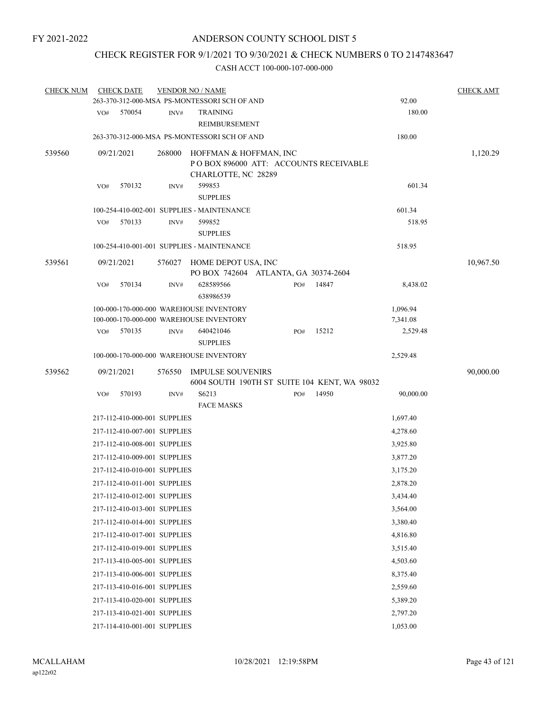# CHECK REGISTER FOR 9/1/2021 TO 9/30/2021 & CHECK NUMBERS 0 TO 2147483647

| <b>CHECK NUM</b> |     | <b>CHECK DATE</b> |                              | <b>VENDOR NO / NAME</b>                                                                 |     |       |           | <b>CHECK AMT</b> |
|------------------|-----|-------------------|------------------------------|-----------------------------------------------------------------------------------------|-----|-------|-----------|------------------|
|                  |     |                   |                              | 263-370-312-000-MSA PS-MONTESSORI SCH OF AND                                            |     |       | 92.00     |                  |
|                  | VO# | 570054            | INV#                         | <b>TRAINING</b><br>REIMBURSEMENT                                                        |     |       | 180.00    |                  |
|                  |     |                   |                              | 263-370-312-000-MSA PS-MONTESSORI SCH OF AND                                            |     |       | 180.00    |                  |
| 539560           |     | 09/21/2021        | 268000                       | HOFFMAN & HOFFMAN, INC<br>PO BOX 896000 ATT: ACCOUNTS RECEIVABLE<br>CHARLOTTE, NC 28289 |     |       |           | 1,120.29         |
|                  | VO# | 570132            | INV#                         | 599853<br><b>SUPPLIES</b>                                                               |     |       | 601.34    |                  |
|                  |     |                   |                              | 100-254-410-002-001 SUPPLIES - MAINTENANCE                                              |     |       | 601.34    |                  |
|                  | VO# | 570133            | INV#                         | 599852<br><b>SUPPLIES</b>                                                               |     |       | 518.95    |                  |
|                  |     |                   |                              | 100-254-410-001-001 SUPPLIES - MAINTENANCE                                              |     |       | 518.95    |                  |
| 539561           |     | 09/21/2021        |                              | 576027 HOME DEPOT USA, INC<br>PO BOX 742604 ATLANTA, GA 30374-2604                      |     |       |           | 10,967.50        |
|                  | VO# | 570134            | INV#                         | 628589566<br>638986539                                                                  | PO# | 14847 | 8,438.02  |                  |
|                  |     |                   |                              | 100-000-170-000-000 WAREHOUSE INVENTORY                                                 |     |       | 1,096.94  |                  |
|                  |     |                   |                              | 100-000-170-000-000 WAREHOUSE INVENTORY                                                 |     |       | 7,341.08  |                  |
|                  | VO# | 570135            | INV#                         | 640421046<br><b>SUPPLIES</b>                                                            | PO# | 15212 | 2,529.48  |                  |
|                  |     |                   |                              | 100-000-170-000-000 WAREHOUSE INVENTORY                                                 |     |       | 2,529.48  |                  |
| 539562           |     | 09/21/2021        | 576550                       | <b>IMPULSE SOUVENIRS</b><br>6004 SOUTH 190TH ST SUITE 104 KENT, WA 98032                |     |       |           | 90,000.00        |
|                  | VO# | 570193            | INV#                         | S6213<br><b>FACE MASKS</b>                                                              | PO# | 14950 | 90,000.00 |                  |
|                  |     |                   | 217-112-410-000-001 SUPPLIES |                                                                                         |     |       | 1,697.40  |                  |
|                  |     |                   | 217-112-410-007-001 SUPPLIES |                                                                                         |     |       | 4,278.60  |                  |
|                  |     |                   | 217-112-410-008-001 SUPPLIES |                                                                                         |     |       | 3,925.80  |                  |
|                  |     |                   | 217-112-410-009-001 SUPPLIES |                                                                                         |     |       | 3,877.20  |                  |
|                  |     |                   | 217-112-410-010-001 SUPPLIES |                                                                                         |     |       | 3,175.20  |                  |
|                  |     |                   | 217-112-410-011-001 SUPPLIES |                                                                                         |     |       | 2,878.20  |                  |
|                  |     |                   | 217-112-410-012-001 SUPPLIES |                                                                                         |     |       | 3,434.40  |                  |
|                  |     |                   | 217-112-410-013-001 SUPPLIES |                                                                                         |     |       | 3,564.00  |                  |
|                  |     |                   | 217-112-410-014-001 SUPPLIES |                                                                                         |     |       | 3,380.40  |                  |
|                  |     |                   | 217-112-410-017-001 SUPPLIES |                                                                                         |     |       | 4,816.80  |                  |
|                  |     |                   | 217-112-410-019-001 SUPPLIES |                                                                                         |     |       | 3,515.40  |                  |
|                  |     |                   | 217-113-410-005-001 SUPPLIES |                                                                                         |     |       | 4,503.60  |                  |
|                  |     |                   | 217-113-410-006-001 SUPPLIES |                                                                                         |     |       | 8,375.40  |                  |
|                  |     |                   | 217-113-410-016-001 SUPPLIES |                                                                                         |     |       | 2,559.60  |                  |
|                  |     |                   | 217-113-410-020-001 SUPPLIES |                                                                                         |     |       | 5,389.20  |                  |
|                  |     |                   | 217-113-410-021-001 SUPPLIES |                                                                                         |     |       | 2,797.20  |                  |
|                  |     |                   |                              |                                                                                         |     |       |           |                  |
|                  |     |                   | 217-114-410-001-001 SUPPLIES |                                                                                         |     |       | 1,053.00  |                  |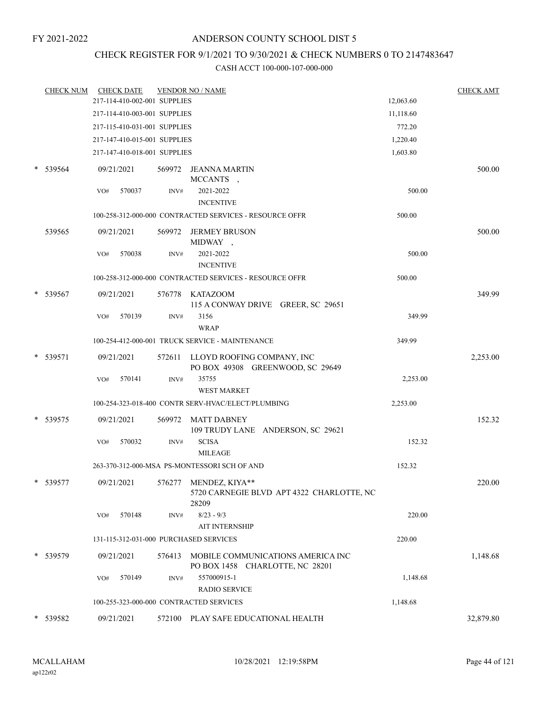### CHECK REGISTER FOR 9/1/2021 TO 9/30/2021 & CHECK NUMBERS 0 TO 2147483647

|   | <b>CHECK NUM</b> |     | <b>CHECK DATE</b>            |        | <b>VENDOR NO / NAME</b>                                               |           | <b>CHECK AMT</b> |
|---|------------------|-----|------------------------------|--------|-----------------------------------------------------------------------|-----------|------------------|
|   |                  |     | 217-114-410-002-001 SUPPLIES |        |                                                                       | 12,063.60 |                  |
|   |                  |     | 217-114-410-003-001 SUPPLIES |        |                                                                       | 11,118.60 |                  |
|   |                  |     | 217-115-410-031-001 SUPPLIES |        |                                                                       | 772.20    |                  |
|   |                  |     | 217-147-410-015-001 SUPPLIES |        |                                                                       | 1,220.40  |                  |
|   |                  |     | 217-147-410-018-001 SUPPLIES |        |                                                                       | 1,603.80  |                  |
|   | * 539564         |     | 09/21/2021                   |        | 569972 JEANNA MARTIN<br>MCCANTS,                                      |           | 500.00           |
|   |                  | VO# | 570037                       | INV#   | 2021-2022<br><b>INCENTIVE</b>                                         | 500.00    |                  |
|   |                  |     |                              |        | 100-258-312-000-000 CONTRACTED SERVICES - RESOURCE OFFR               | 500.00    |                  |
|   | 539565           |     | 09/21/2021                   | 569972 | JERMEY BRUSON<br>MIDWAY,                                              |           | 500.00           |
|   |                  | VO# | 570038                       | INV#   | 2021-2022<br><b>INCENTIVE</b>                                         | 500.00    |                  |
|   |                  |     |                              |        | 100-258-312-000-000 CONTRACTED SERVICES - RESOURCE OFFR               | 500.00    |                  |
|   | 539567           |     | 09/21/2021                   |        | 576778 KATAZOOM<br>115 A CONWAY DRIVE GREER, SC 29651                 |           | 349.99           |
|   |                  | VO# | 570139                       | INV#   | 3156<br><b>WRAP</b>                                                   | 349.99    |                  |
|   |                  |     |                              |        | 100-254-412-000-001 TRUCK SERVICE - MAINTENANCE                       | 349.99    |                  |
| * | 539571           |     | 09/21/2021                   |        | 572611 LLOYD ROOFING COMPANY, INC<br>PO BOX 49308 GREENWOOD, SC 29649 |           | 2,253.00         |
|   |                  | VO# | 570141                       | INV#   | 35755<br><b>WEST MARKET</b>                                           | 2,253.00  |                  |
|   |                  |     |                              |        | 100-254-323-018-400 CONTR SERV-HVAC/ELECT/PLUMBING                    | 2,253.00  |                  |
| * | 539575           |     | 09/21/2021                   | 569972 | MATT DABNEY<br>109 TRUDY LANE ANDERSON, SC 29621                      |           | 152.32           |
|   |                  | VO# | 570032                       | INV#   | <b>SCISA</b><br><b>MILEAGE</b>                                        | 152.32    |                  |
|   |                  |     |                              |        | 263-370-312-000-MSA PS-MONTESSORI SCH OF AND                          | 152.32    |                  |
|   | $*$ 539577       |     | 09/21/2021                   | 576277 | MENDEZ, KIYA**<br>5720 CARNEGIE BLVD APT 4322 CHARLOTTE, NC<br>28209  |           | 220.00           |
|   |                  | VO# | 570148                       | INV#   | $8/23 - 9/3$<br><b>AIT INTERNSHIP</b>                                 | 220.00    |                  |
|   |                  |     |                              |        | 131-115-312-031-000 PURCHASED SERVICES                                | 220.00    |                  |
|   | * 539579         |     | 09/21/2021                   | 576413 | MOBILE COMMUNICATIONS AMERICA INC<br>PO BOX 1458 CHARLOTTE, NC 28201  |           | 1,148.68         |
|   |                  | VO# | 570149                       | INV#   | 557000915-1<br><b>RADIO SERVICE</b>                                   | 1,148.68  |                  |
|   |                  |     |                              |        | 100-255-323-000-000 CONTRACTED SERVICES                               | 1,148.68  |                  |
|   | * 539582         |     | 09/21/2021                   |        | 572100 PLAY SAFE EDUCATIONAL HEALTH                                   |           | 32,879.80        |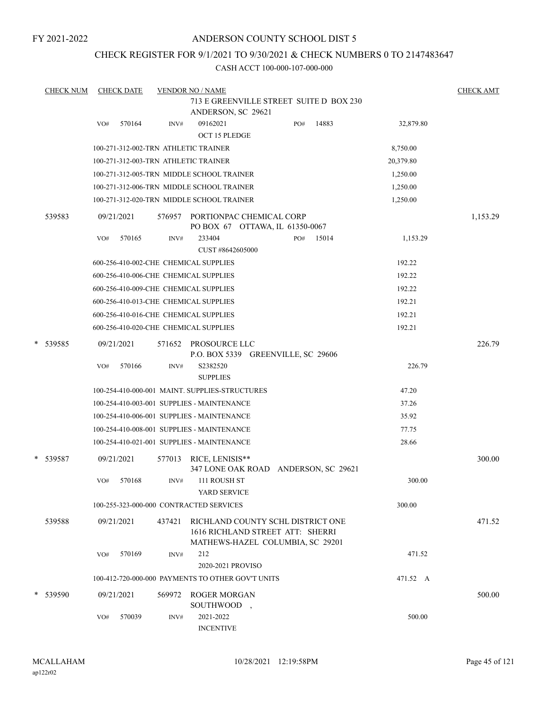### ANDERSON COUNTY SCHOOL DIST 5

### CHECK REGISTER FOR 9/1/2021 TO 9/30/2021 & CHECK NUMBERS 0 TO 2147483647

|   | <b>CHECK NUM</b> | <b>CHECK DATE</b>                                 |        | <b>VENDOR NO / NAME</b>                                               |                          |     |       |           | <b>CHECK AMT</b> |
|---|------------------|---------------------------------------------------|--------|-----------------------------------------------------------------------|--------------------------|-----|-------|-----------|------------------|
|   |                  |                                                   |        | 713 E GREENVILLE STREET SUITE D BOX 230<br>ANDERSON, SC 29621         |                          |     |       |           |                  |
|   |                  | 570164<br>VO#                                     | INV#   | 09162021<br>OCT 15 PLEDGE                                             |                          | PO# | 14883 | 32,879.80 |                  |
|   |                  | 100-271-312-002-TRN ATHLETIC TRAINER              |        |                                                                       |                          |     |       | 8,750.00  |                  |
|   |                  | 100-271-312-003-TRN ATHLETIC TRAINER              |        |                                                                       |                          |     |       | 20,379.80 |                  |
|   |                  | 100-271-312-005-TRN MIDDLE SCHOOL TRAINER         |        |                                                                       |                          |     |       | 1,250.00  |                  |
|   |                  | 100-271-312-006-TRN MIDDLE SCHOOL TRAINER         |        |                                                                       |                          |     |       | 1,250.00  |                  |
|   |                  | 100-271-312-020-TRN MIDDLE SCHOOL TRAINER         |        |                                                                       |                          |     |       | 1,250.00  |                  |
|   | 539583           | 09/21/2021                                        | 576957 | PORTIONPAC CHEMICAL CORP<br>PO BOX 67 OTTAWA, IL 61350-0067           |                          |     |       |           | 1,153.29         |
|   |                  | 570165<br>VO#                                     | INV#   | 233404<br>CUST #8642605000                                            |                          | PO# | 15014 | 1,153.29  |                  |
|   |                  | 600-256-410-002-CHE CHEMICAL SUPPLIES             |        |                                                                       |                          |     |       | 192.22    |                  |
|   |                  | 600-256-410-006-CHE CHEMICAL SUPPLIES             |        |                                                                       |                          |     |       | 192.22    |                  |
|   |                  | 600-256-410-009-CHE CHEMICAL SUPPLIES             |        |                                                                       |                          |     |       | 192.22    |                  |
|   |                  | 600-256-410-013-CHE CHEMICAL SUPPLIES             |        |                                                                       |                          |     |       | 192.21    |                  |
|   |                  | 600-256-410-016-CHE CHEMICAL SUPPLIES             |        |                                                                       |                          |     |       | 192.21    |                  |
|   |                  | 600-256-410-020-CHE CHEMICAL SUPPLIES             |        |                                                                       |                          |     |       | 192.21    |                  |
| * | 539585           | 09/21/2021                                        | 571652 | PROSOURCE LLC<br>P.O. BOX 5339 GREENVILLE, SC 29606                   |                          |     |       |           | 226.79           |
|   |                  | 570166<br>VO#                                     | INV#   | S2382520<br><b>SUPPLIES</b>                                           |                          |     |       | 226.79    |                  |
|   |                  | 100-254-410-000-001 MAINT. SUPPLIES-STRUCTURES    |        |                                                                       |                          |     |       | 47.20     |                  |
|   |                  | 100-254-410-003-001 SUPPLIES - MAINTENANCE        |        |                                                                       |                          |     |       | 37.26     |                  |
|   |                  | 100-254-410-006-001 SUPPLIES - MAINTENANCE        |        |                                                                       |                          |     |       | 35.92     |                  |
|   |                  | 100-254-410-008-001 SUPPLIES - MAINTENANCE        |        |                                                                       |                          |     |       | 77.75     |                  |
|   |                  | 100-254-410-021-001 SUPPLIES - MAINTENANCE        |        |                                                                       |                          |     |       | 28.66     |                  |
|   | * 539587         | 09/21/2021                                        | 577013 | RICE, LENISIS**<br>347 LONE OAK ROAD ANDERSON, SC 29621               |                          |     |       |           | 300.00           |
|   |                  | 570168<br>VO#                                     | INV#   | 111 ROUSH ST<br>YARD SERVICE                                          |                          |     |       | 300.00    |                  |
|   |                  | 100-255-323-000-000 CONTRACTED SERVICES           |        |                                                                       |                          |     |       | 300.00    |                  |
|   | 539588           | 09/21/2021                                        | 437421 | RICHLAND COUNTY SCHL DISTRICT ONE<br>1616 RICHLAND STREET ATT: SHERRI |                          |     |       |           | 471.52           |
|   |                  | 570169<br>VO#                                     | INV#   | MATHEWS-HAZEL COLUMBIA, SC 29201<br>212<br>2020-2021 PROVISO          |                          |     |       | 471.52    |                  |
|   |                  | 100-412-720-000-000 PAYMENTS TO OTHER GOV'T UNITS |        |                                                                       |                          |     |       | 471.52 A  |                  |
|   | * 539590         | 09/21/2021                                        | 569972 | <b>ROGER MORGAN</b><br>SOUTHWOOD                                      | $\overline{\phantom{a}}$ |     |       |           | 500.00           |
|   |                  | 570039<br>VO#                                     | INV#   | 2021-2022<br><b>INCENTIVE</b>                                         |                          |     |       | 500.00    |                  |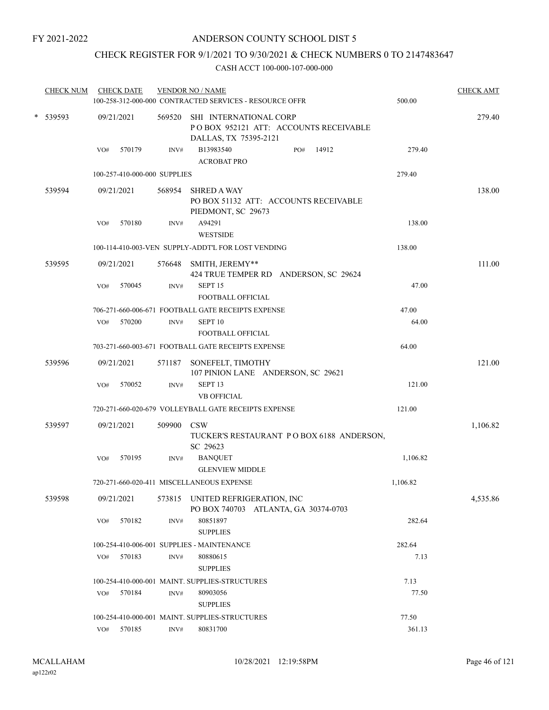### CHECK REGISTER FOR 9/1/2021 TO 9/30/2021 & CHECK NUMBERS 0 TO 2147483647

| <b>CHECK NUM</b> |     | <b>CHECK DATE</b>            |                | <b>VENDOR NO / NAME</b><br>100-258-312-000-000 CONTRACTED SERVICES - RESOURCE OFFR       | 500.00   | <b>CHECK AMT</b> |
|------------------|-----|------------------------------|----------------|------------------------------------------------------------------------------------------|----------|------------------|
| * 539593         |     | 09/21/2021                   | 569520         | SHI INTERNATIONAL CORP<br>POBOX 952121 ATT: ACCOUNTS RECEIVABLE<br>DALLAS, TX 75395-2121 |          | 279.40           |
|                  | VO# | 570179                       | INV#           | B13983540<br>14912<br>PO#<br><b>ACROBAT PRO</b>                                          | 279.40   |                  |
|                  |     | 100-257-410-000-000 SUPPLIES |                |                                                                                          | 279.40   |                  |
| 539594           |     | 09/21/2021                   | 568954         | <b>SHRED A WAY</b><br>PO BOX 51132 ATT: ACCOUNTS RECEIVABLE<br>PIEDMONT, SC 29673        |          | 138.00           |
|                  | VO# | 570180                       | INV#           | A94291<br><b>WESTSIDE</b>                                                                | 138.00   |                  |
|                  |     |                              |                | 100-114-410-003-VEN SUPPLY-ADDT'L FOR LOST VENDING                                       | 138.00   |                  |
| 539595           |     | 09/21/2021                   | 576648         | SMITH, JEREMY**<br>424 TRUE TEMPER RD ANDERSON, SC 29624                                 |          | 111.00           |
|                  | VO# | 570045                       | INV#           | SEPT <sub>15</sub><br>FOOTBALL OFFICIAL                                                  | 47.00    |                  |
|                  |     |                              |                | 706-271-660-006-671 FOOTBALL GATE RECEIPTS EXPENSE                                       | 47.00    |                  |
|                  | VO# | 570200                       | INV#           | SEPT <sub>10</sub>                                                                       | 64.00    |                  |
|                  |     |                              |                | FOOTBALL OFFICIAL                                                                        |          |                  |
|                  |     |                              |                | 703-271-660-003-671 FOOTBALL GATE RECEIPTS EXPENSE                                       | 64.00    |                  |
| 539596           |     | 09/21/2021                   | 571187         | SONEFELT, TIMOTHY<br>107 PINION LANE ANDERSON, SC 29621                                  |          | 121.00           |
|                  | VO# | 570052                       | INV#           | SEPT <sub>13</sub>                                                                       | 121.00   |                  |
|                  |     |                              |                | <b>VB OFFICIAL</b>                                                                       |          |                  |
|                  |     |                              |                | 720-271-660-020-679 VOLLEYBALL GATE RECEIPTS EXPENSE                                     | 121.00   |                  |
| 539597           |     | 09/21/2021                   | 509900         | <b>CSW</b><br>TUCKER'S RESTAURANT PO BOX 6188 ANDERSON,<br>SC 29623                      |          | 1,106.82         |
|                  | VO# | 570195                       | INV#           | <b>BANQUET</b><br><b>GLENVIEW MIDDLE</b>                                                 | 1,106.82 |                  |
|                  |     |                              |                | 720-271-660-020-411 MISCELLANEOUS EXPENSE                                                | 1,106.82 |                  |
| 539598           |     | 09/21/2021                   | 573815         | UNITED REFRIGERATION, INC<br>PO BOX 740703 ATLANTA, GA 30374-0703                        |          | 4,535.86         |
|                  | VO# | 570182                       | INV#           | 80851897<br><b>SUPPLIES</b>                                                              | 282.64   |                  |
|                  |     |                              |                | 100-254-410-006-001 SUPPLIES - MAINTENANCE                                               | 282.64   |                  |
|                  | VO# | 570183                       | INV#           | 80880615<br><b>SUPPLIES</b>                                                              | 7.13     |                  |
|                  |     |                              |                | 100-254-410-000-001 MAINT. SUPPLIES-STRUCTURES                                           | 7.13     |                  |
|                  | VO# | 570184                       | INV#           | 80903056<br><b>SUPPLIES</b>                                                              | 77.50    |                  |
|                  |     |                              |                | 100-254-410-000-001 MAINT. SUPPLIES-STRUCTURES                                           | 77.50    |                  |
|                  |     | VO# 570185                   | $\text{INV}\#$ | 80831700                                                                                 | 361.13   |                  |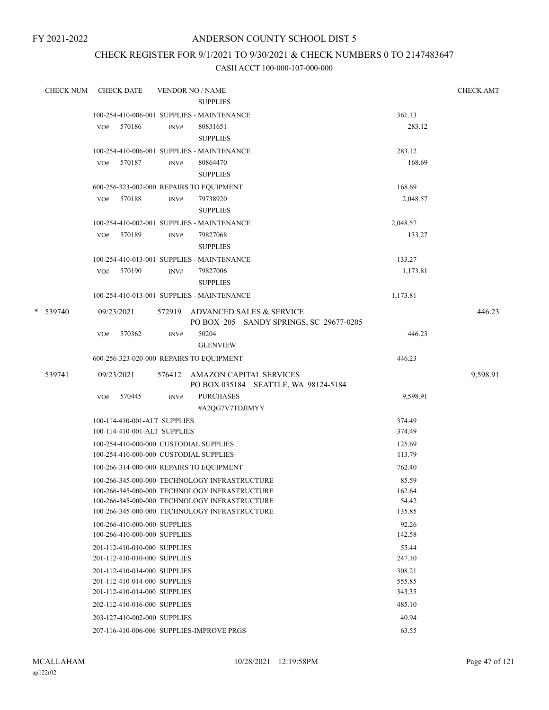### ANDERSON COUNTY SCHOOL DIST 5

### CHECK REGISTER FOR 9/1/2021 TO 9/30/2021 & CHECK NUMBERS 0 TO 2147483647

| <b>CHECK NUM</b> | <b>CHECK DATE</b>                                            | <b>VENDOR NO / NAME</b>                       |                  | <b>CHECK AMT</b> |
|------------------|--------------------------------------------------------------|-----------------------------------------------|------------------|------------------|
|                  |                                                              | <b>SUPPLIES</b>                               |                  |                  |
|                  |                                                              | 100-254-410-006-001 SUPPLIES - MAINTENANCE    | 361.13           |                  |
|                  | 570186<br>VO#                                                | INV#<br>80831651                              | 283.12           |                  |
|                  |                                                              | <b>SUPPLIES</b>                               |                  |                  |
|                  |                                                              | 100-254-410-006-001 SUPPLIES - MAINTENANCE    | 283.12           |                  |
|                  | VO# 570187                                                   | 80864470<br>INV#                              | 168.69           |                  |
|                  |                                                              | <b>SUPPLIES</b>                               |                  |                  |
|                  |                                                              | 600-256-323-002-000 REPAIRS TO EQUIPMENT      | 168.69           |                  |
|                  | 570188<br>VO#                                                | INV#<br>79738920                              | 2,048.57         |                  |
|                  |                                                              | <b>SUPPLIES</b>                               |                  |                  |
|                  |                                                              | 100-254-410-002-001 SUPPLIES - MAINTENANCE    | 2,048.57         |                  |
|                  | VO# 570189                                                   | 79827068<br>INV#                              | 133.27           |                  |
|                  |                                                              | <b>SUPPLIES</b>                               |                  |                  |
|                  |                                                              | 100-254-410-013-001 SUPPLIES - MAINTENANCE    | 133.27           |                  |
|                  | VO# 570190                                                   | INV#<br>79827006                              | 1,173.81         |                  |
|                  |                                                              | <b>SUPPLIES</b>                               |                  |                  |
|                  |                                                              | 100-254-410-013-001 SUPPLIES - MAINTENANCE    | 1,173.81         |                  |
| * 539740         | 09/23/2021                                                   | 572919 ADVANCED SALES & SERVICE               |                  | 446.23           |
|                  |                                                              | PO BOX 205 SANDY SPRINGS, SC 29677-0205       |                  |                  |
|                  | 570362<br>VO#                                                | 50204<br>INV#                                 | 446.23           |                  |
|                  |                                                              | <b>GLENVIEW</b>                               |                  |                  |
|                  |                                                              | 600-256-323-020-000 REPAIRS TO EQUIPMENT      | 446.23           |                  |
| 539741           | 09/23/2021                                                   | 576412 AMAZON CAPITAL SERVICES                |                  | 9,598.91         |
|                  |                                                              | PO BOX 035184 SEATTLE, WA 98124-5184          |                  |                  |
|                  | VO#<br>570445                                                | INV#<br><b>PURCHASES</b>                      | 9,598.91         |                  |
|                  |                                                              | #A2QG7V7TDJIMYY                               |                  |                  |
|                  | 100-114-410-001-ALT SUPPLIES                                 |                                               | 374.49           |                  |
|                  | 100-114-410-001-ALT SUPPLIES                                 |                                               | $-374.49$        |                  |
|                  |                                                              | 100-254-410-000-000 CUSTODIAL SUPPLIES        | 125.69           |                  |
|                  |                                                              | 100-254-410-000-000 CUSTODIAL SUPPLIES        | 113.79           |                  |
|                  |                                                              | 100-266-314-000-000 REPAIRS TO EQUIPMENT      | 762.40           |                  |
|                  |                                                              | 100-266-345-000-000 TECHNOLOGY INFRASTRUCTURE | 85.59            |                  |
|                  |                                                              | 100-266-345-000-000 TECHNOLOGY INFRASTRUCTURE | 162.64           |                  |
|                  |                                                              | 100-266-345-000-000 TECHNOLOGY INFRASTRUCTURE | 54.42            |                  |
|                  |                                                              | 100-266-345-000-000 TECHNOLOGY INFRASTRUCTURE | 135.85           |                  |
|                  | 100-266-410-000-000 SUPPLIES                                 |                                               | 92.26            |                  |
|                  | 100-266-410-000-000 SUPPLIES                                 |                                               | 142.58           |                  |
|                  | 201-112-410-010-000 SUPPLIES                                 |                                               | 55.44            |                  |
|                  | 201-112-410-010-000 SUPPLIES                                 |                                               | 247.10           |                  |
|                  | 201-112-410-014-000 SUPPLIES                                 |                                               | 308.21           |                  |
|                  | 201-112-410-014-000 SUPPLIES<br>201-112-410-014-000 SUPPLIES |                                               | 555.85<br>343.35 |                  |
|                  |                                                              |                                               |                  |                  |
|                  | 202-112-410-016-000 SUPPLIES                                 |                                               | 485.10           |                  |
|                  | 203-127-410-002-000 SUPPLIES                                 |                                               | 40.94            |                  |
|                  |                                                              | 207-116-410-006-006 SUPPLIES-IMPROVE PRGS     | 63.55            |                  |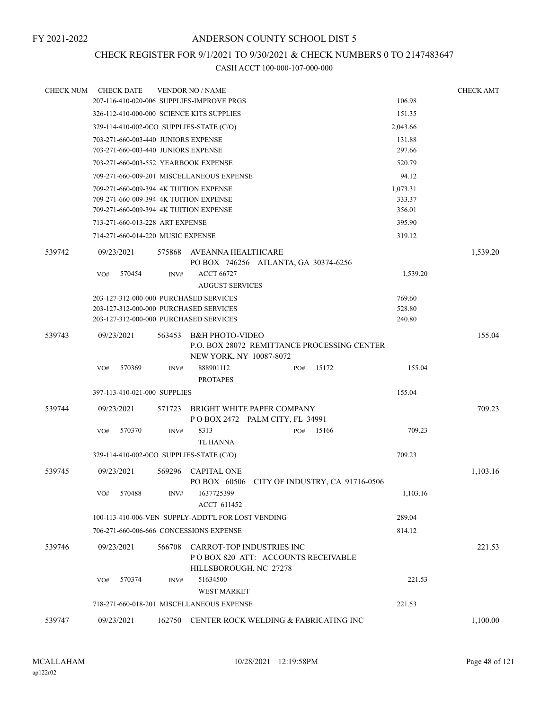### CHECK REGISTER FOR 9/1/2021 TO 9/30/2021 & CHECK NUMBERS 0 TO 2147483647

| <b>CHECK NUM</b> | <b>CHECK DATE</b>                        |        | <b>VENDOR NO / NAME</b>                                                                          |     |                                              |          | <b>CHECK AMT</b> |
|------------------|------------------------------------------|--------|--------------------------------------------------------------------------------------------------|-----|----------------------------------------------|----------|------------------|
|                  |                                          |        | 207-116-410-020-006 SUPPLIES-IMPROVE PRGS                                                        |     |                                              | 106.98   |                  |
|                  |                                          |        | 326-112-410-000-000 SCIENCE KITS SUPPLIES                                                        |     |                                              | 151.35   |                  |
|                  | 329-114-410-002-0CO SUPPLIES-STATE (C/O) |        |                                                                                                  |     |                                              | 2,043.66 |                  |
|                  | 703-271-660-003-440 JUNIORS EXPENSE      |        |                                                                                                  |     |                                              | 131.88   |                  |
|                  | 703-271-660-003-440 JUNIORS EXPENSE      |        |                                                                                                  |     |                                              | 297.66   |                  |
|                  | 703-271-660-003-552 YEARBOOK EXPENSE     |        |                                                                                                  |     |                                              | 520.79   |                  |
|                  |                                          |        | 709-271-660-009-201 MISCELLANEOUS EXPENSE                                                        |     |                                              | 94.12    |                  |
|                  | 709-271-660-009-394 4K TUITION EXPENSE   |        |                                                                                                  |     |                                              | 1,073.31 |                  |
|                  | 709-271-660-009-394 4K TUITION EXPENSE   |        |                                                                                                  |     |                                              | 333.37   |                  |
|                  | 709-271-660-009-394 4K TUITION EXPENSE   |        |                                                                                                  |     |                                              | 356.01   |                  |
|                  | 713-271-660-013-228 ART EXPENSE          |        |                                                                                                  |     |                                              | 395.90   |                  |
|                  | 714-271-660-014-220 MUSIC EXPENSE        |        |                                                                                                  |     |                                              | 319.12   |                  |
| 539742           | 09/23/2021                               | 575868 | AVEANNA HEALTHCARE<br>PO BOX 746256 ATLANTA, GA 30374-6256                                       |     |                                              |          | 1,539.20         |
|                  | 570454<br>VO#                            | INV#   | <b>ACCT 66727</b><br><b>AUGUST SERVICES</b>                                                      |     |                                              | 1,539.20 |                  |
|                  | 203-127-312-000-000 PURCHASED SERVICES   |        |                                                                                                  |     |                                              | 769.60   |                  |
|                  | 203-127-312-000-000 PURCHASED SERVICES   |        |                                                                                                  |     |                                              | 528.80   |                  |
|                  | 203-127-312-000-000 PURCHASED SERVICES   |        |                                                                                                  |     |                                              | 240.80   |                  |
| 539743           | 09/23/2021                               | 563453 | <b>B&amp;H PHOTO-VIDEO</b><br>NEW YORK, NY 10087-8072                                            |     | P.O. BOX 28072 REMITTANCE PROCESSING CENTER  |          | 155.04           |
|                  | 570369<br>VO#                            | INV#   | 888901112<br><b>PROTAPES</b>                                                                     | PO# | 15172                                        | 155.04   |                  |
|                  | 397-113-410-021-000 SUPPLIES             |        |                                                                                                  |     |                                              | 155.04   |                  |
| 539744           | 09/23/2021                               |        | BRIGHT WHITE PAPER COMPANY                                                                       |     |                                              |          | 709.23           |
|                  |                                          | 571723 | POBOX 2472 PALM CITY, FL 34991                                                                   |     |                                              |          |                  |
|                  | 570370<br>VO#                            | INV#   | 8313<br>TL HANNA                                                                                 | PO# | 15166                                        | 709.23   |                  |
|                  | 329-114-410-002-0CO SUPPLIES-STATE (C/O) |        |                                                                                                  |     |                                              | 709.23   |                  |
| 539745           | 09/23/2021                               | 569296 | <b>CAPITAL ONE</b>                                                                               |     | PO BOX 60506 CITY OF INDUSTRY, CA 91716-0506 |          | 1,103.16         |
|                  | 570488<br>VO#                            | INV#   | 1637725399<br>ACCT 611452                                                                        |     |                                              | 1,103.16 |                  |
|                  |                                          |        | 100-113-410-006-VEN SUPPLY-ADDT'L FOR LOST VENDING                                               |     |                                              | 289.04   |                  |
|                  |                                          |        | 706-271-660-006-666 CONCESSIONS EXPENSE                                                          |     |                                              | 814.12   |                  |
| 539746           | 09/23/2021                               | 566708 | <b>CARROT-TOP INDUSTRIES INC</b><br>POBOX 820 ATT: ACCOUNTS RECEIVABLE<br>HILLSBOROUGH, NC 27278 |     |                                              |          | 221.53           |
|                  | 570374<br>VO#                            | INV#   | 51634500<br><b>WEST MARKET</b>                                                                   |     |                                              | 221.53   |                  |
|                  |                                          |        | 718-271-660-018-201 MISCELLANEOUS EXPENSE                                                        |     |                                              | 221.53   |                  |
| 539747           | 09/23/2021                               |        | 162750 CENTER ROCK WELDING & FABRICATING INC                                                     |     |                                              |          | 1,100.00         |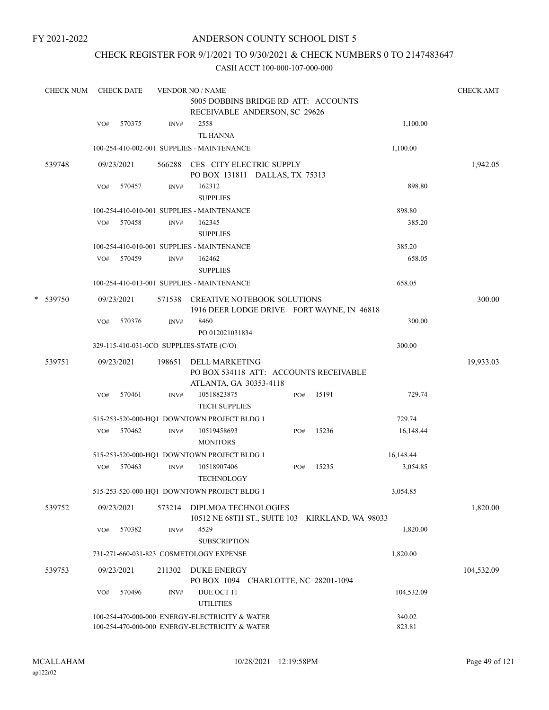### ANDERSON COUNTY SCHOOL DIST 5

### CHECK REGISTER FOR 9/1/2021 TO 9/30/2021 & CHECK NUMBERS 0 TO 2147483647

| <b>CHECK NUM</b> |     | <b>CHECK DATE</b> |        | <b>VENDOR NO / NAME</b>                                                          |     |       |            | <b>CHECK AMT</b> |
|------------------|-----|-------------------|--------|----------------------------------------------------------------------------------|-----|-------|------------|------------------|
|                  |     |                   |        | 5005 DOBBINS BRIDGE RD ATT: ACCOUNTS<br>RECEIVABLE ANDERSON, SC 29626            |     |       |            |                  |
|                  | VO# | 570375            | INV#   | 2558                                                                             |     |       | 1,100.00   |                  |
|                  |     |                   |        | <b>TL HANNA</b>                                                                  |     |       |            |                  |
|                  |     |                   |        | 100-254-410-002-001 SUPPLIES - MAINTENANCE                                       |     |       | 1,100.00   |                  |
| 539748           |     | 09/23/2021        | 566288 | CES CITY ELECTRIC SUPPLY                                                         |     |       |            | 1,942.05         |
|                  |     |                   |        | PO BOX 131811 DALLAS, TX 75313                                                   |     |       |            |                  |
|                  | VO# | 570457            | INV#   | 162312                                                                           |     |       | 898.80     |                  |
|                  |     |                   |        | <b>SUPPLIES</b>                                                                  |     |       |            |                  |
|                  |     |                   |        | 100-254-410-010-001 SUPPLIES - MAINTENANCE                                       |     |       | 898.80     |                  |
|                  | VO# | 570458            | INV#   | 162345                                                                           |     |       | 385.20     |                  |
|                  |     |                   |        | <b>SUPPLIES</b>                                                                  |     |       |            |                  |
|                  |     |                   |        | 100-254-410-010-001 SUPPLIES - MAINTENANCE                                       |     |       | 385.20     |                  |
|                  | VO# | 570459            | INV#   | 162462                                                                           |     |       | 658.05     |                  |
|                  |     |                   |        | <b>SUPPLIES</b>                                                                  |     |       |            |                  |
|                  |     |                   |        | 100-254-410-013-001 SUPPLIES - MAINTENANCE                                       |     |       | 658.05     |                  |
| * 539750         |     | 09/23/2021        |        | 571538 CREATIVE NOTEBOOK SOLUTIONS<br>1916 DEER LODGE DRIVE FORT WAYNE, IN 46818 |     |       |            | 300.00           |
|                  | VO# | 570376            | INV#   | 8460                                                                             |     |       | 300.00     |                  |
|                  |     |                   |        | PO 012021031834                                                                  |     |       |            |                  |
|                  |     |                   |        | 329-115-410-031-0CO SUPPLIES-STATE (C/O)                                         |     |       | 300.00     |                  |
| 539751           |     | 09/23/2021        | 198651 | DELL MARKETING                                                                   |     |       |            | 19,933.03        |
|                  |     |                   |        | PO BOX 534118 ATT: ACCOUNTS RECEIVABLE                                           |     |       |            |                  |
|                  |     |                   |        | ATLANTA, GA 30353-4118                                                           |     |       |            |                  |
|                  | VO# | 570461            | INV#   | 10518823875                                                                      | PO# | 15191 | 729.74     |                  |
|                  |     |                   |        | <b>TECH SUPPLIES</b>                                                             |     |       |            |                  |
|                  | VO# | 570462            |        | 515-253-520-000-HQ1 DOWNTOWN PROJECT BLDG 1                                      | PO# | 15236 | 729.74     |                  |
|                  |     |                   | INV#   | 10519458693<br><b>MONITORS</b>                                                   |     |       | 16,148.44  |                  |
|                  |     |                   |        | 515-253-520-000-HQ1 DOWNTOWN PROJECT BLDG 1                                      |     |       | 16,148.44  |                  |
|                  | VO# | 570463            | INV#   | 10518907406                                                                      | PO# | 15235 | 3,054.85   |                  |
|                  |     |                   |        | <b>TECHNOLOGY</b>                                                                |     |       |            |                  |
|                  |     |                   |        | 515-253-520-000-HQ1 DOWNTOWN PROJECT BLDG 1                                      |     |       | 3,054.85   |                  |
| 539752           |     | 09/23/2021        | 573214 | DIPLMOA TECHNOLOGIES                                                             |     |       |            | 1,820.00         |
|                  |     |                   |        | 10512 NE 68TH ST., SUITE 103 KIRKLAND, WA 98033                                  |     |       |            |                  |
|                  | VO# | 570382            | INV#   | 4529                                                                             |     |       | 1,820.00   |                  |
|                  |     |                   |        | <b>SUBSCRIPTION</b>                                                              |     |       |            |                  |
|                  |     |                   |        | 731-271-660-031-823 COSMETOLOGY EXPENSE                                          |     |       | 1,820.00   |                  |
| 539753           |     | 09/23/2021        |        | 211302 DUKE ENERGY<br>PO BOX 1094 CHARLOTTE, NC 28201-1094                       |     |       |            | 104,532.09       |
|                  | VO# | 570496            | INV#   | DUE OCT 11                                                                       |     |       | 104,532.09 |                  |
|                  |     |                   |        | <b>UTILITIES</b>                                                                 |     |       |            |                  |
|                  |     |                   |        | 100-254-470-000-000 ENERGY-ELECTRICITY & WATER                                   |     |       | 340.02     |                  |
|                  |     |                   |        | 100-254-470-000-000 ENERGY-ELECTRICITY & WATER                                   |     |       | 823.81     |                  |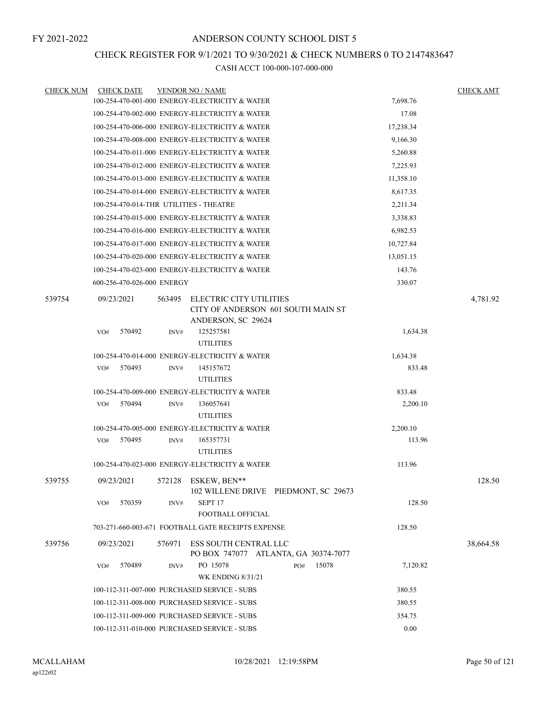#### CHECK REGISTER FOR 9/1/2021 TO 9/30/2021 & CHECK NUMBERS 0 TO 2147483647

| <b>CHECK NUM</b> | <b>CHECK DATE</b>                       |        | <b>VENDOR NO / NAME</b>                                                                    |           | <b>CHECK AMT</b> |
|------------------|-----------------------------------------|--------|--------------------------------------------------------------------------------------------|-----------|------------------|
|                  |                                         |        | 100-254-470-001-000 ENERGY-ELECTRICITY & WATER                                             | 7,698.76  |                  |
|                  |                                         |        | 100-254-470-002-000 ENERGY-ELECTRICITY & WATER                                             | 17.08     |                  |
|                  |                                         |        | 100-254-470-006-000 ENERGY-ELECTRICITY & WATER                                             | 17,238.34 |                  |
|                  |                                         |        | 100-254-470-008-000 ENERGY-ELECTRICITY & WATER                                             | 9,166.30  |                  |
|                  |                                         |        | 100-254-470-011-000 ENERGY-ELECTRICITY & WATER                                             | 5,260.88  |                  |
|                  |                                         |        | 100-254-470-012-000 ENERGY-ELECTRICITY & WATER                                             | 7,225.93  |                  |
|                  |                                         |        | 100-254-470-013-000 ENERGY-ELECTRICITY & WATER                                             | 11,358.10 |                  |
|                  |                                         |        | 100-254-470-014-000 ENERGY-ELECTRICITY & WATER                                             | 8,617.35  |                  |
|                  | 100-254-470-014-THR UTILITIES - THEATRE |        |                                                                                            | 2,211.34  |                  |
|                  |                                         |        | 100-254-470-015-000 ENERGY-ELECTRICITY & WATER                                             | 3,338.83  |                  |
|                  |                                         |        | 100-254-470-016-000 ENERGY-ELECTRICITY & WATER                                             | 6,982.53  |                  |
|                  |                                         |        | 100-254-470-017-000 ENERGY-ELECTRICITY & WATER                                             | 10,727.84 |                  |
|                  |                                         |        | 100-254-470-020-000 ENERGY-ELECTRICITY & WATER                                             | 13,051.15 |                  |
|                  |                                         |        | 100-254-470-023-000 ENERGY-ELECTRICITY & WATER                                             | 143.76    |                  |
|                  | 600-256-470-026-000 ENERGY              |        |                                                                                            | 330.07    |                  |
| 539754           | 09/23/2021                              | 563495 | <b>ELECTRIC CITY UTILITIES</b><br>CITY OF ANDERSON 601 SOUTH MAIN ST<br>ANDERSON, SC 29624 |           | 4,781.92         |
|                  | 570492<br>VO#                           | INV#   | 125257581<br><b>UTILITIES</b>                                                              | 1,634.38  |                  |
|                  |                                         |        | 100-254-470-014-000 ENERGY-ELECTRICITY & WATER                                             | 1,634.38  |                  |
|                  | 570493<br>VO#                           | INV#   | 145157672                                                                                  | 833.48    |                  |
|                  |                                         |        | <b>UTILITIES</b>                                                                           |           |                  |
|                  |                                         |        | 100-254-470-009-000 ENERGY-ELECTRICITY & WATER                                             | 833.48    |                  |
|                  | VO#<br>570494                           | INV#   | 136057641<br><b>UTILITIES</b>                                                              | 2,200.10  |                  |
|                  |                                         |        | 100-254-470-005-000 ENERGY-ELECTRICITY & WATER                                             | 2,200.10  |                  |
|                  | 570495<br>VO#                           | INV#   | 165357731<br><b>UTILITIES</b>                                                              | 113.96    |                  |
|                  |                                         |        | 100-254-470-023-000 ENERGY-ELECTRICITY & WATER                                             | 113.96    |                  |
| 539755           | 09/23/2021                              |        | 572128 ESKEW, BEN**<br>102 WILLENE DRIVE PIEDMONT, SC 29673                                |           | 128.50           |
|                  | 570359<br>VO#                           | INV#   | SEPT <sub>17</sub><br><b>FOOTBALL OFFICIAL</b>                                             | 128.50    |                  |
|                  |                                         |        | 703-271-660-003-671 FOOTBALL GATE RECEIPTS EXPENSE                                         | 128.50    |                  |
| 539756           | 09/23/2021                              | 576971 | ESS SOUTH CENTRAL LLC<br>PO BOX 747077 ATLANTA, GA 30374-7077                              |           | 38,664.58        |
|                  | 570489<br>VO#                           | INV#   | PO 15078<br>15078<br>PO#<br><b>WK ENDING 8/31/21</b>                                       | 7,120.82  |                  |
|                  |                                         |        | 100-112-311-007-000 PURCHASED SERVICE - SUBS                                               | 380.55    |                  |
|                  |                                         |        | 100-112-311-008-000 PURCHASED SERVICE - SUBS                                               | 380.55    |                  |
|                  |                                         |        | 100-112-311-009-000 PURCHASED SERVICE - SUBS                                               | 354.75    |                  |
|                  |                                         |        | 100-112-311-010-000 PURCHASED SERVICE - SUBS                                               | 0.00      |                  |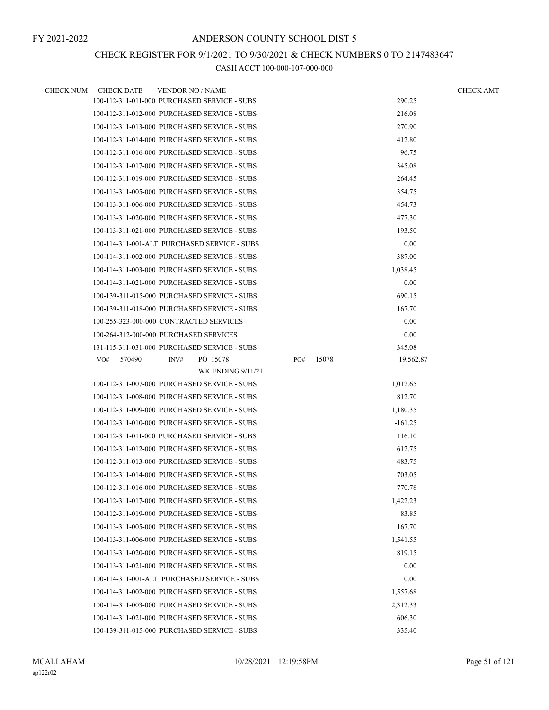### CHECK REGISTER FOR 9/1/2021 TO 9/30/2021 & CHECK NUMBERS 0 TO 2147483647

| <b>CHECK NUM</b> | <b>CHECK DATE</b> | <b>VENDOR NO / NAME</b>                      |              |           | <b>CHECK AMT</b> |
|------------------|-------------------|----------------------------------------------|--------------|-----------|------------------|
|                  |                   | 100-112-311-011-000 PURCHASED SERVICE - SUBS |              | 290.25    |                  |
|                  |                   | 100-112-311-012-000 PURCHASED SERVICE - SUBS |              | 216.08    |                  |
|                  |                   | 100-112-311-013-000 PURCHASED SERVICE - SUBS |              | 270.90    |                  |
|                  |                   | 100-112-311-014-000 PURCHASED SERVICE - SUBS |              | 412.80    |                  |
|                  |                   | 100-112-311-016-000 PURCHASED SERVICE - SUBS |              | 96.75     |                  |
|                  |                   | 100-112-311-017-000 PURCHASED SERVICE - SUBS |              | 345.08    |                  |
|                  |                   | 100-112-311-019-000 PURCHASED SERVICE - SUBS |              | 264.45    |                  |
|                  |                   | 100-113-311-005-000 PURCHASED SERVICE - SUBS |              | 354.75    |                  |
|                  |                   | 100-113-311-006-000 PURCHASED SERVICE - SUBS |              | 454.73    |                  |
|                  |                   | 100-113-311-020-000 PURCHASED SERVICE - SUBS |              | 477.30    |                  |
|                  |                   | 100-113-311-021-000 PURCHASED SERVICE - SUBS |              | 193.50    |                  |
|                  |                   | 100-114-311-001-ALT PURCHASED SERVICE - SUBS |              | 0.00      |                  |
|                  |                   | 100-114-311-002-000 PURCHASED SERVICE - SUBS |              | 387.00    |                  |
|                  |                   | 100-114-311-003-000 PURCHASED SERVICE - SUBS |              | 1,038.45  |                  |
|                  |                   | 100-114-311-021-000 PURCHASED SERVICE - SUBS |              | 0.00      |                  |
|                  |                   | 100-139-311-015-000 PURCHASED SERVICE - SUBS |              | 690.15    |                  |
|                  |                   | 100-139-311-018-000 PURCHASED SERVICE - SUBS |              | 167.70    |                  |
|                  |                   | 100-255-323-000-000 CONTRACTED SERVICES      |              | 0.00      |                  |
|                  |                   | 100-264-312-000-000 PURCHASED SERVICES       |              | 0.00      |                  |
|                  |                   | 131-115-311-031-000 PURCHASED SERVICE - SUBS |              | 345.08    |                  |
|                  | 570490<br>VO#     | PO 15078<br>INV#                             | 15078<br>PO# | 19,562.87 |                  |
|                  |                   | <b>WK ENDING 9/11/21</b>                     |              |           |                  |
|                  |                   | 100-112-311-007-000 PURCHASED SERVICE - SUBS |              | 1,012.65  |                  |
|                  |                   | 100-112-311-008-000 PURCHASED SERVICE - SUBS |              | 812.70    |                  |
|                  |                   | 100-112-311-009-000 PURCHASED SERVICE - SUBS |              | 1,180.35  |                  |
|                  |                   | 100-112-311-010-000 PURCHASED SERVICE - SUBS |              | $-161.25$ |                  |
|                  |                   | 100-112-311-011-000 PURCHASED SERVICE - SUBS |              | 116.10    |                  |
|                  |                   | 100-112-311-012-000 PURCHASED SERVICE - SUBS |              | 612.75    |                  |
|                  |                   | 100-112-311-013-000 PURCHASED SERVICE - SUBS |              | 483.75    |                  |
|                  |                   | 100-112-311-014-000 PURCHASED SERVICE - SUBS |              | 703.05    |                  |
|                  |                   | 100-112-311-016-000 PURCHASED SERVICE - SUBS |              | 770.78    |                  |
|                  |                   | 100-112-311-017-000 PURCHASED SERVICE - SUBS |              | 1,422.23  |                  |
|                  |                   | 100-112-311-019-000 PURCHASED SERVICE - SUBS |              | 83.85     |                  |
|                  |                   | 100-113-311-005-000 PURCHASED SERVICE - SUBS |              | 167.70    |                  |
|                  |                   | 100-113-311-006-000 PURCHASED SERVICE - SUBS |              | 1,541.55  |                  |
|                  |                   | 100-113-311-020-000 PURCHASED SERVICE - SUBS |              | 819.15    |                  |
|                  |                   | 100-113-311-021-000 PURCHASED SERVICE - SUBS |              | 0.00      |                  |
|                  |                   | 100-114-311-001-ALT PURCHASED SERVICE - SUBS |              | 0.00      |                  |
|                  |                   | 100-114-311-002-000 PURCHASED SERVICE - SUBS |              | 1,557.68  |                  |
|                  |                   | 100-114-311-003-000 PURCHASED SERVICE - SUBS |              | 2,312.33  |                  |
|                  |                   | 100-114-311-021-000 PURCHASED SERVICE - SUBS |              | 606.30    |                  |
|                  |                   | 100-139-311-015-000 PURCHASED SERVICE - SUBS |              | 335.40    |                  |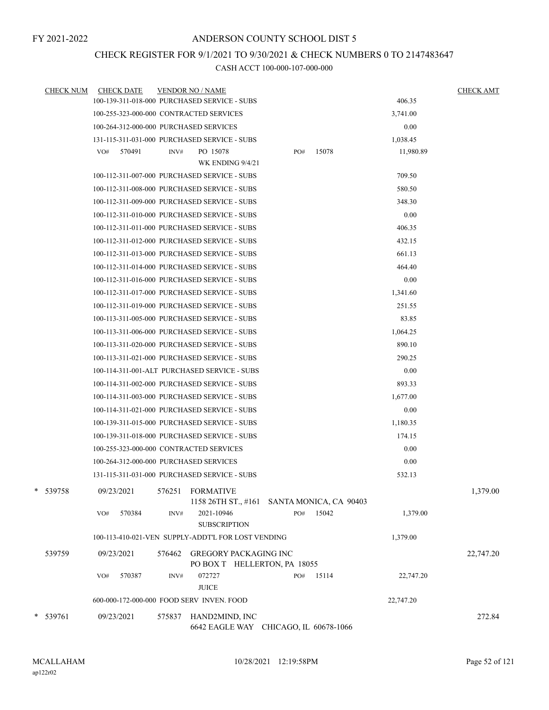# CHECK REGISTER FOR 9/1/2021 TO 9/30/2021 & CHECK NUMBERS 0 TO 2147483647

| <b>CHECK NUM</b> | <b>CHECK DATE</b>                                  | <b>VENDOR NO / NAME</b> |                                                              |     |       |           | <b>CHECK AMT</b> |
|------------------|----------------------------------------------------|-------------------------|--------------------------------------------------------------|-----|-------|-----------|------------------|
|                  | 100-139-311-018-000 PURCHASED SERVICE - SUBS       |                         |                                                              |     |       | 406.35    |                  |
|                  | 100-255-323-000-000 CONTRACTED SERVICES            |                         |                                                              |     |       | 3,741.00  |                  |
|                  | 100-264-312-000-000 PURCHASED SERVICES             |                         |                                                              |     |       | 0.00      |                  |
|                  | 131-115-311-031-000 PURCHASED SERVICE - SUBS       |                         |                                                              |     |       | 1,038.45  |                  |
|                  | 570491<br>VO#                                      | INV#                    | PO 15078                                                     | PO# | 15078 | 11,980.89 |                  |
|                  |                                                    |                         | WK ENDING 9/4/21                                             |     |       |           |                  |
|                  | 100-112-311-007-000 PURCHASED SERVICE - SUBS       |                         |                                                              |     |       | 709.50    |                  |
|                  | 100-112-311-008-000 PURCHASED SERVICE - SUBS       |                         |                                                              |     |       | 580.50    |                  |
|                  | 100-112-311-009-000 PURCHASED SERVICE - SUBS       |                         |                                                              |     |       | 348.30    |                  |
|                  | 100-112-311-010-000 PURCHASED SERVICE - SUBS       |                         |                                                              |     |       | 0.00      |                  |
|                  | 100-112-311-011-000 PURCHASED SERVICE - SUBS       |                         |                                                              |     |       | 406.35    |                  |
|                  | 100-112-311-012-000 PURCHASED SERVICE - SUBS       |                         |                                                              |     |       | 432.15    |                  |
|                  | 100-112-311-013-000 PURCHASED SERVICE - SUBS       |                         |                                                              |     |       | 661.13    |                  |
|                  | 100-112-311-014-000 PURCHASED SERVICE - SUBS       |                         |                                                              |     |       | 464.40    |                  |
|                  | 100-112-311-016-000 PURCHASED SERVICE - SUBS       |                         |                                                              |     |       | 0.00      |                  |
|                  | 100-112-311-017-000 PURCHASED SERVICE - SUBS       |                         |                                                              |     |       | 1,341.60  |                  |
|                  | 100-112-311-019-000 PURCHASED SERVICE - SUBS       |                         |                                                              |     |       | 251.55    |                  |
|                  | 100-113-311-005-000 PURCHASED SERVICE - SUBS       |                         |                                                              |     |       | 83.85     |                  |
|                  | 100-113-311-006-000 PURCHASED SERVICE - SUBS       |                         |                                                              |     |       | 1,064.25  |                  |
|                  | 100-113-311-020-000 PURCHASED SERVICE - SUBS       |                         |                                                              |     |       | 890.10    |                  |
|                  | 100-113-311-021-000 PURCHASED SERVICE - SUBS       |                         |                                                              |     |       | 290.25    |                  |
|                  | 100-114-311-001-ALT PURCHASED SERVICE - SUBS       |                         |                                                              |     |       | 0.00      |                  |
|                  | 100-114-311-002-000 PURCHASED SERVICE - SUBS       |                         |                                                              |     |       | 893.33    |                  |
|                  | 100-114-311-003-000 PURCHASED SERVICE - SUBS       |                         |                                                              |     |       | 1,677.00  |                  |
|                  | 100-114-311-021-000 PURCHASED SERVICE - SUBS       |                         |                                                              |     |       | 0.00      |                  |
|                  | 100-139-311-015-000 PURCHASED SERVICE - SUBS       |                         |                                                              |     |       | 1,180.35  |                  |
|                  | 100-139-311-018-000 PURCHASED SERVICE - SUBS       |                         |                                                              |     |       | 174.15    |                  |
|                  | 100-255-323-000-000 CONTRACTED SERVICES            |                         |                                                              |     |       | 0.00      |                  |
|                  | 100-264-312-000-000 PURCHASED SERVICES             |                         |                                                              |     |       | 0.00      |                  |
|                  | 131-115-311-031-000 PURCHASED SERVICE - SUBS       |                         |                                                              |     |       | 532.13    |                  |
| 539758           | 09/23/2021                                         | 576251 FORMATIVE        | 1158 26TH ST., #161 SANTA MONICA, CA 90403                   |     |       |           | 1,379.00         |
|                  | 570384<br>VO#                                      | INV#                    | 2021-10946                                                   | PO# | 15042 | 1,379.00  |                  |
|                  |                                                    |                         | <b>SUBSCRIPTION</b>                                          |     |       |           |                  |
|                  | 100-113-410-021-VEN SUPPLY-ADDT'L FOR LOST VENDING |                         |                                                              |     |       | 1,379.00  |                  |
| 539759           | 09/23/2021                                         | 576462                  | <b>GREGORY PACKAGING INC</b><br>PO BOX T HELLERTON, PA 18055 |     |       |           | 22,747.20        |
|                  | 570387<br>VO#                                      | INV#                    | 072727                                                       | PO# | 15114 | 22,747.20 |                  |
|                  |                                                    |                         | <b>JUICE</b>                                                 |     |       |           |                  |
|                  | 600-000-172-000-000 FOOD SERV INVEN. FOOD          |                         |                                                              |     |       | 22,747.20 |                  |
| * 539761         | 09/23/2021                                         | 575837                  | HAND2MIND, INC                                               |     |       |           | 272.84           |
|                  |                                                    |                         | 6642 EAGLE WAY CHICAGO, IL 60678-1066                        |     |       |           |                  |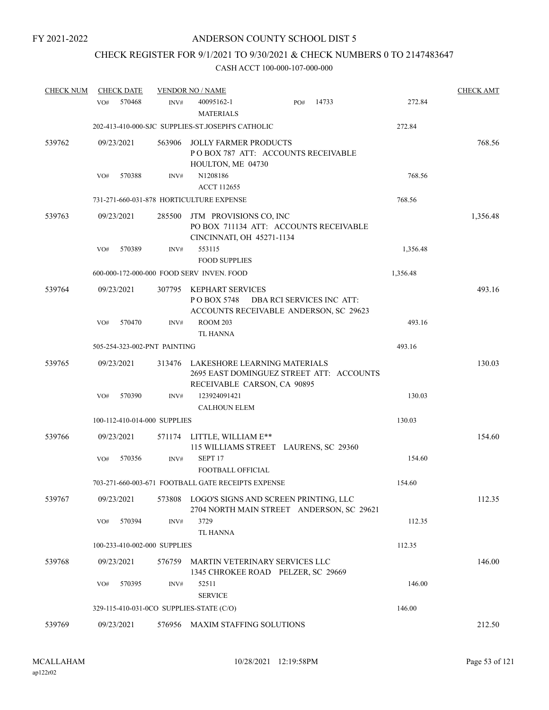# CHECK REGISTER FOR 9/1/2021 TO 9/30/2021 & CHECK NUMBERS 0 TO 2147483647

| <b>CHECK NUM</b> | <b>CHECK DATE</b>                        |        | <b>VENDOR NO / NAME</b>                                                                       |     |                           |          | <b>CHECK AMT</b> |
|------------------|------------------------------------------|--------|-----------------------------------------------------------------------------------------------|-----|---------------------------|----------|------------------|
|                  | 570468<br>VO#                            | INV#   | 40095162-1<br><b>MATERIALS</b>                                                                | PO# | 14733                     | 272.84   |                  |
|                  |                                          |        | 202-413-410-000-SJC SUPPLIES-ST.JOSEPH'S CATHOLIC                                             |     |                           | 272.84   |                  |
| 539762           | 09/23/2021                               | 563906 | <b>JOLLY FARMER PRODUCTS</b><br>POBOX 787 ATT: ACCOUNTS RECEIVABLE<br>HOULTON, ME 04730       |     |                           |          | 768.56           |
|                  | 570388<br>VO#                            | INV#   | N1208186                                                                                      |     |                           | 768.56   |                  |
|                  |                                          |        | <b>ACCT 112655</b>                                                                            |     |                           |          |                  |
|                  |                                          |        | 731-271-660-031-878 HORTICULTURE EXPENSE                                                      |     |                           | 768.56   |                  |
| 539763           | 09/23/2021                               | 285500 | JTM PROVISIONS CO, INC<br>PO BOX 711134 ATT: ACCOUNTS RECEIVABLE<br>CINCINNATI, OH 45271-1134 |     |                           |          | 1,356.48         |
|                  | 570389<br>VO#                            | INV#   | 553115                                                                                        |     |                           | 1,356.48 |                  |
|                  |                                          |        | <b>FOOD SUPPLIES</b>                                                                          |     |                           |          |                  |
|                  |                                          |        | 600-000-172-000-000 FOOD SERV INVEN. FOOD                                                     |     |                           | 1,356.48 |                  |
| 539764           | 09/23/2021                               | 307795 | KEPHART SERVICES<br>PO BOX 5748<br>ACCOUNTS RECEIVABLE ANDERSON, SC 29623                     |     | DBA RCI SERVICES INC ATT: |          | 493.16           |
|                  | 570470<br>VO#                            | INV#   | <b>ROOM 203</b><br><b>TL HANNA</b>                                                            |     |                           | 493.16   |                  |
|                  | 505-254-323-002-PNT PAINTING             |        |                                                                                               |     |                           | 493.16   |                  |
| 539765           | 09/23/2021                               | 313476 | LAKESHORE LEARNING MATERIALS<br>2695 EAST DOMINGUEZ STREET ATT: ACCOUNTS                      |     |                           |          | 130.03           |
|                  | 570390<br>VO#                            | INV#   | RECEIVABLE CARSON, CA 90895<br>123924091421                                                   |     |                           | 130.03   |                  |
|                  |                                          |        | <b>CALHOUN ELEM</b>                                                                           |     |                           |          |                  |
|                  | 100-112-410-014-000 SUPPLIES             |        |                                                                                               |     |                           | 130.03   |                  |
| 539766           | 09/23/2021                               | 571174 | LITTLE, WILLIAM E**<br>115 WILLIAMS STREET LAURENS, SC 29360                                  |     |                           |          | 154.60           |
|                  | 570356<br>VO#                            | INV#   | SEPT <sub>17</sub><br><b>FOOTBALL OFFICIAL</b>                                                |     |                           | 154.60   |                  |
|                  |                                          |        | 703-271-660-003-671 FOOTBALL GATE RECEIPTS EXPENSE                                            |     |                           | 154.60   |                  |
| 539767           | 09/23/2021                               | 573808 | LOGO'S SIGNS AND SCREEN PRINTING, LLC<br>2704 NORTH MAIN STREET ANDERSON, SC 29621            |     |                           |          | 112.35           |
|                  | 570394<br>VO#                            | INV#   | 3729<br><b>TL HANNA</b>                                                                       |     |                           | 112.35   |                  |
|                  | 100-233-410-002-000 SUPPLIES             |        |                                                                                               |     |                           | 112.35   |                  |
| 539768           | 09/23/2021                               | 576759 | MARTIN VETERINARY SERVICES LLC<br>1345 CHROKEE ROAD PELZER, SC 29669                          |     |                           |          | 146.00           |
|                  | 570395<br>VO#                            | INV#   | 52511<br><b>SERVICE</b>                                                                       |     |                           | 146.00   |                  |
|                  | 329-115-410-031-0CO SUPPLIES-STATE (C/O) |        |                                                                                               |     |                           | 146.00   |                  |
| 539769           | 09/23/2021                               | 576956 | MAXIM STAFFING SOLUTIONS                                                                      |     |                           |          | 212.50           |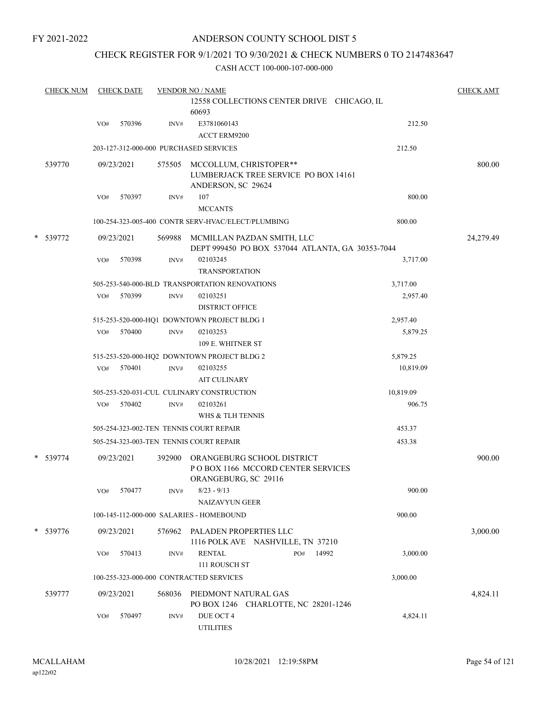### ANDERSON COUNTY SCHOOL DIST 5

### CHECK REGISTER FOR 9/1/2021 TO 9/30/2021 & CHECK NUMBERS 0 TO 2147483647

|   | <b>CHECK NUM</b> |     | <b>CHECK DATE</b> |                | <b>VENDOR NO / NAME</b>                                                                  |           | <b>CHECK AMT</b> |
|---|------------------|-----|-------------------|----------------|------------------------------------------------------------------------------------------|-----------|------------------|
|   |                  |     |                   |                | 12558 COLLECTIONS CENTER DRIVE CHICAGO, IL<br>60693                                      |           |                  |
|   |                  | VO# | 570396            | INV#           | E3781060143<br><b>ACCT ERM9200</b>                                                       | 212.50    |                  |
|   |                  |     |                   |                | 203-127-312-000-000 PURCHASED SERVICES                                                   | 212.50    |                  |
|   | 539770           |     | 09/23/2021        | 575505         | MCCOLLUM, CHRISTOPER**<br>LUMBERJACK TREE SERVICE PO BOX 14161<br>ANDERSON, SC 29624     |           | 800.00           |
|   |                  | VO# | 570397            | INV#           | 107                                                                                      | 800.00    |                  |
|   |                  |     |                   |                | <b>MCCANTS</b>                                                                           |           |                  |
|   |                  |     |                   |                | 100-254-323-005-400 CONTR SERV-HVAC/ELECT/PLUMBING                                       | 800.00    |                  |
| * | 539772           |     | 09/23/2021        | 569988         | MCMILLAN PAZDAN SMITH, LLC<br>DEPT 999450 PO BOX 537044 ATLANTA, GA 30353-7044           |           | 24,279.49        |
|   |                  | VO# | 570398            | INV#           | 02103245<br><b>TRANSPORTATION</b>                                                        | 3,717.00  |                  |
|   |                  |     |                   |                | 505-253-540-000-BLD TRANSPORTATION RENOVATIONS                                           | 3,717.00  |                  |
|   |                  | VO# | 570399            | INV#           | 02103251<br><b>DISTRICT OFFICE</b>                                                       | 2,957.40  |                  |
|   |                  |     |                   |                | 515-253-520-000-HQ1 DOWNTOWN PROJECT BLDG 1                                              | 2,957.40  |                  |
|   |                  | VO# | 570400            | INV#           | 02103253<br>109 E. WHITNER ST                                                            | 5,879.25  |                  |
|   |                  |     |                   |                | 515-253-520-000-HQ2 DOWNTOWN PROJECT BLDG 2                                              | 5,879.25  |                  |
|   |                  | VO# | 570401            | $\text{INV}\#$ | 02103255<br><b>AIT CULINARY</b>                                                          | 10,819.09 |                  |
|   |                  |     |                   |                | 505-253-520-031-CUL CULINARY CONSTRUCTION                                                | 10,819.09 |                  |
|   |                  | VO# | 570402            | INV#           | 02103261<br>WHS & TLH TENNIS                                                             | 906.75    |                  |
|   |                  |     |                   |                | 505-254-323-002-TEN TENNIS COURT REPAIR                                                  | 453.37    |                  |
|   |                  |     |                   |                | 505-254-323-003-TEN TENNIS COURT REPAIR                                                  | 453.38    |                  |
|   | * 539774         |     | 09/23/2021        | 392900         | ORANGEBURG SCHOOL DISTRICT<br>PO BOX 1166 MCCORD CENTER SERVICES<br>ORANGEBURG, SC 29116 |           | 900.00           |
|   |                  | VO# | 570477            | INV#           | $8/23 - 9/13$<br><b>NAIZAVYUN GEER</b>                                                   | 900.00    |                  |
|   |                  |     |                   |                | 100-145-112-000-000 SALARIES - HOMEBOUND                                                 | 900.00    |                  |
|   | * 539776         |     | 09/23/2021        |                | 576962 PALADEN PROPERTIES LLC<br>1116 POLK AVE NASHVILLE, TN 37210                       |           | 3,000.00         |
|   |                  | VO# | 570413            | INV#           | <b>RENTAL</b><br>14992<br>PO#<br>111 ROUSCH ST                                           | 3,000.00  |                  |
|   |                  |     |                   |                | 100-255-323-000-000 CONTRACTED SERVICES                                                  | 3,000.00  |                  |
|   | 539777           |     | 09/23/2021        | 568036         | PIEDMONT NATURAL GAS<br>PO BOX 1246 CHARLOTTE, NC 28201-1246                             |           | 4,824.11         |
|   |                  | VO# | 570497            | INV#           | DUE OCT 4<br><b>UTILITIES</b>                                                            | 4,824.11  |                  |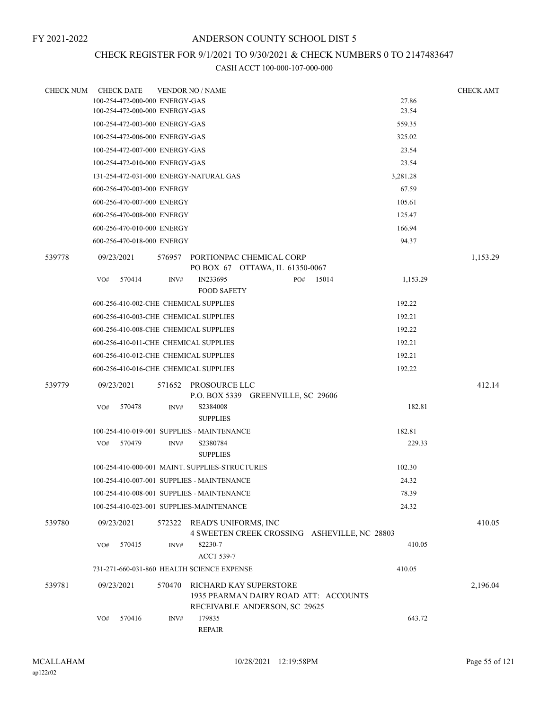# CHECK REGISTER FOR 9/1/2021 TO 9/30/2021 & CHECK NUMBERS 0 TO 2147483647

| <b>CHECK NUM</b> | <b>CHECK DATE</b>                        |        | <b>VENDOR NO / NAME</b>                                                                                 |     |       |          | <b>CHECK AMT</b> |
|------------------|------------------------------------------|--------|---------------------------------------------------------------------------------------------------------|-----|-------|----------|------------------|
|                  | 100-254-472-000-000 ENERGY-GAS           |        |                                                                                                         |     |       | 27.86    |                  |
|                  | 100-254-472-000-000 ENERGY-GAS           |        |                                                                                                         |     |       | 23.54    |                  |
|                  | 100-254-472-003-000 ENERGY-GAS           |        |                                                                                                         |     |       | 559.35   |                  |
|                  | 100-254-472-006-000 ENERGY-GAS           |        |                                                                                                         |     |       | 325.02   |                  |
|                  | 100-254-472-007-000 ENERGY-GAS           |        |                                                                                                         |     |       | 23.54    |                  |
|                  | 100-254-472-010-000 ENERGY-GAS           |        |                                                                                                         |     |       | 23.54    |                  |
|                  | 131-254-472-031-000 ENERGY-NATURAL GAS   |        |                                                                                                         |     |       | 3,281.28 |                  |
|                  | 600-256-470-003-000 ENERGY               |        |                                                                                                         |     |       | 67.59    |                  |
|                  | 600-256-470-007-000 ENERGY               |        |                                                                                                         |     |       | 105.61   |                  |
|                  | 600-256-470-008-000 ENERGY               |        |                                                                                                         |     |       | 125.47   |                  |
|                  | 600-256-470-010-000 ENERGY               |        |                                                                                                         |     |       | 166.94   |                  |
|                  | 600-256-470-018-000 ENERGY               |        |                                                                                                         |     |       | 94.37    |                  |
| 539778           | 09/23/2021                               |        | 576957 PORTIONPAC CHEMICAL CORP                                                                         |     |       |          | 1,153.29         |
|                  | 570414                                   |        | PO BOX 67 OTTAWA, IL 61350-0067<br>IN233695                                                             |     | 15014 | 1,153.29 |                  |
|                  | VO#                                      | INV#   | <b>FOOD SAFETY</b>                                                                                      | PO# |       |          |                  |
|                  | 600-256-410-002-CHE CHEMICAL SUPPLIES    |        |                                                                                                         |     |       | 192.22   |                  |
|                  | 600-256-410-003-CHE CHEMICAL SUPPLIES    |        |                                                                                                         |     |       | 192.21   |                  |
|                  | 600-256-410-008-CHE CHEMICAL SUPPLIES    |        |                                                                                                         |     |       | 192.22   |                  |
|                  | 600-256-410-011-CHE CHEMICAL SUPPLIES    |        |                                                                                                         |     |       | 192.21   |                  |
|                  | 600-256-410-012-CHE CHEMICAL SUPPLIES    |        |                                                                                                         |     |       | 192.21   |                  |
|                  | 600-256-410-016-CHE CHEMICAL SUPPLIES    |        |                                                                                                         |     |       | 192.22   |                  |
| 539779           | 09/23/2021                               |        | 571652 PROSOURCE LLC<br>P.O. BOX 5339 GREENVILLE, SC 29606                                              |     |       |          | 412.14           |
|                  | 570478<br>VO#                            | INV#   | S2384008                                                                                                |     |       | 182.81   |                  |
|                  |                                          |        | <b>SUPPLIES</b>                                                                                         |     |       |          |                  |
|                  |                                          |        | 100-254-410-019-001 SUPPLIES - MAINTENANCE                                                              |     |       | 182.81   |                  |
|                  | 570479<br>VO#                            | INV#   | S2380784<br><b>SUPPLIES</b>                                                                             |     |       | 229.33   |                  |
|                  |                                          |        | 100-254-410-000-001 MAINT. SUPPLIES-STRUCTURES                                                          |     |       | 102.30   |                  |
|                  |                                          |        | 100-254-410-007-001 SUPPLIES - MAINTENANCE                                                              |     |       | 24.32    |                  |
|                  |                                          |        | 100-254-410-008-001 SUPPLIES - MAINTENANCE                                                              |     |       | 78.39    |                  |
|                  | 100-254-410-023-001 SUPPLIES-MAINTENANCE |        |                                                                                                         |     |       | 24.32    |                  |
| 539780           | 09/23/2021                               | 572322 | READ'S UNIFORMS, INC<br>4 SWEETEN CREEK CROSSING ASHEVILLE, NC 28803                                    |     |       |          | 410.05           |
|                  | VO#<br>570415                            | INV#   | 82230-7<br><b>ACCT 539-7</b>                                                                            |     |       | 410.05   |                  |
|                  |                                          |        | 731-271-660-031-860 HEALTH SCIENCE EXPENSE                                                              |     |       | 410.05   |                  |
| 539781           | 09/23/2021                               | 570470 | <b>RICHARD KAY SUPERSTORE</b><br>1935 PEARMAN DAIRY ROAD ATT: ACCOUNTS<br>RECEIVABLE ANDERSON, SC 29625 |     |       |          | 2,196.04         |
|                  | 570416<br>VO#                            | INV#   | 179835<br><b>REPAIR</b>                                                                                 |     |       | 643.72   |                  |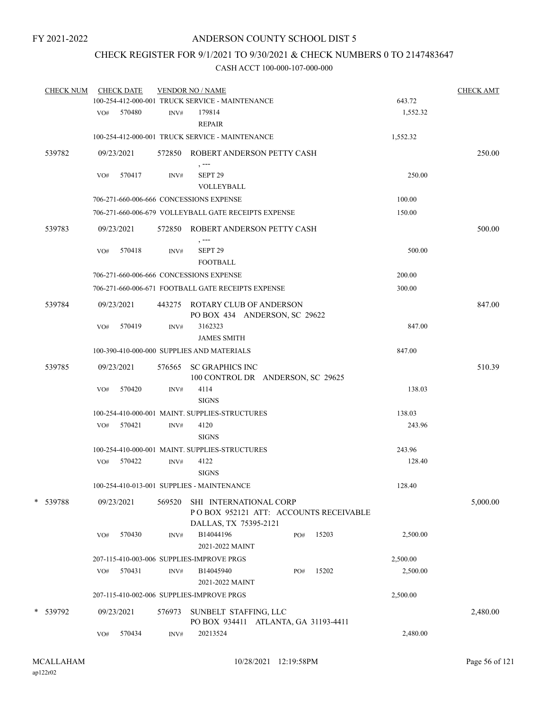# CHECK REGISTER FOR 9/1/2021 TO 9/30/2021 & CHECK NUMBERS 0 TO 2147483647

| <b>CHECK NUM</b> |     | <b>CHECK DATE</b> |        | <b>VENDOR NO / NAME</b><br>100-254-412-000-001 TRUCK SERVICE - MAINTENANCE               |     |       | 643.72   | <b>CHECK AMT</b> |
|------------------|-----|-------------------|--------|------------------------------------------------------------------------------------------|-----|-------|----------|------------------|
|                  |     | VO# 570480        | INV#   | 179814<br><b>REPAIR</b>                                                                  |     |       | 1,552.32 |                  |
|                  |     |                   |        | 100-254-412-000-001 TRUCK SERVICE - MAINTENANCE                                          |     |       | 1,552.32 |                  |
| 539782           |     | 09/23/2021        |        | 572850 ROBERT ANDERSON PETTY CASH                                                        |     |       |          | 250.00           |
|                  | VO# | 570417            | INV#   | , ---<br>SEPT <sub>29</sub><br>VOLLEYBALL                                                |     |       | 250.00   |                  |
|                  |     |                   |        | 706-271-660-006-666 CONCESSIONS EXPENSE                                                  |     |       | 100.00   |                  |
|                  |     |                   |        | 706-271-660-006-679 VOLLEYBALL GATE RECEIPTS EXPENSE                                     |     |       | 150.00   |                  |
| 539783           |     | 09/23/2021        |        | 572850 ROBERT ANDERSON PETTY CASH<br>$, --$                                              |     |       |          | 500.00           |
|                  | VO# | 570418            | INV#   | SEPT <sub>29</sub><br><b>FOOTBALL</b>                                                    |     |       | 500.00   |                  |
|                  |     |                   |        | 706-271-660-006-666 CONCESSIONS EXPENSE                                                  |     |       | 200.00   |                  |
|                  |     |                   |        | 706-271-660-006-671 FOOTBALL GATE RECEIPTS EXPENSE                                       |     |       | 300.00   |                  |
| 539784           |     | 09/23/2021        |        | 443275 ROTARY CLUB OF ANDERSON<br>PO BOX 434 ANDERSON, SC 29622                          |     |       |          | 847.00           |
|                  | VO# | 570419            | INV#   | 3162323<br><b>JAMES SMITH</b>                                                            |     |       | 847.00   |                  |
|                  |     |                   |        | 100-390-410-000-000 SUPPLIES AND MATERIALS                                               |     |       | 847.00   |                  |
| 539785           |     | 09/23/2021        |        | 576565 SC GRAPHICS INC<br>100 CONTROL DR ANDERSON, SC 29625                              |     |       |          | 510.39           |
|                  | VO# | 570420            | INV#   | 4114<br><b>SIGNS</b>                                                                     |     |       | 138.03   |                  |
|                  |     |                   |        | 100-254-410-000-001 MAINT. SUPPLIES-STRUCTURES                                           |     |       | 138.03   |                  |
|                  |     | VO# 570421        | INV#   | 4120<br><b>SIGNS</b>                                                                     |     |       | 243.96   |                  |
|                  |     |                   |        | 100-254-410-000-001 MAINT, SUPPLIES-STRUCTURES                                           |     |       | 243.96   |                  |
|                  |     | VO# 570422        | INV#   | 4122<br><b>SIGNS</b>                                                                     |     |       | 128.40   |                  |
|                  |     |                   |        | 100-254-410-013-001 SUPPLIES - MAINTENANCE                                               |     |       | 128.40   |                  |
| * 539788         |     | 09/23/2021        | 569520 | SHI INTERNATIONAL CORP<br>POBOX 952121 ATT: ACCOUNTS RECEIVABLE<br>DALLAS, TX 75395-2121 |     |       |          | 5,000.00         |
|                  | VO# | 570430            | INV#   | B14044196<br>2021-2022 MAINT                                                             | PO# | 15203 | 2,500.00 |                  |
|                  |     |                   |        | 207-115-410-003-006 SUPPLIES-IMPROVE PRGS                                                |     |       | 2,500.00 |                  |
|                  | VO# | 570431            | INV#   | B14045940<br>2021-2022 MAINT                                                             | PO# | 15202 | 2,500.00 |                  |
|                  |     |                   |        | 207-115-410-002-006 SUPPLIES-IMPROVE PRGS                                                |     |       | 2,500.00 |                  |
| * 539792         |     | 09/23/2021        | 576973 | SUNBELT STAFFING, LLC<br>PO BOX 934411 ATLANTA, GA 31193-4411                            |     |       |          | 2,480.00         |
|                  | VO# | 570434            | INV#   | 20213524                                                                                 |     |       | 2,480.00 |                  |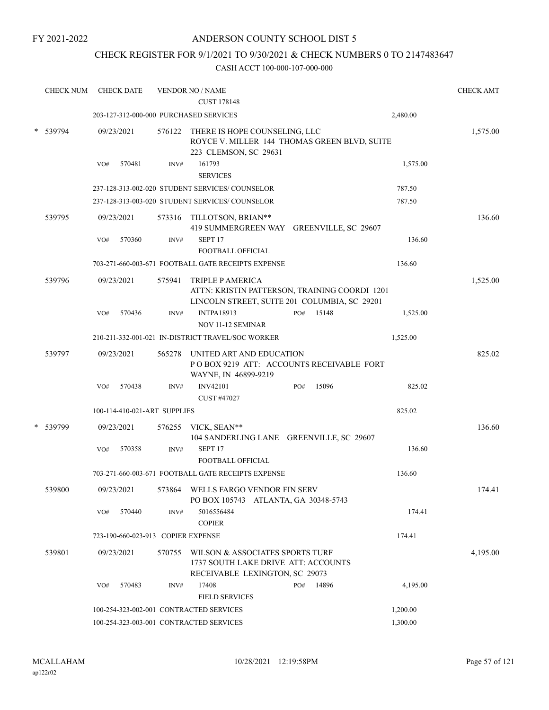### CHECK REGISTER FOR 9/1/2021 TO 9/30/2021 & CHECK NUMBERS 0 TO 2147483647

| <b>CHECK NUM</b> |     | <b>CHECK DATE</b>                  |        | <b>VENDOR NO / NAME</b><br><b>CUST 178148</b>                                                                            |     |       |          | <b>CHECK AMT</b> |
|------------------|-----|------------------------------------|--------|--------------------------------------------------------------------------------------------------------------------------|-----|-------|----------|------------------|
|                  |     |                                    |        | 203-127-312-000-000 PURCHASED SERVICES                                                                                   |     |       | 2,480.00 |                  |
| * 539794         |     | 09/23/2021                         |        | 576122 THERE IS HOPE COUNSELING, LLC<br>ROYCE V. MILLER 144 THOMAS GREEN BLVD, SUITE<br>223 CLEMSON, SC 29631            |     |       |          | 1,575.00         |
|                  | VO# | 570481                             | INV#   | 161793<br><b>SERVICES</b>                                                                                                |     |       | 1,575.00 |                  |
|                  |     |                                    |        | 237-128-313-002-020 STUDENT SERVICES/ COUNSELOR                                                                          |     |       | 787.50   |                  |
|                  |     |                                    |        | 237-128-313-003-020 STUDENT SERVICES/ COUNSELOR                                                                          |     |       | 787.50   |                  |
| 539795           |     | 09/23/2021                         |        | 573316 TILLOTSON, BRIAN**<br>419 SUMMERGREEN WAY GREENVILLE, SC 29607                                                    |     |       |          | 136.60           |
|                  | VO# | 570360                             | INV#   | SEPT <sub>17</sub><br>FOOTBALL OFFICIAL                                                                                  |     |       | 136.60   |                  |
|                  |     |                                    |        | 703-271-660-003-671 FOOTBALL GATE RECEIPTS EXPENSE                                                                       |     |       | 136.60   |                  |
| 539796           |     | 09/23/2021                         | 575941 | <b>TRIPLE P AMERICA</b><br>ATTN: KRISTIN PATTERSON, TRAINING COORDI 1201<br>LINCOLN STREET, SUITE 201 COLUMBIA, SC 29201 |     |       |          | 1,525.00         |
|                  | VO# | 570436                             | INV#   | <b>INTPA18913</b>                                                                                                        | PO# | 15148 | 1,525.00 |                  |
|                  |     |                                    |        | <b>NOV 11-12 SEMINAR</b><br>210-211-332-001-021 IN-DISTRICT TRAVEL/SOC WORKER                                            |     |       |          |                  |
|                  |     |                                    |        |                                                                                                                          |     |       | 1,525.00 |                  |
| 539797           |     | 09/23/2021                         | 565278 | UNITED ART AND EDUCATION<br>POBOX 9219 ATT: ACCOUNTS RECEIVABLE FORT<br>WAYNE, IN 46899-9219                             |     |       |          | 825.02           |
|                  | VO# | 570438                             | INV#   | <b>INV42101</b><br>CUST #47027                                                                                           | PO# | 15096 | 825.02   |                  |
|                  |     | 100-114-410-021-ART SUPPLIES       |        |                                                                                                                          |     |       | 825.02   |                  |
| 539799           |     | 09/23/2021                         | 576255 | VICK, SEAN**<br>104 SANDERLING LANE GREENVILLE, SC 29607                                                                 |     |       |          | 136.60           |
|                  | VO# | 570358                             | INV#   | SEPT <sub>17</sub>                                                                                                       |     |       | 136.60   |                  |
|                  |     |                                    |        | FOOTBALL OFFICIAL<br>703-271-660-003-671 FOOTBALL GATE RECEIPTS EXPENSE                                                  |     |       | 136.60   |                  |
|                  |     |                                    |        |                                                                                                                          |     |       |          |                  |
| 539800           |     | 09/23/2021                         |        | 573864 WELLS FARGO VENDOR FIN SERV<br>PO BOX 105743 ATLANTA, GA 30348-5743                                               |     |       |          | 174.41           |
|                  | VO# | 570440                             | INV#   | 5016556484<br><b>COPIER</b>                                                                                              |     |       | 174.41   |                  |
|                  |     | 723-190-660-023-913 COPIER EXPENSE |        |                                                                                                                          |     |       | 174.41   |                  |
| 539801           |     | 09/23/2021                         | 570755 | WILSON & ASSOCIATES SPORTS TURF<br>1737 SOUTH LAKE DRIVE ATT: ACCOUNTS<br>RECEIVABLE LEXINGTON, SC 29073                 |     |       |          | 4,195.00         |
|                  | VO# | 570483                             | INV#   | 17408<br><b>FIELD SERVICES</b>                                                                                           | PO# | 14896 | 4,195.00 |                  |
|                  |     |                                    |        | 100-254-323-002-001 CONTRACTED SERVICES                                                                                  |     |       | 1,200.00 |                  |
|                  |     |                                    |        | 100-254-323-003-001 CONTRACTED SERVICES                                                                                  |     |       | 1,300.00 |                  |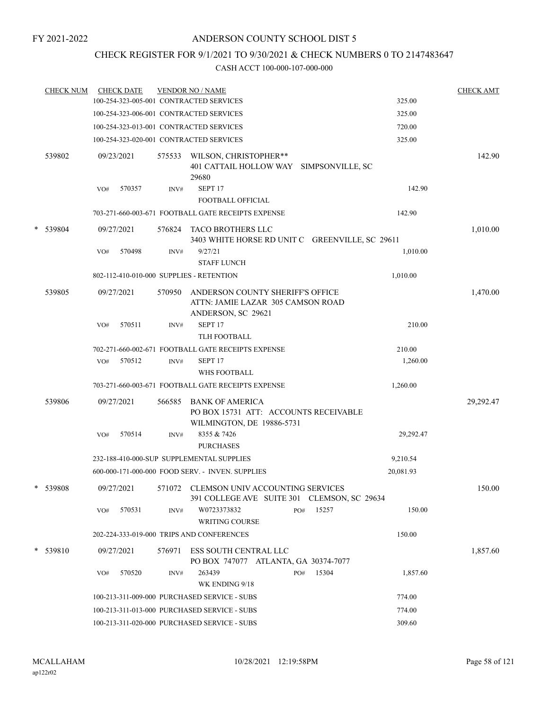### CHECK REGISTER FOR 9/1/2021 TO 9/30/2021 & CHECK NUMBERS 0 TO 2147483647

|   | <b>CHECK NUM</b> |     | <b>CHECK DATE</b> |        | <b>VENDOR NO / NAME</b><br>100-254-323-005-001 CONTRACTED SERVICES                                |           | <b>CHECK AMT</b> |
|---|------------------|-----|-------------------|--------|---------------------------------------------------------------------------------------------------|-----------|------------------|
|   |                  |     |                   |        |                                                                                                   | 325.00    |                  |
|   |                  |     |                   |        | 100-254-323-006-001 CONTRACTED SERVICES                                                           | 325.00    |                  |
|   |                  |     |                   |        | 100-254-323-013-001 CONTRACTED SERVICES                                                           | 720.00    |                  |
|   |                  |     |                   |        | 100-254-323-020-001 CONTRACTED SERVICES                                                           | 325.00    |                  |
|   | 539802           |     | 09/23/2021        | 575533 | WILSON, CHRISTOPHER**<br>401 CATTAIL HOLLOW WAY SIMPSONVILLE, SC<br>29680                         |           | 142.90           |
|   |                  | VO# | 570357            | INV#   | SEPT <sub>17</sub>                                                                                | 142.90    |                  |
|   |                  |     |                   |        | FOOTBALL OFFICIAL                                                                                 |           |                  |
|   |                  |     |                   |        | 703-271-660-003-671 FOOTBALL GATE RECEIPTS EXPENSE                                                | 142.90    |                  |
| * | 539804           |     | 09/27/2021        |        | 576824 TACO BROTHERS LLC<br>3403 WHITE HORSE RD UNIT C GREENVILLE, SC 29611                       |           | 1,010.00         |
|   |                  | VO# | 570498            | INV#   | 9/27/21<br><b>STAFF LUNCH</b>                                                                     | 1,010.00  |                  |
|   |                  |     |                   |        | 802-112-410-010-000 SUPPLIES - RETENTION                                                          | 1,010.00  |                  |
|   | 539805           |     | 09/27/2021        | 570950 | ANDERSON COUNTY SHERIFF'S OFFICE<br>ATTN: JAMIE LAZAR 305 CAMSON ROAD<br>ANDERSON, SC 29621       |           | 1,470.00         |
|   |                  | VO# | 570511            | INV#   | SEPT <sub>17</sub><br><b>TLH FOOTBALL</b>                                                         | 210.00    |                  |
|   |                  |     |                   |        | 702-271-660-002-671 FOOTBALL GATE RECEIPTS EXPENSE                                                | 210.00    |                  |
|   |                  | VO# | 570512            | INV#   | SEPT <sub>17</sub><br>WHS FOOTBALL                                                                | 1,260.00  |                  |
|   |                  |     |                   |        | 703-271-660-003-671 FOOTBALL GATE RECEIPTS EXPENSE                                                | 1,260.00  |                  |
|   | 539806           |     | 09/27/2021        |        | 566585 BANK OF AMERICA<br>PO BOX 15731 ATT: ACCOUNTS RECEIVABLE<br>WILMINGTON, DE 19886-5731      |           | 29,292.47        |
|   |                  | VO# | 570514            | INV#   | 8355 & 7426<br><b>PURCHASES</b>                                                                   | 29,292.47 |                  |
|   |                  |     |                   |        | 232-188-410-000-SUP SUPPLEMENTAL SUPPLIES                                                         | 9,210.54  |                  |
|   |                  |     |                   |        | 600-000-171-000-000 FOOD SERV. - INVEN. SUPPLIES                                                  | 20,081.93 |                  |
|   | 539808           |     |                   |        | 09/27/2021 571072 CLEMSON UNIV ACCOUNTING SERVICES<br>391 COLLEGE AVE SUITE 301 CLEMSON, SC 29634 |           | 150.00           |
|   |                  | VO# | 570531            | INV#   | 15257<br>W0723373832<br>PO#<br><b>WRITING COURSE</b>                                              | 150.00    |                  |
|   |                  |     |                   |        | 202-224-333-019-000 TRIPS AND CONFERENCES                                                         | 150.00    |                  |
|   | $*$ 539810       |     | 09/27/2021        | 576971 | ESS SOUTH CENTRAL LLC<br>PO BOX 747077 ATLANTA, GA 30374-7077                                     |           | 1,857.60         |
|   |                  | VO# | 570520            | INV#   | 263439<br>15304<br>PO#<br>WK ENDING 9/18                                                          | 1,857.60  |                  |
|   |                  |     |                   |        | 100-213-311-009-000 PURCHASED SERVICE - SUBS                                                      | 774.00    |                  |
|   |                  |     |                   |        | 100-213-311-013-000 PURCHASED SERVICE - SUBS                                                      | 774.00    |                  |
|   |                  |     |                   |        | 100-213-311-020-000 PURCHASED SERVICE - SUBS                                                      | 309.60    |                  |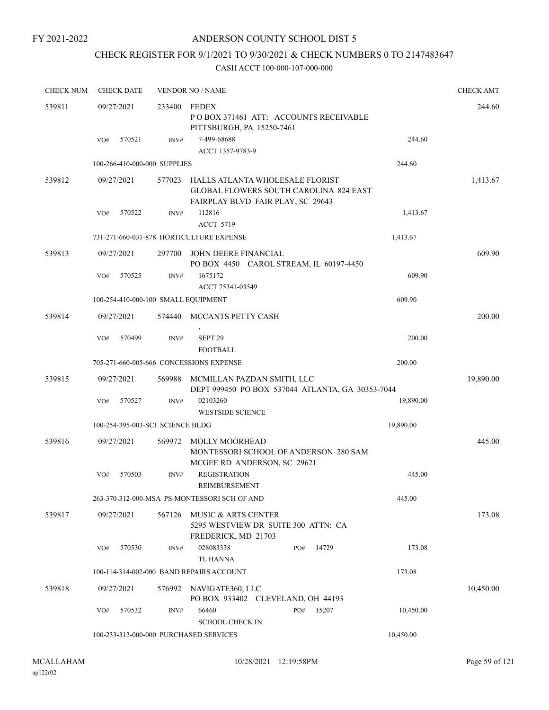### ANDERSON COUNTY SCHOOL DIST 5

# CHECK REGISTER FOR 9/1/2021 TO 9/30/2021 & CHECK NUMBERS 0 TO 2147483647

| <b>CHECK NUM</b> | <b>CHECK DATE</b>                      |        | <b>VENDOR NO / NAME</b>                                                                                               |              |           | <b>CHECK AMT</b> |
|------------------|----------------------------------------|--------|-----------------------------------------------------------------------------------------------------------------------|--------------|-----------|------------------|
| 539811           | 09/27/2021                             | 233400 | FEDEX<br>PO BOX 371461 ATT: ACCOUNTS RECEIVABLE<br>PITTSBURGH, PA 15250-7461                                          |              |           | 244.60           |
|                  | 570521<br>VO#                          | INV#   | 7-499-68688<br>ACCT 1357-9783-9                                                                                       |              | 244.60    |                  |
|                  | 100-266-410-000-000 SUPPLIES           |        |                                                                                                                       |              | 244.60    |                  |
| 539812           | 09/27/2021                             | 577023 | HALLS ATLANTA WHOLESALE FLORIST<br><b>GLOBAL FLOWERS SOUTH CAROLINA 824 EAST</b><br>FAIRPLAY BLVD FAIR PLAY, SC 29643 |              |           | 1,413.67         |
|                  | 570522<br>VO#                          | INV#   | 112816                                                                                                                |              | 1,413.67  |                  |
|                  |                                        |        | <b>ACCT 5719</b><br>731-271-660-031-878 HORTICULTURE EXPENSE                                                          |              | 1,413.67  |                  |
|                  |                                        |        |                                                                                                                       |              |           |                  |
| 539813           | 09/27/2021                             | 297700 | JOHN DEERE FINANCIAL<br>PO BOX 4450 CAROL STREAM, IL 60197-4450                                                       |              |           | 609.90           |
|                  | VO#<br>570525                          | INV#   | 1675172<br>ACCT 75341-03549                                                                                           |              | 609.90    |                  |
|                  | 100-254-410-000-100 SMALL EQUIPMENT    |        |                                                                                                                       |              | 609.90    |                  |
| 539814           | 09/27/2021                             | 574440 | MCCANTS PETTY CASH                                                                                                    |              |           | 200.00           |
|                  | 570499<br>VO#                          | INV#   | SEPT <sub>29</sub><br><b>FOOTBALL</b>                                                                                 |              | 200.00    |                  |
|                  |                                        |        | 705-271-660-005-666 CONCESSIONS EXPENSE                                                                               |              | 200.00    |                  |
| 539815           | 09/27/2021                             | 569988 | MCMILLAN PAZDAN SMITH, LLC<br>DEPT 999450 PO BOX 537044 ATLANTA, GA 30353-7044                                        |              |           | 19,890.00        |
|                  | 570527<br>VO#                          | INV#   | 02103260<br><b>WESTSIDE SCIENCE</b>                                                                                   |              | 19,890.00 |                  |
|                  | 100-254-395-003-SCI SCIENCE BLDG       |        |                                                                                                                       |              | 19,890.00 |                  |
| 539816           | 09/27/2021                             | 569972 | <b>MOLLY MOORHEAD</b><br>MONTESSORI SCHOOL OF ANDERSON 280 SAM<br>MCGEE RD ANDERSON, SC 29621                         |              |           | 445.00           |
|                  | 570503<br>VO#                          | INV#   | <b>REGISTRATION</b><br>REIMBURSEMENT                                                                                  |              | 445.00    |                  |
|                  |                                        |        | 263-370-312-000-MSA PS-MONTESSORI SCH OF AND                                                                          |              | 445.00    |                  |
| 539817           | 09/27/2021                             | 567126 | MUSIC & ARTS CENTER<br>5295 WESTVIEW DR SUITE 300 ATTN: CA<br>FREDERICK, MD 21703                                     |              |           | 173.08           |
|                  | 570530<br>VO#                          | INV#   | 028083338<br><b>TL HANNA</b>                                                                                          | 14729<br>PO# | 173.08    |                  |
|                  |                                        |        | 100-114-314-002-000 BAND REPAIRS ACCOUNT                                                                              |              | 173.08    |                  |
| 539818           | 09/27/2021                             | 576992 | NAVIGATE360, LLC<br>PO BOX 933402 CLEVELAND, OH 44193                                                                 |              |           | 10,450.00        |
|                  | 570532<br>VO#                          | INV#   | 66460<br><b>SCHOOL CHECK IN</b>                                                                                       | 15207<br>PO# | 10,450.00 |                  |
|                  | 100-233-312-000-000 PURCHASED SERVICES |        |                                                                                                                       |              | 10,450.00 |                  |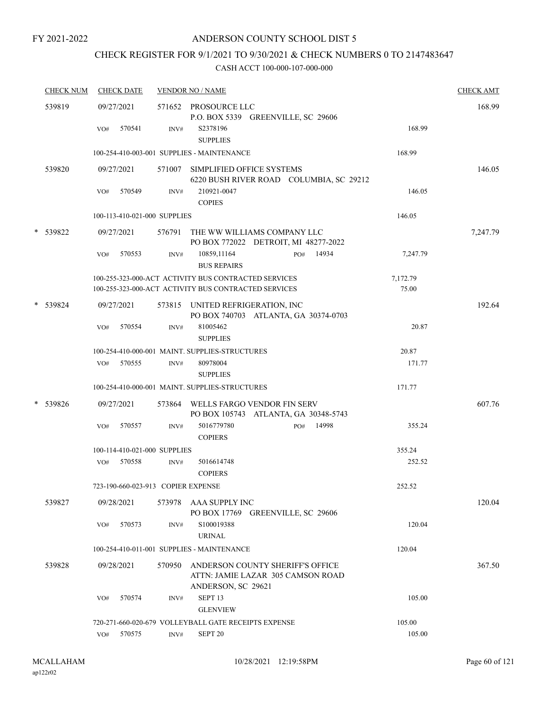# CHECK REGISTER FOR 9/1/2021 TO 9/30/2021 & CHECK NUMBERS 0 TO 2147483647

| <b>CHECK NUM</b> | <b>CHECK DATE</b>                  |        | <b>VENDOR NO / NAME</b>                                                                                      |                   | <b>CHECK AMT</b> |
|------------------|------------------------------------|--------|--------------------------------------------------------------------------------------------------------------|-------------------|------------------|
| 539819           | 09/27/2021                         |        | 571652 PROSOURCE LLC<br>P.O. BOX 5339 GREENVILLE, SC 29606                                                   |                   | 168.99           |
|                  | 570541<br>VO#                      | INV#   | S2378196<br><b>SUPPLIES</b>                                                                                  | 168.99            |                  |
|                  |                                    |        | 100-254-410-003-001 SUPPLIES - MAINTENANCE                                                                   | 168.99            |                  |
| 539820           | 09/27/2021                         |        | 571007 SIMPLIFIED OFFICE SYSTEMS<br>6220 BUSH RIVER ROAD COLUMBIA, SC 29212                                  |                   | 146.05           |
|                  | 570549<br>VO#                      | INV#   | 210921-0047<br><b>COPIES</b>                                                                                 | 146.05            |                  |
|                  | 100-113-410-021-000 SUPPLIES       |        |                                                                                                              | 146.05            |                  |
| * 539822         | 09/27/2021                         |        | 576791 THE WW WILLIAMS COMPANY LLC<br>PO BOX 772022 DETROIT, MI 48277-2022                                   |                   | 7,247.79         |
|                  | VO#<br>570553                      | INV#   | 10859,11164<br>14934<br>PO#<br><b>BUS REPAIRS</b>                                                            | 7,247.79          |                  |
|                  |                                    |        | 100-255-323-000-ACT ACTIVITY BUS CONTRACTED SERVICES<br>100-255-323-000-ACT ACTIVITY BUS CONTRACTED SERVICES | 7,172.79<br>75.00 |                  |
| * 539824         | 09/27/2021                         |        | 573815 UNITED REFRIGERATION, INC<br>PO BOX 740703 ATLANTA, GA 30374-0703                                     |                   | 192.64           |
|                  | 570554<br>VO#                      | INV#   | 81005462<br><b>SUPPLIES</b>                                                                                  | 20.87             |                  |
|                  | $VO#$ 570555                       | INV#   | 100-254-410-000-001 MAINT. SUPPLIES-STRUCTURES<br>80978004<br><b>SUPPLIES</b>                                | 20.87<br>171.77   |                  |
|                  |                                    |        | 100-254-410-000-001 MAINT. SUPPLIES-STRUCTURES                                                               | 171.77            |                  |
| * 539826         | 09/27/2021                         |        | 573864 WELLS FARGO VENDOR FIN SERV<br>PO BOX 105743 ATLANTA, GA 30348-5743                                   |                   | 607.76           |
|                  | 570557<br>VO#                      | INV#   | 5016779780<br>PO# 14998<br><b>COPIERS</b>                                                                    | 355.24            |                  |
|                  | 100-114-410-021-000 SUPPLIES       |        |                                                                                                              | 355.24            |                  |
|                  | 570558<br>VO#                      | INV#   | 5016614748<br><b>COPIERS</b>                                                                                 | 252.52            |                  |
|                  | 723-190-660-023-913 COPIER EXPENSE |        |                                                                                                              | 252.52            |                  |
| 539827           | 09/28/2021                         |        | 573978 AAA SUPPLY INC<br>PO BOX 17769 GREENVILLE, SC 29606                                                   |                   | 120.04           |
|                  | 570573<br>VO#                      | INV#   | S100019388<br><b>URINAL</b>                                                                                  | 120.04            |                  |
|                  |                                    |        | 100-254-410-011-001 SUPPLIES - MAINTENANCE                                                                   | 120.04            |                  |
| 539828           | 09/28/2021                         | 570950 | ANDERSON COUNTY SHERIFF'S OFFICE<br>ATTN: JAMIE LAZAR 305 CAMSON ROAD<br>ANDERSON, SC 29621                  |                   | 367.50           |
|                  | 570574<br>VO#                      | INV#   | SEPT <sub>13</sub><br><b>GLENVIEW</b>                                                                        | 105.00            |                  |
|                  |                                    |        | 720-271-660-020-679 VOLLEYBALL GATE RECEIPTS EXPENSE                                                         | 105.00            |                  |
|                  | 570575<br>VO#                      | INV#   | SEPT <sub>20</sub>                                                                                           | 105.00            |                  |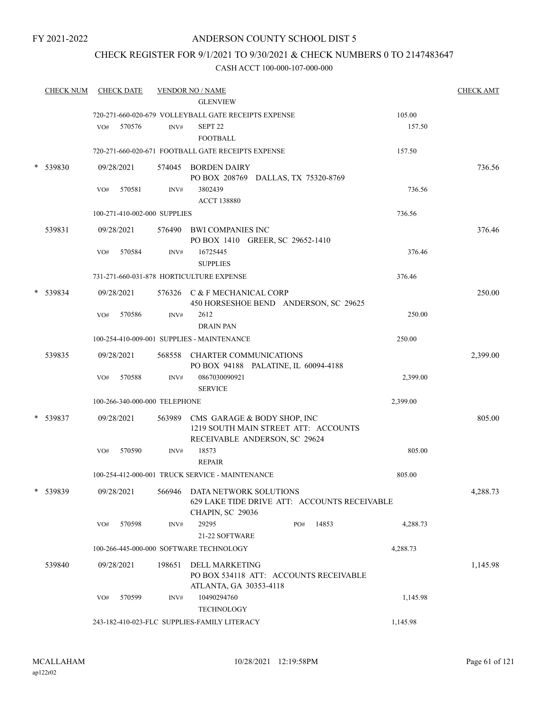### ANDERSON COUNTY SCHOOL DIST 5

### CHECK REGISTER FOR 9/1/2021 TO 9/30/2021 & CHECK NUMBERS 0 TO 2147483647

|        | <b>CHECK NUM</b> |     | <b>CHECK DATE</b>             |        | <b>VENDOR NO / NAME</b><br><b>GLENVIEW</b>                                                    |                                              |                  | <b>CHECK AMT</b> |
|--------|------------------|-----|-------------------------------|--------|-----------------------------------------------------------------------------------------------|----------------------------------------------|------------------|------------------|
|        |                  | VO# | 570576                        | INV#   | 720-271-660-020-679 VOLLEYBALL GATE RECEIPTS EXPENSE<br>SEPT <sub>22</sub><br><b>FOOTBALL</b> |                                              | 105.00<br>157.50 |                  |
|        |                  |     |                               |        | 720-271-660-020-671 FOOTBALL GATE RECEIPTS EXPENSE                                            |                                              | 157.50           |                  |
|        | 539830           |     | 09/28/2021                    |        | 574045 BORDEN DAIRY<br>PO BOX 208769 DALLAS, TX 75320-8769                                    |                                              |                  | 736.56           |
|        |                  | VO# | 570581                        | INV#   | 3802439<br><b>ACCT 138880</b>                                                                 |                                              | 736.56           |                  |
|        |                  |     | 100-271-410-002-000 SUPPLIES  |        |                                                                                               |                                              | 736.56           |                  |
|        | 539831           |     | 09/28/2021                    |        | 576490 BWI COMPANIES INC<br>PO BOX 1410 GREER, SC 29652-1410                                  |                                              |                  | 376.46           |
|        |                  | VO# | 570584                        | INV#   | 16725445<br><b>SUPPLIES</b>                                                                   |                                              | 376.46           |                  |
|        |                  |     |                               |        | 731-271-660-031-878 HORTICULTURE EXPENSE                                                      |                                              | 376.46           |                  |
|        | 539834           |     | 09/28/2021                    |        | 576326 C & F MECHANICAL CORP                                                                  | 450 HORSESHOE BEND ANDERSON, SC 29625        |                  | 250.00           |
|        |                  | VO# | 570586                        | INV#   | 2612<br><b>DRAIN PAN</b>                                                                      |                                              | 250.00           |                  |
|        |                  |     |                               |        | 100-254-410-009-001 SUPPLIES - MAINTENANCE                                                    |                                              | 250.00           |                  |
|        | 539835           |     | 09/28/2021                    | 568558 | CHARTER COMMUNICATIONS<br>PO BOX 94188 PALATINE, IL 60094-4188                                |                                              |                  | 2,399.00         |
|        |                  | VO# | 570588                        | INV#   | 0867030090921<br><b>SERVICE</b>                                                               |                                              | 2,399.00         |                  |
|        |                  |     | 100-266-340-000-000 TELEPHONE |        |                                                                                               |                                              | 2,399.00         |                  |
|        | 539837           |     | 09/28/2021                    |        | 563989 CMS GARAGE & BODY SHOP, INC<br>RECEIVABLE ANDERSON, SC 29624                           | 1219 SOUTH MAIN STREET ATT: ACCOUNTS         |                  | 805.00           |
|        |                  | VO# | 570590                        | INV#   | 18573<br><b>REPAIR</b>                                                                        |                                              | 805.00           |                  |
|        |                  |     |                               |        | 100-254-412-000-001 TRUCK SERVICE - MAINTENANCE                                               |                                              | 805.00           |                  |
| $\ast$ | 539839           |     | 09/28/2021                    | 566946 | DATA NETWORK SOLUTIONS<br>CHAPIN, SC 29036                                                    | 629 LAKE TIDE DRIVE ATT: ACCOUNTS RECEIVABLE |                  | 4,288.73         |
|        |                  | VO# | 570598                        | INV#   | 29295<br>21-22 SOFTWARE                                                                       | 14853<br>PO#                                 | 4,288.73         |                  |
|        |                  |     |                               |        | 100-266-445-000-000 SOFTWARE TECHNOLOGY                                                       |                                              | 4,288.73         |                  |
|        | 539840           |     | 09/28/2021                    | 198651 | <b>DELL MARKETING</b>                                                                         | PO BOX 534118 ATT: ACCOUNTS RECEIVABLE       |                  | 1,145.98         |
|        |                  | VO# | 570599                        | INV#   | ATLANTA, GA 30353-4118<br>10490294760<br><b>TECHNOLOGY</b>                                    |                                              | 1,145.98         |                  |
|        |                  |     |                               |        | 243-182-410-023-FLC SUPPLIES-FAMILY LITERACY                                                  | 1,145.98                                     |                  |                  |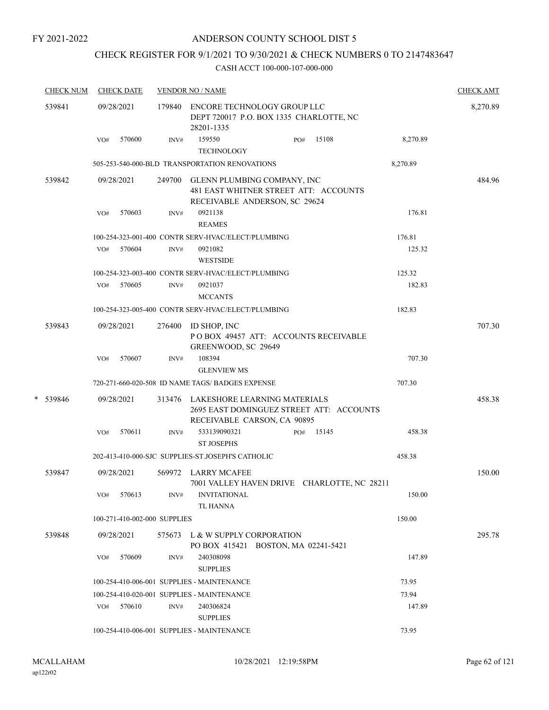# CHECK REGISTER FOR 9/1/2021 TO 9/30/2021 & CHECK NUMBERS 0 TO 2147483647

|   | <b>CHECK NUM</b> |            | <b>CHECK DATE</b>            |                                                                                             | <b>VENDOR NO / NAME</b>                                                                                        |        |       |          | <b>CHECK AMT</b> |
|---|------------------|------------|------------------------------|---------------------------------------------------------------------------------------------|----------------------------------------------------------------------------------------------------------------|--------|-------|----------|------------------|
|   | 539841           | 09/28/2021 |                              | 179840 ENCORE TECHNOLOGY GROUP LLC<br>DEPT 720017 P.O. BOX 1335 CHARLOTTE, NC<br>28201-1335 |                                                                                                                |        |       |          | 8,270.89         |
|   |                  | VO#        | 570600                       | INV#                                                                                        | 159550<br><b>TECHNOLOGY</b>                                                                                    | PO#    | 15108 | 8,270.89 |                  |
|   |                  |            |                              |                                                                                             | 505-253-540-000-BLD TRANSPORTATION RENOVATIONS                                                                 |        |       | 8,270.89 |                  |
|   | 539842           |            | 09/28/2021                   |                                                                                             | 249700 GLENN PLUMBING COMPANY, INC<br>481 EAST WHITNER STREET ATT: ACCOUNTS<br>RECEIVABLE ANDERSON, SC 29624   |        |       |          | 484.96           |
|   |                  | VO#        | 570603                       | INV#                                                                                        | 0921138                                                                                                        |        |       | 176.81   |                  |
|   |                  |            |                              |                                                                                             | <b>REAMES</b>                                                                                                  |        |       |          |                  |
|   |                  |            |                              |                                                                                             | 100-254-323-001-400 CONTR SERV-HVAC/ELECT/PLUMBING                                                             |        |       | 176.81   |                  |
|   |                  | VO#        | 570604                       | INV#                                                                                        | 0921082<br><b>WESTSIDE</b>                                                                                     |        |       | 125.32   |                  |
|   |                  |            |                              |                                                                                             | 100-254-323-003-400 CONTR SERV-HVAC/ELECT/PLUMBING                                                             |        |       | 125.32   |                  |
|   |                  |            | $VO#$ 570605                 | INV#                                                                                        | 0921037<br><b>MCCANTS</b>                                                                                      |        |       | 182.83   |                  |
|   |                  |            |                              |                                                                                             | 100-254-323-005-400 CONTR SERV-HVAC/ELECT/PLUMBING                                                             |        |       | 182.83   |                  |
|   | 539843           |            | 09/28/2021                   | 276400                                                                                      | ID SHOP, INC                                                                                                   |        |       |          | 707.30           |
|   |                  |            |                              |                                                                                             | POBOX 49457 ATT: ACCOUNTS RECEIVABLE<br>GREENWOOD, SC 29649                                                    |        |       |          |                  |
|   |                  | VO#        | 570607                       | INV#                                                                                        | 108394                                                                                                         |        |       | 707.30   |                  |
|   |                  |            |                              |                                                                                             | <b>GLENVIEW MS</b>                                                                                             |        |       |          |                  |
|   |                  |            |                              |                                                                                             | 720-271-660-020-508 ID NAME TAGS/ BADGES EXPENSE                                                               |        |       | 707.30   |                  |
| * | 539846           |            | 09/28/2021                   |                                                                                             | 313476 LAKESHORE LEARNING MATERIALS<br>2695 EAST DOMINGUEZ STREET ATT: ACCOUNTS<br>RECEIVABLE CARSON, CA 90895 |        |       |          | 458.38           |
|   |                  | VO#        | 570611                       | INV#                                                                                        | 533139090321<br><b>ST JOSEPHS</b>                                                                              | PO#    | 15145 | 458.38   |                  |
|   |                  |            |                              |                                                                                             | 202-413-410-000-SJC SUPPLIES-ST.JOSEPH'S CATHOLIC                                                              | 458.38 |       |          |                  |
|   | 539847           |            | 09/28/2021                   | 569972                                                                                      | LARRY MCAFEE<br>7001 VALLEY HAVEN DRIVE CHARLOTTE, NC 28211                                                    |        |       |          | 150.00           |
|   |                  | VO#        | 570613                       | INV#                                                                                        | <b>INVITATIONAL</b><br><b>TL HANNA</b>                                                                         |        |       | 150.00   |                  |
|   |                  |            | 100-271-410-002-000 SUPPLIES |                                                                                             |                                                                                                                |        |       | 150.00   |                  |
|   | 539848           |            | 09/28/2021                   | 575673                                                                                      | L & W SUPPLY CORPORATION<br>PO BOX 415421 BOSTON, MA 02241-5421                                                |        |       |          | 295.78           |
|   |                  | VO#        | 570609                       | INV#                                                                                        | 240308098<br><b>SUPPLIES</b>                                                                                   |        |       | 147.89   |                  |
|   |                  |            |                              |                                                                                             | 100-254-410-006-001 SUPPLIES - MAINTENANCE                                                                     |        |       | 73.95    |                  |
|   |                  |            |                              |                                                                                             | 100-254-410-020-001 SUPPLIES - MAINTENANCE                                                                     |        |       | 73.94    |                  |
|   |                  | VO#        | 570610                       | INV#                                                                                        | 240306824<br><b>SUPPLIES</b>                                                                                   |        |       | 147.89   |                  |
|   |                  |            |                              |                                                                                             | 100-254-410-006-001 SUPPLIES - MAINTENANCE                                                                     |        |       | 73.95    |                  |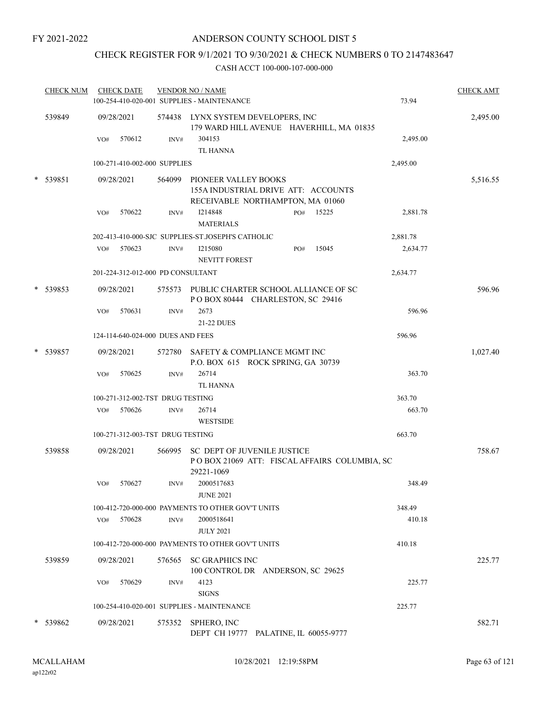# CHECK REGISTER FOR 9/1/2021 TO 9/30/2021 & CHECK NUMBERS 0 TO 2147483647

| <b>CHECK NUM</b> |     | <b>CHECK DATE</b>                 |        | <b>VENDOR NO / NAME</b><br>100-254-410-020-001 SUPPLIES - MAINTENANCE<br>73.94                   | <b>CHECK AMT</b> |
|------------------|-----|-----------------------------------|--------|--------------------------------------------------------------------------------------------------|------------------|
| 539849           |     | 09/28/2021                        |        | 574438 LYNX SYSTEM DEVELOPERS, INC<br>179 WARD HILL AVENUE HAVERHILL, MA 01835                   | 2,495.00         |
|                  | VO# | 570612                            | INV#   | 304153<br>2,495.00<br><b>TL HANNA</b>                                                            |                  |
|                  |     | 100-271-410-002-000 SUPPLIES      |        | 2,495.00                                                                                         |                  |
| * 539851         |     | 09/28/2021                        | 564099 | PIONEER VALLEY BOOKS<br>155A INDUSTRIAL DRIVE ATT: ACCOUNTS<br>RECEIVABLE NORTHAMPTON, MA 01060  | 5,516.55         |
|                  | VO# | 570622                            | INV#   | I214848<br>2,881.78<br>15225<br>PO#<br><b>MATERIALS</b>                                          |                  |
|                  |     |                                   |        | 202-413-410-000-SJC SUPPLIES-ST.JOSEPH'S CATHOLIC<br>2,881.78                                    |                  |
|                  | VO# | 570623                            | INV#   | I215080<br>15045<br>2,634.77<br>PO#<br><b>NEVITT FOREST</b>                                      |                  |
|                  |     | 201-224-312-012-000 PD CONSULTANT |        | 2,634.77                                                                                         |                  |
| * 539853         |     | 09/28/2021                        | 575573 | PUBLIC CHARTER SCHOOL ALLIANCE OF SC<br>POBOX 80444 CHARLESTON, SC 29416                         | 596.96           |
|                  | VO# | 570631                            | INV#   | 2673<br>596.96<br>21-22 DUES                                                                     |                  |
|                  |     | 124-114-640-024-000 DUES AND FEES |        | 596.96                                                                                           |                  |
| * 539857         |     | 09/28/2021                        |        | 572780 SAFETY & COMPLIANCE MGMT INC<br>P.O. BOX 615 ROCK SPRING, GA 30739                        | 1,027.40         |
|                  | VO# | 570625                            | INV#   | 26714<br>363.70<br><b>TL HANNA</b>                                                               |                  |
|                  |     | 100-271-312-002-TST DRUG TESTING  |        | 363.70                                                                                           |                  |
|                  | VO# | 570626                            | INV#   | 663.70<br>26714                                                                                  |                  |
|                  |     |                                   |        | <b>WESTSIDE</b>                                                                                  |                  |
|                  |     | 100-271-312-003-TST DRUG TESTING  |        | 663.70                                                                                           |                  |
| 539858           |     | 09/28/2021                        | 566995 | <b>SC DEPT OF JUVENILE JUSTICE</b><br>POBOX 21069 ATT: FISCAL AFFAIRS COLUMBIA, SC<br>29221-1069 | 758.67           |
|                  | VO# | 570627                            | INV#   | 348.49<br>2000517683<br><b>JUNE 2021</b>                                                         |                  |
|                  |     |                                   |        | 100-412-720-000-000 PAYMENTS TO OTHER GOV'T UNITS<br>348.49                                      |                  |
|                  | VO# | 570628                            | INV#   | 2000518641<br>410.18<br><b>JULY 2021</b>                                                         |                  |
|                  |     |                                   |        | 100-412-720-000-000 PAYMENTS TO OTHER GOV'T UNITS<br>410.18                                      |                  |
| 539859           |     | 09/28/2021                        |        | 576565 SC GRAPHICS INC<br>100 CONTROL DR ANDERSON, SC 29625                                      | 225.77           |
|                  | VO# | 570629                            | INV#   | 4123<br>225.77<br><b>SIGNS</b>                                                                   |                  |
|                  |     |                                   |        | 100-254-410-020-001 SUPPLIES - MAINTENANCE<br>225.77                                             |                  |
| * 539862         |     | 09/28/2021                        |        | 575352 SPHERO, INC<br>DEPT CH 19777 PALATINE, IL 60055-9777                                      | 582.71           |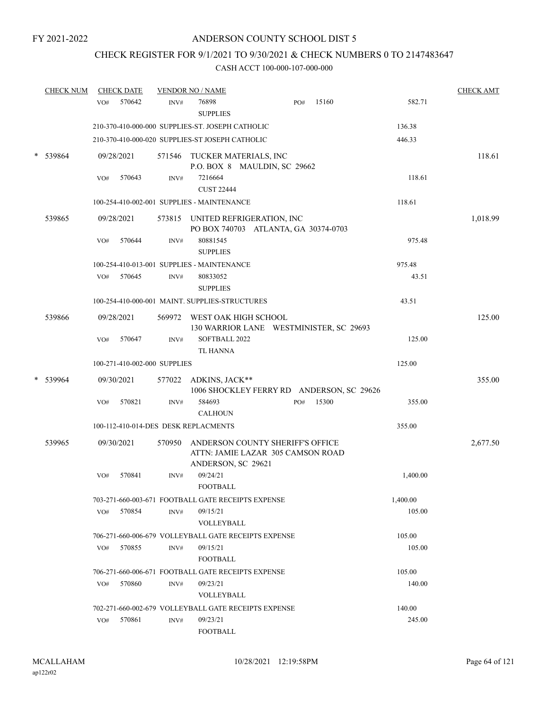# CHECK REGISTER FOR 9/1/2021 TO 9/30/2021 & CHECK NUMBERS 0 TO 2147483647

|        | <b>CHECK NUM</b> | <b>CHECK DATE</b> |                                                | <b>VENDOR NO / NAME</b>                                                                     |  |     |       |          |          | <b>CHECK AMT</b> |
|--------|------------------|-------------------|------------------------------------------------|---------------------------------------------------------------------------------------------|--|-----|-------|----------|----------|------------------|
|        |                  | 570642<br>VO#     | INV#                                           | 76898<br><b>SUPPLIES</b>                                                                    |  | PO# | 15160 |          | 582.71   |                  |
|        |                  |                   |                                                | 210-370-410-000-000 SUPPLIES-ST. JOSEPH CATHOLIC                                            |  |     |       | 136.38   |          |                  |
|        |                  |                   |                                                | 210-370-410-000-020 SUPPLIES-ST JOSEPH CATHOLIC                                             |  |     |       | 446.33   |          |                  |
| $\ast$ | 539864           | 09/28/2021        |                                                | 571546 TUCKER MATERIALS, INC<br>P.O. BOX 8 MAULDIN, SC 29662                                |  |     |       |          |          | 118.61           |
|        |                  | 570643<br>VO#     | INV#                                           | 7216664<br><b>CUST 22444</b>                                                                |  |     |       |          | 118.61   |                  |
|        |                  |                   |                                                | 100-254-410-002-001 SUPPLIES - MAINTENANCE                                                  |  |     |       | 118.61   |          |                  |
|        | 539865           | 09/28/2021        |                                                | 573815 UNITED REFRIGERATION, INC<br>PO BOX 740703 ATLANTA, GA 30374-0703                    |  |     |       |          |          | 1,018.99         |
|        |                  | 570644<br>VO#     | INV#                                           | 80881545<br><b>SUPPLIES</b>                                                                 |  |     |       |          | 975.48   |                  |
|        |                  |                   |                                                | 100-254-410-013-001 SUPPLIES - MAINTENANCE                                                  |  |     |       | 975.48   |          |                  |
|        |                  | 570645<br>VO#     | INV#                                           | 80833052<br><b>SUPPLIES</b>                                                                 |  |     |       |          | 43.51    |                  |
|        |                  |                   |                                                | 100-254-410-000-001 MAINT. SUPPLIES-STRUCTURES                                              |  |     |       |          | 43.51    |                  |
|        | 539866           | 09/28/2021        | 569972                                         | WEST OAK HIGH SCHOOL<br>130 WARRIOR LANE WESTMINISTER, SC 29693                             |  |     |       |          |          | 125.00           |
|        |                  | 570647<br>VO#     | INV#                                           | SOFTBALL 2022<br><b>TL HANNA</b>                                                            |  |     |       |          | 125.00   |                  |
|        |                  |                   | 100-271-410-002-000 SUPPLIES                   |                                                                                             |  |     |       | 125.00   |          |                  |
|        | 539964           | 09/30/2021        | 577022                                         | ADKINS, JACK**<br>1006 SHOCKLEY FERRY RD ANDERSON, SC 29626                                 |  |     |       |          |          | 355.00           |
|        |                  | 570821<br>VO#     | INV#                                           | 584693<br><b>CALHOUN</b>                                                                    |  | PO# | 15300 |          | 355.00   |                  |
|        |                  |                   | 100-112-410-014-DES DESK REPLACMENTS<br>355.00 |                                                                                             |  |     |       |          |          |                  |
|        | 539965           | 09/30/2021        | 570950                                         | ANDERSON COUNTY SHERIFF'S OFFICE<br>ATTN: JAMIE LAZAR 305 CAMSON ROAD<br>ANDERSON, SC 29621 |  |     |       |          |          | 2,677.50         |
|        |                  | 570841<br>VO#     | INV#                                           | 09/24/21<br><b>FOOTBALL</b>                                                                 |  |     |       |          | 1,400.00 |                  |
|        |                  |                   |                                                | 703-271-660-003-671 FOOTBALL GATE RECEIPTS EXPENSE                                          |  |     |       | 1.400.00 |          |                  |
|        |                  | 570854<br>VO#     | INV#                                           | 09/15/21<br>VOLLEYBALL                                                                      |  |     |       |          | 105.00   |                  |
|        |                  |                   |                                                | 706-271-660-006-679 VOLLEYBALL GATE RECEIPTS EXPENSE                                        |  |     |       | 105.00   |          |                  |
|        |                  | $VO#$ 570855      | INV#                                           | 09/15/21<br><b>FOOTBALL</b>                                                                 |  |     |       |          | 105.00   |                  |
|        |                  |                   |                                                | 706-271-660-006-671 FOOTBALL GATE RECEIPTS EXPENSE                                          |  |     |       | 105.00   |          |                  |
|        |                  | 570860<br>VO#     | INV#                                           | 09/23/21<br>VOLLEYBALL                                                                      |  |     |       |          | 140.00   |                  |
|        |                  |                   |                                                | 702-271-660-002-679 VOLLEYBALL GATE RECEIPTS EXPENSE                                        |  |     |       | 140.00   |          |                  |
|        |                  | 570861<br>VO#     | INV#                                           | 09/23/21<br><b>FOOTBALL</b>                                                                 |  |     |       |          | 245.00   |                  |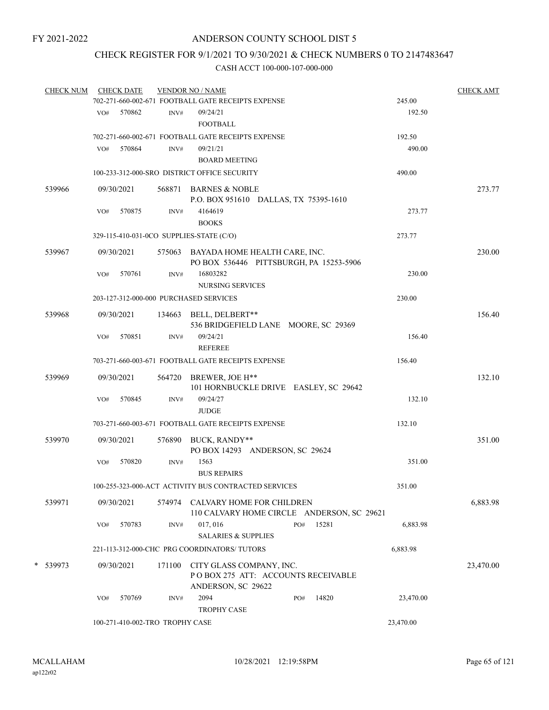### CHECK REGISTER FOR 9/1/2021 TO 9/30/2021 & CHECK NUMBERS 0 TO 2147483647

| <b>CHECK NUM</b> | <b>CHECK DATE</b>                      |                                                    | <b>VENDOR NO / NAME</b>                                                              |     |        |           | <b>CHECK AMT</b> |  |
|------------------|----------------------------------------|----------------------------------------------------|--------------------------------------------------------------------------------------|-----|--------|-----------|------------------|--|
|                  |                                        |                                                    | 702-271-660-002-671 FOOTBALL GATE RECEIPTS EXPENSE                                   |     |        | 245.00    |                  |  |
|                  | 570862<br>VO#                          | INV#                                               | 09/24/21                                                                             |     |        | 192.50    |                  |  |
|                  |                                        |                                                    | <b>FOOTBALL</b>                                                                      |     |        |           |                  |  |
|                  |                                        |                                                    | 702-271-660-002-671 FOOTBALL GATE RECEIPTS EXPENSE                                   |     |        | 192.50    |                  |  |
|                  | 570864<br>VO#                          | INV#                                               | 09/21/21                                                                             |     |        | 490.00    |                  |  |
|                  |                                        |                                                    | <b>BOARD MEETING</b>                                                                 |     |        |           |                  |  |
|                  |                                        |                                                    | 100-233-312-000-SRO DISTRICT OFFICE SECURITY                                         |     | 490.00 |           |                  |  |
| 539966           | 09/30/2021                             |                                                    | 568871 BARNES & NOBLE<br>P.O. BOX 951610 DALLAS, TX 75395-1610                       |     |        |           | 273.77           |  |
|                  | VO#<br>570875                          | INV#                                               | 4164619<br><b>BOOKS</b>                                                              |     |        | 273.77    |                  |  |
|                  |                                        | 273.77<br>329-115-410-031-0CO SUPPLIES-STATE (C/O) |                                                                                      |     |        |           |                  |  |
| 539967           | 09/30/2021                             |                                                    | 575063 BAYADA HOME HEALTH CARE, INC.<br>PO BOX 536446 PITTSBURGH, PA 15253-5906      |     |        |           | 230.00           |  |
|                  | 570761<br>VO#                          | INV#                                               | 16803282<br><b>NURSING SERVICES</b>                                                  |     |        | 230.00    |                  |  |
|                  | 203-127-312-000-000 PURCHASED SERVICES |                                                    |                                                                                      |     |        | 230.00    |                  |  |
|                  |                                        |                                                    |                                                                                      |     |        |           |                  |  |
| 539968           | 09/30/2021                             | 134663                                             | BELL, DELBERT**                                                                      |     |        |           | 156.40           |  |
|                  | 570851<br>VO#                          | INV#                                               | 536 BRIDGEFIELD LANE MOORE, SC 29369<br>09/24/21                                     |     |        | 156.40    |                  |  |
|                  |                                        |                                                    | <b>REFEREE</b>                                                                       |     |        |           |                  |  |
|                  |                                        |                                                    | 703-271-660-003-671 FOOTBALL GATE RECEIPTS EXPENSE                                   |     |        | 156.40    |                  |  |
|                  |                                        |                                                    |                                                                                      |     |        |           |                  |  |
| 539969           | 09/30/2021                             |                                                    | 564720 BREWER, JOE H**<br>101 HORNBUCKLE DRIVE EASLEY, SC 29642                      |     |        |           | 132.10           |  |
|                  | 570845<br>VO#                          | INV#                                               | 09/24/27<br><b>JUDGE</b>                                                             |     |        | 132.10    |                  |  |
|                  |                                        |                                                    | 703-271-660-003-671 FOOTBALL GATE RECEIPTS EXPENSE                                   |     |        | 132.10    |                  |  |
| 539970           | 09/30/2021                             |                                                    | 576890 BUCK, RANDY**<br>PO BOX 14293 ANDERSON, SC 29624                              |     |        |           | 351.00           |  |
|                  | 570820<br>VO#                          | INV#                                               | 1563<br><b>BUS REPAIRS</b>                                                           |     |        | 351.00    |                  |  |
|                  |                                        |                                                    | 100-255-323-000-ACT ACTIVITY BUS CONTRACTED SERVICES                                 |     |        | 351.00    |                  |  |
|                  |                                        |                                                    |                                                                                      |     |        |           |                  |  |
| 539971           | 09/30/2021                             | 574974                                             | CALVARY HOME FOR CHILDREN<br>110 CALVARY HOME CIRCLE ANDERSON, SC 29621              |     |        |           | 6,883.98         |  |
|                  | 570783<br>VO#                          | INV#                                               | 017, 016                                                                             | PO# | 15281  | 6,883.98  |                  |  |
|                  |                                        |                                                    | <b>SALARIES &amp; SUPPLIES</b>                                                       |     |        |           |                  |  |
|                  |                                        |                                                    | 221-113-312-000-CHC PRG COORDINATORS/TUTORS                                          |     |        | 6,883.98  |                  |  |
| * 539973         | 09/30/2021                             | 171100                                             | CITY GLASS COMPANY, INC.<br>POBOX 275 ATT: ACCOUNTS RECEIVABLE<br>ANDERSON, SC 29622 |     |        |           | 23,470.00        |  |
|                  | 570769<br>VO#                          | INV#                                               | 2094                                                                                 | PO# | 14820  | 23,470.00 |                  |  |
|                  |                                        |                                                    | <b>TROPHY CASE</b>                                                                   |     |        |           |                  |  |
|                  | 100-271-410-002-TRO TROPHY CASE        |                                                    |                                                                                      |     |        | 23,470.00 |                  |  |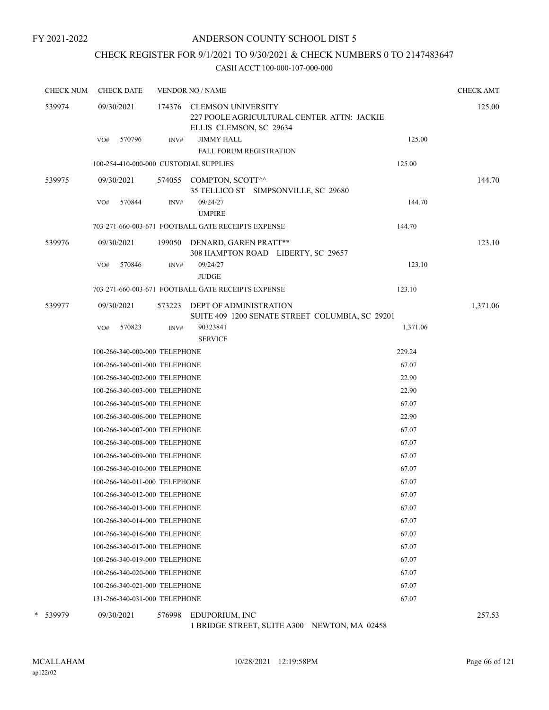#### ANDERSON COUNTY SCHOOL DIST 5

# CHECK REGISTER FOR 9/1/2021 TO 9/30/2021 & CHECK NUMBERS 0 TO 2147483647

#### CASH ACCT 100-000-107-000-000

| <b>CHECK NUM</b> | <b>CHECK DATE</b>                      |        | <b>VENDOR NO / NAME</b>                                                                     |          | <b>CHECK AMT</b> |
|------------------|----------------------------------------|--------|---------------------------------------------------------------------------------------------|----------|------------------|
| 539974           | 09/30/2021                             | 174376 | CLEMSON UNIVERSITY<br>227 POOLE AGRICULTURAL CENTER ATTN: JACKIE<br>ELLIS CLEMSON, SC 29634 |          | 125.00           |
|                  | 570796<br>VO#                          | INV#   | <b>JIMMY HALL</b><br><b>FALL FORUM REGISTRATION</b>                                         | 125.00   |                  |
|                  | 100-254-410-000-000 CUSTODIAL SUPPLIES |        |                                                                                             | 125.00   |                  |
| 539975           | 09/30/2021                             |        | 574055 COMPTON, SCOTT^^                                                                     |          | 144.70           |
|                  |                                        |        | 35 TELLICO ST SIMPSONVILLE, SC 29680                                                        |          |                  |
|                  | 570844<br>VO#                          | INV#   | 09/24/27<br><b>UMPIRE</b>                                                                   | 144.70   |                  |
|                  |                                        |        | 703-271-660-003-671 FOOTBALL GATE RECEIPTS EXPENSE                                          | 144.70   |                  |
| 539976           | 09/30/2021                             |        | 199050 DENARD, GAREN PRATT**<br>308 HAMPTON ROAD LIBERTY, SC 29657                          |          | 123.10           |
|                  | VO#<br>570846                          | INV#   | 09/24/27<br><b>JUDGE</b>                                                                    | 123.10   |                  |
|                  |                                        |        | 703-271-660-003-671 FOOTBALL GATE RECEIPTS EXPENSE                                          | 123.10   |                  |
| 539977           | 09/30/2021                             |        | 573223 DEPT OF ADMINISTRATION<br>SUITE 409 1200 SENATE STREET COLUMBIA, SC 29201            |          | 1,371.06         |
|                  | 570823<br>VO#                          | INV#   | 90323841                                                                                    | 1,371.06 |                  |
|                  |                                        |        | <b>SERVICE</b>                                                                              |          |                  |
|                  | 100-266-340-000-000 TELEPHONE          |        |                                                                                             | 229.24   |                  |
|                  | 100-266-340-001-000 TELEPHONE          |        |                                                                                             | 67.07    |                  |
|                  | 100-266-340-002-000 TELEPHONE          |        |                                                                                             | 22.90    |                  |
|                  | 100-266-340-003-000 TELEPHONE          |        |                                                                                             | 22.90    |                  |
|                  | 100-266-340-005-000 TELEPHONE          |        |                                                                                             | 67.07    |                  |
|                  | 100-266-340-006-000 TELEPHONE          |        |                                                                                             | 22.90    |                  |
|                  | 100-266-340-007-000 TELEPHONE          |        |                                                                                             | 67.07    |                  |
|                  | 100-266-340-008-000 TELEPHONE          |        |                                                                                             | 67.07    |                  |
|                  | 100-266-340-009-000 TELEPHONE          |        |                                                                                             | 67.07    |                  |
|                  | 100-266-340-010-000 TELEPHONE          |        |                                                                                             | 67.07    |                  |
|                  | 100-266-340-011-000 TELEPHONE          |        |                                                                                             | 67.07    |                  |
|                  | 100-266-340-012-000 TELEPHONE          |        |                                                                                             | 67.07    |                  |
|                  | 100-266-340-013-000 TELEPHONE          |        |                                                                                             | 67.07    |                  |
|                  | 100-266-340-014-000 TELEPHONE          |        |                                                                                             | 67.07    |                  |
|                  | 100-266-340-016-000 TELEPHONE          |        |                                                                                             | 67.07    |                  |
|                  | 100-266-340-017-000 TELEPHONE          |        |                                                                                             | 67.07    |                  |
|                  | 100-266-340-019-000 TELEPHONE          |        |                                                                                             | 67.07    |                  |
|                  | 100-266-340-020-000 TELEPHONE          |        |                                                                                             | 67.07    |                  |
|                  | 100-266-340-021-000 TELEPHONE          |        |                                                                                             | 67.07    |                  |
|                  | 131-266-340-031-000 TELEPHONE          |        |                                                                                             | 67.07    |                  |
| * 539979         | 09/30/2021                             |        | 576998 EDUPORIUM, INC                                                                       |          | 257.53           |

1 BRIDGE STREET, SUITE A300 NEWTON, MA 02458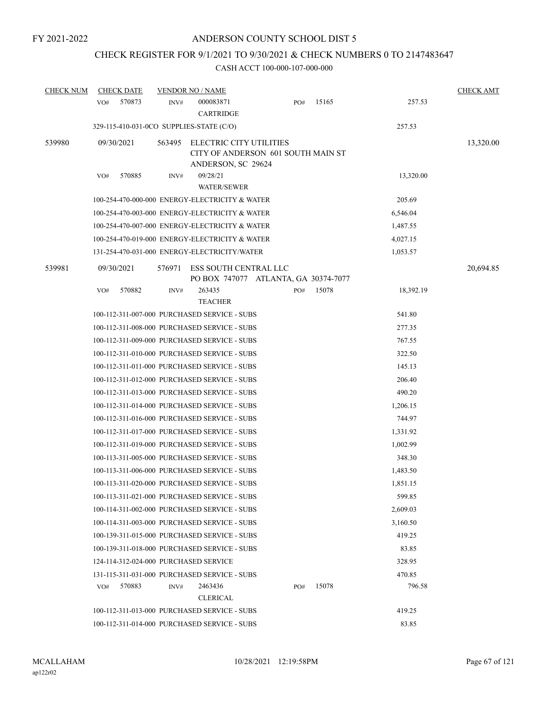# CHECK REGISTER FOR 9/1/2021 TO 9/30/2021 & CHECK NUMBERS 0 TO 2147483647

| <b>CHECK NUM</b> | <b>CHECK DATE</b> |                                       | <b>VENDOR NO / NAME</b>                                                             |     |       |           | <b>CHECK AMT</b> |
|------------------|-------------------|---------------------------------------|-------------------------------------------------------------------------------------|-----|-------|-----------|------------------|
|                  | 570873<br>VO#     | INV#                                  | 000083871<br><b>CARTRIDGE</b>                                                       | PO# | 15165 | 257.53    |                  |
|                  |                   |                                       | 329-115-410-031-0CO SUPPLIES-STATE (C/O)                                            |     |       | 257.53    |                  |
| 539980           | 09/30/2021        | 563495                                | ELECTRIC CITY UTILITIES<br>CITY OF ANDERSON 601 SOUTH MAIN ST<br>ANDERSON, SC 29624 |     |       |           | 13,320.00        |
|                  | 570885<br>VO#     | INV#                                  | 09/28/21<br><b>WATER/SEWER</b>                                                      |     |       | 13,320.00 |                  |
|                  |                   |                                       | 100-254-470-000-000 ENERGY-ELECTRICITY & WATER                                      |     |       | 205.69    |                  |
|                  |                   |                                       | 100-254-470-003-000 ENERGY-ELECTRICITY & WATER                                      |     |       | 6,546.04  |                  |
|                  |                   |                                       | 100-254-470-007-000 ENERGY-ELECTRICITY & WATER                                      |     |       | 1,487.55  |                  |
|                  |                   |                                       | 100-254-470-019-000 ENERGY-ELECTRICITY & WATER                                      |     |       | 4,027.15  |                  |
|                  |                   |                                       | 131-254-470-031-000 ENERGY-ELECTRICITY/WATER                                        |     |       | 1,053.57  |                  |
| 539981           | 09/30/2021        | 576971                                | ESS SOUTH CENTRAL LLC<br>PO BOX 747077 ATLANTA, GA 30374-7077                       |     |       |           | 20,694.85        |
|                  | VO#<br>570882     | INV#                                  | 263435<br><b>TEACHER</b>                                                            | PO# | 15078 | 18,392.19 |                  |
|                  |                   |                                       | 100-112-311-007-000 PURCHASED SERVICE - SUBS                                        |     |       | 541.80    |                  |
|                  |                   |                                       | 100-112-311-008-000 PURCHASED SERVICE - SUBS                                        |     |       | 277.35    |                  |
|                  |                   |                                       | 100-112-311-009-000 PURCHASED SERVICE - SUBS                                        |     |       | 767.55    |                  |
|                  |                   |                                       | 100-112-311-010-000 PURCHASED SERVICE - SUBS                                        |     |       | 322.50    |                  |
|                  |                   |                                       | 100-112-311-011-000 PURCHASED SERVICE - SUBS                                        |     |       | 145.13    |                  |
|                  |                   |                                       | 100-112-311-012-000 PURCHASED SERVICE - SUBS                                        |     |       | 206.40    |                  |
|                  |                   |                                       | 100-112-311-013-000 PURCHASED SERVICE - SUBS                                        |     |       | 490.20    |                  |
|                  |                   |                                       | 100-112-311-014-000 PURCHASED SERVICE - SUBS                                        |     |       | 1,206.15  |                  |
|                  |                   |                                       | 100-112-311-016-000 PURCHASED SERVICE - SUBS                                        |     |       | 744.97    |                  |
|                  |                   |                                       | 100-112-311-017-000 PURCHASED SERVICE - SUBS                                        |     |       | 1,331.92  |                  |
|                  |                   |                                       | 100-112-311-019-000 PURCHASED SERVICE - SUBS                                        |     |       | 1,002.99  |                  |
|                  |                   |                                       | 100-113-311-005-000 PURCHASED SERVICE - SUBS                                        |     |       | 348.30    |                  |
|                  |                   |                                       | 100-113-311-006-000 PURCHASED SERVICE - SUBS                                        |     |       | 1,483.50  |                  |
|                  |                   |                                       | 100-113-311-020-000 PURCHASED SERVICE - SUBS                                        |     |       | 1,851.15  |                  |
|                  |                   |                                       | 100-113-311-021-000 PURCHASED SERVICE - SUBS                                        |     |       | 599.85    |                  |
|                  |                   |                                       | 100-114-311-002-000 PURCHASED SERVICE - SUBS                                        |     |       | 2,609.03  |                  |
|                  |                   |                                       | 100-114-311-003-000 PURCHASED SERVICE - SUBS                                        |     |       | 3,160.50  |                  |
|                  |                   |                                       | 100-139-311-015-000 PURCHASED SERVICE - SUBS                                        |     |       | 419.25    |                  |
|                  |                   |                                       | 100-139-311-018-000 PURCHASED SERVICE - SUBS                                        |     |       | 83.85     |                  |
|                  |                   | 124-114-312-024-000 PURCHASED SERVICE |                                                                                     |     |       | 328.95    |                  |
|                  |                   |                                       | 131-115-311-031-000 PURCHASED SERVICE - SUBS                                        |     |       | 470.85    |                  |
|                  | 570883<br>VO#     | INV#                                  | 2463436<br><b>CLERICAL</b>                                                          | PO# | 15078 | 796.58    |                  |
|                  |                   |                                       | 100-112-311-013-000 PURCHASED SERVICE - SUBS                                        |     |       | 419.25    |                  |
|                  |                   |                                       | 100-112-311-014-000 PURCHASED SERVICE - SUBS                                        |     |       | 83.85     |                  |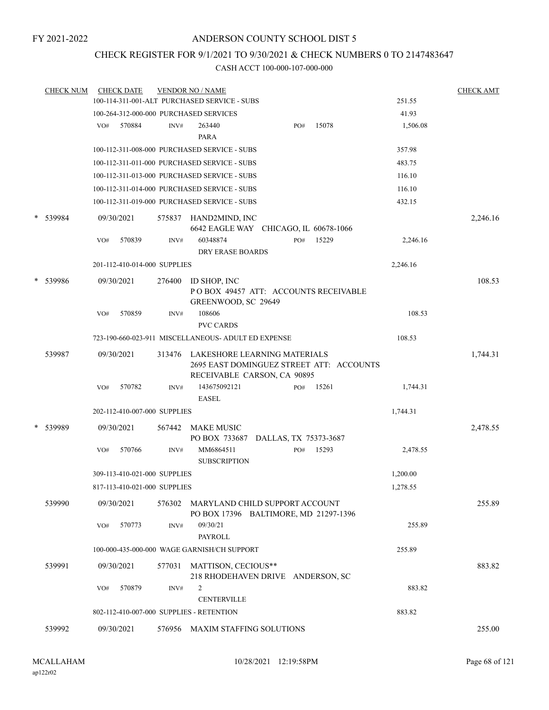### CHECK REGISTER FOR 9/1/2021 TO 9/30/2021 & CHECK NUMBERS 0 TO 2147483647

| <b>CHECK NUM</b> |     | <b>CHECK DATE</b>            |        | <b>VENDOR NO / NAME</b><br>100-114-311-001-ALT PURCHASED SERVICE - SUBS                                 |     |       | 251.55   | <b>CHECK AMT</b> |
|------------------|-----|------------------------------|--------|---------------------------------------------------------------------------------------------------------|-----|-------|----------|------------------|
|                  |     |                              |        |                                                                                                         |     |       |          |                  |
|                  |     |                              |        | 100-264-312-000-000 PURCHASED SERVICES                                                                  |     | 15078 | 41.93    |                  |
|                  | VO# | 570884                       | INV#   | 263440<br>PARA                                                                                          | PO# |       | 1,506.08 |                  |
|                  |     |                              |        | 100-112-311-008-000 PURCHASED SERVICE - SUBS                                                            |     |       | 357.98   |                  |
|                  |     |                              |        |                                                                                                         |     |       |          |                  |
|                  |     |                              |        | 100-112-311-011-000 PURCHASED SERVICE - SUBS                                                            |     |       | 483.75   |                  |
|                  |     |                              |        | 100-112-311-013-000 PURCHASED SERVICE - SUBS                                                            |     |       | 116.10   |                  |
|                  |     |                              |        | 100-112-311-014-000 PURCHASED SERVICE - SUBS                                                            |     |       | 116.10   |                  |
|                  |     |                              |        | 100-112-311-019-000 PURCHASED SERVICE - SUBS                                                            |     |       | 432.15   |                  |
| * 539984         |     | 09/30/2021                   |        | 575837 HAND2MIND, INC<br>6642 EAGLE WAY CHICAGO, IL 60678-1066                                          |     |       |          | 2,246.16         |
|                  | VO# | 570839                       | INV#   | 60348874                                                                                                | PO# | 15229 | 2,246.16 |                  |
|                  |     |                              |        | <b>DRY ERASE BOARDS</b>                                                                                 |     |       |          |                  |
|                  |     | 201-112-410-014-000 SUPPLIES |        |                                                                                                         |     |       | 2,246.16 |                  |
| * 539986         |     | 09/30/2021                   | 276400 | ID SHOP, INC                                                                                            |     |       |          | 108.53           |
|                  |     |                              |        | POBOX 49457 ATT: ACCOUNTS RECEIVABLE<br>GREENWOOD, SC 29649                                             |     |       |          |                  |
|                  | VO# | 570859                       | INV#   | 108606<br><b>PVC CARDS</b>                                                                              |     |       | 108.53   |                  |
|                  |     |                              |        | 723-190-660-023-911 MISCELLANEOUS- ADULT ED EXPENSE                                                     |     |       | 108.53   |                  |
|                  |     |                              |        |                                                                                                         |     |       |          |                  |
| 539987           |     | 09/30/2021                   | 313476 | LAKESHORE LEARNING MATERIALS<br>2695 EAST DOMINGUEZ STREET ATT: ACCOUNTS<br>RECEIVABLE CARSON, CA 90895 |     |       |          | 1,744.31         |
|                  | VO# | 570782                       | INV#   | 143675092121<br><b>EASEL</b>                                                                            | PO# | 15261 | 1,744.31 |                  |
|                  |     | 202-112-410-007-000 SUPPLIES |        |                                                                                                         |     |       | 1,744.31 |                  |
| * 539989         |     | 09/30/2021                   | 567442 | <b>MAKE MUSIC</b>                                                                                       |     |       |          | 2,478.55         |
|                  |     |                              |        | PO BOX 733687 DALLAS, TX 75373-3687                                                                     |     |       |          |                  |
|                  | VO# | 570766                       | INV#   | MM6864511                                                                                               | PO# | 15293 | 2,478.55 |                  |
|                  |     |                              |        | <b>SUBSCRIPTION</b>                                                                                     |     |       |          |                  |
|                  |     | 309-113-410-021-000 SUPPLIES |        |                                                                                                         |     |       | 1,200.00 |                  |
|                  |     | 817-113-410-021-000 SUPPLIES |        |                                                                                                         |     |       | 1,278.55 |                  |
|                  |     |                              |        |                                                                                                         |     |       |          |                  |
| 539990           |     | 09/30/2021                   |        | 576302 MARYLAND CHILD SUPPORT ACCOUNT                                                                   |     |       |          | 255.89           |
|                  | VO# | 570773                       | INV#   | PO BOX 17396 BALTIMORE, MD 21297-1396<br>09/30/21                                                       |     |       | 255.89   |                  |
|                  |     |                              |        | <b>PAYROLL</b>                                                                                          |     |       |          |                  |
|                  |     |                              |        | 100-000-435-000-000 WAGE GARNISH/CH SUPPORT                                                             |     |       | 255.89   |                  |
|                  |     |                              |        |                                                                                                         |     |       |          |                  |
| 539991           |     | 09/30/2021                   | 577031 | MATTISON, CECIOUS**                                                                                     |     |       |          | 883.82           |
|                  |     |                              |        | 218 RHODEHAVEN DRIVE ANDERSON, SC                                                                       |     |       |          |                  |
|                  | VO# | 570879                       | INV#   | $\overline{2}$                                                                                          |     |       | 883.82   |                  |
|                  |     |                              |        | <b>CENTERVILLE</b>                                                                                      |     |       |          |                  |
|                  |     |                              |        | 802-112-410-007-000 SUPPLIES - RETENTION                                                                |     |       | 883.82   |                  |
| 539992           |     | 09/30/2021                   |        | 576956 MAXIM STAFFING SOLUTIONS                                                                         |     |       |          | 255.00           |
|                  |     |                              |        |                                                                                                         |     |       |          |                  |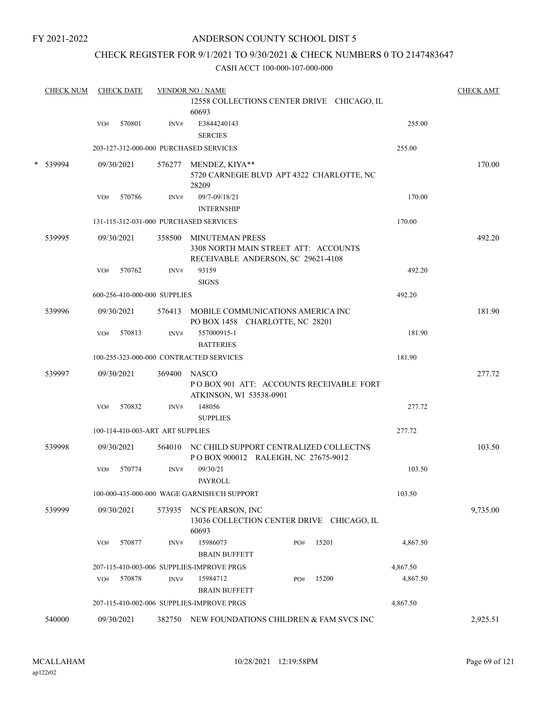### ANDERSON COUNTY SCHOOL DIST 5

### CHECK REGISTER FOR 9/1/2021 TO 9/30/2021 & CHECK NUMBERS 0 TO 2147483647

|   | <b>CHECK NUM</b> | <b>CHECK DATE</b> |            |                                  | <b>VENDOR NO / NAME</b>                                                                              |              |          |          |  |  |  |
|---|------------------|-------------------|------------|----------------------------------|------------------------------------------------------------------------------------------------------|--------------|----------|----------|--|--|--|
|   |                  |                   |            |                                  | 12558 COLLECTIONS CENTER DRIVE CHICAGO, IL<br>60693                                                  |              |          |          |  |  |  |
|   |                  | VO#               | 570801     | INV#                             | E3844240143<br><b>SERCIES</b>                                                                        |              | 255.00   |          |  |  |  |
|   |                  |                   |            |                                  | 203-127-312-000-000 PURCHASED SERVICES                                                               |              | 255.00   |          |  |  |  |
| * | 539994           |                   | 09/30/2021 |                                  | 576277 MENDEZ, KIYA**<br>5720 CARNEGIE BLVD APT 4322 CHARLOTTE, NC<br>28209                          |              |          | 170.00   |  |  |  |
|   |                  | VO#               | 570786     | INV#                             | 09/7-09/18/21                                                                                        |              | 170.00   |          |  |  |  |
|   |                  |                   |            |                                  | <b>INTERNSHIP</b>                                                                                    |              |          |          |  |  |  |
|   |                  |                   |            |                                  | 131-115-312-031-000 PURCHASED SERVICES                                                               |              | 170.00   |          |  |  |  |
|   | 539995           |                   | 09/30/2021 |                                  | 358500 MINUTEMAN PRESS<br>3308 NORTH MAIN STREET ATT: ACCOUNTS<br>RECEIVABLE ANDERSON, SC 29621-4108 |              |          | 492.20   |  |  |  |
|   |                  | VO#               | 570762     | INV#                             | 93159<br><b>SIGNS</b>                                                                                |              | 492.20   |          |  |  |  |
|   |                  |                   |            | 600-256-410-000-000 SUPPLIES     |                                                                                                      |              | 492.20   |          |  |  |  |
|   | 539996           |                   | 09/30/2021 |                                  | 576413 MOBILE COMMUNICATIONS AMERICA INC<br>PO BOX 1458 CHARLOTTE, NC 28201                          |              |          | 181.90   |  |  |  |
|   |                  | VO#               | 570813     | INV#                             | 557000915-1<br><b>BATTERIES</b>                                                                      |              | 181.90   |          |  |  |  |
|   |                  |                   |            |                                  | 100-255-323-000-000 CONTRACTED SERVICES                                                              |              | 181.90   |          |  |  |  |
|   | 539997           |                   | 09/30/2021 | 369400                           | NASCO<br>POBOX 901 ATT: ACCOUNTS RECEIVABLE FORT<br>ATKINSON, WI 53538-0901                          |              |          | 277.72   |  |  |  |
|   |                  | VO#               | 570832     | INV#                             | 148056<br><b>SUPPLIES</b>                                                                            |              | 277.72   |          |  |  |  |
|   |                  |                   |            | 100-114-410-003-ART ART SUPPLIES |                                                                                                      |              | 277.72   |          |  |  |  |
|   | 539998           |                   | 09/30/2021 |                                  | 564010 NC CHILD SUPPORT CENTRALIZED COLLECTNS<br>POBOX 900012 RALEIGH, NC 27675-9012                 |              |          | 103.50   |  |  |  |
|   |                  | VO#               | 570774     | INV#                             | 09/30/21<br>PAYROLL                                                                                  |              | 103.50   |          |  |  |  |
|   |                  |                   |            |                                  | 100-000-435-000-000 WAGE GARNISH/CH SUPPORT                                                          |              | 103.50   |          |  |  |  |
|   | 539999           |                   | 09/30/2021 | 573935                           | NCS PEARSON, INC<br>13036 COLLECTION CENTER DRIVE CHICAGO, IL<br>60693                               |              |          | 9,735.00 |  |  |  |
|   |                  | VO#               | 570877     | INV#                             | 15986073<br><b>BRAIN BUFFETT</b>                                                                     | 15201<br>PO# | 4,867.50 |          |  |  |  |
|   |                  |                   |            |                                  | 207-115-410-003-006 SUPPLIES-IMPROVE PRGS                                                            |              | 4,867.50 |          |  |  |  |
|   |                  | VO#               | 570878     | INV#                             | 15984712<br><b>BRAIN BUFFETT</b>                                                                     | 15200<br>PO# | 4,867.50 |          |  |  |  |
|   |                  |                   |            |                                  | 207-115-410-002-006 SUPPLIES-IMPROVE PRGS                                                            |              | 4,867.50 |          |  |  |  |
|   | 540000           |                   | 09/30/2021 |                                  | 382750 NEW FOUNDATIONS CHILDREN & FAM SVCS INC                                                       |              |          | 2,925.51 |  |  |  |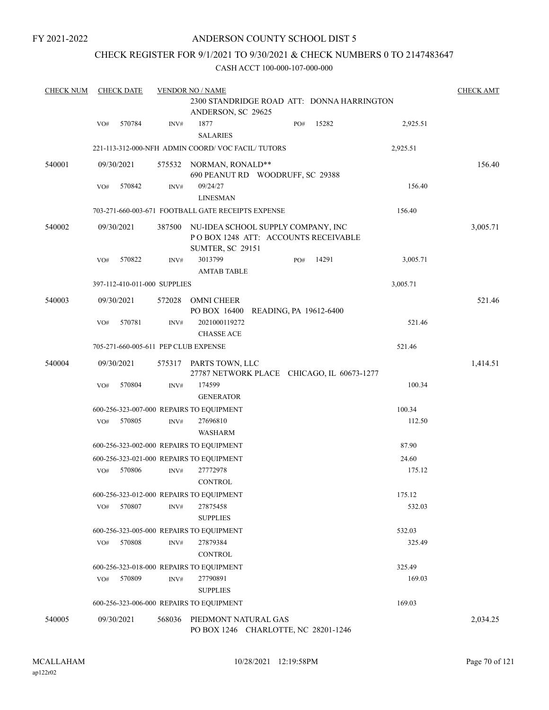### ANDERSON COUNTY SCHOOL DIST 5

### CHECK REGISTER FOR 9/1/2021 TO 9/30/2021 & CHECK NUMBERS 0 TO 2147483647

| <b>CHECK NUM</b> | <b>CHECK DATE</b> |                              |        | <b>VENDOR NO / NAME</b>                                                                              |                        |     |       |          |          |  |  |
|------------------|-------------------|------------------------------|--------|------------------------------------------------------------------------------------------------------|------------------------|-----|-------|----------|----------|--|--|
|                  |                   |                              |        | 2300 STANDRIDGE ROAD ATT: DONNA HARRINGTON<br>ANDERSON, SC 29625                                     |                        |     |       |          |          |  |  |
|                  | VO#               | 570784                       | INV#   | 1877<br><b>SALARIES</b>                                                                              |                        | PO# | 15282 | 2,925.51 |          |  |  |
|                  |                   |                              |        | 221-113-312-000-NFH ADMIN COORD/VOC FACIL/TUTORS                                                     |                        |     |       | 2,925.51 |          |  |  |
| 540001           |                   | 09/30/2021                   |        | 575532 NORMAN, RONALD**<br>690 PEANUT RD WOODRUFF, SC 29388                                          |                        |     |       |          | 156.40   |  |  |
|                  | VO#               | 570842                       | INV#   | 09/24/27<br><b>LINESMAN</b>                                                                          |                        |     |       | 156.40   |          |  |  |
|                  |                   |                              |        | 703-271-660-003-671 FOOTBALL GATE RECEIPTS EXPENSE                                                   |                        |     |       | 156.40   |          |  |  |
| 540002           |                   | 09/30/2021                   | 387500 | NU-IDEA SCHOOL SUPPLY COMPANY, INC<br>POBOX 1248 ATT: ACCOUNTS RECEIVABLE<br><b>SUMTER, SC 29151</b> |                        |     |       |          | 3,005.71 |  |  |
|                  | VO#               | 570822                       | INV#   | 3013799<br><b>AMTAB TABLE</b>                                                                        |                        | PO# | 14291 | 3,005.71 |          |  |  |
|                  |                   | 397-112-410-011-000 SUPPLIES |        |                                                                                                      |                        |     |       | 3,005.71 |          |  |  |
| 540003           |                   | 09/30/2021                   | 572028 | <b>OMNI CHEER</b><br>PO BOX 16400                                                                    | READING, PA 19612-6400 |     |       |          | 521.46   |  |  |
|                  | VO#               | 570781                       | INV#   | 2021000119272<br><b>CHASSE ACE</b>                                                                   |                        |     |       | 521.46   |          |  |  |
|                  |                   |                              |        | 705-271-660-005-611 PEP CLUB EXPENSE                                                                 |                        |     |       | 521.46   |          |  |  |
| 540004           |                   | 09/30/2021                   | 575317 | PARTS TOWN, LLC<br>27787 NETWORK PLACE CHICAGO, IL 60673-1277                                        |                        |     |       |          | 1,414.51 |  |  |
|                  | VO#               | 570804                       | INV#   | 174599<br><b>GENERATOR</b>                                                                           |                        |     |       | 100.34   |          |  |  |
|                  |                   |                              |        | 600-256-323-007-000 REPAIRS TO EQUIPMENT                                                             |                        |     |       | 100.34   |          |  |  |
|                  | VO#               | 570805                       | INV#   | 27696810<br><b>WASHARM</b>                                                                           |                        |     |       | 112.50   |          |  |  |
|                  |                   |                              |        | 600-256-323-002-000 REPAIRS TO EQUIPMENT                                                             |                        |     |       | 87.90    |          |  |  |
|                  |                   |                              |        | 600-256-323-021-000 REPAIRS TO EQUIPMENT                                                             |                        |     |       | 24.60    |          |  |  |
|                  | VO#               | 570806                       | INV#   | 27772978<br><b>CONTROL</b>                                                                           |                        |     |       | 175.12   |          |  |  |
|                  |                   |                              |        | 600-256-323-012-000 REPAIRS TO EQUIPMENT                                                             |                        |     |       | 175.12   |          |  |  |
|                  | VO#               | 570807                       | INV#   | 27875458<br><b>SUPPLIES</b>                                                                          |                        |     |       | 532.03   |          |  |  |
|                  |                   |                              |        | 600-256-323-005-000 REPAIRS TO EQUIPMENT                                                             |                        |     |       | 532.03   |          |  |  |
|                  | VO#               | 570808                       | INV#   | 27879384<br><b>CONTROL</b>                                                                           |                        |     |       | 325.49   |          |  |  |
|                  |                   |                              |        | 600-256-323-018-000 REPAIRS TO EQUIPMENT                                                             |                        |     |       | 325.49   |          |  |  |
|                  | VO#               | 570809                       | INV#   | 27790891<br><b>SUPPLIES</b>                                                                          |                        |     |       | 169.03   |          |  |  |
|                  |                   |                              |        | 600-256-323-006-000 REPAIRS TO EQUIPMENT                                                             |                        |     |       | 169.03   |          |  |  |
| 540005           |                   | 09/30/2021                   | 568036 | PIEDMONT NATURAL GAS<br>PO BOX 1246 CHARLOTTE, NC 28201-1246                                         |                        |     |       |          | 2,034.25 |  |  |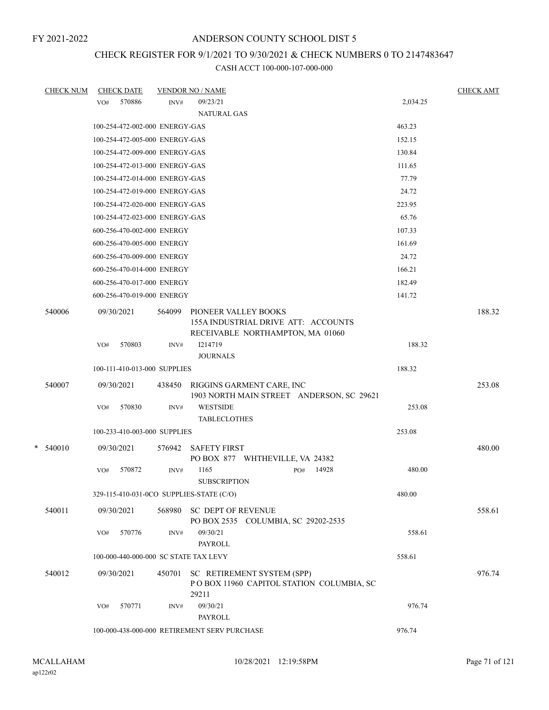# CHECK REGISTER FOR 9/1/2021 TO 9/30/2021 & CHECK NUMBERS 0 TO 2147483647

| <b>CHECK NUM</b> |     | <b>CHECK DATE</b>                     |        | <b>VENDOR NO / NAME</b>                                                                         |     |       |          | <b>CHECK AMT</b> |
|------------------|-----|---------------------------------------|--------|-------------------------------------------------------------------------------------------------|-----|-------|----------|------------------|
|                  | VO# | 570886                                | INV#   | 09/23/21                                                                                        |     |       | 2,034.25 |                  |
|                  |     |                                       |        | <b>NATURAL GAS</b>                                                                              |     |       |          |                  |
|                  |     | 100-254-472-002-000 ENERGY-GAS        |        |                                                                                                 |     |       | 463.23   |                  |
|                  |     | 100-254-472-005-000 ENERGY-GAS        |        |                                                                                                 |     |       | 152.15   |                  |
|                  |     | 100-254-472-009-000 ENERGY-GAS        |        |                                                                                                 |     |       | 130.84   |                  |
|                  |     | 100-254-472-013-000 ENERGY-GAS        |        |                                                                                                 |     |       | 111.65   |                  |
|                  |     | 100-254-472-014-000 ENERGY-GAS        |        |                                                                                                 |     |       | 77.79    |                  |
|                  |     | 100-254-472-019-000 ENERGY-GAS        |        |                                                                                                 |     |       | 24.72    |                  |
|                  |     | 100-254-472-020-000 ENERGY-GAS        |        |                                                                                                 |     |       | 223.95   |                  |
|                  |     | 100-254-472-023-000 ENERGY-GAS        |        |                                                                                                 |     |       | 65.76    |                  |
|                  |     | 600-256-470-002-000 ENERGY            |        |                                                                                                 |     |       | 107.33   |                  |
|                  |     | 600-256-470-005-000 ENERGY            |        |                                                                                                 |     |       | 161.69   |                  |
|                  |     | 600-256-470-009-000 ENERGY            |        |                                                                                                 |     |       | 24.72    |                  |
|                  |     | 600-256-470-014-000 ENERGY            |        |                                                                                                 |     |       | 166.21   |                  |
|                  |     | 600-256-470-017-000 ENERGY            |        |                                                                                                 |     |       | 182.49   |                  |
|                  |     | 600-256-470-019-000 ENERGY            |        |                                                                                                 |     |       | 141.72   |                  |
| 540006           |     | 09/30/2021                            | 564099 | PIONEER VALLEY BOOKS<br>155A INDUSTRIAL DRIVE ATT: ACCOUNTS<br>RECEIVABLE NORTHAMPTON, MA 01060 |     |       |          | 188.32           |
|                  | VO# | 570803                                | INV#   | I214719<br><b>JOURNALS</b>                                                                      |     |       | 188.32   |                  |
|                  |     | 100-111-410-013-000 SUPPLIES          |        |                                                                                                 |     |       | 188.32   |                  |
| 540007           |     | 09/30/2021                            | 438450 | RIGGINS GARMENT CARE, INC<br>1903 NORTH MAIN STREET ANDERSON, SC 29621                          |     |       |          | 253.08           |
|                  | VO# | 570830                                | INV#   | <b>WESTSIDE</b><br><b>TABLECLOTHES</b>                                                          |     |       | 253.08   |                  |
|                  |     | 100-233-410-003-000 SUPPLIES          |        |                                                                                                 |     |       | 253.08   |                  |
| $*$ 540010       |     | 09/30/2021                            | 576942 | <b>SAFETY FIRST</b><br>PO BOX 877 WHTHEVILLE, VA 24382                                          |     |       |          | 480.00           |
|                  | VO# | 570872                                | INV#   | 1165<br><b>SUBSCRIPTION</b>                                                                     | PO# | 14928 | 480.00   |                  |
|                  |     |                                       |        | 329-115-410-031-0CO SUPPLIES-STATE (C/O)                                                        |     |       | 480.00   |                  |
| 540011           |     | 09/30/2021                            | 568980 | <b>SC DEPT OF REVENUE</b><br>PO BOX 2535 COLUMBIA, SC 29202-2535                                |     |       |          | 558.61           |
|                  | VO# | 570776                                | INV#   | 09/30/21<br><b>PAYROLL</b>                                                                      |     |       | 558.61   |                  |
|                  |     | 100-000-440-000-000 SC STATE TAX LEVY |        |                                                                                                 |     |       | 558.61   |                  |
| 540012           |     | 09/30/2021                            | 450701 | SC RETIREMENT SYSTEM (SPP)<br>POBOX 11960 CAPITOL STATION COLUMBIA, SC<br>29211                 |     |       |          | 976.74           |
|                  | VO# | 570771                                | INV#   | 09/30/21<br>PAYROLL                                                                             |     |       | 976.74   |                  |
|                  |     |                                       |        | 100-000-438-000-000 RETIREMENT SERV PURCHASE                                                    |     |       | 976.74   |                  |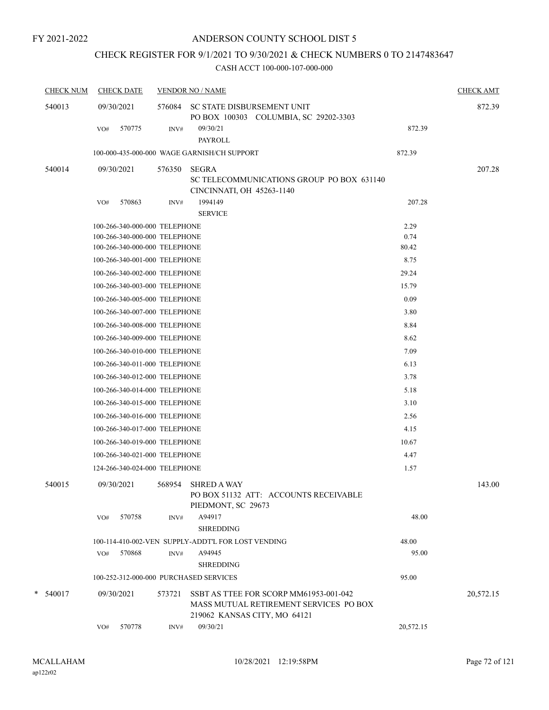# CHECK REGISTER FOR 9/1/2021 TO 9/30/2021 & CHECK NUMBERS 0 TO 2147483647

| <b>CHECK NUM</b> | <b>CHECK DATE</b>                      |        | <b>VENDOR NO / NAME</b>                                                                                          |           |           |  |  |  |  |
|------------------|----------------------------------------|--------|------------------------------------------------------------------------------------------------------------------|-----------|-----------|--|--|--|--|
| 540013           | 09/30/2021                             | 576084 | SC STATE DISBURSEMENT UNIT<br>PO BOX 100303 COLUMBIA, SC 29202-3303                                              |           | 872.39    |  |  |  |  |
|                  | 570775<br>VO#                          | INV#   | 09/30/21<br><b>PAYROLL</b>                                                                                       | 872.39    |           |  |  |  |  |
|                  |                                        |        | 100-000-435-000-000 WAGE GARNISH/CH SUPPORT                                                                      | 872.39    |           |  |  |  |  |
| 540014           | 09/30/2021                             | 576350 | <b>SEGRA</b><br>SC TELECOMMUNICATIONS GROUP PO BOX 631140<br>CINCINNATI, OH 45263-1140                           |           | 207.28    |  |  |  |  |
|                  | 570863<br>VO#                          | INV#   | 1994149<br><b>SERVICE</b>                                                                                        | 207.28    |           |  |  |  |  |
|                  | 100-266-340-000-000 TELEPHONE          |        |                                                                                                                  | 2.29      |           |  |  |  |  |
|                  | 100-266-340-000-000 TELEPHONE          |        |                                                                                                                  | 0.74      |           |  |  |  |  |
|                  | 100-266-340-000-000 TELEPHONE          |        |                                                                                                                  | 80.42     |           |  |  |  |  |
|                  | 100-266-340-001-000 TELEPHONE          |        |                                                                                                                  | 8.75      |           |  |  |  |  |
|                  | 100-266-340-002-000 TELEPHONE          |        |                                                                                                                  | 29.24     |           |  |  |  |  |
|                  | 100-266-340-003-000 TELEPHONE          |        |                                                                                                                  | 15.79     |           |  |  |  |  |
|                  | 100-266-340-005-000 TELEPHONE          |        |                                                                                                                  | 0.09      |           |  |  |  |  |
|                  | 100-266-340-007-000 TELEPHONE          |        |                                                                                                                  | 3.80      |           |  |  |  |  |
|                  | 100-266-340-008-000 TELEPHONE          |        |                                                                                                                  | 8.84      |           |  |  |  |  |
|                  | 100-266-340-009-000 TELEPHONE          |        |                                                                                                                  | 8.62      |           |  |  |  |  |
|                  | 100-266-340-010-000 TELEPHONE          |        |                                                                                                                  | 7.09      |           |  |  |  |  |
|                  | 100-266-340-011-000 TELEPHONE          |        |                                                                                                                  | 6.13      |           |  |  |  |  |
|                  | 100-266-340-012-000 TELEPHONE          |        |                                                                                                                  | 3.78      |           |  |  |  |  |
|                  | 100-266-340-014-000 TELEPHONE          |        |                                                                                                                  | 5.18      |           |  |  |  |  |
|                  | 100-266-340-015-000 TELEPHONE          |        |                                                                                                                  | 3.10      |           |  |  |  |  |
|                  | 100-266-340-016-000 TELEPHONE          |        |                                                                                                                  | 2.56      |           |  |  |  |  |
|                  | 100-266-340-017-000 TELEPHONE          |        |                                                                                                                  | 4.15      |           |  |  |  |  |
|                  | 100-266-340-019-000 TELEPHONE          |        |                                                                                                                  | 10.67     |           |  |  |  |  |
|                  | 100-266-340-021-000 TELEPHONE          |        |                                                                                                                  | 4.47      |           |  |  |  |  |
|                  | 124-266-340-024-000 TELEPHONE          |        |                                                                                                                  | 1.57      |           |  |  |  |  |
| 540015           | 09/30/2021                             | 568954 | <b>SHRED A WAY</b><br>PO BOX 51132 ATT: ACCOUNTS RECEIVABLE<br>PIEDMONT, SC 29673                                |           | 143.00    |  |  |  |  |
|                  | 570758<br>VO#                          | INV#   | A94917<br><b>SHREDDING</b>                                                                                       | 48.00     |           |  |  |  |  |
|                  |                                        |        | 100-114-410-002-VEN SUPPLY-ADDT'L FOR LOST VENDING                                                               | 48.00     |           |  |  |  |  |
|                  | 570868<br>VO#                          | INV#   | A94945<br><b>SHREDDING</b>                                                                                       | 95.00     |           |  |  |  |  |
|                  | 100-252-312-000-000 PURCHASED SERVICES |        |                                                                                                                  | 95.00     |           |  |  |  |  |
| $*$ 540017       | 09/30/2021                             | 573721 | SSBT AS TTEE FOR SCORP MM61953-001-042<br>MASS MUTUAL RETIREMENT SERVICES PO BOX<br>219062 KANSAS CITY, MO 64121 |           | 20,572.15 |  |  |  |  |
|                  | 570778<br>VO#                          | INV#   | 09/30/21                                                                                                         | 20,572.15 |           |  |  |  |  |
|                  |                                        |        |                                                                                                                  |           |           |  |  |  |  |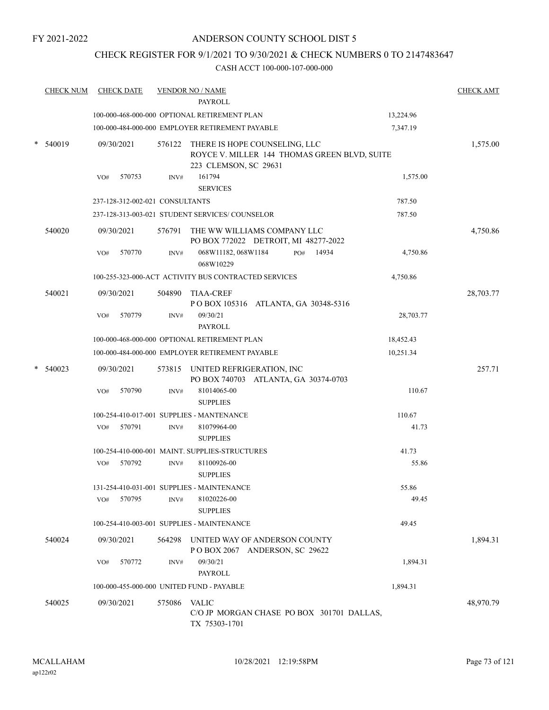## ANDERSON COUNTY SCHOOL DIST 5

## CHECK REGISTER FOR 9/1/2021 TO 9/30/2021 & CHECK NUMBERS 0 TO 2147483647

| <b>CHECK NUM</b> |            | <b>CHECK DATE</b>               |        | <b>VENDOR NO / NAME</b><br><b>PAYROLL</b>                                                                     |           | <b>CHECK AMT</b> |
|------------------|------------|---------------------------------|--------|---------------------------------------------------------------------------------------------------------------|-----------|------------------|
|                  |            |                                 |        | 100-000-468-000-000 OPTIONAL RETIREMENT PLAN                                                                  | 13,224.96 |                  |
|                  |            |                                 |        | 100-000-484-000-000 EMPLOYER RETIREMENT PAYABLE                                                               | 7,347.19  |                  |
| 540019           | 09/30/2021 |                                 |        | 576122 THERE IS HOPE COUNSELING, LLC<br>ROYCE V. MILLER 144 THOMAS GREEN BLVD, SUITE<br>223 CLEMSON, SC 29631 |           | 1,575.00         |
|                  | VO#        | 570753                          | INV#   | 161794<br><b>SERVICES</b>                                                                                     | 1,575.00  |                  |
|                  |            | 237-128-312-002-021 CONSULTANTS |        |                                                                                                               | 787.50    |                  |
|                  |            |                                 |        | 237-128-313-003-021 STUDENT SERVICES/ COUNSELOR                                                               | 787.50    |                  |
| 540020           | 09/30/2021 |                                 | 576791 | THE WW WILLIAMS COMPANY LLC<br>PO BOX 772022 DETROIT, MI 48277-2022                                           |           | 4,750.86         |
|                  | VO#        | 570770                          | INV#   | 068W11182, 068W1184<br>PO# 14934<br>068W10229                                                                 | 4,750.86  |                  |
|                  |            |                                 |        | 100-255-323-000-ACT ACTIVITY BUS CONTRACTED SERVICES                                                          | 4,750.86  |                  |
| 540021           | 09/30/2021 |                                 | 504890 | <b>TIAA-CREF</b><br>POBOX 105316 ATLANTA, GA 30348-5316                                                       |           | 28,703.77        |
|                  | VO#        | 570779                          | INV#   | 09/30/21<br>PAYROLL                                                                                           | 28,703.77 |                  |
|                  |            |                                 |        | 100-000-468-000-000 OPTIONAL RETIREMENT PLAN                                                                  | 18,452.43 |                  |
|                  |            |                                 |        | 100-000-484-000-000 EMPLOYER RETIREMENT PAYABLE                                                               | 10,251.34 |                  |
| 540023           | 09/30/2021 |                                 |        | 573815 UNITED REFRIGERATION, INC<br>PO BOX 740703 ATLANTA, GA 30374-0703                                      |           | 257.71           |
|                  | VO#        | 570790                          | INV#   | 81014065-00                                                                                                   | 110.67    |                  |
|                  |            |                                 |        | <b>SUPPLIES</b>                                                                                               |           |                  |
|                  |            |                                 |        | 100-254-410-017-001 SUPPLIES - MANTENANCE                                                                     | 110.67    |                  |
|                  | VO#        | 570791                          | INV#   | 81079964-00<br><b>SUPPLIES</b>                                                                                | 41.73     |                  |
|                  |            |                                 |        | 100-254-410-000-001 MAINT. SUPPLIES-STRUCTURES                                                                | 41.73     |                  |
|                  | VO#        | 570792                          | INV#   | 81100926-00<br><b>SUPPLIES</b>                                                                                | 55.86     |                  |
|                  |            |                                 |        | 131-254-410-031-001 SUPPLIES - MAINTENANCE                                                                    | 55.86     |                  |
|                  | VO#        | 570795                          | INV#   | 81020226-00<br><b>SUPPLIES</b>                                                                                | 49.45     |                  |
|                  |            |                                 |        | 100-254-410-003-001 SUPPLIES - MAINTENANCE                                                                    | 49.45     |                  |
| 540024           | 09/30/2021 |                                 | 564298 | UNITED WAY OF ANDERSON COUNTY<br>POBOX 2067 ANDERSON, SC 29622                                                |           | 1,894.31         |
|                  | VO#        | 570772                          | INV#   | 09/30/21<br><b>PAYROLL</b>                                                                                    | 1,894.31  |                  |
|                  |            |                                 |        | 100-000-455-000-000 UNITED FUND - PAYABLE                                                                     | 1,894.31  |                  |
| 540025           | 09/30/2021 |                                 | 575086 | VALIC<br>C/O JP MORGAN CHASE PO BOX 301701 DALLAS,<br>TX 75303-1701                                           |           | 48,970.79        |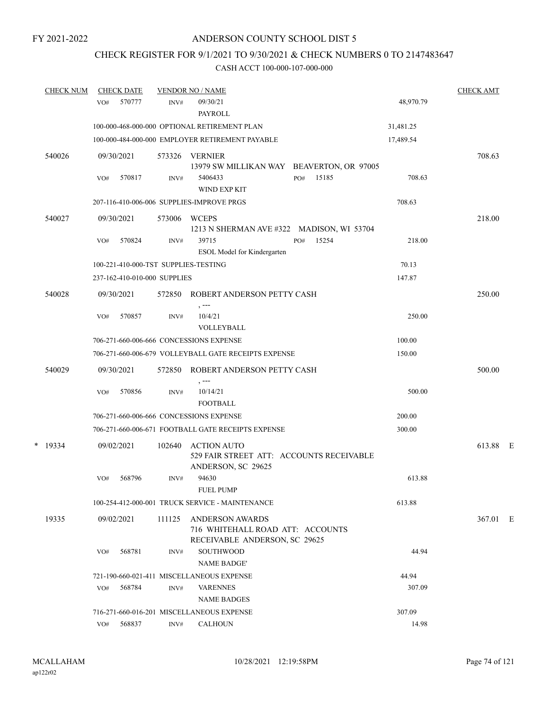## CHECK REGISTER FOR 9/1/2021 TO 9/30/2021 & CHECK NUMBERS 0 TO 2147483647

| <b>CHECK NUM</b> |     | <b>CHECK DATE</b>            |        | <b>VENDOR NO / NAME</b>                                                                     |           | <b>CHECK AMT</b> |  |
|------------------|-----|------------------------------|--------|---------------------------------------------------------------------------------------------|-----------|------------------|--|
|                  | VO# | 570777                       | INV#   | 09/30/21<br>PAYROLL                                                                         | 48,970.79 |                  |  |
|                  |     |                              |        | 100-000-468-000-000 OPTIONAL RETIREMENT PLAN                                                | 31,481.25 |                  |  |
|                  |     |                              |        | 100-000-484-000-000 EMPLOYER RETIREMENT PAYABLE                                             | 17,489.54 |                  |  |
| 540026           |     | 09/30/2021                   | 573326 | VERNIER<br>13979 SW MILLIKAN WAY BEAVERTON, OR 97005                                        |           | 708.63           |  |
|                  | VO# | 570817                       | INV#   | 15185<br>5406433<br>PO#<br><b>WIND EXP KIT</b>                                              | 708.63    |                  |  |
|                  |     |                              |        | 207-116-410-006-006 SUPPLIES-IMPROVE PRGS                                                   | 708.63    |                  |  |
| 540027           |     | 09/30/2021                   | 573006 | <b>WCEPS</b><br>1213 N SHERMAN AVE #322 MADISON, WI 53704                                   |           | 218.00           |  |
|                  | VO# | 570824                       | INV#   | 39715<br>PO#<br>15254<br>ESOL Model for Kindergarten                                        | 218.00    |                  |  |
|                  |     |                              |        | 100-221-410-000-TST SUPPLIES-TESTING                                                        | 70.13     |                  |  |
|                  |     | 237-162-410-010-000 SUPPLIES |        |                                                                                             | 147.87    |                  |  |
| 540028           |     | 09/30/2021                   |        | 572850 ROBERT ANDERSON PETTY CASH<br>, ---                                                  |           | 250.00           |  |
|                  | VO# | 570857                       | INV#   | 10/4/21<br><b>VOLLEYBALL</b>                                                                | 250.00    |                  |  |
|                  |     |                              |        | 706-271-660-006-666 CONCESSIONS EXPENSE                                                     | 100.00    |                  |  |
|                  |     |                              |        | 706-271-660-006-679 VOLLEYBALL GATE RECEIPTS EXPENSE                                        | 150.00    |                  |  |
| 540029           |     | 09/30/2021                   | 572850 | ROBERT ANDERSON PETTY CASH<br>, ---                                                         |           | 500.00           |  |
|                  | VO# | 570856                       | INV#   | 10/14/21<br><b>FOOTBALL</b>                                                                 | 500.00    |                  |  |
|                  |     |                              |        | 706-271-660-006-666 CONCESSIONS EXPENSE                                                     | 200.00    |                  |  |
|                  |     |                              |        | 706-271-660-006-671 FOOTBALL GATE RECEIPTS EXPENSE                                          | 300.00    |                  |  |
| $*$ 19334        |     | 09/02/2021                   | 102640 | <b>ACTION AUTO</b><br>529 FAIR STREET ATT: ACCOUNTS RECEIVABLE<br>ANDERSON, SC 29625        |           | 613.88 E         |  |
|                  | VO# | 568796                       | INV#   | 94630<br><b>FUEL PUMP</b>                                                                   | 613.88    |                  |  |
|                  |     |                              |        | 100-254-412-000-001 TRUCK SERVICE - MAINTENANCE                                             | 613.88    |                  |  |
| 19335            |     | 09/02/2021                   | 111125 | <b>ANDERSON AWARDS</b><br>716 WHITEHALL ROAD ATT: ACCOUNTS<br>RECEIVABLE ANDERSON, SC 29625 |           | 367.01 E         |  |
|                  | VO# | 568781                       | INV#   | <b>SOUTHWOOD</b><br><b>NAME BADGE'</b>                                                      | 44.94     |                  |  |
|                  |     |                              |        | 721-190-660-021-411 MISCELLANEOUS EXPENSE                                                   | 44.94     |                  |  |
|                  | VO# | 568784                       | INV#   | <b>VARENNES</b><br><b>NAME BADGES</b>                                                       | 307.09    |                  |  |
|                  |     |                              |        | 716-271-660-016-201 MISCELLANEOUS EXPENSE                                                   | 307.09    |                  |  |
|                  | VO# | 568837                       | INV#   | <b>CALHOUN</b>                                                                              | 14.98     |                  |  |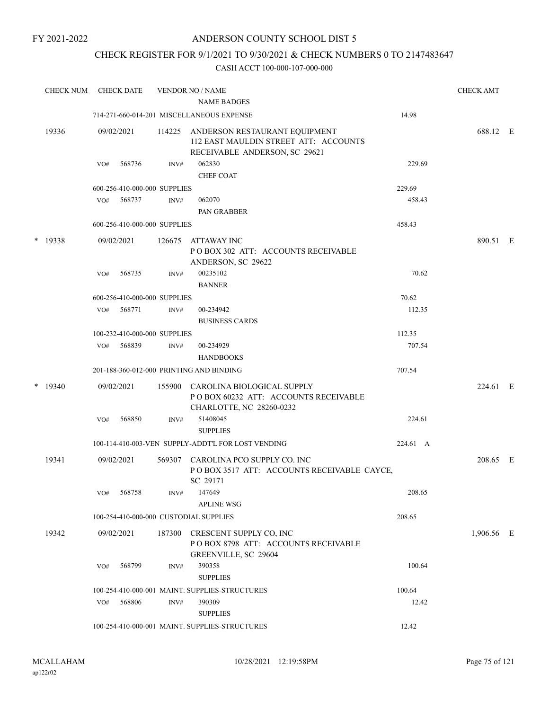## ANDERSON COUNTY SCHOOL DIST 5

## CHECK REGISTER FOR 9/1/2021 TO 9/30/2021 & CHECK NUMBERS 0 TO 2147483647

|   | <b>CHECK NUM</b> |     | <b>CHECK DATE</b>            |        | <b>VENDOR NO / NAME</b>                                                                                 |          | <b>CHECK AMT</b> |  |
|---|------------------|-----|------------------------------|--------|---------------------------------------------------------------------------------------------------------|----------|------------------|--|
|   |                  |     |                              |        | <b>NAME BADGES</b>                                                                                      |          |                  |  |
|   |                  |     |                              |        | 714-271-660-014-201 MISCELLANEOUS EXPENSE                                                               | 14.98    |                  |  |
|   | 19336            |     | 09/02/2021                   | 114225 | ANDERSON RESTAURANT EQUIPMENT<br>112 EAST MAULDIN STREET ATT: ACCOUNTS<br>RECEIVABLE ANDERSON, SC 29621 |          | 688.12 E         |  |
|   |                  | VO# | 568736                       | INV#   | 062830                                                                                                  | 229.69   |                  |  |
|   |                  |     |                              |        | <b>CHEF COAT</b>                                                                                        |          |                  |  |
|   |                  |     | 600-256-410-000-000 SUPPLIES |        |                                                                                                         | 229.69   |                  |  |
|   |                  | VO# | 568737                       | INV#   | 062070                                                                                                  | 458.43   |                  |  |
|   |                  |     |                              |        | PAN GRABBER                                                                                             |          |                  |  |
|   |                  |     | 600-256-410-000-000 SUPPLIES |        |                                                                                                         | 458.43   |                  |  |
|   | $*$ 19338        |     | 09/02/2021                   | 126675 | ATTAWAY INC<br>POBOX 302 ATT: ACCOUNTS RECEIVABLE<br>ANDERSON, SC 29622                                 |          | 890.51 E         |  |
|   |                  | VO# | 568735                       | INV#   | 00235102<br><b>BANNER</b>                                                                               | 70.62    |                  |  |
|   |                  |     | 600-256-410-000-000 SUPPLIES |        |                                                                                                         | 70.62    |                  |  |
|   |                  | VO# | 568771                       | INV#   | 00-234942                                                                                               | 112.35   |                  |  |
|   |                  |     |                              |        | <b>BUSINESS CARDS</b>                                                                                   |          |                  |  |
|   |                  |     | 100-232-410-000-000 SUPPLIES |        |                                                                                                         | 112.35   |                  |  |
|   |                  | VO# | 568839                       | INV#   | 00-234929                                                                                               | 707.54   |                  |  |
|   |                  |     |                              |        | <b>HANDBOOKS</b>                                                                                        |          |                  |  |
|   |                  |     |                              |        | 201-188-360-012-000 PRINTING AND BINDING                                                                | 707.54   |                  |  |
| * | 19340            |     | 09/02/2021                   | 155900 | CAROLINA BIOLOGICAL SUPPLY<br>POBOX 60232 ATT: ACCOUNTS RECEIVABLE<br>CHARLOTTE, NC 28260-0232          |          | 224.61 E         |  |
|   |                  | VO# | 568850                       | INV#   | 51408045<br><b>SUPPLIES</b>                                                                             | 224.61   |                  |  |
|   |                  |     |                              |        | 100-114-410-003-VEN SUPPLY-ADDT'L FOR LOST VENDING                                                      | 224.61 A |                  |  |
|   | 19341            |     | 09/02/2021                   |        | 569307 CAROLINA PCO SUPPLY CO. INC<br>POBOX 3517 ATT: ACCOUNTS RECEIVABLE CAYCE,                        |          | 208.65 E         |  |
|   |                  | VO# | 568758                       | INV#   | SC 29171<br>147649                                                                                      | 208.65   |                  |  |
|   |                  |     |                              |        | <b>APLINE WSG</b>                                                                                       |          |                  |  |
|   |                  |     |                              |        | 100-254-410-000-000 CUSTODIAL SUPPLIES                                                                  | 208.65   |                  |  |
|   | 19342            |     | 09/02/2021                   | 187300 | CRESCENT SUPPLY CO, INC<br>POBOX 8798 ATT: ACCOUNTS RECEIVABLE<br>GREENVILLE, SC 29604                  |          | 1,906.56 E       |  |
|   |                  | VO# | 568799                       | INV#   | 390358<br><b>SUPPLIES</b>                                                                               | 100.64   |                  |  |
|   |                  |     |                              |        | 100-254-410-000-001 MAINT. SUPPLIES-STRUCTURES                                                          | 100.64   |                  |  |
|   |                  | VO# | 568806                       | INV#   | 390309<br><b>SUPPLIES</b>                                                                               | 12.42    |                  |  |
|   |                  |     |                              |        | 100-254-410-000-001 MAINT. SUPPLIES-STRUCTURES                                                          | 12.42    |                  |  |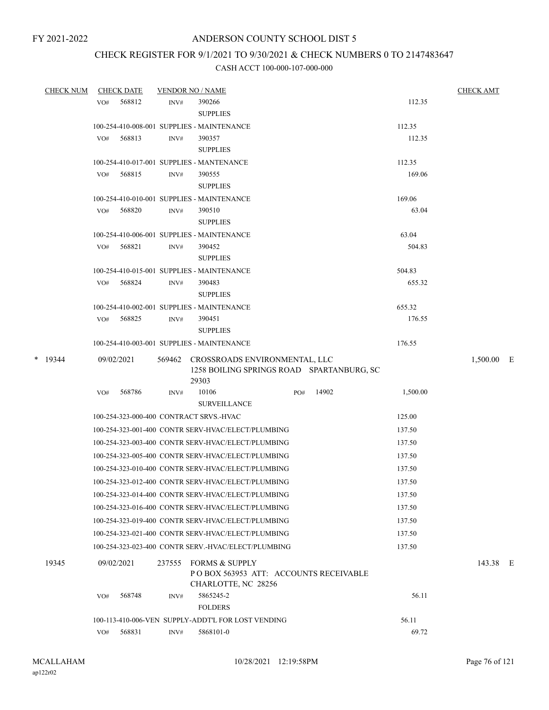## CHECK REGISTER FOR 9/1/2021 TO 9/30/2021 & CHECK NUMBERS 0 TO 2147483647

| <b>CHECK NUM</b> |     | <b>CHECK DATE</b> |        | <b>VENDOR NO / NAME</b>                                                                    |     |       |                  | <b>CHECK AMT</b> |
|------------------|-----|-------------------|--------|--------------------------------------------------------------------------------------------|-----|-------|------------------|------------------|
|                  | VO# | 568812            | INV#   | 390266                                                                                     |     |       | 112.35           |                  |
|                  |     |                   |        | <b>SUPPLIES</b>                                                                            |     |       |                  |                  |
|                  |     |                   |        | 100-254-410-008-001 SUPPLIES - MAINTENANCE                                                 |     |       | 112.35           |                  |
|                  | VO# | 568813            | INV#   | 390357                                                                                     |     |       | 112.35           |                  |
|                  |     |                   |        | <b>SUPPLIES</b>                                                                            |     |       |                  |                  |
|                  |     |                   |        | 100-254-410-017-001 SUPPLIES - MANTENANCE                                                  |     |       | 112.35           |                  |
|                  | VO# | 568815            | INV#   | 390555                                                                                     |     |       | 169.06           |                  |
|                  |     |                   |        | <b>SUPPLIES</b>                                                                            |     |       |                  |                  |
|                  |     |                   |        | 100-254-410-010-001 SUPPLIES - MAINTENANCE                                                 |     |       | 169.06           |                  |
|                  | VO# | 568820            | INV#   | 390510                                                                                     |     |       | 63.04            |                  |
|                  |     |                   |        | <b>SUPPLIES</b>                                                                            |     |       |                  |                  |
|                  |     |                   |        | 100-254-410-006-001 SUPPLIES - MAINTENANCE                                                 |     |       | 63.04            |                  |
|                  | VO# | 568821            | INV#   | 390452                                                                                     |     |       | 504.83           |                  |
|                  |     |                   |        | <b>SUPPLIES</b>                                                                            |     |       |                  |                  |
|                  |     |                   |        | 100-254-410-015-001 SUPPLIES - MAINTENANCE                                                 |     |       | 504.83           |                  |
|                  | VO# | 568824            | INV#   | 390483                                                                                     |     |       | 655.32           |                  |
|                  |     |                   |        | <b>SUPPLIES</b>                                                                            |     |       |                  |                  |
|                  |     | 568825            | INV#   | 100-254-410-002-001 SUPPLIES - MAINTENANCE<br>390451                                       |     |       | 655.32<br>176.55 |                  |
|                  | VO# |                   |        | <b>SUPPLIES</b>                                                                            |     |       |                  |                  |
|                  |     |                   |        | 100-254-410-003-001 SUPPLIES - MAINTENANCE                                                 |     |       | 176.55           |                  |
|                  |     |                   |        |                                                                                            |     |       |                  |                  |
| $*$ 19344        |     | 09/02/2021        |        | 569462 CROSSROADS ENVIRONMENTAL, LLC<br>1258 BOILING SPRINGS ROAD SPARTANBURG, SC<br>29303 |     |       |                  | 1,500.00 E       |
|                  | VO# | 568786            | INV#   | 10106                                                                                      | PO# | 14902 | 1,500.00         |                  |
|                  |     |                   |        | <b>SURVEILLANCE</b>                                                                        |     |       |                  |                  |
|                  |     |                   |        | 100-254-323-000-400 CONTRACT SRVS.-HVAC                                                    |     |       | 125.00           |                  |
|                  |     |                   |        | 100-254-323-001-400 CONTR SERV-HVAC/ELECT/PLUMBING                                         |     |       | 137.50           |                  |
|                  |     |                   |        | 100-254-323-003-400 CONTR SERV-HVAC/ELECT/PLUMBING                                         |     |       | 137.50           |                  |
|                  |     |                   |        | 100-254-323-005-400 CONTR SERV-HVAC/ELECT/PLUMBING                                         |     |       | 137.50           |                  |
|                  |     |                   |        | 100-254-323-010-400 CONTR SERV-HVAC/ELECT/PLUMBING                                         |     |       | 137.50           |                  |
|                  |     |                   |        | 100-254-323-012-400 CONTR SERV-HVAC/ELECT/PLUMBING                                         |     |       | 137.50           |                  |
|                  |     |                   |        | 100-254-323-014-400 CONTR SERV-HVAC/ELECT/PLUMBING                                         |     |       | 137.50           |                  |
|                  |     |                   |        | 100-254-323-016-400 CONTR SERV-HVAC/ELECT/PLUMBING                                         |     |       | 137.50           |                  |
|                  |     |                   |        | 100-254-323-019-400 CONTR SERV-HVAC/ELECT/PLUMBING                                         |     |       | 137.50           |                  |
|                  |     |                   |        | 100-254-323-021-400 CONTR SERV-HVAC/ELECT/PLUMBING                                         |     |       | 137.50           |                  |
|                  |     |                   |        | 100-254-323-023-400 CONTR SERV.-HVAC/ELECT/PLUMBING                                        |     |       | 137.50           |                  |
|                  |     |                   |        |                                                                                            |     |       |                  |                  |
| 19345            |     | 09/02/2021        | 237555 | <b>FORMS &amp; SUPPLY</b><br>PO BOX 563953 ATT: ACCOUNTS RECEIVABLE<br>CHARLOTTE, NC 28256 |     |       |                  | 143.38 E         |
|                  | VO# | 568748            | INV#   | 5865245-2<br><b>FOLDERS</b>                                                                |     |       | 56.11            |                  |
|                  |     |                   |        | 100-113-410-006-VEN SUPPLY-ADDT'L FOR LOST VENDING                                         |     |       | 56.11            |                  |
|                  | VO# | 568831            | INV#   | 5868101-0                                                                                  |     |       | 69.72            |                  |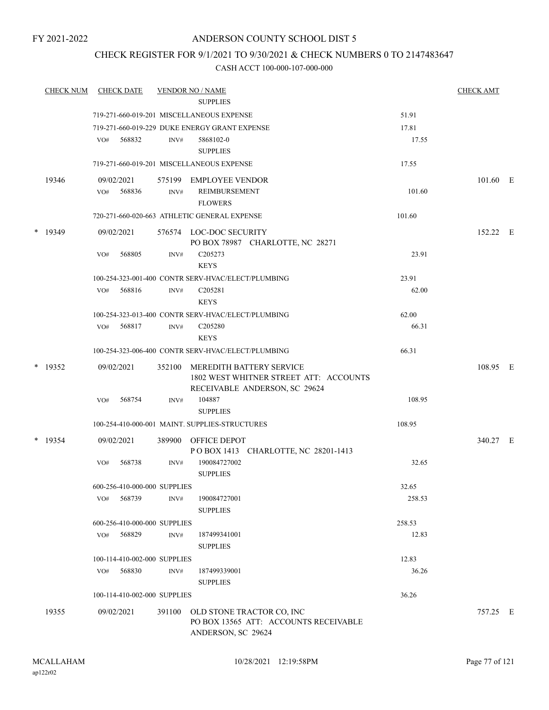## CHECK REGISTER FOR 9/1/2021 TO 9/30/2021 & CHECK NUMBERS 0 TO 2147483647

|        | <b>CHECK NUM</b> | <b>CHECK DATE</b>            |        | <b>VENDOR NO / NAME</b>                                                                             |        | <b>CHECK AMT</b> |  |
|--------|------------------|------------------------------|--------|-----------------------------------------------------------------------------------------------------|--------|------------------|--|
|        |                  |                              |        | <b>SUPPLIES</b>                                                                                     |        |                  |  |
|        |                  |                              |        | 719-271-660-019-201 MISCELLANEOUS EXPENSE                                                           | 51.91  |                  |  |
|        |                  |                              |        | 719-271-660-019-229 DUKE ENERGY GRANT EXPENSE                                                       | 17.81  |                  |  |
|        |                  | VO#<br>568832                | INV#   | 5868102-0<br><b>SUPPLIES</b>                                                                        | 17.55  |                  |  |
|        |                  |                              |        | 719-271-660-019-201 MISCELLANEOUS EXPENSE                                                           | 17.55  |                  |  |
|        | 19346            | 09/02/2021                   |        | 575199 EMPLOYEE VENDOR                                                                              |        | $101.60$ E       |  |
|        |                  | 568836<br>VO#                | INV#   | REIMBURSEMENT<br><b>FLOWERS</b>                                                                     | 101.60 |                  |  |
|        |                  |                              |        | 720-271-660-020-663 ATHLETIC GENERAL EXPENSE                                                        | 101.60 |                  |  |
| $\ast$ | 19349            | 09/02/2021                   |        | 576574 LOC-DOC SECURITY<br>PO BOX 78987 CHARLOTTE, NC 28271                                         |        | 152.22 E         |  |
|        |                  | 568805<br>VO#                | INV#   | C <sub>205273</sub><br><b>KEYS</b>                                                                  | 23.91  |                  |  |
|        |                  |                              |        | 100-254-323-001-400 CONTR SERV-HVAC/ELECT/PLUMBING                                                  | 23.91  |                  |  |
|        |                  | 568816<br>VO#                | INV#   | C205281<br><b>KEYS</b>                                                                              | 62.00  |                  |  |
|        |                  |                              |        | 100-254-323-013-400 CONTR SERV-HVAC/ELECT/PLUMBING                                                  | 62.00  |                  |  |
|        |                  | 568817<br>VO#                | INV#   | C205280<br><b>KEYS</b>                                                                              | 66.31  |                  |  |
|        |                  |                              |        | 100-254-323-006-400 CONTR SERV-HVAC/ELECT/PLUMBING                                                  | 66.31  |                  |  |
|        | $*$ 19352        | 09/02/2021                   | 352100 | MEREDITH BATTERY SERVICE<br>1802 WEST WHITNER STREET ATT: ACCOUNTS<br>RECEIVABLE ANDERSON, SC 29624 |        | 108.95 E         |  |
|        |                  | 568754<br>VO#                | INV#   | 104887<br><b>SUPPLIES</b>                                                                           | 108.95 |                  |  |
|        |                  |                              |        | 100-254-410-000-001 MAINT. SUPPLIES-STRUCTURES                                                      | 108.95 |                  |  |
|        | $*$ 19354        | 09/02/2021                   |        | 389900 OFFICE DEPOT<br>POBOX 1413 CHARLOTTE, NC 28201-1413                                          |        | 340.27 E         |  |
|        |                  | 568738<br>VO#                | INV#   | 190084727002<br><b>SUPPLIES</b>                                                                     | 32.65  |                  |  |
|        |                  | 600-256-410-000-000 SUPPLIES |        |                                                                                                     | 32.65  |                  |  |
|        |                  | 568739<br>VO#                | INV#   | 190084727001<br><b>SUPPLIES</b>                                                                     | 258.53 |                  |  |
|        |                  | 600-256-410-000-000 SUPPLIES |        |                                                                                                     | 258.53 |                  |  |
|        |                  | 568829<br>VO#                | INV#   | 187499341001<br><b>SUPPLIES</b>                                                                     | 12.83  |                  |  |
|        |                  | 100-114-410-002-000 SUPPLIES |        |                                                                                                     | 12.83  |                  |  |
|        |                  | 568830<br>VO#                | INV#   | 187499339001<br><b>SUPPLIES</b>                                                                     | 36.26  |                  |  |
|        |                  | 100-114-410-002-000 SUPPLIES |        |                                                                                                     | 36.26  |                  |  |
|        | 19355            | 09/02/2021                   | 391100 | OLD STONE TRACTOR CO, INC<br>PO BOX 13565 ATT: ACCOUNTS RECEIVABLE<br>ANDERSON, SC 29624            |        | 757.25 E         |  |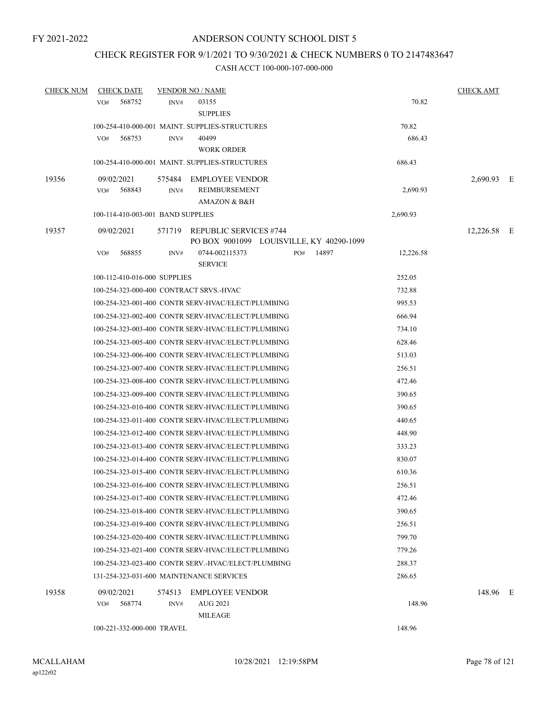## CHECK REGISTER FOR 9/1/2021 TO 9/30/2021 & CHECK NUMBERS 0 TO 2147483647

| <b>CHECK NUM</b> | <b>CHECK DATE</b>                       |      | <b>VENDOR NO / NAME</b>                                                   |              |           | <b>CHECK AMT</b> |  |
|------------------|-----------------------------------------|------|---------------------------------------------------------------------------|--------------|-----------|------------------|--|
|                  | 568752<br>VO#                           | INV# | 03155<br><b>SUPPLIES</b>                                                  |              | 70.82     |                  |  |
|                  |                                         |      | 100-254-410-000-001 MAINT. SUPPLIES-STRUCTURES                            |              | 70.82     |                  |  |
|                  | 568753<br>VO#                           | INV# | 40499<br><b>WORK ORDER</b>                                                |              | 686.43    |                  |  |
|                  |                                         |      | 100-254-410-000-001 MAINT. SUPPLIES-STRUCTURES                            |              | 686.43    |                  |  |
| 19356            | 09/02/2021                              |      | 575484 EMPLOYEE VENDOR                                                    |              |           | 2,690.93 E       |  |
|                  | 568843<br>VO#                           | INV# | REIMBURSEMENT<br>AMAZON & B&H                                             |              | 2,690.93  |                  |  |
|                  | 100-114-410-003-001 BAND SUPPLIES       |      |                                                                           |              | 2,690.93  |                  |  |
| 19357            | 09/02/2021                              |      | 571719 REPUBLIC SERVICES #744<br>PO BOX 9001099 LOUISVILLE, KY 40290-1099 |              |           | 12,226.58 E      |  |
|                  | 568855<br>VO#                           | INV# | 0744-002115373<br><b>SERVICE</b>                                          | 14897<br>PO# | 12,226.58 |                  |  |
|                  | 100-112-410-016-000 SUPPLIES            |      |                                                                           |              | 252.05    |                  |  |
|                  | 100-254-323-000-400 CONTRACT SRVS.-HVAC |      |                                                                           |              | 732.88    |                  |  |
|                  |                                         |      | 100-254-323-001-400 CONTR SERV-HVAC/ELECT/PLUMBING                        |              | 995.53    |                  |  |
|                  |                                         |      | 100-254-323-002-400 CONTR SERV-HVAC/ELECT/PLUMBING                        |              | 666.94    |                  |  |
|                  |                                         |      | 100-254-323-003-400 CONTR SERV-HVAC/ELECT/PLUMBING                        |              | 734.10    |                  |  |
|                  |                                         |      | 100-254-323-005-400 CONTR SERV-HVAC/ELECT/PLUMBING                        |              | 628.46    |                  |  |
|                  |                                         |      | 100-254-323-006-400 CONTR SERV-HVAC/ELECT/PLUMBING                        |              | 513.03    |                  |  |
|                  |                                         |      | 100-254-323-007-400 CONTR SERV-HVAC/ELECT/PLUMBING                        |              | 256.51    |                  |  |
|                  |                                         |      | 100-254-323-008-400 CONTR SERV-HVAC/ELECT/PLUMBING                        |              | 472.46    |                  |  |
|                  |                                         |      | 100-254-323-009-400 CONTR SERV-HVAC/ELECT/PLUMBING                        |              | 390.65    |                  |  |
|                  |                                         |      | 100-254-323-010-400 CONTR SERV-HVAC/ELECT/PLUMBING                        |              | 390.65    |                  |  |
|                  |                                         |      | 100-254-323-011-400 CONTR SERV-HVAC/ELECT/PLUMBING                        |              | 440.65    |                  |  |
|                  |                                         |      | 100-254-323-012-400 CONTR SERV-HVAC/ELECT/PLUMBING                        |              | 448.90    |                  |  |
|                  |                                         |      | 100-254-323-013-400 CONTR SERV-HVAC/ELECT/PLUMBING                        |              | 333.23    |                  |  |
|                  |                                         |      | 100-254-323-014-400 CONTR SERV-HVAC/ELECT/PLUMBING                        |              | 830.07    |                  |  |
|                  |                                         |      | 100-254-323-015-400 CONTR SERV-HVAC/ELECT/PLUMBING                        |              | 610.36    |                  |  |
|                  |                                         |      | 100-254-323-016-400 CONTR SERV-HVAC/ELECT/PLUMBING                        |              | 256.51    |                  |  |
|                  |                                         |      | 100-254-323-017-400 CONTR SERV-HVAC/ELECT/PLUMBING                        |              | 472.46    |                  |  |
|                  |                                         |      | 100-254-323-018-400 CONTR SERV-HVAC/ELECT/PLUMBING                        |              | 390.65    |                  |  |
|                  |                                         |      | 100-254-323-019-400 CONTR SERV-HVAC/ELECT/PLUMBING                        |              | 256.51    |                  |  |
|                  |                                         |      | 100-254-323-020-400 CONTR SERV-HVAC/ELECT/PLUMBING                        |              | 799.70    |                  |  |
|                  |                                         |      | 100-254-323-021-400 CONTR SERV-HVAC/ELECT/PLUMBING                        |              | 779.26    |                  |  |
|                  |                                         |      | 100-254-323-023-400 CONTR SERV.-HVAC/ELECT/PLUMBING                       |              | 288.37    |                  |  |
|                  |                                         |      | 131-254-323-031-600 MAINTENANCE SERVICES                                  |              | 286.65    |                  |  |
| 19358            | 09/02/2021<br>568774<br>VO#             | INV# | 574513 EMPLOYEE VENDOR<br>AUG 2021<br>MILEAGE                             |              | 148.96    | 148.96 E         |  |
|                  | 100-221-332-000-000 TRAVEL              |      |                                                                           |              | 148.96    |                  |  |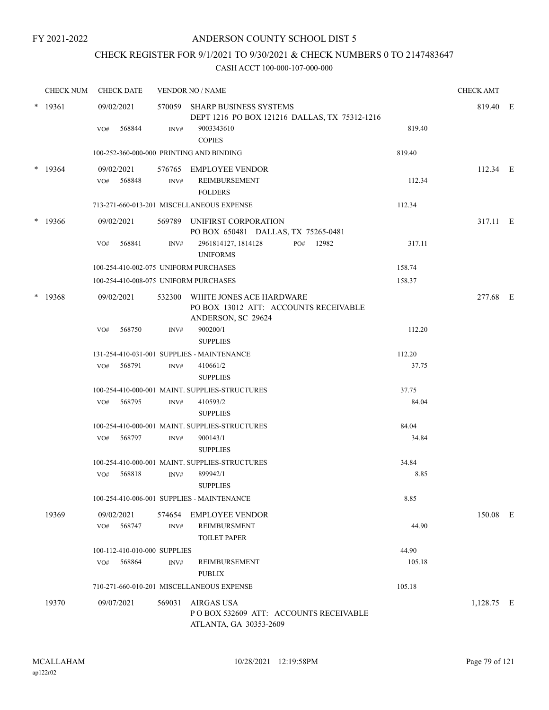## CHECK REGISTER FOR 9/1/2021 TO 9/30/2021 & CHECK NUMBERS 0 TO 2147483647

|        | <b>CHECK NUM</b> | <b>CHECK DATE</b>                        |        | <b>VENDOR NO / NAME</b>                                                                        |        | <b>CHECK AMT</b> |  |
|--------|------------------|------------------------------------------|--------|------------------------------------------------------------------------------------------------|--------|------------------|--|
|        | $*$ 19361        | 09/02/2021                               |        | 570059 SHARP BUSINESS SYSTEMS<br>DEPT 1216 PO BOX 121216 DALLAS, TX 75312-1216                 |        | 819.40 E         |  |
|        |                  | 568844<br>VO#                            | INV#   | 9003343610<br><b>COPIES</b>                                                                    | 819.40 |                  |  |
|        |                  | 100-252-360-000-000 PRINTING AND BINDING |        |                                                                                                | 819.40 |                  |  |
|        | $*$ 19364        | 09/02/2021                               |        | 576765 EMPLOYEE VENDOR                                                                         |        | $112.34 \t E$    |  |
|        |                  | 568848<br>VO#                            | INV#   | <b>REIMBURSEMENT</b><br><b>FOLDERS</b>                                                         | 112.34 |                  |  |
|        |                  |                                          |        | 713-271-660-013-201 MISCELLANEOUS EXPENSE                                                      | 112.34 |                  |  |
|        | $*$ 19366        | 09/02/2021                               |        | 569789 UNIFIRST CORPORATION<br>PO BOX 650481 DALLAS, TX 75265-0481                             |        | 317.11 E         |  |
|        |                  | VO#<br>568841                            | INV#   | 2961814127, 1814128<br>PO# 12982<br><b>UNIFORMS</b>                                            | 317.11 |                  |  |
|        |                  | 100-254-410-002-075 UNIFORM PURCHASES    |        |                                                                                                | 158.74 |                  |  |
|        |                  | 100-254-410-008-075 UNIFORM PURCHASES    |        |                                                                                                | 158.37 |                  |  |
| $\ast$ | 19368            | 09/02/2021                               |        | 532300 WHITE JONES ACE HARDWARE<br>PO BOX 13012 ATT: ACCOUNTS RECEIVABLE<br>ANDERSON, SC 29624 |        | 277.68 E         |  |
|        |                  | VO#<br>568750                            | INV#   | 900200/1                                                                                       | 112.20 |                  |  |
|        |                  |                                          |        | <b>SUPPLIES</b>                                                                                |        |                  |  |
|        |                  |                                          |        | 131-254-410-031-001 SUPPLIES - MAINTENANCE                                                     | 112.20 |                  |  |
|        |                  | 568791<br>VO#                            | INV#   | 410661/2<br><b>SUPPLIES</b>                                                                    | 37.75  |                  |  |
|        |                  |                                          |        | 100-254-410-000-001 MAINT. SUPPLIES-STRUCTURES                                                 | 37.75  |                  |  |
|        |                  | VO# 568795                               | INV#   | 410593/2<br><b>SUPPLIES</b>                                                                    | 84.04  |                  |  |
|        |                  |                                          |        | 100-254-410-000-001 MAINT. SUPPLIES-STRUCTURES                                                 | 84.04  |                  |  |
|        |                  | 568797<br>VO#                            | INV#   | 900143/1<br><b>SUPPLIES</b>                                                                    | 34.84  |                  |  |
|        |                  |                                          |        | 100-254-410-000-001 MAINT, SUPPLIES-STRUCTURES                                                 | 34.84  |                  |  |
|        |                  | 568818<br>VO#                            | INV#   | 899942/1<br><b>SUPPLIES</b>                                                                    | 8.85   |                  |  |
|        |                  |                                          |        | 100-254-410-006-001 SUPPLIES - MAINTENANCE                                                     | 8.85   |                  |  |
|        | 19369            | 09/02/2021                               |        | 574654 EMPLOYEE VENDOR                                                                         |        | 150.08 E         |  |
|        |                  | 568747<br>VO#                            | INV#   | <b>REIMBURSMENT</b><br><b>TOILET PAPER</b>                                                     | 44.90  |                  |  |
|        |                  | 100-112-410-010-000 SUPPLIES             |        |                                                                                                | 44.90  |                  |  |
|        |                  | 568864<br>VO#                            | INV#   | REIMBURSEMENT<br><b>PUBLIX</b>                                                                 | 105.18 |                  |  |
|        |                  |                                          |        | 710-271-660-010-201 MISCELLANEOUS EXPENSE                                                      | 105.18 |                  |  |
|        | 19370            | 09/07/2021                               | 569031 | <b>AIRGAS USA</b><br>POBOX 532609 ATT: ACCOUNTS RECEIVABLE<br>ATLANTA, GA 30353-2609           |        | $1,128.75$ E     |  |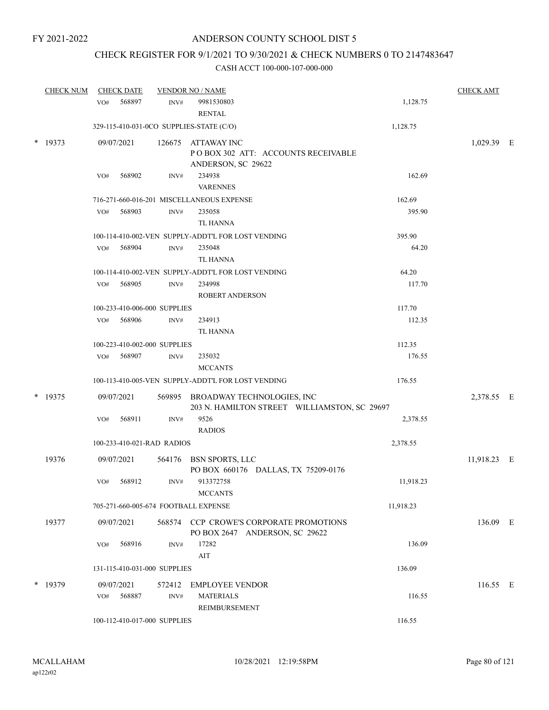# CHECK REGISTER FOR 9/1/2021 TO 9/30/2021 & CHECK NUMBERS 0 TO 2147483647

| <b>CHECK NUM</b> |            | <b>CHECK DATE</b> |                              | <b>VENDOR NO / NAME</b>                                                           |           | <b>CHECK AMT</b> |  |
|------------------|------------|-------------------|------------------------------|-----------------------------------------------------------------------------------|-----------|------------------|--|
|                  | VO#        | 568897            | INV#                         | 9981530803<br><b>RENTAL</b>                                                       | 1,128.75  |                  |  |
|                  |            |                   |                              | 329-115-410-031-0CO SUPPLIES-STATE (C/O)                                          | 1,128.75  |                  |  |
| * 19373          | 09/07/2021 |                   |                              | 126675 ATTAWAY INC<br>POBOX 302 ATT: ACCOUNTS RECEIVABLE<br>ANDERSON, SC 29622    |           | 1,029.39 E       |  |
|                  | VO#        | 568902            | INV#                         | 234938<br><b>VARENNES</b>                                                         | 162.69    |                  |  |
|                  |            |                   |                              | 716-271-660-016-201 MISCELLANEOUS EXPENSE                                         | 162.69    |                  |  |
|                  | VO#        | 568903            | INV#                         | 235058                                                                            | 395.90    |                  |  |
|                  |            |                   |                              | TL HANNA                                                                          |           |                  |  |
|                  |            |                   |                              | 100-114-410-002-VEN SUPPLY-ADDT'L FOR LOST VENDING                                | 395.90    |                  |  |
|                  | VO#        | 568904            | INV#                         | 235048<br>TL HANNA                                                                | 64.20     |                  |  |
|                  |            |                   |                              | 100-114-410-002-VEN SUPPLY-ADDT'L FOR LOST VENDING                                | 64.20     |                  |  |
|                  | VO#        | 568905            | INV#                         | 234998                                                                            | 117.70    |                  |  |
|                  |            |                   |                              | ROBERT ANDERSON                                                                   |           |                  |  |
|                  |            |                   | 100-233-410-006-000 SUPPLIES |                                                                                   | 117.70    |                  |  |
|                  | VO#        | 568906            | INV#                         | 234913<br><b>TL HANNA</b>                                                         | 112.35    |                  |  |
|                  |            |                   | 100-223-410-002-000 SUPPLIES |                                                                                   | 112.35    |                  |  |
|                  | VO#        | 568907            | INV#                         | 235032<br><b>MCCANTS</b>                                                          | 176.55    |                  |  |
|                  |            |                   |                              | 100-113-410-005-VEN SUPPLY-ADDT'L FOR LOST VENDING                                | 176.55    |                  |  |
| $*$ 19375        | 09/07/2021 |                   |                              | 569895 BROADWAY TECHNOLOGIES, INC<br>203 N. HAMILTON STREET WILLIAMSTON, SC 29697 |           | 2,378.55 E       |  |
|                  | VO#        | 568911            | INV#                         | 9526<br><b>RADIOS</b>                                                             | 2,378.55  |                  |  |
|                  |            |                   | 100-233-410-021-RAD RADIOS   |                                                                                   | 2,378.55  |                  |  |
| 19376            | 09/07/2021 |                   |                              | 564176 BSN SPORTS, LLC<br>PO BOX 660176 DALLAS, TX 75209-0176                     |           | 11,918.23 E      |  |
|                  | VO#        | 568912            | INV#                         | 913372758<br><b>MCCANTS</b>                                                       | 11,918.23 |                  |  |
|                  |            |                   |                              | 705-271-660-005-674 FOOTBALL EXPENSE                                              | 11,918.23 |                  |  |
| 19377            | 09/07/2021 |                   |                              | 568574 CCP CROWE'S CORPORATE PROMOTIONS<br>PO BOX 2647 ANDERSON, SC 29622         |           | 136.09 E         |  |
|                  | VO#        | 568916            | INV#                         | 17282<br>AIT                                                                      | 136.09    |                  |  |
|                  |            |                   | 131-115-410-031-000 SUPPLIES |                                                                                   | 136.09    |                  |  |
| $*$ 19379        | 09/07/2021 |                   | 572412                       | <b>EMPLOYEE VENDOR</b>                                                            |           | 116.55 E         |  |
|                  | VO#        | 568887            | INV#                         | <b>MATERIALS</b><br>REIMBURSEMENT                                                 | 116.55    |                  |  |
|                  |            |                   | 100-112-410-017-000 SUPPLIES |                                                                                   | 116.55    |                  |  |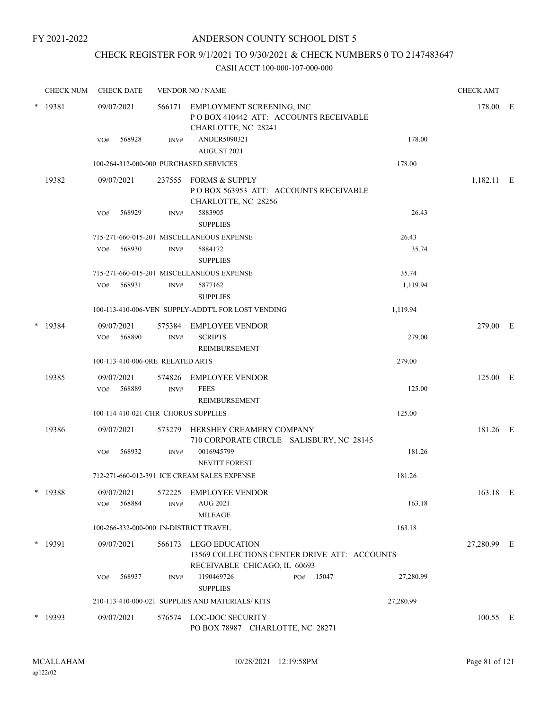## ANDERSON COUNTY SCHOOL DIST 5

## CHECK REGISTER FOR 9/1/2021 TO 9/30/2021 & CHECK NUMBERS 0 TO 2147483647

|        | <b>CHECK NUM</b> | <b>CHECK DATE</b>                      |                  | <b>VENDOR NO / NAME</b>                                                                               |           | <b>CHECK AMT</b> |  |
|--------|------------------|----------------------------------------|------------------|-------------------------------------------------------------------------------------------------------|-----------|------------------|--|
|        | $*$ 19381        | 09/07/2021                             |                  | 566171 EMPLOYMENT SCREENING, INC<br>PO BOX 410442 ATT: ACCOUNTS RECEIVABLE<br>CHARLOTTE, NC 28241     |           | 178.00 E         |  |
|        |                  | 568928<br>VO#                          | INV#             | ANDER5090321<br>AUGUST 2021                                                                           | 178.00    |                  |  |
|        |                  | 100-264-312-000-000 PURCHASED SERVICES |                  |                                                                                                       | 178.00    |                  |  |
|        | 19382            | 09/07/2021                             |                  | 237555 FORMS & SUPPLY<br>POBOX 563953 ATT: ACCOUNTS RECEIVABLE<br>CHARLOTTE, NC 28256                 |           | 1,182.11 E       |  |
|        |                  | 568929<br>VO#                          | INV#             | 5883905<br><b>SUPPLIES</b>                                                                            | 26.43     |                  |  |
|        |                  |                                        |                  | 715-271-660-015-201 MISCELLANEOUS EXPENSE                                                             | 26.43     |                  |  |
|        |                  | 568930<br>VO#                          | INV#             | 5884172<br><b>SUPPLIES</b>                                                                            | 35.74     |                  |  |
|        |                  |                                        |                  | 715-271-660-015-201 MISCELLANEOUS EXPENSE                                                             | 35.74     |                  |  |
|        |                  | 568931<br>VO#                          | INV#             | 5877162<br><b>SUPPLIES</b>                                                                            | 1,119.94  |                  |  |
|        |                  |                                        |                  | 100-113-410-006-VEN SUPPLY-ADDT'L FOR LOST VENDING                                                    | 1,119.94  |                  |  |
|        | * 19384          | 09/07/2021<br>568890<br>VO#            | INV#             | 575384 EMPLOYEE VENDOR<br><b>SCRIPTS</b><br>REIMBURSEMENT                                             | 279.00    | 279.00 E         |  |
|        |                  | 100-113-410-006-0RE RELATED ARTS       |                  |                                                                                                       | 279.00    |                  |  |
|        | 19385            | 09/07/2021                             | 574826           | <b>EMPLOYEE VENDOR</b>                                                                                |           | 125.00 E         |  |
|        |                  | 568889<br>VO#                          | INV#             | <b>FEES</b><br>REIMBURSEMENT                                                                          | 125.00    |                  |  |
|        |                  | 100-114-410-021-CHR CHORUS SUPPLIES    |                  |                                                                                                       | 125.00    |                  |  |
|        | 19386            | 09/07/2021                             |                  | 573279 HERSHEY CREAMERY COMPANY<br>710 CORPORATE CIRCLE SALISBURY, NC 28145                           |           | 181.26 E         |  |
|        |                  | 568932<br>VO#                          | $\mathrm{INV}\#$ | 0016945799<br><b>NEVITT FOREST</b>                                                                    | 181.26    |                  |  |
|        |                  |                                        |                  | 712-271-660-012-391 ICE CREAM SALES EXPENSE                                                           | 181.26    |                  |  |
| $\ast$ | 19388            | 09/07/2021<br>VO#<br>568884            | 572225<br>INV#   | <b>EMPLOYEE VENDOR</b><br>AUG 2021<br><b>MILEAGE</b>                                                  | 163.18    | 163.18 E         |  |
|        |                  | 100-266-332-000-000 IN-DISTRICT TRAVEL |                  |                                                                                                       | 163.18    |                  |  |
|        | $*$ 19391        | 09/07/2021                             |                  | 566173 LEGO EDUCATION<br>13569 COLLECTIONS CENTER DRIVE ATT: ACCOUNTS<br>RECEIVABLE CHICAGO, IL 60693 |           | 27,280.99 E      |  |
|        |                  | 568937<br>VO#                          | INV#             | 1190469726<br>PO# 15047<br><b>SUPPLIES</b>                                                            | 27,280.99 |                  |  |
|        |                  |                                        |                  | 210-113-410-000-021 SUPPLIES AND MATERIALS/KITS                                                       | 27,280.99 |                  |  |
|        | $*$ 19393        | 09/07/2021                             |                  | 576574 LOC-DOC SECURITY<br>PO BOX 78987 CHARLOTTE, NC 28271                                           |           | 100.55 E         |  |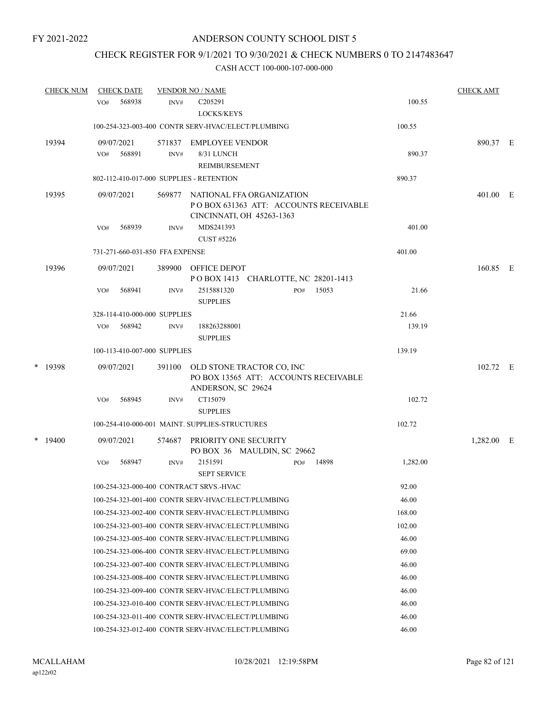## CHECK REGISTER FOR 9/1/2021 TO 9/30/2021 & CHECK NUMBERS 0 TO 2147483647

|   | <b>CHECK NUM</b> | <b>CHECK DATE</b>                        |                | <b>VENDOR NO / NAME</b>                                                                         |          | <b>CHECK AMT</b> |  |
|---|------------------|------------------------------------------|----------------|-------------------------------------------------------------------------------------------------|----------|------------------|--|
|   |                  | 568938<br>VO#                            | INV#           | C <sub>205291</sub><br>LOCKS/KEYS                                                               | 100.55   |                  |  |
|   |                  |                                          |                | 100-254-323-003-400 CONTR SERV-HVAC/ELECT/PLUMBING                                              | 100.55   |                  |  |
|   | 19394            | 09/07/2021<br>568891<br>VO#              | 571837<br>INV# | <b>EMPLOYEE VENDOR</b><br>8/31 LUNCH<br><b>REIMBURSEMENT</b>                                    | 890.37   | 890.37 E         |  |
|   |                  | 802-112-410-017-000 SUPPLIES - RETENTION |                |                                                                                                 | 890.37   |                  |  |
|   | 19395            | 09/07/2021                               | 569877         | NATIONAL FFA ORGANIZATION<br>POBOX 631363 ATT: ACCOUNTS RECEIVABLE<br>CINCINNATI, OH 45263-1363 |          | 401.00 E         |  |
|   |                  | 568939<br>VO#                            | INV#           | MDS241393<br>CUST #5226                                                                         | 401.00   |                  |  |
|   |                  | 731-271-660-031-850 FFA EXPENSE          |                |                                                                                                 | 401.00   |                  |  |
|   | 19396            | 09/07/2021                               | 389900         | <b>OFFICE DEPOT</b><br>POBOX 1413 CHARLOTTE, NC 28201-1413                                      |          | 160.85 E         |  |
|   |                  | 568941<br>VO#                            | INV#           | 2515881320<br>15053<br>PO#<br><b>SUPPLIES</b>                                                   | 21.66    |                  |  |
|   |                  | 328-114-410-000-000 SUPPLIES             |                |                                                                                                 | 21.66    |                  |  |
|   |                  | 568942<br>VO#                            | INV#           | 188263288001<br><b>SUPPLIES</b>                                                                 | 139.19   |                  |  |
|   |                  | 100-113-410-007-000 SUPPLIES             |                |                                                                                                 | 139.19   |                  |  |
|   | * 19398          | 09/07/2021                               | 391100         | OLD STONE TRACTOR CO, INC<br>PO BOX 13565 ATT: ACCOUNTS RECEIVABLE<br>ANDERSON, SC 29624        |          | 102.72 E         |  |
|   |                  | 568945<br>VO#                            | $\text{INV}\#$ | CT15079<br><b>SUPPLIES</b>                                                                      | 102.72   |                  |  |
|   |                  |                                          |                | 100-254-410-000-001 MAINT. SUPPLIES-STRUCTURES                                                  | 102.72   |                  |  |
| * | 19400            | 09/07/2021                               | 574687         | PRIORITY ONE SECURITY<br>PO BOX 36 MAULDIN, SC 29662                                            |          | 1,282.00 E       |  |
|   |                  | VO#<br>568947                            | INV#           | 2151591<br>14898<br>PO#<br><b>SEPT SERVICE</b>                                                  | 1,282.00 |                  |  |
|   |                  |                                          |                | 100-254-323-000-400 CONTRACT SRVS.-HVAC                                                         | 92.00    |                  |  |
|   |                  |                                          |                | 100-254-323-001-400 CONTR SERV-HVAC/ELECT/PLUMBING                                              | 46.00    |                  |  |
|   |                  |                                          |                | 100-254-323-002-400 CONTR SERV-HVAC/ELECT/PLUMBING                                              | 168.00   |                  |  |
|   |                  |                                          |                | 100-254-323-003-400 CONTR SERV-HVAC/ELECT/PLUMBING                                              | 102.00   |                  |  |
|   |                  |                                          |                | 100-254-323-005-400 CONTR SERV-HVAC/ELECT/PLUMBING                                              | 46.00    |                  |  |
|   |                  |                                          |                | 100-254-323-006-400 CONTR SERV-HVAC/ELECT/PLUMBING                                              | 69.00    |                  |  |
|   |                  |                                          |                | 100-254-323-007-400 CONTR SERV-HVAC/ELECT/PLUMBING                                              | 46.00    |                  |  |
|   |                  |                                          |                | 100-254-323-008-400 CONTR SERV-HVAC/ELECT/PLUMBING                                              | 46.00    |                  |  |
|   |                  |                                          |                | 100-254-323-009-400 CONTR SERV-HVAC/ELECT/PLUMBING                                              | 46.00    |                  |  |
|   |                  |                                          |                | 100-254-323-010-400 CONTR SERV-HVAC/ELECT/PLUMBING                                              | 46.00    |                  |  |
|   |                  |                                          |                | 100-254-323-011-400 CONTR SERV-HVAC/ELECT/PLUMBING                                              | 46.00    |                  |  |
|   |                  |                                          |                | 100-254-323-012-400 CONTR SERV-HVAC/ELECT/PLUMBING                                              | 46.00    |                  |  |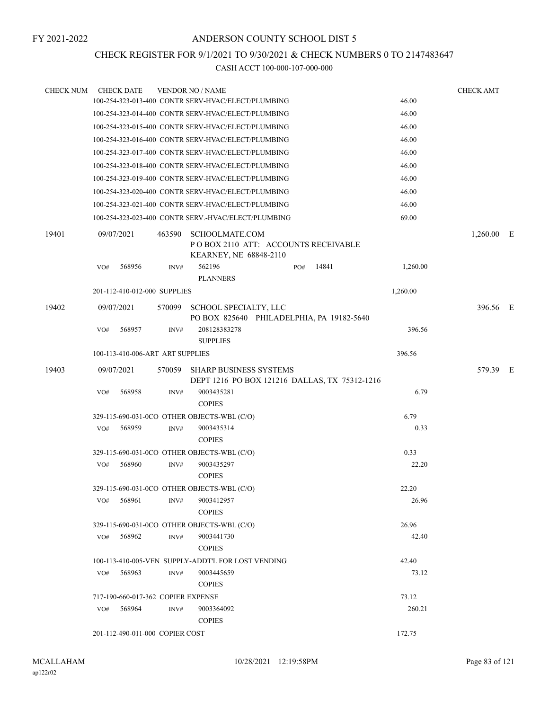# CHECK REGISTER FOR 9/1/2021 TO 9/30/2021 & CHECK NUMBERS 0 TO 2147483647

| <b>CHECK NUM</b> | <b>CHECK DATE</b>                  |        | <b>VENDOR NO / NAME</b>                                                         |          | <b>CHECK AMT</b> |
|------------------|------------------------------------|--------|---------------------------------------------------------------------------------|----------|------------------|
|                  |                                    |        | 100-254-323-013-400 CONTR SERV-HVAC/ELECT/PLUMBING                              | 46.00    |                  |
|                  |                                    |        | 100-254-323-014-400 CONTR SERV-HVAC/ELECT/PLUMBING                              | 46.00    |                  |
|                  |                                    |        | 100-254-323-015-400 CONTR SERV-HVAC/ELECT/PLUMBING                              | 46.00    |                  |
|                  |                                    |        | 100-254-323-016-400 CONTR SERV-HVAC/ELECT/PLUMBING                              | 46.00    |                  |
|                  |                                    |        | 100-254-323-017-400 CONTR SERV-HVAC/ELECT/PLUMBING                              | 46.00    |                  |
|                  |                                    |        | 100-254-323-018-400 CONTR SERV-HVAC/ELECT/PLUMBING                              | 46.00    |                  |
|                  |                                    |        | 100-254-323-019-400 CONTR SERV-HVAC/ELECT/PLUMBING                              | 46.00    |                  |
|                  |                                    |        | 100-254-323-020-400 CONTR SERV-HVAC/ELECT/PLUMBING                              | 46.00    |                  |
|                  |                                    |        | 100-254-323-021-400 CONTR SERV-HVAC/ELECT/PLUMBING                              | 46.00    |                  |
|                  |                                    |        | 100-254-323-023-400 CONTR SERV.-HVAC/ELECT/PLUMBING                             | 69.00    |                  |
| 19401            | 09/07/2021                         | 463590 | SCHOOLMATE.COM<br>POBOX 2110 ATT: ACCOUNTS RECEIVABLE<br>KEARNEY, NE 68848-2110 |          | $1,260.00$ E     |
|                  | 568956<br>VO#                      | INV#   | 562196<br>PO#<br><b>PLANNERS</b>                                                | 14841    | 1,260.00         |
|                  | 201-112-410-012-000 SUPPLIES       |        |                                                                                 | 1,260.00 |                  |
| 19402            | 09/07/2021                         | 570099 | SCHOOL SPECIALTY, LLC<br>PO BOX 825640 PHILADELPHIA, PA 19182-5640              |          | 396.56 E         |
|                  | 568957<br>VO#                      | INV#   | 208128383278<br><b>SUPPLIES</b>                                                 |          | 396.56           |
|                  | 100-113-410-006-ART ART SUPPLIES   |        |                                                                                 | 396.56   |                  |
| 19403            | 09/07/2021                         | 570059 | <b>SHARP BUSINESS SYSTEMS</b><br>DEPT 1216 PO BOX 121216 DALLAS, TX 75312-1216  |          | 579.39 E         |
|                  | 568958<br>VO#                      | INV#   | 9003435281<br><b>COPIES</b>                                                     |          | 6.79             |
|                  |                                    |        | 329-115-690-031-0CO OTHER OBJECTS-WBL (C/O)                                     | 6.79     |                  |
|                  | VO#<br>568959                      | INV#   | 9003435314<br><b>COPIES</b>                                                     |          | 0.33             |
|                  |                                    |        | 329-115-690-031-0CO OTHER OBJECTS-WBL (C/O)                                     | 0.33     |                  |
|                  | 568960<br>VO#                      | INV#   | 9003435297<br><b>COPIES</b>                                                     |          | 22.20            |
|                  |                                    |        | 329-115-690-031-0CO OTHER OBJECTS-WBL (C/O)                                     | 22.20    |                  |
|                  | 568961<br>VO#                      | INV#   | 9003412957<br><b>COPIES</b>                                                     |          | 26.96            |
|                  |                                    |        | 329-115-690-031-0CO OTHER OBJECTS-WBL (C/O)                                     | 26.96    |                  |
|                  | $VO#$ 568962                       | INV#   | 9003441730<br><b>COPIES</b>                                                     |          | 42.40            |
|                  |                                    |        | 100-113-410-005-VEN SUPPLY-ADDT'L FOR LOST VENDING                              | 42.40    |                  |
|                  | 568963<br>VO#                      | INV#   | 9003445659<br><b>COPIES</b>                                                     |          | 73.12            |
|                  | 717-190-660-017-362 COPIER EXPENSE |        |                                                                                 | 73.12    |                  |
|                  | 568964<br>VO#                      | INV#   | 9003364092<br><b>COPIES</b>                                                     |          | 260.21           |
|                  | 201-112-490-011-000 COPIER COST    |        |                                                                                 | 172.75   |                  |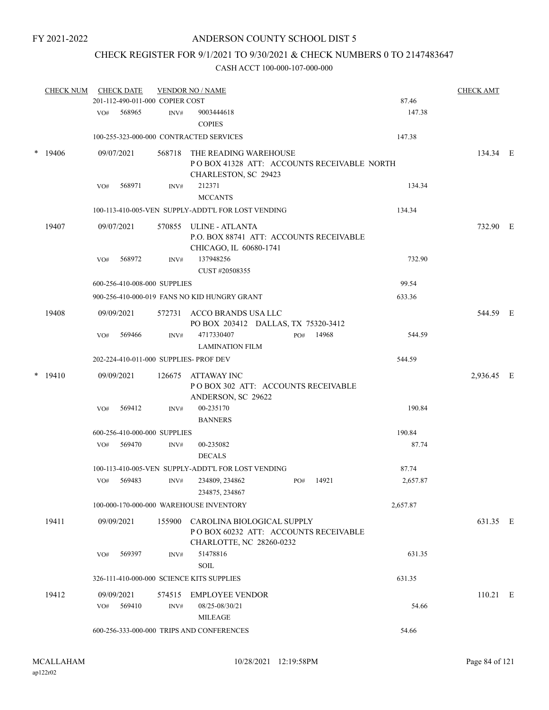## CHECK REGISTER FOR 9/1/2021 TO 9/30/2021 & CHECK NUMBERS 0 TO 2147483647

|        | <b>CHECK NUM</b> |     | <b>CHECK DATE</b> | 201-112-490-011-000 COPIER COST | <b>VENDOR NO / NAME</b>                                                                               |     |       | 87.46    | <b>CHECK AMT</b> |  |
|--------|------------------|-----|-------------------|---------------------------------|-------------------------------------------------------------------------------------------------------|-----|-------|----------|------------------|--|
|        |                  | VO# | 568965            | INV#                            | 9003444618                                                                                            |     |       | 147.38   |                  |  |
|        |                  |     |                   |                                 | <b>COPIES</b>                                                                                         |     |       |          |                  |  |
|        |                  |     |                   |                                 | 100-255-323-000-000 CONTRACTED SERVICES                                                               |     |       | 147.38   |                  |  |
| $\ast$ | 19406            |     | 09/07/2021        | 568718                          | THE READING WAREHOUSE<br>POBOX 41328 ATT: ACCOUNTS RECEIVABLE NORTH<br>CHARLESTON, SC 29423           |     |       |          | 134.34 E         |  |
|        |                  | VO# | 568971            | INV#                            | 212371<br><b>MCCANTS</b>                                                                              |     |       | 134.34   |                  |  |
|        |                  |     |                   |                                 | 100-113-410-005-VEN SUPPLY-ADDT'L FOR LOST VENDING                                                    |     |       | 134.34   |                  |  |
|        | 19407            |     | 09/07/2021        | 570855                          | ULINE - ATLANTA<br>P.O. BOX 88741 ATT: ACCOUNTS RECEIVABLE<br>CHICAGO, IL 60680-1741                  |     |       |          | 732.90 E         |  |
|        |                  | VO# | 568972            | INV#                            | 137948256<br>CUST #20508355                                                                           |     |       | 732.90   |                  |  |
|        |                  |     |                   | 600-256-410-008-000 SUPPLIES    |                                                                                                       |     |       | 99.54    |                  |  |
|        |                  |     |                   |                                 | 900-256-410-000-019 FANS NO KID HUNGRY GRANT                                                          |     |       | 633.36   |                  |  |
|        | 19408            |     | 09/09/2021        |                                 | 572731 ACCO BRANDS USA LLC<br>PO BOX 203412 DALLAS, TX 75320-3412                                     |     |       |          | 544.59 E         |  |
|        |                  | VO# | 569466            | INV#                            | 4717330407<br><b>LAMINATION FILM</b>                                                                  | PO# | 14968 | 544.59   |                  |  |
|        |                  |     |                   |                                 | 202-224-410-011-000 SUPPLIES- PROF DEV                                                                |     |       | 544.59   |                  |  |
|        | $*$ 19410        |     | 09/09/2021        | 126675                          | ATTAWAY INC<br>POBOX 302 ATT: ACCOUNTS RECEIVABLE<br>ANDERSON, SC 29622                               |     |       |          | 2,936.45 E       |  |
|        |                  | VO# | 569412            | INV#                            | 00-235170<br><b>BANNERS</b>                                                                           |     |       | 190.84   |                  |  |
|        |                  |     |                   | 600-256-410-000-000 SUPPLIES    |                                                                                                       |     |       | 190.84   |                  |  |
|        |                  |     | VO# 569470        | INV#                            | 00-235082<br><b>DECALS</b>                                                                            |     |       | 87.74    |                  |  |
|        |                  |     |                   |                                 | 100-113-410-005-VEN SUPPLY-ADDT'L FOR LOST VENDING                                                    |     |       | 87.74    |                  |  |
|        |                  | VO# | 569483            | INV#                            | 234809, 234862<br>234875, 234867                                                                      | PO# | 14921 | 2,657.87 |                  |  |
|        |                  |     |                   |                                 | 100-000-170-000-000 WAREHOUSE INVENTORY                                                               |     |       | 2,657.87 |                  |  |
|        | 19411            |     | 09/09/2021        |                                 | 155900 CAROLINA BIOLOGICAL SUPPLY<br>POBOX 60232 ATT: ACCOUNTS RECEIVABLE<br>CHARLOTTE, NC 28260-0232 |     |       |          | 631.35 E         |  |
|        |                  | VO# | 569397            | INV#                            | 51478816<br><b>SOIL</b>                                                                               |     |       | 631.35   |                  |  |
|        |                  |     |                   |                                 | 326-111-410-000-000 SCIENCE KITS SUPPLIES                                                             |     |       | 631.35   |                  |  |
|        | 19412            |     | 09/09/2021        | 574515                          | <b>EMPLOYEE VENDOR</b>                                                                                |     |       |          | $110.21$ E       |  |
|        |                  | VO# | 569410            | INV#                            | 08/25-08/30/21<br>MILEAGE                                                                             |     |       | 54.66    |                  |  |
|        |                  |     |                   |                                 | 600-256-333-000-000 TRIPS AND CONFERENCES                                                             |     |       | 54.66    |                  |  |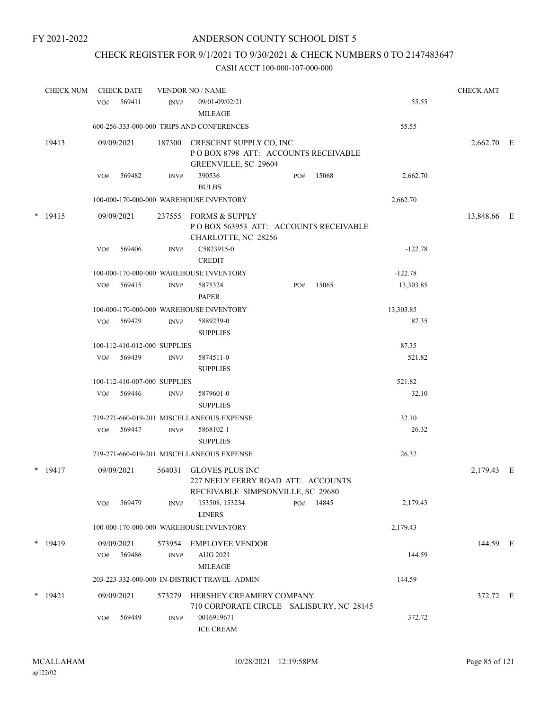# CHECK REGISTER FOR 9/1/2021 TO 9/30/2021 & CHECK NUMBERS 0 TO 2147483647

| <b>CHECK NUM</b> |     | <b>CHECK DATE</b>            |                | <b>VENDOR NO / NAME</b>                                                                           |     |       |           | <b>CHECK AMT</b> |  |
|------------------|-----|------------------------------|----------------|---------------------------------------------------------------------------------------------------|-----|-------|-----------|------------------|--|
|                  | VO# | 569411                       | INV#           | 09/01-09/02/21<br><b>MILEAGE</b>                                                                  |     |       | 55.55     |                  |  |
|                  |     |                              |                | 600-256-333-000-000 TRIPS AND CONFERENCES                                                         |     |       | 55.55     |                  |  |
| 19413            |     | 09/09/2021                   | 187300         | CRESCENT SUPPLY CO, INC<br>POBOX 8798 ATT: ACCOUNTS RECEIVABLE<br>GREENVILLE, SC 29604            |     |       |           | 2,662.70 E       |  |
|                  | VO# | 569482                       | INV#           | 390536<br><b>BULBS</b>                                                                            | PO# | 15068 | 2,662.70  |                  |  |
|                  |     |                              |                | 100-000-170-000-000 WAREHOUSE INVENTORY                                                           |     |       | 2,662.70  |                  |  |
| $*$ 19415        |     | 09/09/2021                   |                | 237555 FORMS & SUPPLY<br>POBOX 563953 ATT: ACCOUNTS RECEIVABLE<br>CHARLOTTE, NC 28256             |     |       |           | 13,848.66 E      |  |
|                  | VO# | 569406                       | INV#           | C5823915-0<br><b>CREDIT</b>                                                                       |     |       | $-122.78$ |                  |  |
|                  |     |                              |                | 100-000-170-000-000 WAREHOUSE INVENTORY                                                           |     |       | $-122.78$ |                  |  |
|                  | VO# | 569415                       | INV#           | 5875324<br><b>PAPER</b>                                                                           | PO# | 15065 | 13,303.85 |                  |  |
|                  |     |                              |                | 100-000-170-000-000 WAREHOUSE INVENTORY                                                           |     |       | 13,303.85 |                  |  |
|                  | VO# | 569429                       | INV#           | 5889239-0<br><b>SUPPLIES</b>                                                                      |     |       | 87.35     |                  |  |
|                  |     | 100-112-410-012-000 SUPPLIES |                |                                                                                                   |     |       | 87.35     |                  |  |
|                  | VO# | 569439                       | INV#           | 5874511-0<br><b>SUPPLIES</b>                                                                      |     |       | 521.82    |                  |  |
|                  |     | 100-112-410-007-000 SUPPLIES |                |                                                                                                   |     |       | 521.82    |                  |  |
|                  | VO# | 569446                       | INV#           | 5879601-0<br><b>SUPPLIES</b>                                                                      |     |       | 32.10     |                  |  |
|                  |     |                              |                | 719-271-660-019-201 MISCELLANEOUS EXPENSE                                                         |     |       | 32.10     |                  |  |
|                  | VO# | 569447                       | INV#           | 5868102-1<br><b>SUPPLIES</b>                                                                      |     |       | 26.32     |                  |  |
|                  |     |                              |                | 719-271-660-019-201 MISCELLANEOUS EXPENSE                                                         |     |       | 26.32     |                  |  |
| $*$ 19417        |     | 09/09/2021                   | 564031         | <b>GLOVES PLUS INC</b><br>227 NEELY FERRY ROAD ATT: ACCOUNTS<br>RECEIVABLE SIMPSONVILLE, SC 29680 |     |       |           | 2,179.43 E       |  |
|                  | VO# | 569479                       | INV#           | 153508, 153234<br><b>LINERS</b>                                                                   | PO# | 14845 | 2,179.43  |                  |  |
|                  |     |                              |                | 100-000-170-000-000 WAREHOUSE INVENTORY                                                           |     |       | 2,179.43  |                  |  |
| $*$ 19419        | VO# | 09/09/2021<br>569486         | 573954<br>INV# | EMPLOYEE VENDOR<br>AUG 2021                                                                       |     |       | 144.59    | 144.59 E         |  |
|                  |     |                              |                | <b>MILEAGE</b>                                                                                    |     |       |           |                  |  |
|                  |     |                              |                | 203-223-332-000-000 IN-DISTRICT TRAVEL- ADMIN                                                     |     |       | 144.59    |                  |  |
| $*$ 19421        |     | 09/09/2021                   | 573279         | HERSHEY CREAMERY COMPANY<br>710 CORPORATE CIRCLE SALISBURY, NC 28145                              |     |       |           | 372.72 E         |  |
|                  | VO# | 569449                       | INV#           | 0016919671<br><b>ICE CREAM</b>                                                                    |     |       | 372.72    |                  |  |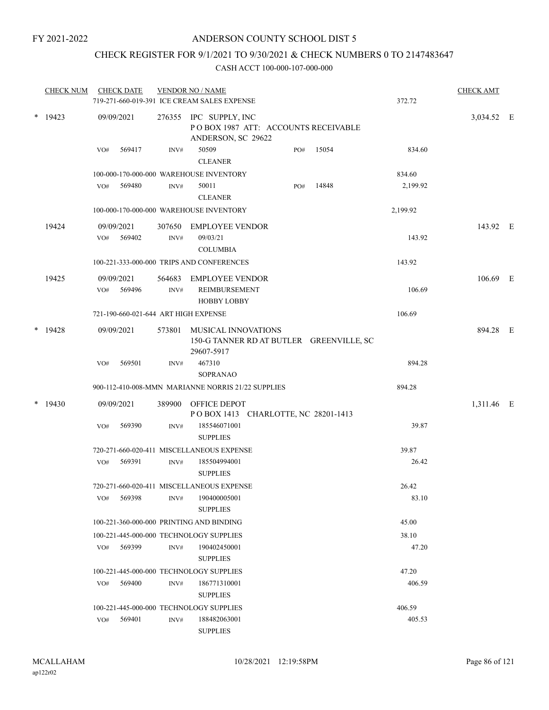## CHECK REGISTER FOR 9/1/2021 TO 9/30/2021 & CHECK NUMBERS 0 TO 2147483647

| <b>CHECK NUM</b> | <b>CHECK DATE</b>                        |                | <b>VENDOR NO / NAME</b><br>719-271-660-019-391 ICE CREAM SALES EXPENSE              |                                          |       | 372.72   | <b>CHECK AMT</b> |  |
|------------------|------------------------------------------|----------------|-------------------------------------------------------------------------------------|------------------------------------------|-------|----------|------------------|--|
| $*$ 19423        | 09/09/2021                               |                | 276355 IPC SUPPLY, INC<br>POBOX 1987 ATT: ACCOUNTS RECEIVABLE<br>ANDERSON, SC 29622 |                                          |       |          | 3,034.52 E       |  |
|                  | 569417<br>VO#                            | INV#           | 50509<br><b>CLEANER</b>                                                             | PO#                                      | 15054 | 834.60   |                  |  |
|                  |                                          |                | 100-000-170-000-000 WAREHOUSE INVENTORY                                             |                                          |       | 834.60   |                  |  |
|                  | 569480<br>VO#                            | INV#           | 50011<br><b>CLEANER</b>                                                             | PO#                                      | 14848 | 2,199.92 |                  |  |
|                  |                                          |                | 100-000-170-000-000 WAREHOUSE INVENTORY                                             |                                          |       | 2,199.92 |                  |  |
| 19424            | 09/09/2021<br>569402<br>VO#              | 307650<br>INV# | <b>EMPLOYEE VENDOR</b><br>09/03/21                                                  |                                          |       | 143.92   | 143.92 E         |  |
|                  |                                          |                | <b>COLUMBIA</b>                                                                     |                                          |       |          |                  |  |
|                  |                                          |                | 100-221-333-000-000 TRIPS AND CONFERENCES                                           |                                          |       | 143.92   |                  |  |
| 19425            | 09/09/2021<br>569496<br>VO#              | 564683<br>INV# | <b>EMPLOYEE VENDOR</b><br>REIMBURSEMENT<br><b>HOBBY LOBBY</b>                       |                                          |       | 106.69   | 106.69 E         |  |
|                  | 721-190-660-021-644 ART HIGH EXPENSE     |                |                                                                                     |                                          |       | 106.69   |                  |  |
| $*$ 19428        | 09/09/2021                               | 573801         | <b>MUSICAL INNOVATIONS</b><br>29607-5917                                            | 150-G TANNER RD AT BUTLER GREENVILLE, SC |       |          | 894.28 E         |  |
|                  | 569501<br>VO#                            | INV#           | 467310<br><b>SOPRANAO</b>                                                           |                                          |       | 894.28   |                  |  |
|                  |                                          |                | 900-112-410-008-MMN MARIANNE NORRIS 21/22 SUPPLIES                                  |                                          |       | 894.28   |                  |  |
| $*$ 19430        | 09/09/2021                               | 389900         | OFFICE DEPOT<br>POBOX 1413 CHARLOTTE, NC 28201-1413                                 |                                          |       |          | 1,311.46 E       |  |
|                  | VO#<br>569390                            | INV#           | 185546071001<br><b>SUPPLIES</b>                                                     |                                          |       | 39.87    |                  |  |
|                  |                                          |                | 720-271-660-020-411 MISCELLANEOUS EXPENSE                                           |                                          |       | 39.87    |                  |  |
|                  | 569391<br>VO#                            | INV#           | 185504994001<br><b>SUPPLIES</b>                                                     |                                          |       | 26.42    |                  |  |
|                  |                                          |                | 720-271-660-020-411 MISCELLANEOUS EXPENSE                                           |                                          |       | 26.42    |                  |  |
|                  | 569398<br>VO#                            | INV#           | 190400005001<br><b>SUPPLIES</b>                                                     |                                          |       | 83.10    |                  |  |
|                  | 100-221-360-000-000 PRINTING AND BINDING |                |                                                                                     |                                          |       | 45.00    |                  |  |
|                  | 100-221-445-000-000 TECHNOLOGY SUPPLIES  |                |                                                                                     |                                          |       | 38.10    |                  |  |
|                  | VO# 569399                               | INV#           | 190402450001<br><b>SUPPLIES</b>                                                     |                                          |       | 47.20    |                  |  |
|                  | 100-221-445-000-000 TECHNOLOGY SUPPLIES  |                |                                                                                     |                                          |       | 47.20    |                  |  |
|                  | 569400<br>VO#                            | INV#           | 186771310001<br><b>SUPPLIES</b>                                                     |                                          |       | 406.59   |                  |  |
|                  | 100-221-445-000-000 TECHNOLOGY SUPPLIES  |                |                                                                                     |                                          |       | 406.59   |                  |  |
|                  | 569401<br>VO#                            | INV#           | 188482063001<br><b>SUPPLIES</b>                                                     |                                          |       | 405.53   |                  |  |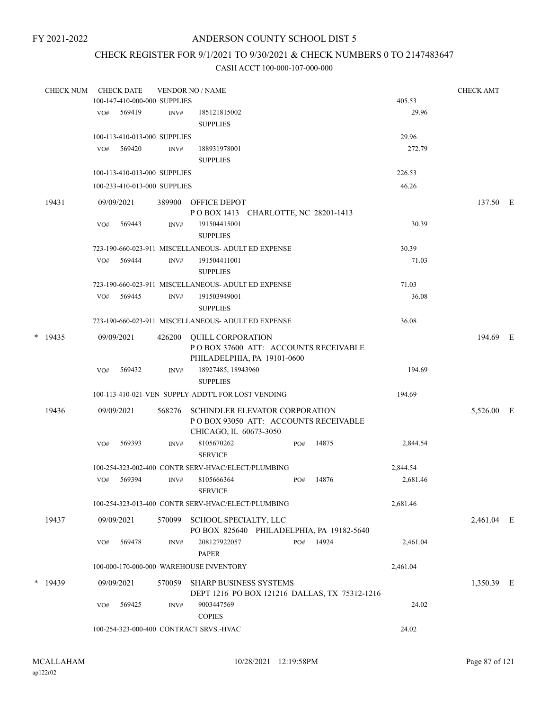## CHECK REGISTER FOR 9/1/2021 TO 9/30/2021 & CHECK NUMBERS 0 TO 2147483647

| <b>CHECK NUM</b> |     | <b>CHECK DATE</b>            |        | <b>VENDOR NO / NAME</b>                                                                                 |     |       |          | <b>CHECK AMT</b> |  |
|------------------|-----|------------------------------|--------|---------------------------------------------------------------------------------------------------------|-----|-------|----------|------------------|--|
|                  |     | 100-147-410-000-000 SUPPLIES |        |                                                                                                         |     |       | 405.53   |                  |  |
|                  | VO# | 569419                       | INV#   | 185121815002<br><b>SUPPLIES</b>                                                                         |     |       | 29.96    |                  |  |
|                  |     | 100-113-410-013-000 SUPPLIES |        |                                                                                                         |     |       | 29.96    |                  |  |
|                  | VO# | 569420                       | INV#   | 188931978001<br><b>SUPPLIES</b>                                                                         |     |       | 272.79   |                  |  |
|                  |     | 100-113-410-013-000 SUPPLIES |        |                                                                                                         |     |       | 226.53   |                  |  |
|                  |     | 100-233-410-013-000 SUPPLIES |        |                                                                                                         |     |       | 46.26    |                  |  |
| 19431            |     | 09/09/2021                   |        | 389900 OFFICE DEPOT<br>POBOX 1413 CHARLOTTE, NC 28201-1413                                              |     |       |          | 137.50 E         |  |
|                  | VO# | 569443                       | INV#   | 191504415001<br><b>SUPPLIES</b>                                                                         |     |       | 30.39    |                  |  |
|                  |     |                              |        | 723-190-660-023-911 MISCELLANEOUS- ADULT ED EXPENSE                                                     |     |       | 30.39    |                  |  |
|                  | VO# | 569444                       | INV#   | 191504411001<br><b>SUPPLIES</b>                                                                         |     |       | 71.03    |                  |  |
|                  |     |                              |        | 723-190-660-023-911 MISCELLANEOUS- ADULT ED EXPENSE                                                     |     |       | 71.03    |                  |  |
|                  | VO# | 569445                       | INV#   | 191503949001<br><b>SUPPLIES</b>                                                                         |     |       | 36.08    |                  |  |
|                  |     |                              |        | 723-190-660-023-911 MISCELLANEOUS- ADULT ED EXPENSE                                                     |     |       | 36.08    |                  |  |
| $*$ 19435        |     | 09/09/2021                   | 426200 | <b>QUILL CORPORATION</b><br>POBOX 37600 ATT: ACCOUNTS RECEIVABLE<br>PHILADELPHIA, PA 19101-0600         |     |       |          | 194.69 E         |  |
|                  | VO# | 569432                       | INV#   | 18927485, 18943960<br><b>SUPPLIES</b>                                                                   |     |       | 194.69   |                  |  |
|                  |     |                              |        | 100-113-410-021-VEN SUPPLY-ADDT'L FOR LOST VENDING                                                      |     |       | 194.69   |                  |  |
| 19436            |     | 09/09/2021                   | 568276 | <b>SCHINDLER ELEVATOR CORPORATION</b><br>POBOX 93050 ATT: ACCOUNTS RECEIVABLE<br>CHICAGO, IL 60673-3050 |     |       |          | 5,526.00 E       |  |
|                  | VO# | 569393                       | INV#   | 8105670262<br><b>SERVICE</b>                                                                            | PO# | 14875 | 2,844.54 |                  |  |
|                  |     |                              |        | 100-254-323-002-400 CONTR SERV-HVAC/ELECT/PLUMBING                                                      |     |       | 2,844.54 |                  |  |
|                  | VO# | 569394                       | INV#   | 8105666364<br><b>SERVICE</b>                                                                            | PO# | 14876 | 2,681.46 |                  |  |
|                  |     |                              |        | 100-254-323-013-400 CONTR SERV-HVAC/ELECT/PLUMBING                                                      |     |       | 2,681.46 |                  |  |
| 19437            |     | 09/09/2021                   | 570099 | SCHOOL SPECIALTY, LLC<br>PO BOX 825640 PHILADELPHIA, PA 19182-5640                                      |     |       |          | 2,461.04 E       |  |
|                  | VO# | 569478                       | INV#   | 208127922057<br><b>PAPER</b>                                                                            | PO# | 14924 | 2,461.04 |                  |  |
|                  |     |                              |        | 100-000-170-000-000 WAREHOUSE INVENTORY                                                                 |     |       | 2,461.04 |                  |  |
| $*$ 19439        |     | 09/09/2021                   | 570059 | <b>SHARP BUSINESS SYSTEMS</b><br>DEPT 1216 PO BOX 121216 DALLAS, TX 75312-1216                          |     |       |          | 1,350.39 E       |  |
|                  | VO# | 569425                       | INV#   | 9003447569<br><b>COPIES</b>                                                                             |     |       | 24.02    |                  |  |
|                  |     |                              |        | 100-254-323-000-400 CONTRACT SRVS.-HVAC                                                                 |     |       | 24.02    |                  |  |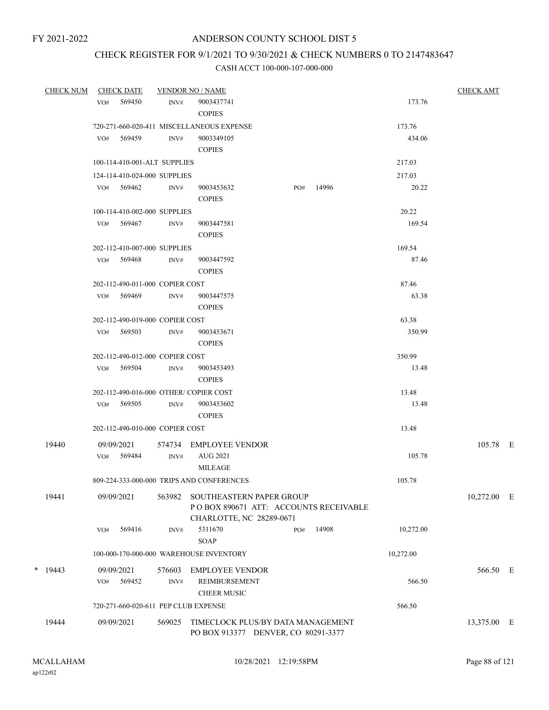# CHECK REGISTER FOR 9/1/2021 TO 9/30/2021 & CHECK NUMBERS 0 TO 2147483647

| <b>CHECK NUM</b> |     | <b>CHECK DATE</b>               |        | <u>VENDOR NO / NAME</u>                   |     |           |           | <b>CHECK AMT</b> |  |
|------------------|-----|---------------------------------|--------|-------------------------------------------|-----|-----------|-----------|------------------|--|
|                  |     | VO# 569450                      | INV#   | 9003437741                                |     |           | 173.76    |                  |  |
|                  |     |                                 |        | <b>COPIES</b>                             |     |           |           |                  |  |
|                  |     |                                 |        | 720-271-660-020-411 MISCELLANEOUS EXPENSE |     |           | 173.76    |                  |  |
|                  |     | VO# 569459                      | INV#   | 9003349105                                |     |           | 434.06    |                  |  |
|                  |     |                                 |        | <b>COPIES</b>                             |     |           |           |                  |  |
|                  |     | 100-114-410-001-ALT SUPPLIES    |        |                                           |     |           | 217.03    |                  |  |
|                  |     | 124-114-410-024-000 SUPPLIES    |        |                                           |     |           | 217.03    |                  |  |
|                  |     | VO# 569462                      | INV#   | 9003453632                                |     | PO# 14996 | 20.22     |                  |  |
|                  |     |                                 |        | <b>COPIES</b>                             |     |           |           |                  |  |
|                  |     | 100-114-410-002-000 SUPPLIES    |        |                                           |     |           | 20.22     |                  |  |
|                  |     | VO# 569467                      | INV#   | 9003447581                                |     |           | 169.54    |                  |  |
|                  |     |                                 |        | <b>COPIES</b>                             |     |           |           |                  |  |
|                  |     | 202-112-410-007-000 SUPPLIES    |        |                                           |     |           | 169.54    |                  |  |
|                  |     | VO# 569468                      | INV#   | 9003447592                                |     |           | 87.46     |                  |  |
|                  |     |                                 |        | <b>COPIES</b>                             |     |           |           |                  |  |
|                  |     | 202-112-490-011-000 COPIER COST |        |                                           |     |           | 87.46     |                  |  |
|                  |     | VO# 569469                      | INV#   | 9003447575                                |     |           | 63.38     |                  |  |
|                  |     |                                 |        | <b>COPIES</b>                             |     |           |           |                  |  |
|                  |     | 202-112-490-019-000 COPIER COST |        |                                           |     |           | 63.38     |                  |  |
|                  |     | VO# 569503                      | INV#   | 9003453671                                |     |           | 350.99    |                  |  |
|                  |     |                                 |        | <b>COPIES</b>                             |     |           |           |                  |  |
|                  |     | 202-112-490-012-000 COPIER COST |        |                                           |     |           | 350.99    |                  |  |
|                  |     | VO# 569504                      | INV#   | 9003453493                                |     |           | 13.48     |                  |  |
|                  |     |                                 |        | <b>COPIES</b>                             |     |           |           |                  |  |
|                  |     |                                 |        | 202-112-490-016-000 OTHER/COPIER COST     |     |           | 13.48     |                  |  |
|                  |     | VO# 569505                      | INV#   | 9003453602                                |     |           | 13.48     |                  |  |
|                  |     |                                 |        | <b>COPIES</b>                             |     |           |           |                  |  |
|                  |     | 202-112-490-010-000 COPIER COST |        |                                           |     |           | 13.48     |                  |  |
| 19440            |     | 09/09/2021                      |        | 574734 EMPLOYEE VENDOR                    |     |           |           | 105.78 E         |  |
|                  |     | VO# 569484                      | INV#   | AUG 2021                                  |     |           | 105.78    |                  |  |
|                  |     |                                 |        | <b>MILEAGE</b>                            |     |           |           |                  |  |
|                  |     |                                 |        | 809-224-333-000-000 TRIPS AND CONFERENCES |     |           | 105.78    |                  |  |
| 19441            |     | 09/09/2021                      | 563982 | SOUTHEASTERN PAPER GROUP                  |     |           |           | 10,272.00 E      |  |
|                  |     |                                 |        | POBOX 890671 ATT: ACCOUNTS RECEIVABLE     |     |           |           |                  |  |
|                  |     |                                 |        | CHARLOTTE, NC 28289-0671                  |     |           |           |                  |  |
|                  | VO# | 569416                          | INV#   | 5311670                                   | PO# | 14908     | 10,272.00 |                  |  |
|                  |     |                                 |        | <b>SOAP</b>                               |     |           |           |                  |  |
|                  |     |                                 |        | 100-000-170-000-000 WAREHOUSE INVENTORY   |     |           | 10,272.00 |                  |  |
| $*$ 19443        |     | 09/09/2021                      | 576603 | EMPLOYEE VENDOR                           |     |           |           | 566.50 E         |  |
|                  | VO# | 569452                          | INV#   | <b>REIMBURSEMENT</b>                      |     |           | 566.50    |                  |  |
|                  |     |                                 |        | <b>CHEER MUSIC</b>                        |     |           |           |                  |  |
|                  |     |                                 |        | 720-271-660-020-611 PEP CLUB EXPENSE      |     |           | 566.50    |                  |  |
| 19444            |     | 09/09/2021                      | 569025 | TIMECLOCK PLUS/BY DATA MANAGEMENT         |     |           |           |                  |  |
|                  |     |                                 |        | PO BOX 913377 DENVER, CO 80291-3377       |     |           |           | 13,375.00 E      |  |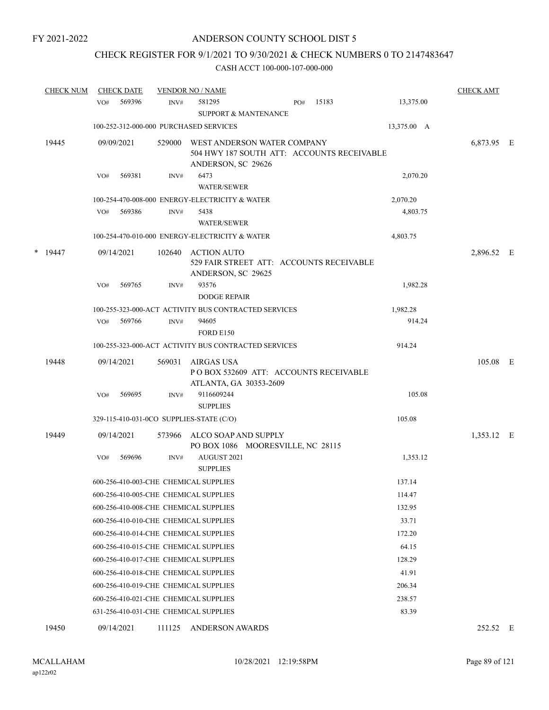# CHECK REGISTER FOR 9/1/2021 TO 9/30/2021 & CHECK NUMBERS 0 TO 2147483647

| <b>CHECK NUM</b> | <b>CHECK DATE</b>                        |        | <b>VENDOR NO / NAME</b>                                                                         |     |       |             | <b>CHECK AMT</b> |  |
|------------------|------------------------------------------|--------|-------------------------------------------------------------------------------------------------|-----|-------|-------------|------------------|--|
|                  | 569396<br>VO#                            | INV#   | 581295<br>SUPPORT & MANTENANCE                                                                  | PO# | 15183 | 13,375.00   |                  |  |
|                  | 100-252-312-000-000 PURCHASED SERVICES   |        |                                                                                                 |     |       | 13,375.00 A |                  |  |
| 19445            | 09/09/2021                               | 529000 | WEST ANDERSON WATER COMPANY<br>504 HWY 187 SOUTH ATT: ACCOUNTS RECEIVABLE<br>ANDERSON, SC 29626 |     |       |             | 6,873.95 E       |  |
|                  | 569381<br>VO#                            | INV#   | 6473<br><b>WATER/SEWER</b>                                                                      |     |       | 2,070.20    |                  |  |
|                  |                                          |        | 100-254-470-008-000 ENERGY-ELECTRICITY & WATER                                                  |     |       | 2,070.20    |                  |  |
|                  | 569386<br>VO#                            | INV#   | 5438<br><b>WATER/SEWER</b>                                                                      |     |       | 4,803.75    |                  |  |
|                  |                                          |        | 100-254-470-010-000 ENERGY-ELECTRICITY & WATER                                                  |     |       | 4,803.75    |                  |  |
| $*$ 19447        | 09/14/2021                               | 102640 | ACTION AUTO<br>529 FAIR STREET ATT: ACCOUNTS RECEIVABLE<br>ANDERSON, SC 29625                   |     |       |             | 2,896.52 E       |  |
|                  | 569765<br>VO#                            | INV#   | 93576<br><b>DODGE REPAIR</b>                                                                    |     |       | 1,982.28    |                  |  |
|                  |                                          |        | 100-255-323-000-ACT ACTIVITY BUS CONTRACTED SERVICES                                            |     |       | 1,982.28    |                  |  |
|                  | 569766<br>VO#                            | INV#   | 94605<br><b>FORD E150</b>                                                                       |     |       | 914.24      |                  |  |
|                  |                                          |        | 100-255-323-000-ACT ACTIVITY BUS CONTRACTED SERVICES                                            |     |       | 914.24      |                  |  |
| 19448            | 09/14/2021                               | 569031 | AIRGAS USA<br>POBOX 532609 ATT: ACCOUNTS RECEIVABLE<br>ATLANTA, GA 30353-2609                   |     |       |             | 105.08 E         |  |
|                  | 569695<br>VO#                            | INV#   | 9116609244                                                                                      |     |       | 105.08      |                  |  |
|                  |                                          |        | <b>SUPPLIES</b>                                                                                 |     |       |             |                  |  |
|                  | 329-115-410-031-0CO SUPPLIES-STATE (C/O) |        |                                                                                                 |     |       | 105.08      |                  |  |
| 19449            | 09/14/2021                               | 573966 | ALCO SOAP AND SUPPLY<br>PO BOX 1086 MOORESVILLE, NC 28115                                       |     |       |             | 1,353.12 E       |  |
|                  | VO#<br>569696                            | INV#   | AUGUST 2021<br><b>SUPPLIES</b>                                                                  |     |       | 1,353.12    |                  |  |
|                  | 600-256-410-003-CHE CHEMICAL SUPPLIES    |        |                                                                                                 |     |       | 137.14      |                  |  |
|                  | 600-256-410-005-CHE CHEMICAL SUPPLIES    |        |                                                                                                 |     |       | 114.47      |                  |  |
|                  | 600-256-410-008-CHE CHEMICAL SUPPLIES    |        |                                                                                                 |     |       | 132.95      |                  |  |
|                  | 600-256-410-010-CHE CHEMICAL SUPPLIES    |        |                                                                                                 |     |       | 33.71       |                  |  |
|                  | 600-256-410-014-CHE CHEMICAL SUPPLIES    |        |                                                                                                 |     |       | 172.20      |                  |  |
|                  | 600-256-410-015-CHE CHEMICAL SUPPLIES    |        |                                                                                                 |     |       | 64.15       |                  |  |
|                  | 600-256-410-017-CHE CHEMICAL SUPPLIES    |        |                                                                                                 |     |       | 128.29      |                  |  |
|                  | 600-256-410-018-CHE CHEMICAL SUPPLIES    |        |                                                                                                 |     |       | 41.91       |                  |  |
|                  | 600-256-410-019-CHE CHEMICAL SUPPLIES    |        |                                                                                                 |     |       | 206.34      |                  |  |
|                  | 600-256-410-021-CHE CHEMICAL SUPPLIES    |        |                                                                                                 |     |       | 238.57      |                  |  |
|                  | 631-256-410-031-CHE CHEMICAL SUPPLIES    |        |                                                                                                 |     |       | 83.39       |                  |  |
| 19450            | 09/14/2021                               | 111125 | <b>ANDERSON AWARDS</b>                                                                          |     |       |             | 252.52 E         |  |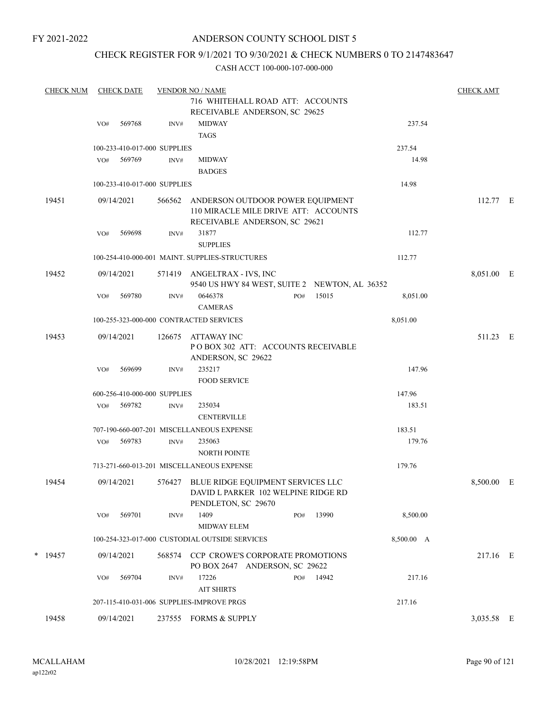## ANDERSON COUNTY SCHOOL DIST 5

## CHECK REGISTER FOR 9/1/2021 TO 9/30/2021 & CHECK NUMBERS 0 TO 2147483647

| <b>CHECK NUM</b> |     | <b>CHECK DATE</b> |                              | <b>VENDOR NO / NAME</b>                                                                                   |     |           |            | <b>CHECK AMT</b> |  |
|------------------|-----|-------------------|------------------------------|-----------------------------------------------------------------------------------------------------------|-----|-----------|------------|------------------|--|
|                  |     |                   |                              | 716 WHITEHALL ROAD ATT: ACCOUNTS                                                                          |     |           |            |                  |  |
|                  |     |                   |                              | RECEIVABLE ANDERSON, SC 29625                                                                             |     |           |            |                  |  |
|                  | VO# | 569768            | INV#                         | <b>MIDWAY</b><br><b>TAGS</b>                                                                              |     |           | 237.54     |                  |  |
|                  |     |                   | 100-233-410-017-000 SUPPLIES |                                                                                                           |     |           | 237.54     |                  |  |
|                  | VO# | 569769            | INV#                         | <b>MIDWAY</b><br><b>BADGES</b>                                                                            |     |           | 14.98      |                  |  |
|                  |     |                   | 100-233-410-017-000 SUPPLIES |                                                                                                           |     |           | 14.98      |                  |  |
| 19451            |     | 09/14/2021        | 566562                       | ANDERSON OUTDOOR POWER EQUIPMENT<br>110 MIRACLE MILE DRIVE ATT: ACCOUNTS<br>RECEIVABLE ANDERSON, SC 29621 |     |           |            | 112.77 E         |  |
|                  | VO# | 569698            | INV#                         | 31877<br><b>SUPPLIES</b>                                                                                  |     |           | 112.77     |                  |  |
|                  |     |                   |                              | 100-254-410-000-001 MAINT. SUPPLIES-STRUCTURES                                                            |     |           | 112.77     |                  |  |
| 19452            |     | 09/14/2021        |                              | 571419 ANGELTRAX - IVS, INC<br>9540 US HWY 84 WEST, SUITE 2 NEWTON, AL 36352                              |     |           |            | 8,051.00 E       |  |
|                  | VO# | 569780            | INV#                         | 0646378<br><b>CAMERAS</b>                                                                                 | PO# | 15015     | 8,051.00   |                  |  |
|                  |     |                   |                              | 100-255-323-000-000 CONTRACTED SERVICES                                                                   |     |           | 8,051.00   |                  |  |
| 19453            |     | 09/14/2021        | 126675                       | ATTAWAY INC<br>POBOX 302 ATT: ACCOUNTS RECEIVABLE<br>ANDERSON, SC 29622                                   |     |           |            | 511.23 E         |  |
|                  | VO# | 569699            | INV#                         | 235217<br><b>FOOD SERVICE</b>                                                                             |     |           | 147.96     |                  |  |
|                  |     |                   | 600-256-410-000-000 SUPPLIES |                                                                                                           |     |           | 147.96     |                  |  |
|                  | VO# | 569782            | INV#                         | 235034<br><b>CENTERVILLE</b>                                                                              |     |           | 183.51     |                  |  |
|                  |     |                   |                              | 707-190-660-007-201 MISCELLANEOUS EXPENSE                                                                 |     |           | 183.51     |                  |  |
|                  | VO# | 569783            | INV#                         | 235063<br><b>NORTH POINTE</b>                                                                             |     |           | 179.76     |                  |  |
|                  |     |                   |                              | 713-271-660-013-201 MISCELLANEOUS EXPENSE                                                                 |     |           | 179.76     |                  |  |
| 19454            |     | 09/14/2021        |                              | 576427 BLUE RIDGE EQUIPMENT SERVICES LLC<br>DAVID L PARKER 102 WELPINE RIDGE RD<br>PENDLETON, SC 29670    |     |           |            | 8,500.00 E       |  |
|                  | VO# | 569701            | INV#                         | 1409<br><b>MIDWAY ELEM</b>                                                                                | PO# | 13990     | 8,500.00   |                  |  |
|                  |     |                   |                              | 100-254-323-017-000 CUSTODIAL OUTSIDE SERVICES                                                            |     |           | 8,500.00 A |                  |  |
| $*$ 19457        |     | 09/14/2021        |                              | 568574 CCP CROWE'S CORPORATE PROMOTIONS<br>PO BOX 2647 ANDERSON, SC 29622                                 |     |           |            | 217.16 E         |  |
|                  | VO# | 569704            | INV#                         | 17226<br><b>AIT SHIRTS</b>                                                                                |     | PO# 14942 | 217.16     |                  |  |
|                  |     |                   |                              | 207-115-410-031-006 SUPPLIES-IMPROVE PRGS                                                                 |     |           | 217.16     |                  |  |
| 19458            |     | 09/14/2021        |                              | 237555 FORMS & SUPPLY                                                                                     |     |           |            | 3,035.58 E       |  |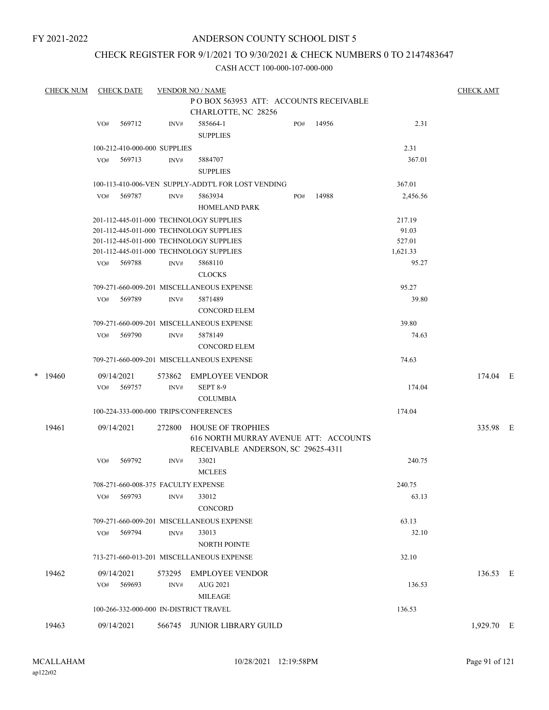## ANDERSON COUNTY SCHOOL DIST 5

## CHECK REGISTER FOR 9/1/2021 TO 9/30/2021 & CHECK NUMBERS 0 TO 2147483647

| <b>CHECK NUM</b> |     | <b>CHECK DATE</b>                   |        | <b>VENDOR NO / NAME</b>                                      |     |       |          | <b>CHECK AMT</b> |  |
|------------------|-----|-------------------------------------|--------|--------------------------------------------------------------|-----|-------|----------|------------------|--|
|                  |     |                                     |        | POBOX 563953 ATT: ACCOUNTS RECEIVABLE<br>CHARLOTTE, NC 28256 |     |       |          |                  |  |
|                  | VO# | 569712                              | INV#   | 585664-1<br><b>SUPPLIES</b>                                  | PO# | 14956 | 2.31     |                  |  |
|                  |     | 100-212-410-000-000 SUPPLIES        |        |                                                              |     |       | 2.31     |                  |  |
|                  | VO# | 569713                              | INV#   | 5884707<br><b>SUPPLIES</b>                                   |     |       | 367.01   |                  |  |
|                  |     |                                     |        | 100-113-410-006-VEN SUPPLY-ADDT'L FOR LOST VENDING           |     |       | 367.01   |                  |  |
|                  | VO# | 569787                              | INV#   | 5863934                                                      | PO# | 14988 | 2,456.56 |                  |  |
|                  |     |                                     |        | <b>HOMELAND PARK</b>                                         |     |       |          |                  |  |
|                  |     |                                     |        | 201-112-445-011-000 TECHNOLOGY SUPPLIES                      |     |       | 217.19   |                  |  |
|                  |     |                                     |        | 201-112-445-011-000 TECHNOLOGY SUPPLIES                      |     |       | 91.03    |                  |  |
|                  |     |                                     |        | 201-112-445-011-000 TECHNOLOGY SUPPLIES                      |     |       | 527.01   |                  |  |
|                  |     |                                     |        | 201-112-445-011-000 TECHNOLOGY SUPPLIES                      |     |       | 1,621.33 |                  |  |
|                  |     | VO# 569788                          | INV#   | 5868110                                                      |     |       | 95.27    |                  |  |
|                  |     |                                     |        | <b>CLOCKS</b>                                                |     |       |          |                  |  |
|                  |     |                                     |        | 709-271-660-009-201 MISCELLANEOUS EXPENSE                    |     |       | 95.27    |                  |  |
|                  | VO# | 569789                              | INV#   | 5871489                                                      |     |       | 39.80    |                  |  |
|                  |     |                                     |        | <b>CONCORD ELEM</b>                                          |     |       |          |                  |  |
|                  |     |                                     |        | 709-271-660-009-201 MISCELLANEOUS EXPENSE                    |     |       | 39.80    |                  |  |
|                  | VO# | 569790                              | INV#   | 5878149                                                      |     |       | 74.63    |                  |  |
|                  |     |                                     |        | <b>CONCORD ELEM</b>                                          |     |       |          |                  |  |
|                  |     |                                     |        | 709-271-660-009-201 MISCELLANEOUS EXPENSE                    |     |       | 74.63    |                  |  |
| $*$ 19460        |     | 09/14/2021                          | 573862 | EMPLOYEE VENDOR                                              |     |       |          | 174.04 E         |  |
|                  | VO# | 569757                              | INV#   | <b>SEPT 8-9</b>                                              |     |       | 174.04   |                  |  |
|                  |     |                                     |        | <b>COLUMBIA</b>                                              |     |       |          |                  |  |
|                  |     |                                     |        | 100-224-333-000-000 TRIPS/CONFERENCES                        |     |       | 174.04   |                  |  |
| 19461            |     | 09/14/2021                          | 272800 | <b>HOUSE OF TROPHIES</b>                                     |     |       |          | 335.98 E         |  |
|                  |     |                                     |        | 616 NORTH MURRAY AVENUE ATT: ACCOUNTS                        |     |       |          |                  |  |
|                  |     |                                     |        | RECEIVABLE ANDERSON, SC 29625-4311                           |     |       |          |                  |  |
|                  | VO# | 569792                              | INV#   | 33021                                                        |     |       | 240.75   |                  |  |
|                  |     |                                     |        | <b>MCLEES</b>                                                |     |       |          |                  |  |
|                  |     | 708-271-660-008-375 FACULTY EXPENSE |        |                                                              |     |       | 240.75   |                  |  |
|                  | VO# | 569793                              | INV#   | 33012                                                        |     |       | 63.13    |                  |  |
|                  |     |                                     |        | <b>CONCORD</b>                                               |     |       |          |                  |  |
|                  |     |                                     |        | 709-271-660-009-201 MISCELLANEOUS EXPENSE                    |     |       | 63.13    |                  |  |
|                  | VO# | 569794                              | INV#   | 33013                                                        |     |       | 32.10    |                  |  |
|                  |     |                                     |        | <b>NORTH POINTE</b>                                          |     |       |          |                  |  |
|                  |     |                                     |        | 713-271-660-013-201 MISCELLANEOUS EXPENSE                    |     |       | 32.10    |                  |  |
|                  |     |                                     |        |                                                              |     |       |          |                  |  |
| 19462            |     | 09/14/2021                          | 573295 | <b>EMPLOYEE VENDOR</b>                                       |     |       |          | 136.53 E         |  |
|                  | VO# | 569693                              | INV#   | <b>AUG 2021</b>                                              |     |       | 136.53   |                  |  |
|                  |     |                                     |        | <b>MILEAGE</b>                                               |     |       |          |                  |  |
|                  |     |                                     |        | 100-266-332-000-000 IN-DISTRICT TRAVEL                       |     |       | 136.53   |                  |  |
| 19463            |     | 09/14/2021                          |        | 566745 JUNIOR LIBRARY GUILD                                  |     |       |          | 1,929.70 E       |  |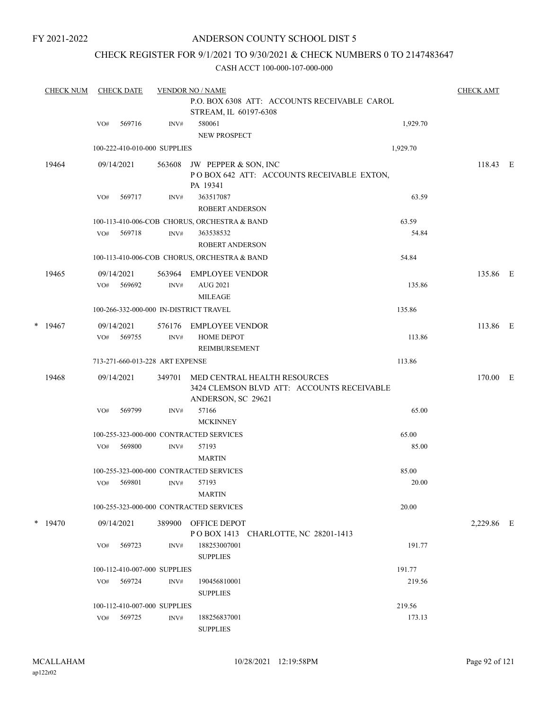## ANDERSON COUNTY SCHOOL DIST 5

## CHECK REGISTER FOR 9/1/2021 TO 9/30/2021 & CHECK NUMBERS 0 TO 2147483647

|        | <b>CHECK NUM</b> |     | <b>CHECK DATE</b> |                                              | <b>VENDOR NO / NAME</b>                      |          | <b>CHECK AMT</b> |  |
|--------|------------------|-----|-------------------|----------------------------------------------|----------------------------------------------|----------|------------------|--|
|        |                  |     |                   | P.O. BOX 6308 ATT: ACCOUNTS RECEIVABLE CAROL |                                              |          |                  |  |
|        |                  |     |                   |                                              | STREAM, IL 60197-6308                        |          |                  |  |
|        |                  | VO# | 569716            | INV#                                         | 580061                                       | 1,929.70 |                  |  |
|        |                  |     |                   |                                              | <b>NEW PROSPECT</b>                          |          |                  |  |
|        |                  |     |                   | 100-222-410-010-000 SUPPLIES                 |                                              | 1,929.70 |                  |  |
|        | 19464            |     | 09/14/2021        | 563608                                       | JW PEPPER & SON, INC                         |          | 118.43 E         |  |
|        |                  |     |                   |                                              | POBOX 642 ATT: ACCOUNTS RECEIVABLE EXTON,    |          |                  |  |
|        |                  |     |                   |                                              | PA 19341                                     |          |                  |  |
|        |                  | VO# | 569717            | INV#                                         | 363517087                                    | 63.59    |                  |  |
|        |                  |     |                   |                                              | ROBERT ANDERSON                              |          |                  |  |
|        |                  |     |                   |                                              | 100-113-410-006-COB CHORUS, ORCHESTRA & BAND | 63.59    |                  |  |
|        |                  | VO# | 569718            | INV#                                         | 363538532                                    | 54.84    |                  |  |
|        |                  |     |                   |                                              | <b>ROBERT ANDERSON</b>                       |          |                  |  |
|        |                  |     |                   |                                              | 100-113-410-006-COB CHORUS, ORCHESTRA & BAND | 54.84    |                  |  |
|        | 19465            |     | 09/14/2021        | 563964                                       | EMPLOYEE VENDOR                              |          | 135.86 E         |  |
|        |                  | VO# | 569692            | INV#                                         | AUG 2021                                     | 135.86   |                  |  |
|        |                  |     |                   |                                              | <b>MILEAGE</b>                               |          |                  |  |
|        |                  |     |                   |                                              | 100-266-332-000-000 IN-DISTRICT TRAVEL       | 135.86   |                  |  |
| $\ast$ | 19467            |     | 09/14/2021        | 576176                                       | <b>EMPLOYEE VENDOR</b>                       |          | 113.86 E         |  |
|        |                  | VO# | 569755            | INV#                                         | <b>HOME DEPOT</b>                            | 113.86   |                  |  |
|        |                  |     |                   |                                              | <b>REIMBURSEMENT</b>                         |          |                  |  |
|        |                  |     |                   | 713-271-660-013-228 ART EXPENSE              |                                              | 113.86   |                  |  |
|        | 19468            |     | 09/14/2021        | 349701                                       | MED CENTRAL HEALTH RESOURCES                 |          | 170.00 E         |  |
|        |                  |     |                   |                                              | 3424 CLEMSON BLVD ATT: ACCOUNTS RECEIVABLE   |          |                  |  |
|        |                  |     |                   |                                              | ANDERSON, SC 29621                           |          |                  |  |
|        |                  | VO# | 569799            | INV#                                         | 57166                                        | 65.00    |                  |  |
|        |                  |     |                   |                                              | <b>MCKINNEY</b>                              |          |                  |  |
|        |                  |     |                   |                                              | 100-255-323-000-000 CONTRACTED SERVICES      | 65.00    |                  |  |
|        |                  | VO# | 569800            | INV#                                         | 57193                                        | 85.00    |                  |  |
|        |                  |     |                   |                                              | <b>MARTIN</b>                                |          |                  |  |
|        |                  |     |                   |                                              | 100-255-323-000-000 CONTRACTED SERVICES      | 85.00    |                  |  |
|        |                  | VO# | 569801            | INV#                                         | 57193                                        | 20.00    |                  |  |
|        |                  |     |                   |                                              | <b>MARTIN</b>                                |          |                  |  |
|        |                  |     |                   |                                              | 100-255-323-000-000 CONTRACTED SERVICES      | 20.00    |                  |  |
|        | $*$ 19470        |     | 09/14/2021        | 389900                                       | OFFICE DEPOT                                 |          | 2,229.86 E       |  |
|        |                  |     |                   |                                              | POBOX 1413 CHARLOTTE, NC 28201-1413          |          |                  |  |
|        |                  | VO# | 569723            | INV#                                         | 188253007001                                 | 191.77   |                  |  |
|        |                  |     |                   |                                              | <b>SUPPLIES</b>                              |          |                  |  |
|        |                  |     |                   | 100-112-410-007-000 SUPPLIES                 |                                              | 191.77   |                  |  |
|        |                  | VO# | 569724            | INV#                                         | 190456810001                                 | 219.56   |                  |  |
|        |                  |     |                   |                                              | <b>SUPPLIES</b>                              |          |                  |  |
|        |                  |     |                   | 100-112-410-007-000 SUPPLIES                 |                                              | 219.56   |                  |  |
|        |                  | VO# | 569725            | INV#                                         | 188256837001                                 | 173.13   |                  |  |
|        |                  |     |                   |                                              | <b>SUPPLIES</b>                              |          |                  |  |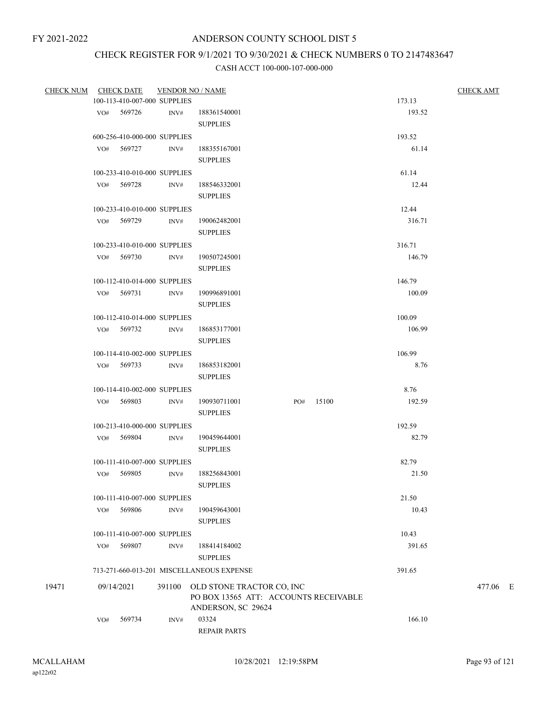# CHECK REGISTER FOR 9/1/2021 TO 9/30/2021 & CHECK NUMBERS 0 TO 2147483647

| <b>CHECK NUM</b> |     | <b>CHECK DATE</b>            |      | <b>VENDOR NO / NAME</b>                   |  |           |        | <b>CHECK AMT</b> |
|------------------|-----|------------------------------|------|-------------------------------------------|--|-----------|--------|------------------|
|                  |     | 100-113-410-007-000 SUPPLIES |      |                                           |  |           | 173.13 |                  |
|                  |     | VO# 569726                   | INV# | 188361540001                              |  |           | 193.52 |                  |
|                  |     |                              |      | <b>SUPPLIES</b>                           |  |           |        |                  |
|                  |     | 600-256-410-000-000 SUPPLIES |      |                                           |  |           | 193.52 |                  |
|                  |     | VO# 569727                   | INV# | 188355167001                              |  |           | 61.14  |                  |
|                  |     |                              |      | <b>SUPPLIES</b>                           |  |           |        |                  |
|                  |     | 100-233-410-010-000 SUPPLIES |      |                                           |  |           | 61.14  |                  |
|                  |     | VO# 569728                   | INV# | 188546332001                              |  |           | 12.44  |                  |
|                  |     |                              |      | <b>SUPPLIES</b>                           |  |           |        |                  |
|                  |     | 100-233-410-010-000 SUPPLIES |      |                                           |  |           | 12.44  |                  |
|                  |     |                              |      |                                           |  |           | 316.71 |                  |
|                  |     | VO# 569729                   | INV# | 190062482001                              |  |           |        |                  |
|                  |     |                              |      | <b>SUPPLIES</b>                           |  |           |        |                  |
|                  |     | 100-233-410-010-000 SUPPLIES |      |                                           |  |           | 316.71 |                  |
|                  |     | VO# 569730                   | INV# | 190507245001                              |  |           | 146.79 |                  |
|                  |     |                              |      | <b>SUPPLIES</b>                           |  |           |        |                  |
|                  |     | 100-112-410-014-000 SUPPLIES |      |                                           |  |           | 146.79 |                  |
|                  |     | VO# 569731                   | INV# | 190996891001                              |  |           | 100.09 |                  |
|                  |     |                              |      | <b>SUPPLIES</b>                           |  |           |        |                  |
|                  |     | 100-112-410-014-000 SUPPLIES |      |                                           |  |           | 100.09 |                  |
|                  |     | VO# 569732                   | INV# | 186853177001                              |  |           | 106.99 |                  |
|                  |     |                              |      | <b>SUPPLIES</b>                           |  |           |        |                  |
|                  |     | 100-114-410-002-000 SUPPLIES |      |                                           |  |           | 106.99 |                  |
|                  |     | VO# 569733                   | INV# | 186853182001                              |  |           | 8.76   |                  |
|                  |     |                              |      | <b>SUPPLIES</b>                           |  |           |        |                  |
|                  |     | 100-114-410-002-000 SUPPLIES |      |                                           |  |           | 8.76   |                  |
|                  |     | VO# 569803                   | INV# | 190930711001                              |  | PO# 15100 | 192.59 |                  |
|                  |     |                              |      | <b>SUPPLIES</b>                           |  |           |        |                  |
|                  |     | 100-213-410-000-000 SUPPLIES |      |                                           |  |           | 192.59 |                  |
|                  |     | VO# 569804                   | INV# | 190459644001                              |  |           | 82.79  |                  |
|                  |     |                              |      | <b>SUPPLIES</b>                           |  |           |        |                  |
|                  |     | 100-111-410-007-000 SUPPLIES |      |                                           |  |           | 82.79  |                  |
|                  | VO# | 569805                       | INV# | 188256843001                              |  |           | 21.50  |                  |
|                  |     |                              |      | <b>SUPPLIES</b>                           |  |           |        |                  |
|                  |     |                              |      |                                           |  |           | 21.50  |                  |
|                  |     | 100-111-410-007-000 SUPPLIES |      |                                           |  |           |        |                  |
|                  | VO# | 569806                       | INV# | 190459643001                              |  |           | 10.43  |                  |
|                  |     |                              |      | <b>SUPPLIES</b>                           |  |           |        |                  |
|                  |     | 100-111-410-007-000 SUPPLIES |      |                                           |  |           | 10.43  |                  |
|                  | VO# | 569807                       | INV# | 188414184002                              |  |           | 391.65 |                  |
|                  |     |                              |      | <b>SUPPLIES</b>                           |  |           |        |                  |
|                  |     |                              |      | 713-271-660-013-201 MISCELLANEOUS EXPENSE |  |           | 391.65 |                  |
| 19471            |     | 09/14/2021                   |      | 391100 OLD STONE TRACTOR CO, INC          |  |           |        | 477.06 E         |
|                  |     |                              |      | PO BOX 13565 ATT: ACCOUNTS RECEIVABLE     |  |           |        |                  |
|                  |     |                              |      | ANDERSON, SC 29624                        |  |           |        |                  |
|                  | VO# | 569734                       | INV# | 03324                                     |  |           | 166.10 |                  |
|                  |     |                              |      | <b>REPAIR PARTS</b>                       |  |           |        |                  |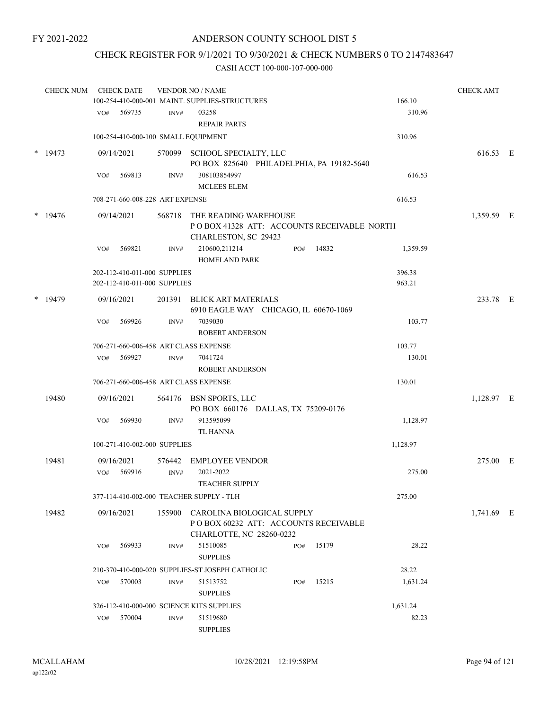## CHECK REGISTER FOR 9/1/2021 TO 9/30/2021 & CHECK NUMBERS 0 TO 2147483647

|        | <b>CHECK NUM</b> |     | <b>CHECK DATE</b>               |                | <b>VENDOR NO / NAME</b>                                                                        |     |       |          | <b>CHECK AMT</b> |  |
|--------|------------------|-----|---------------------------------|----------------|------------------------------------------------------------------------------------------------|-----|-------|----------|------------------|--|
|        |                  |     |                                 |                | 100-254-410-000-001 MAINT. SUPPLIES-STRUCTURES                                                 |     |       | 166.10   |                  |  |
|        |                  | VO# | 569735                          | INV#           | 03258<br><b>REPAIR PARTS</b>                                                                   |     |       | 310.96   |                  |  |
|        |                  |     |                                 |                | 100-254-410-000-100 SMALL EQUIPMENT                                                            |     |       | 310.96   |                  |  |
|        | $*$ 19473        |     | 09/14/2021                      |                | 570099 SCHOOL SPECIALTY, LLC<br>PO BOX 825640 PHILADELPHIA, PA 19182-5640                      |     |       |          | 616.53 E         |  |
|        |                  | VO# | 569813                          | $\text{INV}\#$ | 308103854997<br><b>MCLEES ELEM</b>                                                             |     |       | 616.53   |                  |  |
|        |                  |     | 708-271-660-008-228 ART EXPENSE |                |                                                                                                |     |       | 616.53   |                  |  |
|        | $*$ 19476        |     | 09/14/2021                      | 568718         | THE READING WAREHOUSE                                                                          |     |       |          | 1,359.59 E       |  |
|        |                  |     |                                 |                | POBOX 41328 ATT: ACCOUNTS RECEIVABLE NORTH<br>CHARLESTON, SC 29423                             |     |       |          |                  |  |
|        |                  | VO# | 569821                          | INV#           | 210600,211214<br><b>HOMELAND PARK</b>                                                          | PO# | 14832 | 1,359.59 |                  |  |
|        |                  |     | 202-112-410-011-000 SUPPLIES    |                |                                                                                                |     |       | 396.38   |                  |  |
|        |                  |     | 202-112-410-011-000 SUPPLIES    |                |                                                                                                |     |       | 963.21   |                  |  |
| $\ast$ | 19479            |     | 09/16/2021                      | 201391         | BLICK ART MATERIALS<br>6910 EAGLE WAY CHICAGO, IL 60670-1069                                   |     |       |          | 233.78 E         |  |
|        |                  | VO# | 569926                          | INV#           | 7039030                                                                                        |     |       | 103.77   |                  |  |
|        |                  |     |                                 |                | <b>ROBERT ANDERSON</b>                                                                         |     |       |          |                  |  |
|        |                  |     |                                 |                | 706-271-660-006-458 ART CLASS EXPENSE                                                          |     |       | 103.77   |                  |  |
|        |                  | VO# | 569927                          | INV#           | 7041724                                                                                        |     |       | 130.01   |                  |  |
|        |                  |     |                                 |                | <b>ROBERT ANDERSON</b>                                                                         |     |       |          |                  |  |
|        |                  |     |                                 |                | 706-271-660-006-458 ART CLASS EXPENSE                                                          |     |       | 130.01   |                  |  |
|        | 19480            |     | 09/16/2021                      |                | 564176 BSN SPORTS, LLC<br>PO BOX 660176 DALLAS, TX 75209-0176                                  |     |       |          | 1,128.97 E       |  |
|        |                  | VO# | 569930                          | $\text{INV}\#$ | 913595099<br><b>TL HANNA</b>                                                                   |     |       | 1,128.97 |                  |  |
|        |                  |     | 100-271-410-002-000 SUPPLIES    |                |                                                                                                |     |       | 1,128.97 |                  |  |
|        | 19481            |     | 09/16/2021                      | 576442         | <b>EMPLOYEE VENDOR</b>                                                                         |     |       |          | 275.00 E         |  |
|        |                  | VO# | 569916                          | INV#           | 2021-2022<br><b>TEACHER SUPPLY</b>                                                             |     |       | 275.00   |                  |  |
|        |                  |     |                                 |                | 377-114-410-002-000 TEACHER SUPPLY - TLH                                                       |     |       | 275.00   |                  |  |
|        |                  |     |                                 |                |                                                                                                |     |       |          |                  |  |
|        | 19482            |     | 09/16/2021                      | 155900         | CAROLINA BIOLOGICAL SUPPLY<br>POBOX 60232 ATT: ACCOUNTS RECEIVABLE<br>CHARLOTTE, NC 28260-0232 |     |       |          | 1,741.69 E       |  |
|        |                  | VO# | 569933                          | INV#           | 51510085<br><b>SUPPLIES</b>                                                                    | PO# | 15179 | 28.22    |                  |  |
|        |                  |     |                                 |                | 210-370-410-000-020 SUPPLIES-ST JOSEPH CATHOLIC                                                |     |       | 28.22    |                  |  |
|        |                  | VO# | 570003                          | INV#           | 51513752                                                                                       | PO# | 15215 | 1,631.24 |                  |  |
|        |                  |     |                                 |                | <b>SUPPLIES</b>                                                                                |     |       |          |                  |  |
|        |                  |     |                                 |                | 326-112-410-000-000 SCIENCE KITS SUPPLIES                                                      |     |       | 1,631.24 |                  |  |
|        |                  | VO# | 570004                          | INV#           | 51519680<br><b>SUPPLIES</b>                                                                    |     |       | 82.23    |                  |  |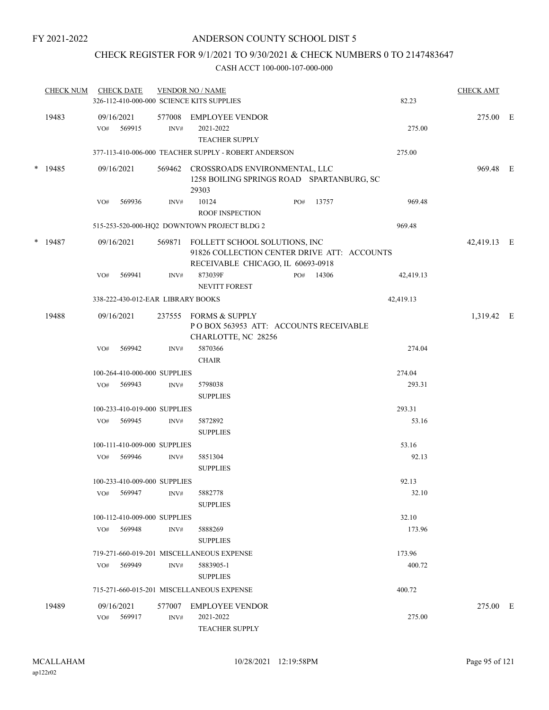## CHECK REGISTER FOR 9/1/2021 TO 9/30/2021 & CHECK NUMBERS 0 TO 2147483647

| <b>CHECK NUM</b> |     | <b>CHECK DATE</b>                 |        | <b>VENDOR NO / NAME</b><br>326-112-410-000-000 SCIENCE KITS SUPPLIES                                                     |     |           | 82.23     | <b>CHECK AMT</b> |  |
|------------------|-----|-----------------------------------|--------|--------------------------------------------------------------------------------------------------------------------------|-----|-----------|-----------|------------------|--|
| 19483            | VO# | 09/16/2021<br>569915              | INV#   | 577008 EMPLOYEE VENDOR<br>2021-2022<br><b>TEACHER SUPPLY</b>                                                             |     |           | 275.00    | 275.00 E         |  |
|                  |     |                                   |        | 377-113-410-006-000 TEACHER SUPPLY - ROBERT ANDERSON                                                                     |     |           | 275.00    |                  |  |
| $*$ 19485        |     | 09/16/2021                        |        | 569462 CROSSROADS ENVIRONMENTAL, LLC<br>1258 BOILING SPRINGS ROAD SPARTANBURG, SC<br>29303                               |     |           |           | 969.48 E         |  |
|                  | VO# | 569936                            | INV#   | 10124<br><b>ROOF INSPECTION</b>                                                                                          | PO# | 13757     | 969.48    |                  |  |
|                  |     |                                   |        | 515-253-520-000-HQ2 DOWNTOWN PROJECT BLDG 2                                                                              |     |           | 969.48    |                  |  |
| $*$ 19487        |     | 09/16/2021                        |        | 569871 FOLLETT SCHOOL SOLUTIONS, INC<br>91826 COLLECTION CENTER DRIVE ATT: ACCOUNTS<br>RECEIVABLE CHICAGO, IL 60693-0918 |     |           |           | 42,419.13 E      |  |
|                  | VO# | 569941                            | INV#   | 873039F<br><b>NEVITT FOREST</b>                                                                                          |     | PO# 14306 | 42,419.13 |                  |  |
|                  |     | 338-222-430-012-EAR LIBRARY BOOKS |        |                                                                                                                          |     |           | 42,419.13 |                  |  |
| 19488            |     | 09/16/2021                        |        | 237555 FORMS & SUPPLY<br>POBOX 563953 ATT: ACCOUNTS RECEIVABLE<br>CHARLOTTE, NC 28256                                    |     |           |           | 1,319.42 E       |  |
|                  | VO# | 569942                            | INV#   | 5870366<br><b>CHAIR</b>                                                                                                  |     |           | 274.04    |                  |  |
|                  |     | 100-264-410-000-000 SUPPLIES      |        |                                                                                                                          |     |           | 274.04    |                  |  |
|                  |     | VO# 569943                        | INV#   | 5798038<br><b>SUPPLIES</b>                                                                                               |     |           | 293.31    |                  |  |
|                  |     | 100-233-410-019-000 SUPPLIES      |        |                                                                                                                          |     |           | 293.31    |                  |  |
|                  |     | VO# 569945                        | INV#   | 5872892<br><b>SUPPLIES</b>                                                                                               |     |           | 53.16     |                  |  |
|                  |     | 100-111-410-009-000 SUPPLIES      |        |                                                                                                                          |     |           | 53.16     |                  |  |
|                  | VO# | 569946                            | INV#   | 5851304<br><b>SUPPLIES</b>                                                                                               |     |           | 92.13     |                  |  |
|                  |     | 100-233-410-009-000 SUPPLIES      |        |                                                                                                                          |     |           | 92.13     |                  |  |
|                  | VO# | 569947                            | INV#   | 5882778<br><b>SUPPLIES</b>                                                                                               |     |           | 32.10     |                  |  |
|                  |     | 100-112-410-009-000 SUPPLIES      |        |                                                                                                                          |     |           | 32.10     |                  |  |
|                  | VO# | 569948                            | INV#   | 5888269<br><b>SUPPLIES</b>                                                                                               |     |           | 173.96    |                  |  |
|                  |     |                                   |        | 719-271-660-019-201 MISCELLANEOUS EXPENSE                                                                                |     |           | 173.96    |                  |  |
|                  | VO# | 569949                            | INV#   | 5883905-1<br><b>SUPPLIES</b>                                                                                             |     |           | 400.72    |                  |  |
|                  |     |                                   |        | 715-271-660-015-201 MISCELLANEOUS EXPENSE                                                                                |     |           | 400.72    |                  |  |
| 19489            |     | 09/16/2021                        | 577007 | <b>EMPLOYEE VENDOR</b>                                                                                                   |     |           |           | 275.00 E         |  |
|                  | VO# | 569917                            | INV#   | 2021-2022<br><b>TEACHER SUPPLY</b>                                                                                       |     |           | 275.00    |                  |  |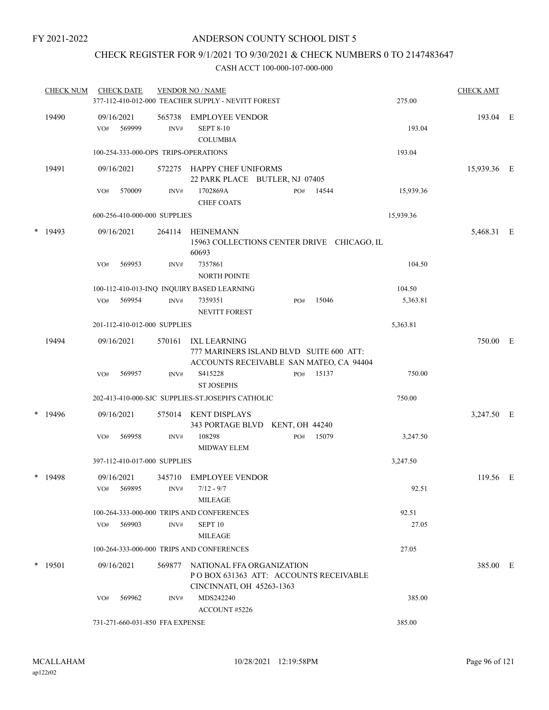## CHECK REGISTER FOR 9/1/2021 TO 9/30/2021 & CHECK NUMBERS 0 TO 2147483647

| <b>CHECK NUM</b> | <b>CHECK DATE</b>                        |                | <b>VENDOR NO / NAME</b><br>377-112-410-012-000 TEACHER SUPPLY - NEVITT FOREST                   |     |       | 275.00    | <b>CHECK AMT</b> |  |
|------------------|------------------------------------------|----------------|-------------------------------------------------------------------------------------------------|-----|-------|-----------|------------------|--|
| 19490            | 09/16/2021<br>569999<br>VO#              | 565738<br>INV# | <b>EMPLOYEE VENDOR</b><br><b>SEPT 8-10</b><br><b>COLUMBIA</b>                                   |     |       | 193.04    | 193.04 E         |  |
|                  | 100-254-333-000-OPS TRIPS-OPERATIONS     |                |                                                                                                 |     |       | 193.04    |                  |  |
| 19491            | 09/16/2021                               |                | 572275 HAPPY CHEF UNIFORMS<br>22 PARK PLACE BUTLER, NJ 07405                                    |     |       |           | 15,939.36 E      |  |
|                  | 570009<br>VO#                            | INV#           | 1702869A<br>CHEF COATS                                                                          | PO# | 14544 | 15,939.36 |                  |  |
|                  | 600-256-410-000-000 SUPPLIES             |                |                                                                                                 |     |       | 15,939.36 |                  |  |
| $*$ 19493        | 09/16/2021                               | 264114         | HEINEMANN<br>15963 COLLECTIONS CENTER DRIVE CHICAGO, IL<br>60693                                |     |       |           | 5,468.31 E       |  |
|                  | 569953<br>VO#                            | INV#           | 7357861<br>NORTH POINTE                                                                         |     |       | 104.50    |                  |  |
|                  |                                          |                | 100-112-410-013-INQ INQUIRY BASED LEARNING                                                      |     |       | 104.50    |                  |  |
|                  | 569954<br>VO#                            | INV#           | 7359351<br>NEVITT FOREST                                                                        | PO# | 15046 | 5,363.81  |                  |  |
|                  | 201-112-410-012-000 SUPPLIES             |                |                                                                                                 |     |       | 5,363.81  |                  |  |
| 19494            | 09/16/2021                               | 570161         | IXL LEARNING<br>777 MARINERS ISLAND BLVD SUITE 600 ATT:                                         |     |       |           | 750.00 E         |  |
|                  | 569957<br>VO#                            | INV#           | ACCOUNTS RECEIVABLE SAN MATEO, CA 94404<br>S415228<br><b>ST JOSEPHS</b>                         | PO# | 15137 | 750.00    |                  |  |
|                  |                                          |                | 202-413-410-000-SJC SUPPLIES-ST.JOSEPH'S CATHOLIC                                               |     |       | 750.00    |                  |  |
| $*$ 19496        | 09/16/2021                               |                | 575014 KENT DISPLAYS<br>343 PORTAGE BLVD KENT, OH 44240                                         |     |       |           | 3,247.50 E       |  |
|                  | 569958<br>VO#                            | INV#           | 108298<br><b>MIDWAY ELEM</b>                                                                    | PO# | 15079 | 3,247.50  |                  |  |
|                  | 397-112-410-017-000 SUPPLIES             |                |                                                                                                 |     |       | 3,247.50  |                  |  |
| * 19498          | 09/16/2021<br>VO# 569895 INV# 7/12 - 9/7 |                | 345710 EMPLOYEE VENDOR                                                                          |     |       | 92.51     | 119.56 E         |  |
|                  |                                          |                | MILEAGE                                                                                         |     |       |           |                  |  |
|                  |                                          |                | 100-264-333-000-000 TRIPS AND CONFERENCES                                                       |     |       | 92.51     |                  |  |
|                  | VO# 569903                               | INV#           | SEPT <sub>10</sub><br>MILEAGE                                                                   |     |       | 27.05     |                  |  |
|                  |                                          |                | 100-264-333-000-000 TRIPS AND CONFERENCES                                                       |     |       | 27.05     |                  |  |
| $*$ 19501        | 09/16/2021                               | 569877         | NATIONAL FFA ORGANIZATION<br>POBOX 631363 ATT: ACCOUNTS RECEIVABLE<br>CINCINNATI, OH 45263-1363 |     |       |           | 385.00 E         |  |
|                  | 569962<br>VO#                            | INV#           | MDS242240<br>ACCOUNT#5226                                                                       |     |       | 385.00    |                  |  |
|                  | 731-271-660-031-850 FFA EXPENSE          |                |                                                                                                 |     |       | 385.00    |                  |  |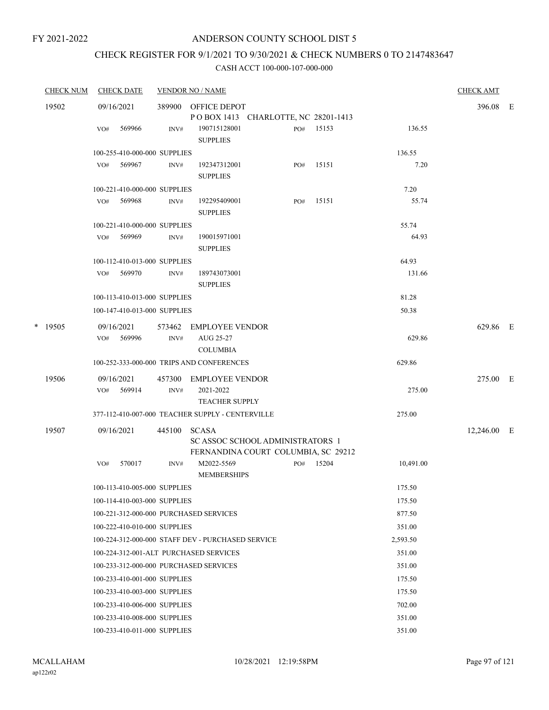# CHECK REGISTER FOR 9/1/2021 TO 9/30/2021 & CHECK NUMBERS 0 TO 2147483647

| <b>CHECK NUM</b> |           | <b>CHECK DATE</b>                      |        | <b>VENDOR NO / NAME</b>                           |     |       |           |             |  |
|------------------|-----------|----------------------------------------|--------|---------------------------------------------------|-----|-------|-----------|-------------|--|
|                  | 19502     | 09/16/2021                             | 389900 | OFFICE DEPOT                                      |     |       |           | 396.08 E    |  |
|                  |           |                                        |        | POBOX 1413 CHARLOTTE, NC 28201-1413               |     |       |           |             |  |
|                  |           | 569966<br>VO#                          | INV#   | 190715128001<br><b>SUPPLIES</b>                   | PO# | 15153 | 136.55    |             |  |
|                  |           | 100-255-410-000-000 SUPPLIES           |        |                                                   |     |       | 136.55    |             |  |
|                  |           | 569967<br>VO#                          | INV#   | 192347312001                                      | PO# | 15151 | 7.20      |             |  |
|                  |           |                                        |        | <b>SUPPLIES</b>                                   |     |       |           |             |  |
|                  |           | 100-221-410-000-000 SUPPLIES           |        |                                                   |     |       | 7.20      |             |  |
|                  |           | 569968<br>VO#                          | INV#   | 192295409001<br><b>SUPPLIES</b>                   | PO# | 15151 | 55.74     |             |  |
|                  |           | 100-221-410-000-000 SUPPLIES           |        |                                                   |     |       | 55.74     |             |  |
|                  |           | 569969<br>VO#                          | INV#   | 190015971001<br><b>SUPPLIES</b>                   |     |       | 64.93     |             |  |
|                  |           | 100-112-410-013-000 SUPPLIES           |        |                                                   |     |       | 64.93     |             |  |
|                  |           | VO# 569970                             | INV#   | 189743073001<br><b>SUPPLIES</b>                   |     |       | 131.66    |             |  |
|                  |           | 100-113-410-013-000 SUPPLIES           |        |                                                   |     |       | 81.28     |             |  |
|                  |           | 100-147-410-013-000 SUPPLIES           |        |                                                   |     |       | 50.38     |             |  |
|                  | $*$ 19505 | 09/16/2021                             | 573462 | EMPLOYEE VENDOR                                   |     |       |           | 629.86 E    |  |
|                  |           | 569996<br>VO#                          | INV#   | AUG 25-27                                         |     |       | 629.86    |             |  |
|                  |           |                                        |        | <b>COLUMBIA</b>                                   |     |       |           |             |  |
|                  |           |                                        |        | 100-252-333-000-000 TRIPS AND CONFERENCES         |     |       | 629.86    |             |  |
|                  | 19506     | 09/16/2021                             | 457300 | <b>EMPLOYEE VENDOR</b>                            |     |       |           | 275.00 E    |  |
|                  |           | VO# 569914                             | INV#   | 2021-2022<br><b>TEACHER SUPPLY</b>                |     |       | 275.00    |             |  |
|                  |           |                                        |        | 377-112-410-007-000 TEACHER SUPPLY - CENTERVILLE  |     |       | 275.00    |             |  |
|                  | 19507     | 09/16/2021                             | 445100 | <b>SCASA</b><br>SC ASSOC SCHOOL ADMINISTRATORS 1  |     |       |           | 12,246.00 E |  |
|                  |           |                                        |        | FERNANDINA COURT COLUMBIA, SC 29212               |     |       |           |             |  |
|                  |           | 570017<br>VO#                          | INV#   | M2022-5569<br><b>MEMBERSHIPS</b>                  | PO# | 15204 | 10,491.00 |             |  |
|                  |           | 100-113-410-005-000 SUPPLIES           |        |                                                   |     |       | 175.50    |             |  |
|                  |           | 100-114-410-003-000 SUPPLIES           |        |                                                   |     |       | 175.50    |             |  |
|                  |           | 100-221-312-000-000 PURCHASED SERVICES |        |                                                   |     |       | 877.50    |             |  |
|                  |           | 100-222-410-010-000 SUPPLIES           |        |                                                   |     |       | 351.00    |             |  |
|                  |           |                                        |        | 100-224-312-000-000 STAFF DEV - PURCHASED SERVICE |     |       | 2,593.50  |             |  |
|                  |           | 100-224-312-001-ALT PURCHASED SERVICES |        |                                                   |     |       | 351.00    |             |  |
|                  |           | 100-233-312-000-000 PURCHASED SERVICES |        |                                                   |     |       | 351.00    |             |  |
|                  |           | 100-233-410-001-000 SUPPLIES           |        |                                                   |     |       | 175.50    |             |  |
|                  |           | 100-233-410-003-000 SUPPLIES           |        |                                                   |     |       | 175.50    |             |  |
|                  |           | 100-233-410-006-000 SUPPLIES           |        |                                                   |     |       | 702.00    |             |  |
|                  |           | 100-233-410-008-000 SUPPLIES           |        |                                                   |     |       | 351.00    |             |  |
|                  |           | 100-233-410-011-000 SUPPLIES           |        |                                                   |     |       | 351.00    |             |  |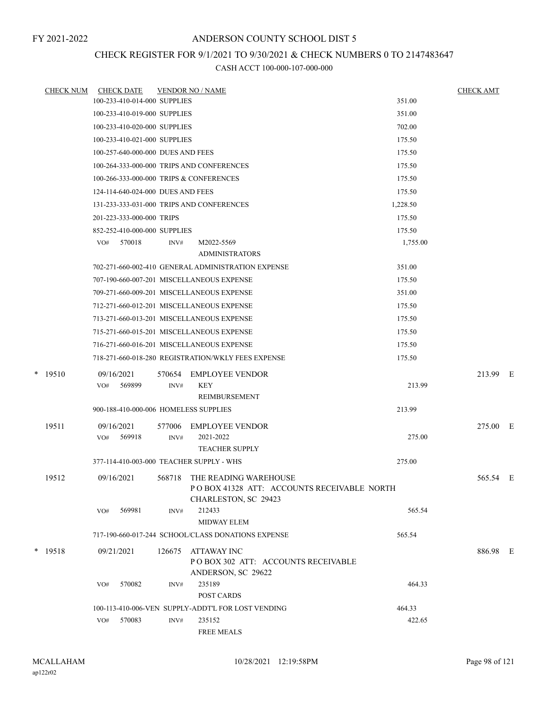## CHECK REGISTER FOR 9/1/2021 TO 9/30/2021 & CHECK NUMBERS 0 TO 2147483647

| <b>CHECK NUM</b> |            | <b>CHECK DATE</b>                 |        | <b>VENDOR NO / NAME</b>                                   |          | <b>CHECK AMT</b> |  |
|------------------|------------|-----------------------------------|--------|-----------------------------------------------------------|----------|------------------|--|
|                  |            | 100-233-410-014-000 SUPPLIES      |        |                                                           | 351.00   |                  |  |
|                  |            | 100-233-410-019-000 SUPPLIES      |        |                                                           | 351.00   |                  |  |
|                  |            | 100-233-410-020-000 SUPPLIES      |        |                                                           | 702.00   |                  |  |
|                  |            | 100-233-410-021-000 SUPPLIES      |        |                                                           | 175.50   |                  |  |
|                  |            | 100-257-640-000-000 DUES AND FEES |        |                                                           | 175.50   |                  |  |
|                  |            |                                   |        | 100-264-333-000-000 TRIPS AND CONFERENCES                 | 175.50   |                  |  |
|                  |            |                                   |        | 100-266-333-000-000 TRIPS & CONFERENCES                   | 175.50   |                  |  |
|                  |            | 124-114-640-024-000 DUES AND FEES |        |                                                           | 175.50   |                  |  |
|                  |            |                                   |        | 131-233-333-031-000 TRIPS AND CONFERENCES                 | 1,228.50 |                  |  |
|                  |            | 201-223-333-000-000 TRIPS         |        |                                                           | 175.50   |                  |  |
|                  |            | 852-252-410-000-000 SUPPLIES      |        |                                                           | 175.50   |                  |  |
|                  | VO#        | 570018                            | INV#   | M2022-5569                                                | 1,755.00 |                  |  |
|                  |            |                                   |        | <b>ADMINISTRATORS</b>                                     |          |                  |  |
|                  |            |                                   |        | 702-271-660-002-410 GENERAL ADMINISTRATION EXPENSE        | 351.00   |                  |  |
|                  |            |                                   |        | 707-190-660-007-201 MISCELLANEOUS EXPENSE                 | 175.50   |                  |  |
|                  |            |                                   |        | 709-271-660-009-201 MISCELLANEOUS EXPENSE                 | 351.00   |                  |  |
|                  |            |                                   |        | 712-271-660-012-201 MISCELLANEOUS EXPENSE                 | 175.50   |                  |  |
|                  |            |                                   |        | 713-271-660-013-201 MISCELLANEOUS EXPENSE                 | 175.50   |                  |  |
|                  |            |                                   |        | 715-271-660-015-201 MISCELLANEOUS EXPENSE                 | 175.50   |                  |  |
|                  |            |                                   |        | 716-271-660-016-201 MISCELLANEOUS EXPENSE                 | 175.50   |                  |  |
|                  |            |                                   |        | 718-271-660-018-280 REGISTRATION/WKLY FEES EXPENSE        | 175.50   |                  |  |
| $*$ 19510        | 09/16/2021 |                                   | 570654 | EMPLOYEE VENDOR                                           |          | 213.99 E         |  |
|                  | VO#        | 569899                            | INV#   | KEY                                                       | 213.99   |                  |  |
|                  |            |                                   |        | REIMBURSEMENT                                             |          |                  |  |
|                  |            |                                   |        | 900-188-410-000-006 HOMELESS SUPPLIES                     | 213.99   |                  |  |
| 19511            | 09/16/2021 |                                   | 577006 | <b>EMPLOYEE VENDOR</b>                                    |          | 275.00 E         |  |
|                  |            | VO# 569918                        | INV#   | 2021-2022                                                 | 275.00   |                  |  |
|                  |            |                                   |        | <b>TEACHER SUPPLY</b>                                     |          |                  |  |
|                  |            |                                   |        | 377-114-410-003-000 TEACHER SUPPLY - WHS                  | 275.00   |                  |  |
| 19512            | 09/16/2021 |                                   | 568718 | THE READING WAREHOUSE                                     |          | 565.54 E         |  |
|                  |            |                                   |        | POBOX 41328 ATT: ACCOUNTS RECEIVABLE NORTH                |          |                  |  |
|                  |            |                                   |        | CHARLESTON, SC 29423                                      |          |                  |  |
|                  | VO#        | 569981                            | INV#   | 212433<br>MIDWAY ELEM                                     | 565.54   |                  |  |
|                  |            |                                   |        | 717-190-660-017-244 SCHOOL/CLASS DONATIONS EXPENSE        | 565.54   |                  |  |
|                  |            |                                   |        |                                                           |          |                  |  |
| $*$ 19518        | 09/21/2021 |                                   | 126675 | ATTAWAY INC                                               |          | 886.98 E         |  |
|                  |            |                                   |        | PO BOX 302 ATT: ACCOUNTS RECEIVABLE<br>ANDERSON, SC 29622 |          |                  |  |
|                  | VO#        | 570082                            | INV#   | 235189                                                    | 464.33   |                  |  |
|                  |            |                                   |        | POST CARDS                                                |          |                  |  |
|                  |            |                                   |        | 100-113-410-006-VEN SUPPLY-ADDT'L FOR LOST VENDING        | 464.33   |                  |  |
|                  | VO#        | 570083                            | INV#   | 235152                                                    | 422.65   |                  |  |
|                  |            |                                   |        | <b>FREE MEALS</b>                                         |          |                  |  |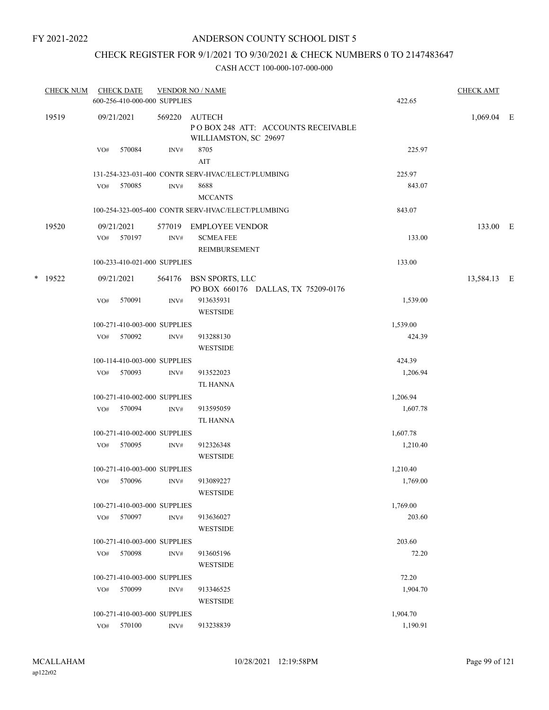## ANDERSON COUNTY SCHOOL DIST 5

## CHECK REGISTER FOR 9/1/2021 TO 9/30/2021 & CHECK NUMBERS 0 TO 2147483647

|       | <b>CHECK NUM</b> |            | <b>CHECK DATE</b><br>600-256-410-000-000 SUPPLIES |                                                                       | <b>VENDOR NO / NAME</b>                                       | 422.65       | <b>CHECK AMT</b> |  |
|-------|------------------|------------|---------------------------------------------------|-----------------------------------------------------------------------|---------------------------------------------------------------|--------------|------------------|--|
| 19519 |                  | 09/21/2021 | 569220                                            | AUTECH<br>POBOX 248 ATT: ACCOUNTS RECEIVABLE<br>WILLIAMSTON, SC 29697 |                                                               | $1,069.04$ E |                  |  |
|       |                  | VO#        | 570084                                            | INV#                                                                  | 8705<br>AIT                                                   | 225.97       |                  |  |
|       |                  |            |                                                   |                                                                       | 131-254-323-031-400 CONTR SERV-HVAC/ELECT/PLUMBING            | 225.97       |                  |  |
|       |                  | VO#        | 570085                                            | INV#                                                                  | 8688                                                          | 843.07       |                  |  |
|       |                  |            |                                                   |                                                                       | <b>MCCANTS</b>                                                |              |                  |  |
|       |                  |            |                                                   |                                                                       | 100-254-323-005-400 CONTR SERV-HVAC/ELECT/PLUMBING            | 843.07       |                  |  |
|       | 19520            |            | 09/21/2021                                        |                                                                       | 577019 EMPLOYEE VENDOR                                        |              | 133.00 E         |  |
|       |                  | VO#        | 570197                                            | INV#                                                                  | <b>SCMEA FEE</b><br>REIMBURSEMENT                             | 133.00       |                  |  |
|       |                  |            | 100-233-410-021-000 SUPPLIES                      |                                                                       |                                                               | 133.00       |                  |  |
|       | * 19522          |            | 09/21/2021                                        |                                                                       | 564176 BSN SPORTS, LLC<br>PO BOX 660176 DALLAS, TX 75209-0176 |              | 13,584.13 E      |  |
|       |                  | VO#        | 570091                                            | INV#                                                                  | 913635931                                                     | 1,539.00     |                  |  |
|       |                  |            |                                                   |                                                                       | <b>WESTSIDE</b>                                               |              |                  |  |
|       |                  |            | 100-271-410-003-000 SUPPLIES                      |                                                                       |                                                               | 1,539.00     |                  |  |
|       |                  | VO#        | 570092                                            | INV#                                                                  | 913288130<br><b>WESTSIDE</b>                                  | 424.39       |                  |  |
|       |                  |            | 100-114-410-003-000 SUPPLIES                      |                                                                       |                                                               | 424.39       |                  |  |
|       |                  | VO#        | 570093                                            | INV#                                                                  | 913522023                                                     | 1,206.94     |                  |  |
|       |                  |            |                                                   |                                                                       | <b>TL HANNA</b>                                               |              |                  |  |
|       |                  |            | 100-271-410-002-000 SUPPLIES                      |                                                                       |                                                               | 1,206.94     |                  |  |
|       |                  | VO#        | 570094                                            | INV#                                                                  | 913595059                                                     | 1,607.78     |                  |  |
|       |                  |            |                                                   |                                                                       | TL HANNA                                                      |              |                  |  |
|       |                  |            | 100-271-410-002-000 SUPPLIES                      |                                                                       |                                                               | 1,607.78     |                  |  |
|       |                  |            | VO# 570095                                        | INV#                                                                  | 912326348<br><b>WESTSIDE</b>                                  | 1,210.40     |                  |  |
|       |                  |            | 100-271-410-003-000 SUPPLIES                      |                                                                       |                                                               | 1,210.40     |                  |  |
|       |                  |            | VO# 570096                                        | INV#                                                                  | 913089227<br><b>WESTSIDE</b>                                  | 1,769.00     |                  |  |
|       |                  |            | 100-271-410-003-000 SUPPLIES                      |                                                                       |                                                               | 1,769.00     |                  |  |
|       |                  | VO#        | 570097                                            | INV#                                                                  | 913636027<br><b>WESTSIDE</b>                                  | 203.60       |                  |  |
|       |                  |            | 100-271-410-003-000 SUPPLIES                      |                                                                       |                                                               | 203.60       |                  |  |
|       |                  | VO#        | 570098                                            | INV#                                                                  | 913605196<br><b>WESTSIDE</b>                                  | 72.20        |                  |  |
|       |                  |            | 100-271-410-003-000 SUPPLIES                      |                                                                       |                                                               | 72.20        |                  |  |
|       |                  | VO#        | 570099                                            | INV#                                                                  | 913346525                                                     | 1,904.70     |                  |  |
|       |                  |            |                                                   |                                                                       | <b>WESTSIDE</b>                                               |              |                  |  |
|       |                  |            | 100-271-410-003-000 SUPPLIES                      |                                                                       |                                                               | 1,904.70     |                  |  |
|       |                  |            | VO# 570100                                        | INV#                                                                  | 913238839                                                     | 1,190.91     |                  |  |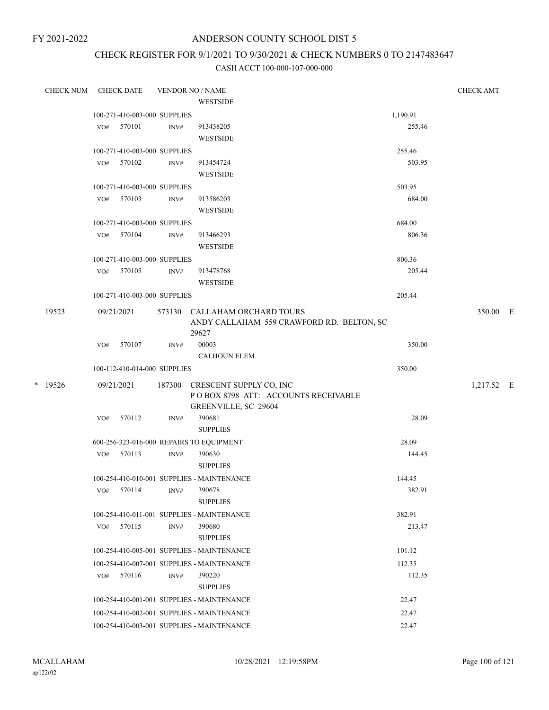## ANDERSON COUNTY SCHOOL DIST 5

## CHECK REGISTER FOR 9/1/2021 TO 9/30/2021 & CHECK NUMBERS 0 TO 2147483647

| <b>CHECK NUM</b> |     | <b>CHECK DATE</b>            |        | <b>VENDOR NO / NAME</b>                            |          | <b>CHECK AMT</b> |  |
|------------------|-----|------------------------------|--------|----------------------------------------------------|----------|------------------|--|
|                  |     |                              |        | <b>WESTSIDE</b>                                    |          |                  |  |
|                  |     | 100-271-410-003-000 SUPPLIES |        |                                                    | 1,190.91 |                  |  |
|                  | VO# | 570101                       | INV#   | 913438205                                          | 255.46   |                  |  |
|                  |     |                              |        | <b>WESTSIDE</b>                                    |          |                  |  |
|                  |     | 100-271-410-003-000 SUPPLIES |        |                                                    | 255.46   |                  |  |
|                  |     | VO# 570102                   | INV#   | 913454724                                          | 503.95   |                  |  |
|                  |     |                              |        | <b>WESTSIDE</b>                                    |          |                  |  |
|                  |     | 100-271-410-003-000 SUPPLIES |        |                                                    | 503.95   |                  |  |
|                  |     | VO# 570103                   | INV#   | 913586203                                          | 684.00   |                  |  |
|                  |     |                              |        | <b>WESTSIDE</b>                                    |          |                  |  |
|                  |     | 100-271-410-003-000 SUPPLIES |        |                                                    | 684.00   |                  |  |
|                  |     | VO# 570104                   | INV#   | 913466293                                          | 806.36   |                  |  |
|                  |     |                              |        | <b>WESTSIDE</b>                                    |          |                  |  |
|                  |     | 100-271-410-003-000 SUPPLIES |        |                                                    | 806.36   |                  |  |
|                  |     | VO# 570105                   | INV#   | 913478768                                          | 205.44   |                  |  |
|                  |     |                              |        | <b>WESTSIDE</b>                                    |          |                  |  |
|                  |     | 100-271-410-003-000 SUPPLIES |        |                                                    | 205.44   |                  |  |
| 19523            |     | 09/21/2021                   |        | 573130 CALLAHAM ORCHARD TOURS                      |          | 350.00 E         |  |
|                  |     |                              |        | ANDY CALLAHAM 559 CRAWFORD RD. BELTON, SC<br>29627 |          |                  |  |
|                  | VO# | 570107                       | INV#   | 00003                                              | 350.00   |                  |  |
|                  |     |                              |        | <b>CALHOUN ELEM</b>                                |          |                  |  |
|                  |     | 100-112-410-014-000 SUPPLIES |        |                                                    | 350.00   |                  |  |
| * 19526          |     | 09/21/2021                   | 187300 | CRESCENT SUPPLY CO, INC                            |          | 1,217.52 E       |  |
|                  |     |                              |        | POBOX 8798 ATT: ACCOUNTS RECEIVABLE                |          |                  |  |
|                  |     |                              |        | GREENVILLE, SC 29604                               |          |                  |  |
|                  | VO# | 570112                       | INV#   | 390681                                             | 28.09    |                  |  |
|                  |     |                              |        | <b>SUPPLIES</b>                                    |          |                  |  |
|                  |     |                              |        | 600-256-323-016-000 REPAIRS TO EQUIPMENT           | 28.09    |                  |  |
|                  |     | VO# 570113                   | INV#   | 390630                                             | 144.45   |                  |  |
|                  |     |                              |        | <b>SUPPLIES</b>                                    |          |                  |  |
|                  |     |                              |        | 100-254-410-010-001 SUPPLIES - MAINTENANCE         | 144.45   |                  |  |
|                  | VO# | 570114                       | INV#   | 390678                                             | 382.91   |                  |  |
|                  |     |                              |        | <b>SUPPLIES</b>                                    |          |                  |  |
|                  |     |                              |        | 100-254-410-011-001 SUPPLIES - MAINTENANCE         | 382.91   |                  |  |
|                  | VO# | 570115                       | INV#   | 390680                                             | 213.47   |                  |  |
|                  |     |                              |        | <b>SUPPLIES</b>                                    |          |                  |  |
|                  |     |                              |        | 100-254-410-005-001 SUPPLIES - MAINTENANCE         | 101.12   |                  |  |
|                  |     |                              |        | 100-254-410-007-001 SUPPLIES - MAINTENANCE         | 112.35   |                  |  |
|                  | VO# | 570116                       | INV#   | 390220                                             | 112.35   |                  |  |
|                  |     |                              |        | <b>SUPPLIES</b>                                    |          |                  |  |
|                  |     |                              |        | 100-254-410-001-001 SUPPLIES - MAINTENANCE         | 22.47    |                  |  |
|                  |     |                              |        | 100-254-410-002-001 SUPPLIES - MAINTENANCE         | 22.47    |                  |  |
|                  |     |                              |        | 100-254-410-003-001 SUPPLIES - MAINTENANCE         | 22.47    |                  |  |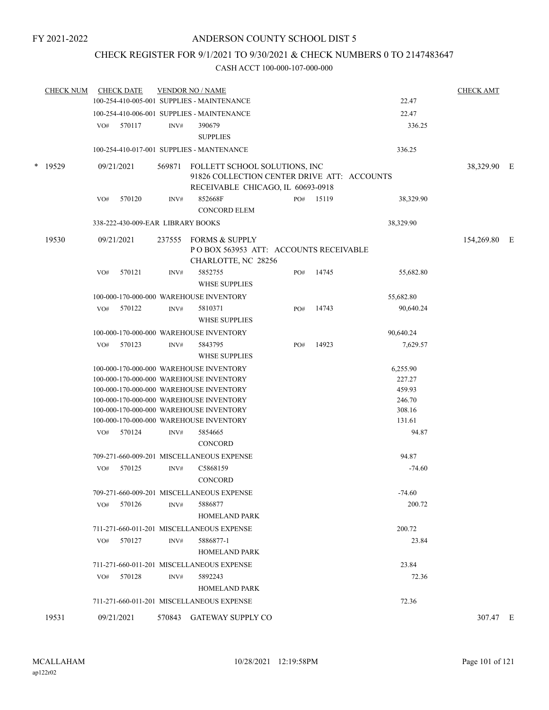## CHECK REGISTER FOR 9/1/2021 TO 9/30/2021 & CHECK NUMBERS 0 TO 2147483647

| <b>CHECK NUM</b> |            | <b>CHECK DATE</b>                 |        | <b>VENDOR NO / NAME</b><br>100-254-410-005-001 SUPPLIES - MAINTENANCE          |     |           | 22.47           | <b>CHECK AMT</b> |  |
|------------------|------------|-----------------------------------|--------|--------------------------------------------------------------------------------|-----|-----------|-----------------|------------------|--|
|                  |            |                                   |        |                                                                                |     |           |                 |                  |  |
|                  |            |                                   |        | 100-254-410-006-001 SUPPLIES - MAINTENANCE                                     |     |           | 22.47           |                  |  |
|                  | VO#        | 570117                            | INV#   | 390679<br><b>SUPPLIES</b>                                                      |     |           | 336.25          |                  |  |
|                  |            |                                   |        | 100-254-410-017-001 SUPPLIES - MANTENANCE                                      |     |           | 336.25          |                  |  |
| * 19529          | 09/21/2021 |                                   | 569871 | FOLLETT SCHOOL SOLUTIONS, INC<br>91826 COLLECTION CENTER DRIVE ATT: ACCOUNTS   |     |           |                 | 38,329.90 E      |  |
|                  | VO#        | 570120                            | INV#   | RECEIVABLE CHICAGO, IL 60693-0918<br>852668F<br><b>CONCORD ELEM</b>            |     | PO# 15119 | 38,329.90       |                  |  |
|                  |            | 338-222-430-009-EAR LIBRARY BOOKS |        |                                                                                |     |           | 38,329.90       |                  |  |
| 19530            | 09/21/2021 |                                   | 237555 | FORMS & SUPPLY<br>POBOX 563953 ATT: ACCOUNTS RECEIVABLE<br>CHARLOTTE, NC 28256 |     |           |                 | 154,269.80 E     |  |
|                  | VO#        | 570121                            | INV#   | 5852755<br><b>WHSE SUPPLIES</b>                                                | PO# | 14745     | 55,682.80       |                  |  |
|                  |            |                                   |        | 100-000-170-000-000 WAREHOUSE INVENTORY                                        |     |           | 55,682.80       |                  |  |
|                  | VO#        | 570122                            | INV#   | 5810371<br><b>WHSE SUPPLIES</b>                                                | PO# | 14743     | 90,640.24       |                  |  |
|                  |            |                                   |        | 100-000-170-000-000 WAREHOUSE INVENTORY                                        |     |           | 90,640.24       |                  |  |
|                  | VO#        | 570123                            | INV#   | 5843795<br><b>WHSE SUPPLIES</b>                                                | PO# | 14923     | 7,629.57        |                  |  |
|                  |            |                                   |        | 100-000-170-000-000 WAREHOUSE INVENTORY                                        |     |           | 6,255.90        |                  |  |
|                  |            |                                   |        | 100-000-170-000-000 WAREHOUSE INVENTORY                                        |     |           | 227.27          |                  |  |
|                  |            |                                   |        | 100-000-170-000-000 WAREHOUSE INVENTORY                                        |     |           | 459.93          |                  |  |
|                  |            |                                   |        | 100-000-170-000-000 WAREHOUSE INVENTORY                                        |     |           | 246.70          |                  |  |
|                  |            |                                   |        | 100-000-170-000-000 WAREHOUSE INVENTORY                                        |     |           | 308.16          |                  |  |
|                  |            | 570124                            | INV#   | 100-000-170-000-000 WAREHOUSE INVENTORY<br>5854665                             |     |           | 131.61<br>94.87 |                  |  |
|                  | VO#        |                                   |        | <b>CONCORD</b>                                                                 |     |           |                 |                  |  |
|                  |            |                                   |        | 709-271-660-009-201 MISCELLANEOUS EXPENSE                                      |     |           | 94.87           |                  |  |
|                  | VO#        | 570125                            | INV#   | C5868159<br>CONCORD                                                            |     |           | $-74.60$        |                  |  |
|                  |            |                                   |        | 709-271-660-009-201 MISCELLANEOUS EXPENSE                                      |     |           | $-74.60$        |                  |  |
|                  | VO#        | 570126                            | INV#   | 5886877<br><b>HOMELAND PARK</b>                                                |     |           | 200.72          |                  |  |
|                  |            |                                   |        | 711-271-660-011-201 MISCELLANEOUS EXPENSE                                      |     |           | 200.72          |                  |  |
|                  | VO#        | 570127                            | INV#   | 5886877-1                                                                      |     |           | 23.84           |                  |  |
|                  |            |                                   |        | <b>HOMELAND PARK</b>                                                           |     |           |                 |                  |  |
|                  |            |                                   |        | 711-271-660-011-201 MISCELLANEOUS EXPENSE                                      |     |           | 23.84           |                  |  |
|                  | VO#        | 570128                            | INV#   | 5892243                                                                        |     |           | 72.36           |                  |  |
|                  |            |                                   |        | <b>HOMELAND PARK</b>                                                           |     |           |                 |                  |  |
|                  |            |                                   |        | 711-271-660-011-201 MISCELLANEOUS EXPENSE                                      |     |           | 72.36           |                  |  |
| 19531            |            | 09/21/2021                        |        | 570843 GATEWAY SUPPLY CO                                                       |     |           |                 | 307.47 E         |  |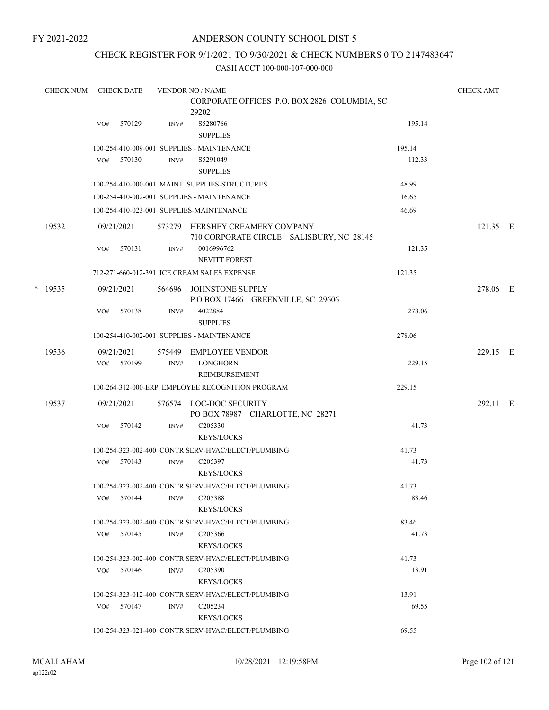## ANDERSON COUNTY SCHOOL DIST 5

## CHECK REGISTER FOR 9/1/2021 TO 9/30/2021 & CHECK NUMBERS 0 TO 2147483647

| <b>CHECK NUM</b> |     | <b>CHECK DATE</b>        |                | <b>VENDOR NO / NAME</b>                                                     |        | <b>CHECK AMT</b> |  |
|------------------|-----|--------------------------|----------------|-----------------------------------------------------------------------------|--------|------------------|--|
|                  |     |                          |                | CORPORATE OFFICES P.O. BOX 2826 COLUMBIA, SC<br>29202                       |        |                  |  |
|                  | VO# | 570129                   | INV#           | S5280766<br><b>SUPPLIES</b>                                                 | 195.14 |                  |  |
|                  |     |                          |                | 100-254-410-009-001 SUPPLIES - MAINTENANCE                                  | 195.14 |                  |  |
|                  | VO# | 570130                   | INV#           | S5291049<br><b>SUPPLIES</b>                                                 | 112.33 |                  |  |
|                  |     |                          |                | 100-254-410-000-001 MAINT. SUPPLIES-STRUCTURES                              | 48.99  |                  |  |
|                  |     |                          |                | 100-254-410-002-001 SUPPLIES - MAINTENANCE                                  | 16.65  |                  |  |
|                  |     |                          |                | 100-254-410-023-001 SUPPLIES-MAINTENANCE                                    | 46.69  |                  |  |
| 19532            |     | 09/21/2021               |                | 573279 HERSHEY CREAMERY COMPANY<br>710 CORPORATE CIRCLE SALISBURY, NC 28145 |        | 121.35 E         |  |
|                  | VO# | 570131                   | INV#           | 0016996762<br><b>NEVITT FOREST</b>                                          | 121.35 |                  |  |
|                  |     |                          |                | 712-271-660-012-391 ICE CREAM SALES EXPENSE                                 | 121.35 |                  |  |
| $*$ 19535        |     | 09/21/2021               | 564696         | JOHNSTONE SUPPLY<br>POBOX 17466 GREENVILLE, SC 29606                        |        | 278.06 E         |  |
|                  | VO# | 570138                   | INV#           | 4022884<br><b>SUPPLIES</b>                                                  | 278.06 |                  |  |
|                  |     |                          |                | 100-254-410-002-001 SUPPLIES - MAINTENANCE                                  | 278.06 |                  |  |
| 19536            |     | 09/21/2021<br>VO# 570199 | 575449<br>INV# | EMPLOYEE VENDOR<br><b>LONGHORN</b>                                          | 229.15 | 229.15 E         |  |
|                  |     |                          |                | REIMBURSEMENT                                                               |        |                  |  |
|                  |     |                          |                | 100-264-312-000-ERP EMPLOYEE RECOGNITION PROGRAM                            | 229.15 |                  |  |
| 19537            |     | 09/21/2021               | 576574         | LOC-DOC SECURITY<br>PO BOX 78987 CHARLOTTE, NC 28271                        |        | 292.11 E         |  |
|                  | VO# | 570142                   | INV#           | C <sub>205330</sub><br><b>KEYS/LOCKS</b>                                    | 41.73  |                  |  |
|                  |     |                          |                | 100-254-323-002-400 CONTR SERV-HVAC/ELECT/PLUMBING                          | 41.73  |                  |  |
|                  | VO# | 570143                   | INV#           | C <sub>205397</sub><br>KEYS/LOCKS                                           | 41.73  |                  |  |
|                  |     |                          |                | 100-254-323-002-400 CONTR SERV-HVAC/ELECT/PLUMBING                          | 41.73  |                  |  |
|                  |     | VO# 570144               | INV#           | C <sub>205388</sub><br><b>KEYS/LOCKS</b>                                    | 83.46  |                  |  |
|                  |     |                          |                | 100-254-323-002-400 CONTR SERV-HVAC/ELECT/PLUMBING                          | 83.46  |                  |  |
|                  |     | VO# 570145               | INV#           | C <sub>205366</sub><br><b>KEYS/LOCKS</b>                                    | 41.73  |                  |  |
|                  |     |                          |                | 100-254-323-002-400 CONTR SERV-HVAC/ELECT/PLUMBING                          | 41.73  |                  |  |
|                  |     | VO# 570146               | INV#           | C <sub>205390</sub><br><b>KEYS/LOCKS</b>                                    | 13.91  |                  |  |
|                  |     |                          |                | 100-254-323-012-400 CONTR SERV-HVAC/ELECT/PLUMBING                          | 13.91  |                  |  |
|                  |     | VO# 570147               | INV#           | C <sub>205234</sub><br><b>KEYS/LOCKS</b>                                    | 69.55  |                  |  |
|                  |     |                          |                | 100-254-323-021-400 CONTR SERV-HVAC/ELECT/PLUMBING                          | 69.55  |                  |  |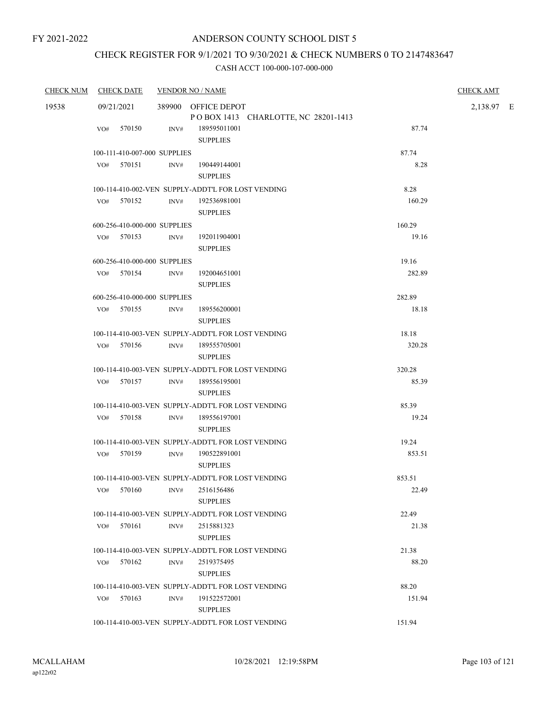# CHECK REGISTER FOR 9/1/2021 TO 9/30/2021 & CHECK NUMBERS 0 TO 2147483647

| <b>CHECK NUM</b> | <b>CHECK DATE</b>            | <b>VENDOR NO / NAME</b> |                                                            |        | <b>CHECK AMT</b> |  |
|------------------|------------------------------|-------------------------|------------------------------------------------------------|--------|------------------|--|
| 19538            | 09/21/2021                   |                         | 389900 OFFICE DEPOT<br>POBOX 1413 CHARLOTTE, NC 28201-1413 |        | 2,138.97 E       |  |
|                  | VO# 570150                   | INV#                    | 189595011001<br><b>SUPPLIES</b>                            | 87.74  |                  |  |
|                  | 100-111-410-007-000 SUPPLIES |                         |                                                            | 87.74  |                  |  |
|                  | VO# 570151                   | INV#                    | 190449144001<br><b>SUPPLIES</b>                            | 8.28   |                  |  |
|                  |                              |                         | 100-114-410-002-VEN SUPPLY-ADDT'L FOR LOST VENDING         | 8.28   |                  |  |
|                  | VO# 570152                   | INV#                    | 192536981001<br><b>SUPPLIES</b>                            | 160.29 |                  |  |
|                  | 600-256-410-000-000 SUPPLIES |                         |                                                            | 160.29 |                  |  |
|                  | VO# 570153                   | INV#                    | 192011904001<br><b>SUPPLIES</b>                            | 19.16  |                  |  |
|                  | 600-256-410-000-000 SUPPLIES |                         |                                                            | 19.16  |                  |  |
|                  | VO# 570154                   | INV#                    | 192004651001<br><b>SUPPLIES</b>                            | 282.89 |                  |  |
|                  | 600-256-410-000-000 SUPPLIES |                         |                                                            | 282.89 |                  |  |
|                  | $VO#$ 570155                 | INV#                    | 189556200001<br><b>SUPPLIES</b>                            | 18.18  |                  |  |
|                  |                              |                         | 100-114-410-003-VEN SUPPLY-ADDT'L FOR LOST VENDING         | 18.18  |                  |  |
|                  | VO# 570156                   | INV#                    | 189555705001<br><b>SUPPLIES</b>                            | 320.28 |                  |  |
|                  |                              |                         | 100-114-410-003-VEN SUPPLY-ADDT'L FOR LOST VENDING         | 320.28 |                  |  |
|                  | VO# 570157                   |                         | INV# 189556195001<br><b>SUPPLIES</b>                       | 85.39  |                  |  |
|                  |                              |                         | 100-114-410-003-VEN SUPPLY-ADDT'L FOR LOST VENDING         | 85.39  |                  |  |
|                  | VO# 570158                   | INV#                    | 189556197001<br><b>SUPPLIES</b>                            | 19.24  |                  |  |
|                  |                              |                         | 100-114-410-003-VEN SUPPLY-ADDT'L FOR LOST VENDING         | 19.24  |                  |  |
|                  | VO# 570159                   | INV#                    | 190522891001<br><b>SUPPLIES</b>                            | 853.51 |                  |  |
|                  |                              |                         | 100-114-410-003-VEN SUPPLY-ADDT'L FOR LOST VENDING         | 853.51 |                  |  |
|                  | VO# 570160 INV# 2516156486   |                         | <b>SUPPLIES</b>                                            | 22.49  |                  |  |
|                  |                              |                         | 100-114-410-003-VEN SUPPLY-ADDT'L FOR LOST VENDING         | 22.49  |                  |  |
|                  | 570161<br>VO#                | INV#                    | 2515881323<br><b>SUPPLIES</b>                              | 21.38  |                  |  |
|                  |                              |                         | 100-114-410-003-VEN SUPPLY-ADDT'L FOR LOST VENDING         | 21.38  |                  |  |
|                  | VO# 570162                   | INV#                    | 2519375495<br><b>SUPPLIES</b>                              | 88.20  |                  |  |
|                  |                              |                         | 100-114-410-003-VEN SUPPLY-ADDT'L FOR LOST VENDING         | 88.20  |                  |  |
|                  | 570163<br>VO#                | INV#                    | 191522572001<br><b>SUPPLIES</b>                            | 151.94 |                  |  |
|                  |                              |                         | 100-114-410-003-VEN SUPPLY-ADDT'L FOR LOST VENDING         | 151.94 |                  |  |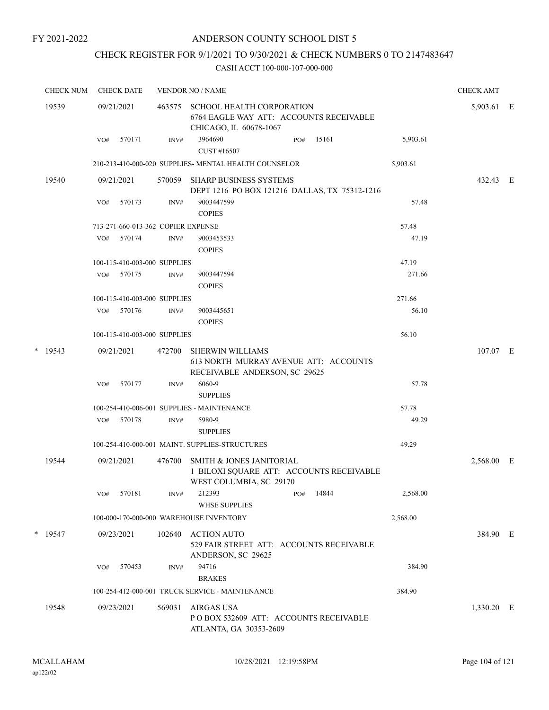## ANDERSON COUNTY SCHOOL DIST 5

## CHECK REGISTER FOR 9/1/2021 TO 9/30/2021 & CHECK NUMBERS 0 TO 2147483647

| <b>CHECK NUM</b> | <b>CHECK DATE</b>                  |        | <b>VENDOR NO / NAME</b>                                                                           |          | <b>CHECK AMT</b> |  |
|------------------|------------------------------------|--------|---------------------------------------------------------------------------------------------------|----------|------------------|--|
| 19539            | 09/21/2021                         | 463575 | SCHOOL HEALTH CORPORATION<br>6764 EAGLE WAY ATT: ACCOUNTS RECEIVABLE<br>CHICAGO, IL 60678-1067    |          | 5,903.61 E       |  |
|                  | 570171<br>VO#                      | INV#   | 3964690<br>15161<br>PO#<br>CUST #16507                                                            | 5,903.61 |                  |  |
|                  |                                    |        | 210-213-410-000-020 SUPPLIES- MENTAL HEALTH COUNSELOR                                             | 5,903.61 |                  |  |
| 19540            | 09/21/2021                         | 570059 | <b>SHARP BUSINESS SYSTEMS</b><br>DEPT 1216 PO BOX 121216 DALLAS, TX 75312-1216                    |          | 432.43 E         |  |
|                  | 570173<br>VO#                      | INV#   | 9003447599<br><b>COPIES</b>                                                                       | 57.48    |                  |  |
|                  | 713-271-660-013-362 COPIER EXPENSE |        |                                                                                                   | 57.48    |                  |  |
|                  | 570174<br>VO#                      | INV#   | 9003453533<br><b>COPIES</b>                                                                       | 47.19    |                  |  |
|                  | 100-115-410-003-000 SUPPLIES       |        |                                                                                                   | 47.19    |                  |  |
|                  | 570175<br>VO#                      | INV#   | 9003447594<br><b>COPIES</b>                                                                       | 271.66   |                  |  |
|                  | 100-115-410-003-000 SUPPLIES       |        |                                                                                                   | 271.66   |                  |  |
|                  | 570176<br>VO#                      | INV#   | 9003445651<br><b>COPIES</b>                                                                       | 56.10    |                  |  |
|                  | 100-115-410-003-000 SUPPLIES       |        |                                                                                                   | 56.10    |                  |  |
| $*$ 19543        | 09/21/2021                         | 472700 | <b>SHERWIN WILLIAMS</b><br>613 NORTH MURRAY AVENUE ATT: ACCOUNTS<br>RECEIVABLE ANDERSON, SC 29625 |          | 107.07 E         |  |
|                  | 570177<br>VO#                      | INV#   | 6060-9<br><b>SUPPLIES</b>                                                                         | 57.78    |                  |  |
|                  |                                    |        | 100-254-410-006-001 SUPPLIES - MAINTENANCE                                                        | 57.78    |                  |  |
|                  | 570178<br>VO#                      | INV#   | 5980-9<br><b>SUPPLIES</b>                                                                         | 49.29    |                  |  |
|                  |                                    |        | 100-254-410-000-001 MAINT. SUPPLIES-STRUCTURES                                                    | 49.29    |                  |  |
| 19544            | 09/21/2021                         | 476700 | SMITH & JONES JANITORIAL<br>1 BILOXI SQUARE ATT: ACCOUNTS RECEIVABLE<br>WEST COLUMBIA, SC 29170   |          | 2,568.00 E       |  |
|                  | 570181<br>VO#                      | INV#   | 14844<br>212393<br>PO#<br><b>WHSE SUPPLIES</b>                                                    | 2,568.00 |                  |  |
|                  |                                    |        | 100-000-170-000-000 WAREHOUSE INVENTORY                                                           | 2,568.00 |                  |  |
| $*$ 19547        | 09/23/2021                         | 102640 | <b>ACTION AUTO</b><br>529 FAIR STREET ATT: ACCOUNTS RECEIVABLE<br>ANDERSON, SC 29625              |          | 384.90 E         |  |
|                  | 570453<br>VO#                      | INV#   | 94716<br><b>BRAKES</b>                                                                            | 384.90   |                  |  |
|                  |                                    |        | 100-254-412-000-001 TRUCK SERVICE - MAINTENANCE                                                   | 384.90   |                  |  |
| 19548            | 09/23/2021                         | 569031 | <b>AIRGAS USA</b><br>PO BOX 532609 ATT: ACCOUNTS RECEIVABLE<br>ATLANTA, GA 30353-2609             |          | 1,330.20 E       |  |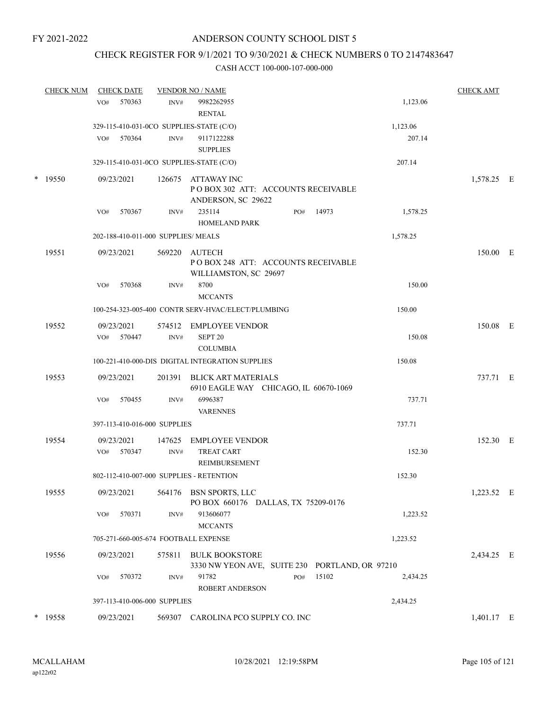## CHECK REGISTER FOR 9/1/2021 TO 9/30/2021 & CHECK NUMBERS 0 TO 2147483647

| <b>CHECK NUM</b> | <b>CHECK DATE</b>                    |        | <b>VENDOR NO / NAME</b>                                                 |     |       |          | <b>CHECK AMT</b> |  |
|------------------|--------------------------------------|--------|-------------------------------------------------------------------------|-----|-------|----------|------------------|--|
|                  | 570363<br>VO#                        | INV#   | 9982262955                                                              |     |       | 1,123.06 |                  |  |
|                  |                                      |        | <b>RENTAL</b>                                                           |     |       |          |                  |  |
|                  |                                      |        | 329-115-410-031-0CO SUPPLIES-STATE (C/O)                                |     |       | 1,123.06 |                  |  |
|                  | 570364<br>VO#                        | INV#   | 9117122288                                                              |     |       | 207.14   |                  |  |
|                  |                                      |        | <b>SUPPLIES</b>                                                         |     |       |          |                  |  |
|                  |                                      |        | 329-115-410-031-0CO SUPPLIES-STATE (C/O)                                |     |       | 207.14   |                  |  |
| $*$ 19550        | 09/23/2021                           | 126675 | ATTAWAY INC<br>POBOX 302 ATT: ACCOUNTS RECEIVABLE<br>ANDERSON, SC 29622 |     |       |          | 1,578.25 E       |  |
|                  | VO#<br>570367                        | INV#   | 235114<br><b>HOMELAND PARK</b>                                          | PO# | 14973 | 1,578.25 |                  |  |
|                  | 202-188-410-011-000 SUPPLIES/ MEALS  |        |                                                                         |     |       | 1,578.25 |                  |  |
| 19551            | 09/23/2021                           | 569220 | AUTECH<br>POBOX 248 ATT: ACCOUNTS RECEIVABLE<br>WILLIAMSTON, SC 29697   |     |       |          | 150.00 E         |  |
|                  | 570368<br>VO#                        | INV#   | 8700<br><b>MCCANTS</b>                                                  |     |       | 150.00   |                  |  |
|                  |                                      |        | 100-254-323-005-400 CONTR SERV-HVAC/ELECT/PLUMBING                      |     |       | 150.00   |                  |  |
| 19552            | 09/23/2021                           |        | 574512 EMPLOYEE VENDOR                                                  |     |       |          | 150.08 E         |  |
|                  | VO# 570447                           | INV#   | SEPT <sub>20</sub><br><b>COLUMBIA</b>                                   |     |       | 150.08   |                  |  |
|                  |                                      |        | 100-221-410-000-DIS DIGITAL INTEGRATION SUPPLIES                        |     |       | 150.08   |                  |  |
| 19553            | 09/23/2021                           |        | 201391 BLICK ART MATERIALS<br>6910 EAGLE WAY CHICAGO, IL 60670-1069     |     |       |          | 737.71 E         |  |
|                  | 570455<br>VO#                        | INV#   | 6996387<br><b>VARENNES</b>                                              |     |       | 737.71   |                  |  |
|                  | 397-113-410-016-000 SUPPLIES         |        |                                                                         |     |       | 737.71   |                  |  |
| 19554            | 09/23/2021                           | 147625 | <b>EMPLOYEE VENDOR</b>                                                  |     |       |          | 152.30 E         |  |
|                  | 570347<br>VO#                        | INV#   | <b>TREAT CART</b><br><b>REIMBURSEMENT</b>                               |     |       | 152.30   |                  |  |
|                  |                                      |        | 802-112-410-007-000 SUPPLIES - RETENTION                                |     |       | 152.30   |                  |  |
| 19555            | 09/23/2021                           |        | 564176 BSN SPORTS, LLC<br>PO BOX 660176 DALLAS, TX 75209-0176           |     |       |          | 1,223.52 E       |  |
|                  | VO#<br>570371                        | INV#   | 913606077<br><b>MCCANTS</b>                                             |     |       | 1,223.52 |                  |  |
|                  | 705-271-660-005-674 FOOTBALL EXPENSE |        |                                                                         |     |       | 1,223.52 |                  |  |
| 19556            | 09/23/2021                           | 575811 | <b>BULK BOOKSTORE</b><br>3330 NW YEON AVE, SUITE 230 PORTLAND, OR 97210 |     |       |          | 2,434.25 E       |  |
|                  | 570372<br>VO#                        | INV#   | 91782<br><b>ROBERT ANDERSON</b>                                         | PO# | 15102 | 2,434.25 |                  |  |
|                  | 397-113-410-006-000 SUPPLIES         |        |                                                                         |     |       | 2,434.25 |                  |  |
| $*$ 19558        | 09/23/2021                           | 569307 | CAROLINA PCO SUPPLY CO. INC                                             |     |       |          | 1,401.17 E       |  |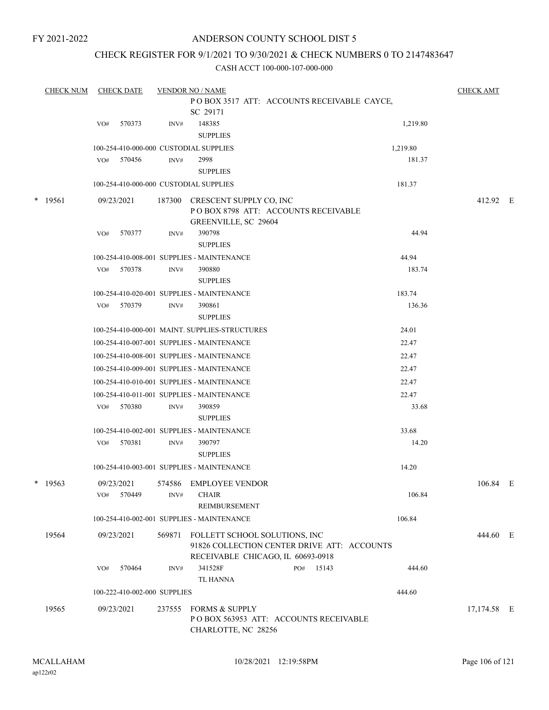## ANDERSON COUNTY SCHOOL DIST 5

## CHECK REGISTER FOR 9/1/2021 TO 9/30/2021 & CHECK NUMBERS 0 TO 2147483647

| <b>CHECK NUM</b> |                  | <b>CHECK DATE</b>               |                                                                                                                      | <b>VENDOR NO / NAME</b>                                          | <b>CHECK AMT</b>                                                                                                                                                                                                                                                                                                                                                                                                                                                                                                                                                                                                                                                                                                                                                                                                                                                                                                  |                                                                                                                                      |                                                                                                                                                                                                                                                                                        |                         |
|------------------|------------------|---------------------------------|----------------------------------------------------------------------------------------------------------------------|------------------------------------------------------------------|-------------------------------------------------------------------------------------------------------------------------------------------------------------------------------------------------------------------------------------------------------------------------------------------------------------------------------------------------------------------------------------------------------------------------------------------------------------------------------------------------------------------------------------------------------------------------------------------------------------------------------------------------------------------------------------------------------------------------------------------------------------------------------------------------------------------------------------------------------------------------------------------------------------------|--------------------------------------------------------------------------------------------------------------------------------------|----------------------------------------------------------------------------------------------------------------------------------------------------------------------------------------------------------------------------------------------------------------------------------------|-------------------------|
|                  |                  |                                 |                                                                                                                      |                                                                  |                                                                                                                                                                                                                                                                                                                                                                                                                                                                                                                                                                                                                                                                                                                                                                                                                                                                                                                   |                                                                                                                                      |                                                                                                                                                                                                                                                                                        |                         |
|                  |                  |                                 |                                                                                                                      | SC 29171                                                         |                                                                                                                                                                                                                                                                                                                                                                                                                                                                                                                                                                                                                                                                                                                                                                                                                                                                                                                   |                                                                                                                                      |                                                                                                                                                                                                                                                                                        |                         |
|                  | VO#              | 570373                          | INV#                                                                                                                 | 148385                                                           |                                                                                                                                                                                                                                                                                                                                                                                                                                                                                                                                                                                                                                                                                                                                                                                                                                                                                                                   | 1,219.80                                                                                                                             |                                                                                                                                                                                                                                                                                        |                         |
|                  |                  |                                 |                                                                                                                      | <b>SUPPLIES</b>                                                  |                                                                                                                                                                                                                                                                                                                                                                                                                                                                                                                                                                                                                                                                                                                                                                                                                                                                                                                   |                                                                                                                                      |                                                                                                                                                                                                                                                                                        |                         |
|                  |                  |                                 |                                                                                                                      |                                                                  |                                                                                                                                                                                                                                                                                                                                                                                                                                                                                                                                                                                                                                                                                                                                                                                                                                                                                                                   | 1,219.80                                                                                                                             |                                                                                                                                                                                                                                                                                        |                         |
|                  | VO#              | 570456                          | INV#                                                                                                                 | 2998                                                             |                                                                                                                                                                                                                                                                                                                                                                                                                                                                                                                                                                                                                                                                                                                                                                                                                                                                                                                   | 181.37                                                                                                                               |                                                                                                                                                                                                                                                                                        |                         |
|                  |                  |                                 |                                                                                                                      | <b>SUPPLIES</b>                                                  |                                                                                                                                                                                                                                                                                                                                                                                                                                                                                                                                                                                                                                                                                                                                                                                                                                                                                                                   |                                                                                                                                      |                                                                                                                                                                                                                                                                                        |                         |
|                  |                  |                                 |                                                                                                                      |                                                                  |                                                                                                                                                                                                                                                                                                                                                                                                                                                                                                                                                                                                                                                                                                                                                                                                                                                                                                                   | 181.37                                                                                                                               |                                                                                                                                                                                                                                                                                        |                         |
| $*$ 19561        |                  |                                 | 187300                                                                                                               |                                                                  |                                                                                                                                                                                                                                                                                                                                                                                                                                                                                                                                                                                                                                                                                                                                                                                                                                                                                                                   |                                                                                                                                      | 412.92 E                                                                                                                                                                                                                                                                               |                         |
|                  |                  |                                 |                                                                                                                      |                                                                  |                                                                                                                                                                                                                                                                                                                                                                                                                                                                                                                                                                                                                                                                                                                                                                                                                                                                                                                   |                                                                                                                                      |                                                                                                                                                                                                                                                                                        |                         |
|                  |                  |                                 |                                                                                                                      |                                                                  |                                                                                                                                                                                                                                                                                                                                                                                                                                                                                                                                                                                                                                                                                                                                                                                                                                                                                                                   |                                                                                                                                      |                                                                                                                                                                                                                                                                                        |                         |
|                  |                  |                                 |                                                                                                                      |                                                                  |                                                                                                                                                                                                                                                                                                                                                                                                                                                                                                                                                                                                                                                                                                                                                                                                                                                                                                                   |                                                                                                                                      |                                                                                                                                                                                                                                                                                        |                         |
|                  |                  |                                 |                                                                                                                      |                                                                  |                                                                                                                                                                                                                                                                                                                                                                                                                                                                                                                                                                                                                                                                                                                                                                                                                                                                                                                   |                                                                                                                                      |                                                                                                                                                                                                                                                                                        |                         |
|                  |                  |                                 |                                                                                                                      |                                                                  |                                                                                                                                                                                                                                                                                                                                                                                                                                                                                                                                                                                                                                                                                                                                                                                                                                                                                                                   |                                                                                                                                      |                                                                                                                                                                                                                                                                                        |                         |
|                  |                  |                                 |                                                                                                                      |                                                                  |                                                                                                                                                                                                                                                                                                                                                                                                                                                                                                                                                                                                                                                                                                                                                                                                                                                                                                                   |                                                                                                                                      |                                                                                                                                                                                                                                                                                        |                         |
|                  |                  |                                 |                                                                                                                      |                                                                  |                                                                                                                                                                                                                                                                                                                                                                                                                                                                                                                                                                                                                                                                                                                                                                                                                                                                                                                   |                                                                                                                                      |                                                                                                                                                                                                                                                                                        |                         |
|                  |                  |                                 |                                                                                                                      |                                                                  |                                                                                                                                                                                                                                                                                                                                                                                                                                                                                                                                                                                                                                                                                                                                                                                                                                                                                                                   |                                                                                                                                      |                                                                                                                                                                                                                                                                                        |                         |
|                  |                  |                                 |                                                                                                                      |                                                                  |                                                                                                                                                                                                                                                                                                                                                                                                                                                                                                                                                                                                                                                                                                                                                                                                                                                                                                                   |                                                                                                                                      |                                                                                                                                                                                                                                                                                        |                         |
|                  |                  |                                 |                                                                                                                      |                                                                  |                                                                                                                                                                                                                                                                                                                                                                                                                                                                                                                                                                                                                                                                                                                                                                                                                                                                                                                   |                                                                                                                                      |                                                                                                                                                                                                                                                                                        |                         |
|                  |                  |                                 |                                                                                                                      |                                                                  |                                                                                                                                                                                                                                                                                                                                                                                                                                                                                                                                                                                                                                                                                                                                                                                                                                                                                                                   |                                                                                                                                      |                                                                                                                                                                                                                                                                                        |                         |
|                  |                  |                                 |                                                                                                                      |                                                                  |                                                                                                                                                                                                                                                                                                                                                                                                                                                                                                                                                                                                                                                                                                                                                                                                                                                                                                                   |                                                                                                                                      |                                                                                                                                                                                                                                                                                        |                         |
|                  |                  |                                 |                                                                                                                      |                                                                  |                                                                                                                                                                                                                                                                                                                                                                                                                                                                                                                                                                                                                                                                                                                                                                                                                                                                                                                   |                                                                                                                                      |                                                                                                                                                                                                                                                                                        |                         |
|                  |                  |                                 |                                                                                                                      |                                                                  |                                                                                                                                                                                                                                                                                                                                                                                                                                                                                                                                                                                                                                                                                                                                                                                                                                                                                                                   |                                                                                                                                      |                                                                                                                                                                                                                                                                                        |                         |
|                  |                  |                                 |                                                                                                                      |                                                                  |                                                                                                                                                                                                                                                                                                                                                                                                                                                                                                                                                                                                                                                                                                                                                                                                                                                                                                                   |                                                                                                                                      |                                                                                                                                                                                                                                                                                        |                         |
|                  |                  |                                 |                                                                                                                      |                                                                  |                                                                                                                                                                                                                                                                                                                                                                                                                                                                                                                                                                                                                                                                                                                                                                                                                                                                                                                   |                                                                                                                                      |                                                                                                                                                                                                                                                                                        |                         |
|                  |                  |                                 |                                                                                                                      |                                                                  |                                                                                                                                                                                                                                                                                                                                                                                                                                                                                                                                                                                                                                                                                                                                                                                                                                                                                                                   |                                                                                                                                      |                                                                                                                                                                                                                                                                                        |                         |
|                  |                  |                                 |                                                                                                                      |                                                                  |                                                                                                                                                                                                                                                                                                                                                                                                                                                                                                                                                                                                                                                                                                                                                                                                                                                                                                                   |                                                                                                                                      |                                                                                                                                                                                                                                                                                        |                         |
|                  |                  |                                 |                                                                                                                      |                                                                  |                                                                                                                                                                                                                                                                                                                                                                                                                                                                                                                                                                                                                                                                                                                                                                                                                                                                                                                   |                                                                                                                                      |                                                                                                                                                                                                                                                                                        |                         |
|                  |                  |                                 |                                                                                                                      |                                                                  |                                                                                                                                                                                                                                                                                                                                                                                                                                                                                                                                                                                                                                                                                                                                                                                                                                                                                                                   |                                                                                                                                      |                                                                                                                                                                                                                                                                                        |                         |
|                  |                  |                                 |                                                                                                                      |                                                                  |                                                                                                                                                                                                                                                                                                                                                                                                                                                                                                                                                                                                                                                                                                                                                                                                                                                                                                                   |                                                                                                                                      |                                                                                                                                                                                                                                                                                        |                         |
|                  |                  |                                 |                                                                                                                      |                                                                  |                                                                                                                                                                                                                                                                                                                                                                                                                                                                                                                                                                                                                                                                                                                                                                                                                                                                                                                   |                                                                                                                                      |                                                                                                                                                                                                                                                                                        |                         |
|                  |                  |                                 |                                                                                                                      | <b>REIMBURSEMENT</b>                                             |                                                                                                                                                                                                                                                                                                                                                                                                                                                                                                                                                                                                                                                                                                                                                                                                                                                                                                                   |                                                                                                                                      |                                                                                                                                                                                                                                                                                        |                         |
|                  |                  |                                 |                                                                                                                      |                                                                  |                                                                                                                                                                                                                                                                                                                                                                                                                                                                                                                                                                                                                                                                                                                                                                                                                                                                                                                   | 106.84                                                                                                                               |                                                                                                                                                                                                                                                                                        |                         |
| 19564            |                  |                                 | 569871                                                                                                               |                                                                  |                                                                                                                                                                                                                                                                                                                                                                                                                                                                                                                                                                                                                                                                                                                                                                                                                                                                                                                   |                                                                                                                                      | 444.60 E                                                                                                                                                                                                                                                                               |                         |
|                  | VO#              | 570464                          | INV#                                                                                                                 | 341528F                                                          | 15143<br>PO#                                                                                                                                                                                                                                                                                                                                                                                                                                                                                                                                                                                                                                                                                                                                                                                                                                                                                                      | 444.60                                                                                                                               |                                                                                                                                                                                                                                                                                        |                         |
|                  |                  |                                 |                                                                                                                      |                                                                  |                                                                                                                                                                                                                                                                                                                                                                                                                                                                                                                                                                                                                                                                                                                                                                                                                                                                                                                   | 444.60                                                                                                                               |                                                                                                                                                                                                                                                                                        |                         |
|                  |                  |                                 |                                                                                                                      |                                                                  |                                                                                                                                                                                                                                                                                                                                                                                                                                                                                                                                                                                                                                                                                                                                                                                                                                                                                                                   |                                                                                                                                      |                                                                                                                                                                                                                                                                                        |                         |
|                  |                  |                                 |                                                                                                                      | CHARLOTTE, NC 28256                                              |                                                                                                                                                                                                                                                                                                                                                                                                                                                                                                                                                                                                                                                                                                                                                                                                                                                                                                                   |                                                                                                                                      |                                                                                                                                                                                                                                                                                        |                         |
|                  | * 19563<br>19565 | VO#<br>VO#<br>VO#<br>VO#<br>VO# | 09/23/2021<br>570377<br>570378<br>VO# 570379<br>570380<br>570381<br>09/23/2021<br>570449<br>09/23/2021<br>09/23/2021 | INV#<br>INV#<br>INV#<br>INV#<br>INV#<br>574586<br>INV#<br>237555 | 100-254-410-000-000 CUSTODIAL SUPPLIES<br>100-254-410-000-000 CUSTODIAL SUPPLIES<br>GREENVILLE, SC 29604<br>390798<br><b>SUPPLIES</b><br>100-254-410-008-001 SUPPLIES - MAINTENANCE<br>390880<br><b>SUPPLIES</b><br>100-254-410-020-001 SUPPLIES - MAINTENANCE<br>390861<br><b>SUPPLIES</b><br>100-254-410-000-001 MAINT. SUPPLIES-STRUCTURES<br>100-254-410-007-001 SUPPLIES - MAINTENANCE<br>100-254-410-008-001 SUPPLIES - MAINTENANCE<br>100-254-410-009-001 SUPPLIES - MAINTENANCE<br>100-254-410-010-001 SUPPLIES - MAINTENANCE<br>100-254-410-011-001 SUPPLIES - MAINTENANCE<br>390859<br><b>SUPPLIES</b><br>100-254-410-002-001 SUPPLIES - MAINTENANCE<br>390797<br><b>SUPPLIES</b><br>100-254-410-003-001 SUPPLIES - MAINTENANCE<br><b>EMPLOYEE VENDOR</b><br><b>CHAIR</b><br>100-254-410-002-001 SUPPLIES - MAINTENANCE<br><b>TL HANNA</b><br>100-222-410-002-000 SUPPLIES<br><b>FORMS &amp; SUPPLY</b> | CRESCENT SUPPLY CO, INC<br>POBOX 8798 ATT: ACCOUNTS RECEIVABLE<br>FOLLETT SCHOOL SOLUTIONS, INC<br>RECEIVABLE CHICAGO, IL 60693-0918 | POBOX 3517 ATT: ACCOUNTS RECEIVABLE CAYCE,<br>44.94<br>44.94<br>183.74<br>183.74<br>136.36<br>24.01<br>22.47<br>22.47<br>22.47<br>22.47<br>22.47<br>33.68<br>33.68<br>14.20<br>14.20<br>106.84<br>91826 COLLECTION CENTER DRIVE ATT: ACCOUNTS<br>POBOX 563953 ATT: ACCOUNTS RECEIVABLE | 106.84 E<br>17,174.58 E |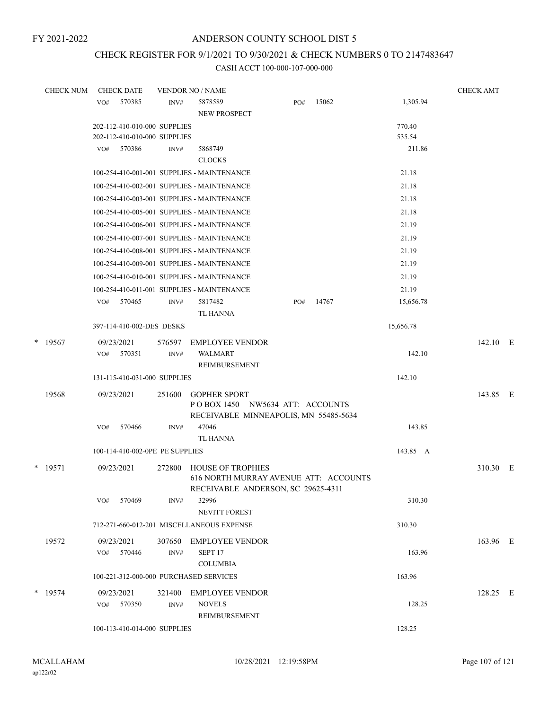# CHECK REGISTER FOR 9/1/2021 TO 9/30/2021 & CHECK NUMBERS 0 TO 2147483647

| <b>CHECK NUM</b> |     | <b>CHECK DATE</b>               |        | <b>VENDOR NO / NAME</b>                                    |     |       |           | <b>CHECK AMT</b> |  |
|------------------|-----|---------------------------------|--------|------------------------------------------------------------|-----|-------|-----------|------------------|--|
|                  | VO# | 570385                          | INV#   | 5878589                                                    | PO# | 15062 | 1,305.94  |                  |  |
|                  |     |                                 |        | NEW PROSPECT                                               |     |       |           |                  |  |
|                  |     | 202-112-410-010-000 SUPPLIES    |        |                                                            |     |       | 770.40    |                  |  |
|                  |     | 202-112-410-010-000 SUPPLIES    |        |                                                            |     |       | 535.54    |                  |  |
|                  | VO# | 570386                          | INV#   | 5868749                                                    |     |       | 211.86    |                  |  |
|                  |     |                                 |        | <b>CLOCKS</b>                                              |     |       |           |                  |  |
|                  |     |                                 |        | 100-254-410-001-001 SUPPLIES - MAINTENANCE                 |     |       | 21.18     |                  |  |
|                  |     |                                 |        | 100-254-410-002-001 SUPPLIES - MAINTENANCE                 |     |       | 21.18     |                  |  |
|                  |     |                                 |        | 100-254-410-003-001 SUPPLIES - MAINTENANCE                 |     |       | 21.18     |                  |  |
|                  |     |                                 |        | 100-254-410-005-001 SUPPLIES - MAINTENANCE                 |     |       | 21.18     |                  |  |
|                  |     |                                 |        | 100-254-410-006-001 SUPPLIES - MAINTENANCE                 |     |       | 21.19     |                  |  |
|                  |     |                                 |        | 100-254-410-007-001 SUPPLIES - MAINTENANCE                 |     |       | 21.19     |                  |  |
|                  |     |                                 |        | 100-254-410-008-001 SUPPLIES - MAINTENANCE                 |     |       | 21.19     |                  |  |
|                  |     |                                 |        | 100-254-410-009-001 SUPPLIES - MAINTENANCE                 |     |       | 21.19     |                  |  |
|                  |     |                                 |        | 100-254-410-010-001 SUPPLIES - MAINTENANCE                 |     |       | 21.19     |                  |  |
|                  |     |                                 |        | 100-254-410-011-001 SUPPLIES - MAINTENANCE                 |     |       | 21.19     |                  |  |
|                  | VO# | 570465                          | INV#   | 5817482                                                    | PO# | 14767 | 15,656.78 |                  |  |
|                  |     |                                 |        | <b>TL HANNA</b>                                            |     |       |           |                  |  |
|                  |     | 397-114-410-002-DES DESKS       |        |                                                            |     |       | 15,656.78 |                  |  |
| $*$ 19567        |     | 09/23/2021                      | 576597 | <b>EMPLOYEE VENDOR</b>                                     |     |       |           | 142.10 E         |  |
|                  | VO# | 570351                          | INV#   | <b>WALMART</b>                                             |     |       | 142.10    |                  |  |
|                  |     |                                 |        | REIMBURSEMENT                                              |     |       |           |                  |  |
|                  |     | 131-115-410-031-000 SUPPLIES    |        |                                                            |     |       | 142.10    |                  |  |
| 19568            |     | 09/23/2021                      | 251600 | <b>GOPHER SPORT</b>                                        |     |       |           | 143.85 E         |  |
|                  |     |                                 |        | POBOX 1450 NW5634 ATT: ACCOUNTS                            |     |       |           |                  |  |
|                  |     |                                 |        | RECEIVABLE MINNEAPOLIS, MN 55485-5634                      |     |       |           |                  |  |
|                  | VO# | 570466                          | INV#   | 47046                                                      |     |       | 143.85    |                  |  |
|                  |     |                                 |        | <b>TL HANNA</b>                                            |     |       |           |                  |  |
|                  |     | 100-114-410-002-0PE PE SUPPLIES |        |                                                            |     |       | 143.85 A  |                  |  |
| $*$ 19571        |     | 09/23/2021                      | 272800 | <b>HOUSE OF TROPHIES</b>                                   |     |       |           | 310.30 E         |  |
|                  |     |                                 |        | 616 NORTH MURRAY AVENUE ATT: ACCOUNTS                      |     |       |           |                  |  |
|                  |     |                                 |        | RECEIVABLE ANDERSON, SC 29625-4311                         |     |       |           |                  |  |
|                  | VO# | 570469                          | INV#   | 32996                                                      |     |       | 310.30    |                  |  |
|                  |     |                                 |        | NEVITT FOREST<br>712-271-660-012-201 MISCELLANEOUS EXPENSE |     |       | 310.30    |                  |  |
|                  |     |                                 |        |                                                            |     |       |           |                  |  |
| 19572            |     | 09/23/2021                      |        | 307650 EMPLOYEE VENDOR                                     |     |       |           | 163.96 E         |  |
|                  |     | VO# 570446                      | INV#   | SEPT <sub>17</sub>                                         |     |       | 163.96    |                  |  |
|                  |     |                                 |        | <b>COLUMBIA</b>                                            |     |       |           |                  |  |
|                  |     |                                 |        | 100-221-312-000-000 PURCHASED SERVICES                     |     |       | 163.96    |                  |  |
| $*$ 19574        |     | 09/23/2021                      |        | 321400 EMPLOYEE VENDOR                                     |     |       |           | 128.25 E         |  |
|                  |     | VO# 570350                      | INV#   | <b>NOVELS</b>                                              |     |       | 128.25    |                  |  |
|                  |     |                                 |        | REIMBURSEMENT                                              |     |       |           |                  |  |
|                  |     | 100-113-410-014-000 SUPPLIES    |        |                                                            |     |       | 128.25    |                  |  |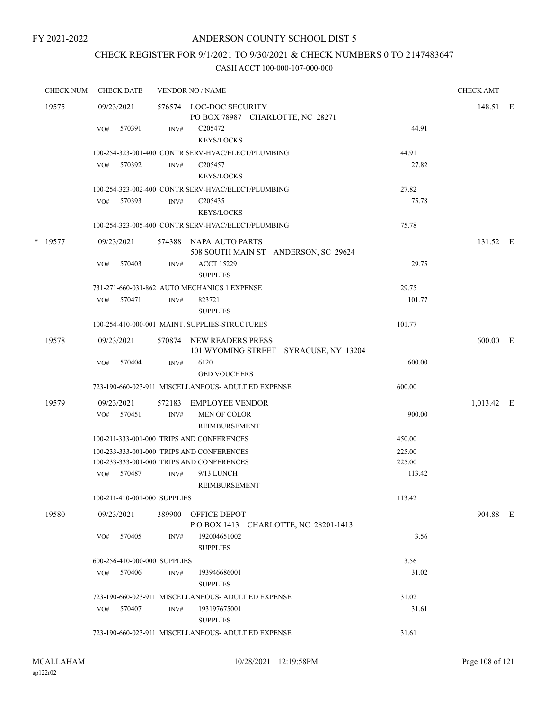## CHECK REGISTER FOR 9/1/2021 TO 9/30/2021 & CHECK NUMBERS 0 TO 2147483647

|   | <b>CHECK NUM</b> | <b>CHECK DATE</b>            |      | <b>VENDOR NO / NAME</b>                                           |        | <b>CHECK AMT</b> |  |
|---|------------------|------------------------------|------|-------------------------------------------------------------------|--------|------------------|--|
|   | 19575            | 09/23/2021                   |      | 576574 LOC-DOC SECURITY<br>PO BOX 78987 CHARLOTTE, NC 28271       |        | 148.51 E         |  |
|   |                  | 570391<br>VO#                | INV# | C <sub>205472</sub><br><b>KEYS/LOCKS</b>                          | 44.91  |                  |  |
|   |                  |                              |      | 100-254-323-001-400 CONTR SERV-HVAC/ELECT/PLUMBING                | 44.91  |                  |  |
|   |                  | 570392<br>VO#                | INV# | C <sub>205457</sub><br><b>KEYS/LOCKS</b>                          | 27.82  |                  |  |
|   |                  |                              |      | 100-254-323-002-400 CONTR SERV-HVAC/ELECT/PLUMBING                | 27.82  |                  |  |
|   |                  | VO#<br>570393                | INV# | C <sub>205435</sub>                                               | 75.78  |                  |  |
|   |                  |                              |      | <b>KEYS/LOCKS</b>                                                 |        |                  |  |
|   |                  |                              |      | 100-254-323-005-400 CONTR SERV-HVAC/ELECT/PLUMBING                | 75.78  |                  |  |
| * | 19577            | 09/23/2021                   |      | 574388 NAPA AUTO PARTS<br>508 SOUTH MAIN ST ANDERSON, SC 29624    |        | 131.52 E         |  |
|   |                  | 570403<br>VO#                | INV# | <b>ACCT 15229</b><br><b>SUPPLIES</b>                              | 29.75  |                  |  |
|   |                  |                              |      | 731-271-660-031-862 AUTO MECHANICS 1 EXPENSE                      | 29.75  |                  |  |
|   |                  | 570471<br>VO#                | INV# | 823721<br><b>SUPPLIES</b>                                         | 101.77 |                  |  |
|   |                  |                              |      | 100-254-410-000-001 MAINT. SUPPLIES-STRUCTURES                    | 101.77 |                  |  |
|   | 19578            | 09/23/2021                   |      | 570874 NEW READERS PRESS<br>101 WYOMING STREET SYRACUSE, NY 13204 |        | 600.00 E         |  |
|   |                  | 570404<br>VO#                | INV# | 6120<br><b>GED VOUCHERS</b>                                       | 600.00 |                  |  |
|   |                  |                              |      | 723-190-660-023-911 MISCELLANEOUS- ADULT ED EXPENSE               | 600.00 |                  |  |
|   | 19579            | 09/23/2021                   |      | 572183 EMPLOYEE VENDOR                                            |        | 1,013.42 E       |  |
|   |                  | VO# 570451                   | INV# | MEN OF COLOR<br>REIMBURSEMENT                                     | 900.00 |                  |  |
|   |                  |                              |      | 100-211-333-001-000 TRIPS AND CONFERENCES                         | 450.00 |                  |  |
|   |                  |                              |      | 100-233-333-001-000 TRIPS AND CONFERENCES                         | 225.00 |                  |  |
|   |                  |                              |      | 100-233-333-001-000 TRIPS AND CONFERENCES                         | 225.00 |                  |  |
|   |                  | 570487<br>VO#                | INV# | 9/13 LUNCH<br>REIMBURSEMENT                                       | 113.42 |                  |  |
|   |                  | 100-211-410-001-000 SUPPLIES |      |                                                                   | 113.42 |                  |  |
|   | 19580            | 09/23/2021                   |      | 389900 OFFICE DEPOT<br>POBOX 1413 CHARLOTTE, NC 28201-1413        |        | 904.88 E         |  |
|   |                  | 570405<br>VO#                | INV# | 192004651002<br><b>SUPPLIES</b>                                   | 3.56   |                  |  |
|   |                  | 600-256-410-000-000 SUPPLIES |      |                                                                   | 3.56   |                  |  |
|   |                  | 570406<br>VO#                | INV# | 193946686001<br><b>SUPPLIES</b>                                   | 31.02  |                  |  |
|   |                  |                              |      | 723-190-660-023-911 MISCELLANEOUS- ADULT ED EXPENSE               | 31.02  |                  |  |
|   |                  | 570407<br>VO#                | INV# | 193197675001<br><b>SUPPLIES</b>                                   | 31.61  |                  |  |
|   |                  |                              |      | 723-190-660-023-911 MISCELLANEOUS- ADULT ED EXPENSE               | 31.61  |                  |  |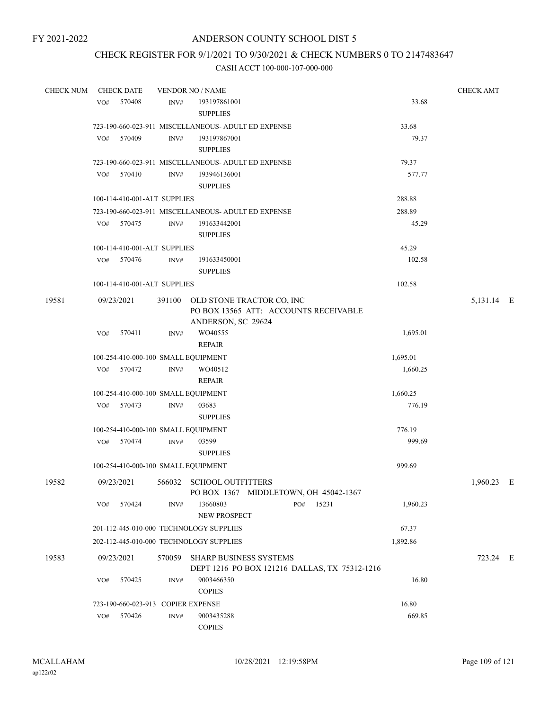# CHECK REGISTER FOR 9/1/2021 TO 9/30/2021 & CHECK NUMBERS 0 TO 2147483647

| <b>CHECK NUM</b> | <b>CHECK DATE</b>                       |                | <b>VENDOR NO / NAME</b>                                |                                               |          | <b>CHECK AMT</b> |  |
|------------------|-----------------------------------------|----------------|--------------------------------------------------------|-----------------------------------------------|----------|------------------|--|
|                  | 570408<br>VO#                           | INV#           | 193197861001<br><b>SUPPLIES</b>                        |                                               | 33.68    |                  |  |
|                  |                                         |                | 723-190-660-023-911 MISCELLANEOUS- ADULT ED EXPENSE    |                                               | 33.68    |                  |  |
|                  | 570409<br>VO#                           | INV#           | 193197867001<br><b>SUPPLIES</b>                        |                                               | 79.37    |                  |  |
|                  |                                         |                | 723-190-660-023-911 MISCELLANEOUS- ADULT ED EXPENSE    |                                               | 79.37    |                  |  |
|                  | 570410<br>VO#                           | INV#           | 193946136001<br><b>SUPPLIES</b>                        |                                               | 577.77   |                  |  |
|                  | 100-114-410-001-ALT SUPPLIES            |                |                                                        |                                               | 288.88   |                  |  |
|                  |                                         |                | 723-190-660-023-911 MISCELLANEOUS- ADULT ED EXPENSE    |                                               | 288.89   |                  |  |
|                  | VO# 570475                              | INV#           | 191633442001<br><b>SUPPLIES</b>                        |                                               | 45.29    |                  |  |
|                  | 100-114-410-001-ALT SUPPLIES            |                |                                                        |                                               | 45.29    |                  |  |
|                  | 570476<br>VO#                           | INV#           | 191633450001<br><b>SUPPLIES</b>                        |                                               | 102.58   |                  |  |
|                  | 100-114-410-001-ALT SUPPLIES            |                |                                                        |                                               | 102.58   |                  |  |
| 19581            | 09/23/2021                              |                | 391100 OLD STONE TRACTOR CO, INC<br>ANDERSON, SC 29624 | PO BOX 13565 ATT: ACCOUNTS RECEIVABLE         |          | 5,131.14 E       |  |
|                  | 570411<br>VO#                           | INV#           | WO40555<br><b>REPAIR</b>                               |                                               | 1,695.01 |                  |  |
|                  | 100-254-410-000-100 SMALL EQUIPMENT     |                |                                                        |                                               | 1,695.01 |                  |  |
|                  | VO# 570472                              | INV#           | WO40512<br>REPAIR                                      |                                               | 1,660.25 |                  |  |
|                  | 100-254-410-000-100 SMALL EQUIPMENT     |                |                                                        |                                               | 1,660.25 |                  |  |
|                  | 570473<br>VO#                           | INV#           | 03683<br><b>SUPPLIES</b>                               |                                               | 776.19   |                  |  |
|                  | 100-254-410-000-100 SMALL EQUIPMENT     |                |                                                        |                                               | 776.19   |                  |  |
|                  | VO#<br>570474                           | INV#           | 03599<br><b>SUPPLIES</b>                               |                                               | 999.69   |                  |  |
|                  | 100-254-410-000-100 SMALL EQUIPMENT     |                |                                                        |                                               | 999.69   |                  |  |
| 19582            | 09/23/2021                              |                | 566032 SCHOOL OUTFITTERS                               | PO BOX 1367 MIDDLETOWN, OH 45042-1367         |          | 1,960.23 E       |  |
|                  | 570424<br>VO#                           | INV#           | 13660803<br>NEW PROSPECT                               | 15231<br>PO#                                  | 1,960.23 |                  |  |
|                  | 201-112-445-010-000 TECHNOLOGY SUPPLIES |                |                                                        |                                               | 67.37    |                  |  |
|                  | 202-112-445-010-000 TECHNOLOGY SUPPLIES |                |                                                        |                                               | 1,892.86 |                  |  |
| 19583            | 09/23/2021                              |                | 570059 SHARP BUSINESS SYSTEMS                          | DEPT 1216 PO BOX 121216 DALLAS, TX 75312-1216 |          | 723.24 E         |  |
|                  | 570425<br>VO#                           | INV#           | 9003466350<br><b>COPIES</b>                            |                                               | 16.80    |                  |  |
|                  | 723-190-660-023-913 COPIER EXPENSE      |                |                                                        |                                               | 16.80    |                  |  |
|                  | 570426<br>VO#                           | $\text{INV}\#$ | 9003435288<br><b>COPIES</b>                            |                                               | 669.85   |                  |  |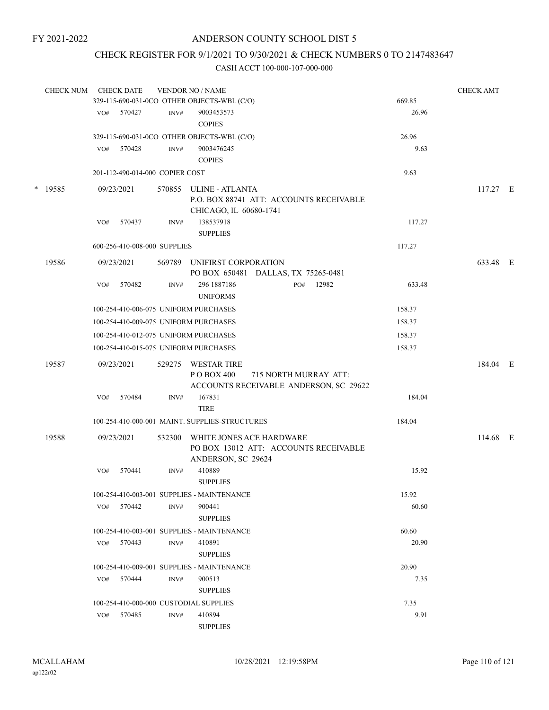# CHECK REGISTER FOR 9/1/2021 TO 9/30/2021 & CHECK NUMBERS 0 TO 2147483647

| <b>CHECK NUM</b> |     | <b>CHECK DATE</b>               |        | <b>VENDOR NO / NAME</b>                                                                 |     |                       |        | <b>CHECK AMT</b> |  |
|------------------|-----|---------------------------------|--------|-----------------------------------------------------------------------------------------|-----|-----------------------|--------|------------------|--|
|                  |     |                                 |        | 329-115-690-031-0CO OTHER OBJECTS-WBL (C/O)                                             |     |                       | 669.85 |                  |  |
|                  | VO# | 570427                          | INV#   | 9003453573<br><b>COPIES</b>                                                             |     |                       | 26.96  |                  |  |
|                  |     |                                 |        | 329-115-690-031-0CO OTHER OBJECTS-WBL (C/O)                                             |     |                       | 26.96  |                  |  |
|                  | VO# | 570428                          | INV#   | 9003476245<br><b>COPIES</b>                                                             |     |                       | 9.63   |                  |  |
|                  |     | 201-112-490-014-000 COPIER COST |        |                                                                                         |     |                       | 9.63   |                  |  |
| $*$ 19585        |     | 09/23/2021                      | 570855 | ULINE - ATLANTA<br>P.O. BOX 88741 ATT: ACCOUNTS RECEIVABLE<br>CHICAGO, IL 60680-1741    |     |                       |        | 117.27 E         |  |
|                  | VO# | 570437                          | INV#   | 138537918<br><b>SUPPLIES</b>                                                            |     |                       | 117.27 |                  |  |
|                  |     | 600-256-410-008-000 SUPPLIES    |        |                                                                                         |     |                       | 117.27 |                  |  |
| 19586            |     | 09/23/2021                      | 569789 | UNIFIRST CORPORATION<br>PO BOX 650481 DALLAS, TX 75265-0481                             |     |                       |        | 633.48 E         |  |
|                  | VO# | 570482                          | INV#   | 296 1887 186<br><b>UNIFORMS</b>                                                         | PO# | 12982                 | 633.48 |                  |  |
|                  |     |                                 |        | 100-254-410-006-075 UNIFORM PURCHASES                                                   |     |                       | 158.37 |                  |  |
|                  |     |                                 |        | 100-254-410-009-075 UNIFORM PURCHASES                                                   |     |                       | 158.37 |                  |  |
|                  |     |                                 |        | 100-254-410-012-075 UNIFORM PURCHASES                                                   |     |                       | 158.37 |                  |  |
|                  |     |                                 |        | 100-254-410-015-075 UNIFORM PURCHASES                                                   |     |                       | 158.37 |                  |  |
| 19587            |     | 09/23/2021                      | 529275 | WESTAR TIRE<br>PO BOX 400<br>ACCOUNTS RECEIVABLE ANDERSON, SC 29622                     |     | 715 NORTH MURRAY ATT: |        | 184.04 E         |  |
|                  | VO# | 570484                          | INV#   | 167831<br><b>TIRE</b>                                                                   |     |                       | 184.04 |                  |  |
|                  |     |                                 |        | 100-254-410-000-001 MAINT. SUPPLIES-STRUCTURES                                          |     |                       | 184.04 |                  |  |
| 19588            |     | 09/23/2021                      | 532300 | WHITE JONES ACE HARDWARE<br>PO BOX 13012 ATT: ACCOUNTS RECEIVABLE<br>ANDERSON, SC 29624 |     |                       |        | 114.68 E         |  |
|                  | VO# | 570441                          | INV#   | 410889<br><b>SUPPLIES</b>                                                               |     |                       | 15.92  |                  |  |
|                  |     |                                 |        | 100-254-410-003-001 SUPPLIES - MAINTENANCE                                              |     |                       | 15.92  |                  |  |
|                  | VO# | 570442                          | INV#   | 900441<br><b>SUPPLIES</b>                                                               |     |                       | 60.60  |                  |  |
|                  |     |                                 |        | 100-254-410-003-001 SUPPLIES - MAINTENANCE                                              |     |                       | 60.60  |                  |  |
|                  | VO# | 570443                          | INV#   | 410891<br><b>SUPPLIES</b>                                                               |     |                       | 20.90  |                  |  |
|                  |     |                                 |        | 100-254-410-009-001 SUPPLIES - MAINTENANCE                                              |     |                       | 20.90  |                  |  |
|                  |     | VO# 570444                      | INV#   | 900513<br><b>SUPPLIES</b>                                                               |     |                       | 7.35   |                  |  |
|                  |     |                                 |        | 100-254-410-000-000 CUSTODIAL SUPPLIES                                                  |     |                       | 7.35   |                  |  |
|                  | VO# | 570485                          | INV#   | 410894<br><b>SUPPLIES</b>                                                               |     |                       | 9.91   |                  |  |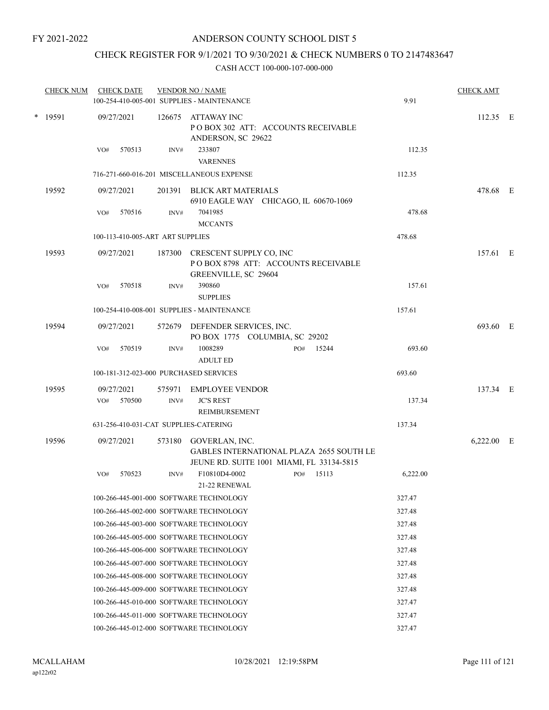# CHECK REGISTER FOR 9/1/2021 TO 9/30/2021 & CHECK NUMBERS 0 TO 2147483647

| <b>CHECK NUM</b> | <b>CHECK DATE</b>                       |                | <b>VENDOR NO / NAME</b><br>100-254-410-005-001 SUPPLIES - MAINTENANCE                                          | 9.91     | <b>CHECK AMT</b> |  |
|------------------|-----------------------------------------|----------------|----------------------------------------------------------------------------------------------------------------|----------|------------------|--|
| * 19591          | 09/27/2021                              | 126675         | ATTAWAY INC<br>PO BOX 302 ATT: ACCOUNTS RECEIVABLE<br>ANDERSON, SC 29622                                       |          | $112.35$ E       |  |
|                  | VO#<br>570513                           | INV#           | 233807<br><b>VARENNES</b>                                                                                      | 112.35   |                  |  |
|                  |                                         |                | 716-271-660-016-201 MISCELLANEOUS EXPENSE                                                                      | 112.35   |                  |  |
| 19592            | 09/27/2021                              |                | 201391 BLICK ART MATERIALS<br>6910 EAGLE WAY CHICAGO, IL 60670-1069                                            |          | 478.68 E         |  |
|                  | 570516<br>VO#                           | INV#           | 7041985<br><b>MCCANTS</b>                                                                                      | 478.68   |                  |  |
|                  | 100-113-410-005-ART ART SUPPLIES        |                |                                                                                                                | 478.68   |                  |  |
| 19593            | 09/27/2021                              | 187300         | CRESCENT SUPPLY CO, INC<br>POBOX 8798 ATT: ACCOUNTS RECEIVABLE<br>GREENVILLE, SC 29604                         |          | 157.61 E         |  |
|                  | 570518<br>VO#                           | INV#           | 390860<br><b>SUPPLIES</b>                                                                                      | 157.61   |                  |  |
|                  |                                         |                | 100-254-410-008-001 SUPPLIES - MAINTENANCE                                                                     | 157.61   |                  |  |
| 19594            | 09/27/2021                              |                | 572679 DEFENDER SERVICES, INC.<br>PO BOX 1775 COLUMBIA, SC 29202                                               |          | 693.60 E         |  |
|                  | 570519<br>VO#                           | INV#           | 1008289<br>15244<br>PO#<br><b>ADULT ED</b>                                                                     | 693.60   |                  |  |
|                  | 100-181-312-023-000 PURCHASED SERVICES  |                |                                                                                                                | 693.60   |                  |  |
| 19595            | 09/27/2021<br>570500<br>VO#             | 575971<br>INV# | EMPLOYEE VENDOR<br><b>JC'S REST</b>                                                                            | 137.34   | 137.34 E         |  |
|                  |                                         |                | REIMBURSEMENT                                                                                                  |          |                  |  |
|                  | 631-256-410-031-CAT SUPPLIES-CATERING   |                |                                                                                                                | 137.34   |                  |  |
| 19596            | 09/27/2021                              | 573180         | GOVERLAN, INC.<br><b>GABLES INTERNATIONAL PLAZA 2655 SOUTH LE</b><br>JEUNE RD. SUITE 1001 MIAMI, FL 33134-5815 |          | $6,222.00$ E     |  |
|                  | 570523<br>VO#                           | INV#           | F10810D4-0002<br>15113<br>PO#<br>21-22 RENEWAL                                                                 | 6,222.00 |                  |  |
|                  | 100-266-445-001-000 SOFTWARE TECHNOLOGY |                |                                                                                                                | 327.47   |                  |  |
|                  | 100-266-445-002-000 SOFTWARE TECHNOLOGY |                |                                                                                                                | 327.48   |                  |  |
|                  | 100-266-445-003-000 SOFTWARE TECHNOLOGY |                |                                                                                                                | 327.48   |                  |  |
|                  | 100-266-445-005-000 SOFTWARE TECHNOLOGY |                |                                                                                                                | 327.48   |                  |  |
|                  | 100-266-445-006-000 SOFTWARE TECHNOLOGY |                |                                                                                                                | 327.48   |                  |  |
|                  | 100-266-445-007-000 SOFTWARE TECHNOLOGY |                |                                                                                                                | 327.48   |                  |  |
|                  | 100-266-445-008-000 SOFTWARE TECHNOLOGY |                |                                                                                                                | 327.48   |                  |  |
|                  | 100-266-445-009-000 SOFTWARE TECHNOLOGY |                |                                                                                                                | 327.48   |                  |  |
|                  | 100-266-445-010-000 SOFTWARE TECHNOLOGY |                |                                                                                                                | 327.47   |                  |  |
|                  | 100-266-445-011-000 SOFTWARE TECHNOLOGY |                |                                                                                                                | 327.47   |                  |  |
|                  | 100-266-445-012-000 SOFTWARE TECHNOLOGY |                |                                                                                                                | 327.47   |                  |  |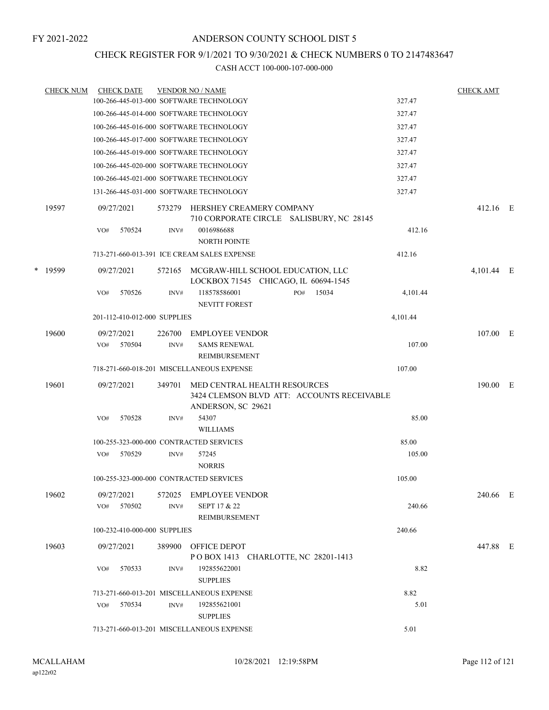### CHECK REGISTER FOR 9/1/2021 TO 9/30/2021 & CHECK NUMBERS 0 TO 2147483647

|   | <b>CHECK NUM</b> |     | <b>CHECK DATE</b> |                              | <b>VENDOR NO / NAME</b>                                                                          |     |       |          | <b>CHECK AMT</b> |  |
|---|------------------|-----|-------------------|------------------------------|--------------------------------------------------------------------------------------------------|-----|-------|----------|------------------|--|
|   |                  |     |                   |                              | 100-266-445-013-000 SOFTWARE TECHNOLOGY                                                          |     |       | 327.47   |                  |  |
|   |                  |     |                   |                              | 100-266-445-014-000 SOFTWARE TECHNOLOGY                                                          |     |       | 327.47   |                  |  |
|   |                  |     |                   |                              | 100-266-445-016-000 SOFTWARE TECHNOLOGY                                                          |     |       | 327.47   |                  |  |
|   |                  |     |                   |                              | 100-266-445-017-000 SOFTWARE TECHNOLOGY                                                          |     |       | 327.47   |                  |  |
|   |                  |     |                   |                              | 100-266-445-019-000 SOFTWARE TECHNOLOGY                                                          |     |       | 327.47   |                  |  |
|   |                  |     |                   |                              | 100-266-445-020-000 SOFTWARE TECHNOLOGY                                                          |     |       | 327.47   |                  |  |
|   |                  |     |                   |                              | 100-266-445-021-000 SOFTWARE TECHNOLOGY                                                          |     |       | 327.47   |                  |  |
|   |                  |     |                   |                              | 131-266-445-031-000 SOFTWARE TECHNOLOGY                                                          |     |       | 327.47   |                  |  |
|   | 19597            |     | 09/27/2021        | 573279                       | HERSHEY CREAMERY COMPANY<br>710 CORPORATE CIRCLE SALISBURY, NC 28145                             |     |       |          | 412.16 E         |  |
|   |                  | VO# | 570524            | INV#                         | 0016986688<br><b>NORTH POINTE</b>                                                                |     |       | 412.16   |                  |  |
|   |                  |     |                   |                              | 713-271-660-013-391 ICE CREAM SALES EXPENSE                                                      |     |       | 412.16   |                  |  |
| * | 19599            |     | 09/27/2021        | 572165                       | MCGRAW-HILL SCHOOL EDUCATION, LLC<br>LOCKBOX 71545 CHICAGO, IL 60694-1545                        |     |       |          | 4,101.44 E       |  |
|   |                  | VO# | 570526            | INV#                         | 118578586001<br><b>NEVITT FOREST</b>                                                             | PO# | 15034 | 4,101.44 |                  |  |
|   |                  |     |                   | 201-112-410-012-000 SUPPLIES |                                                                                                  |     |       | 4,101.44 |                  |  |
|   | 19600            |     | 09/27/2021        | 226700                       | <b>EMPLOYEE VENDOR</b>                                                                           |     |       |          | 107.00 E         |  |
|   |                  | VO# | 570504            | INV#                         | <b>SAMS RENEWAL</b><br>REIMBURSEMENT                                                             |     |       | 107.00   |                  |  |
|   |                  |     |                   |                              | 718-271-660-018-201 MISCELLANEOUS EXPENSE                                                        |     |       | 107.00   |                  |  |
|   | 19601            |     | 09/27/2021        | 349701                       | MED CENTRAL HEALTH RESOURCES<br>3424 CLEMSON BLVD ATT: ACCOUNTS RECEIVABLE<br>ANDERSON, SC 29621 |     |       |          | 190.00 E         |  |
|   |                  | VO# | 570528            | INV#                         | 54307<br><b>WILLIAMS</b>                                                                         |     |       | 85.00    |                  |  |
|   |                  |     |                   |                              | 100-255-323-000-000 CONTRACTED SERVICES                                                          |     |       | 85.00    |                  |  |
|   |                  | VO# | 570529            | INV#                         | 57245<br><b>NORRIS</b>                                                                           |     |       | 105.00   |                  |  |
|   |                  |     |                   |                              | 100-255-323-000-000 CONTRACTED SERVICES                                                          |     |       | 105.00   |                  |  |
|   | 19602            |     | 09/27/2021        | 572025                       | <b>EMPLOYEE VENDOR</b>                                                                           |     |       |          | 240.66 E         |  |
|   |                  |     | VO# 570502        | INV#                         | SEPT 17 & 22<br>REIMBURSEMENT                                                                    |     |       | 240.66   |                  |  |
|   |                  |     |                   | 100-232-410-000-000 SUPPLIES |                                                                                                  |     |       | 240.66   |                  |  |
|   | 19603            |     | 09/27/2021        |                              | 389900 OFFICE DEPOT<br>POBOX 1413 CHARLOTTE, NC 28201-1413                                       |     |       |          | 447.88 E         |  |
|   |                  | VO# | 570533            | INV#                         | 192855622001<br><b>SUPPLIES</b>                                                                  |     |       | 8.82     |                  |  |
|   |                  |     |                   |                              | 713-271-660-013-201 MISCELLANEOUS EXPENSE                                                        |     |       | 8.82     |                  |  |
|   |                  | VO# | 570534            | $\text{INV}\#$               | 192855621001<br><b>SUPPLIES</b>                                                                  |     |       | 5.01     |                  |  |
|   |                  |     |                   |                              | 713-271-660-013-201 MISCELLANEOUS EXPENSE                                                        |     |       | 5.01     |                  |  |
|   |                  |     |                   |                              |                                                                                                  |     |       |          |                  |  |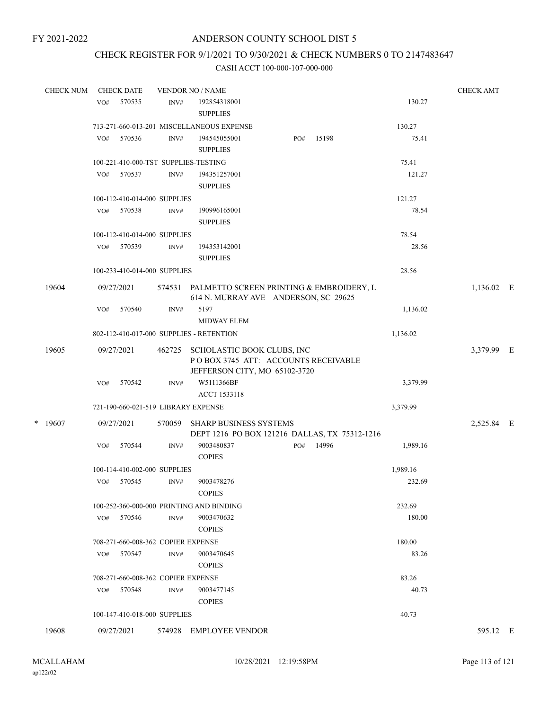### CHECK REGISTER FOR 9/1/2021 TO 9/30/2021 & CHECK NUMBERS 0 TO 2147483647

| <b>CHECK NUM</b> |            | <b>CHECK DATE</b>                  |        | <b>VENDOR NO / NAME</b>                                                                            |     |       |          | <b>CHECK AMT</b> |  |
|------------------|------------|------------------------------------|--------|----------------------------------------------------------------------------------------------------|-----|-------|----------|------------------|--|
|                  | VO#        | 570535                             | INV#   | 192854318001                                                                                       |     |       | 130.27   |                  |  |
|                  |            |                                    |        | <b>SUPPLIES</b>                                                                                    |     |       |          |                  |  |
|                  |            |                                    |        | 713-271-660-013-201 MISCELLANEOUS EXPENSE                                                          |     |       | 130.27   |                  |  |
|                  | VO#        | 570536                             | INV#   | 194545055001<br><b>SUPPLIES</b>                                                                    | PO# | 15198 | 75.41    |                  |  |
|                  |            |                                    |        | 100-221-410-000-TST SUPPLIES-TESTING                                                               |     |       | 75.41    |                  |  |
|                  | VO#        | 570537                             | INV#   | 194351257001<br><b>SUPPLIES</b>                                                                    |     |       | 121.27   |                  |  |
|                  |            | 100-112-410-014-000 SUPPLIES       |        |                                                                                                    |     |       | 121.27   |                  |  |
|                  | VO#        | 570538                             | INV#   | 190996165001<br><b>SUPPLIES</b>                                                                    |     |       | 78.54    |                  |  |
|                  |            | 100-112-410-014-000 SUPPLIES       |        |                                                                                                    |     |       | 78.54    |                  |  |
|                  | VO#        | 570539                             | INV#   | 194353142001<br><b>SUPPLIES</b>                                                                    |     |       | 28.56    |                  |  |
|                  |            | 100-233-410-014-000 SUPPLIES       |        |                                                                                                    |     |       | 28.56    |                  |  |
|                  |            |                                    |        |                                                                                                    |     |       |          |                  |  |
| 19604            | 09/27/2021 |                                    | 574531 | PALMETTO SCREEN PRINTING & EMBROIDERY, L<br>614 N. MURRAY AVE ANDERSON, SC 29625                   |     |       |          | 1,136.02 E       |  |
|                  | VO#        | 570540                             | INV#   | 5197<br><b>MIDWAY ELEM</b>                                                                         |     |       | 1,136.02 |                  |  |
|                  |            |                                    |        | 802-112-410-017-000 SUPPLIES - RETENTION                                                           |     |       | 1,136.02 |                  |  |
| 19605            | 09/27/2021 |                                    | 462725 | SCHOLASTIC BOOK CLUBS, INC<br>POBOX 3745 ATT: ACCOUNTS RECEIVABLE<br>JEFFERSON CITY, MO 65102-3720 |     |       |          | 3,379.99 E       |  |
|                  | VO#        | 570542                             | INV#   | W5111366BF<br>ACCT 1533118                                                                         |     |       | 3,379.99 |                  |  |
|                  |            |                                    |        | 721-190-660-021-519 LIBRARY EXPENSE                                                                |     |       | 3,379.99 |                  |  |
| $*$ 19607        | 09/27/2021 |                                    | 570059 | <b>SHARP BUSINESS SYSTEMS</b>                                                                      |     |       |          | 2,525.84 E       |  |
|                  |            |                                    |        | DEPT 1216 PO BOX 121216 DALLAS, TX 75312-1216                                                      |     |       |          |                  |  |
|                  | VO#        | 570544                             | INV#   | 9003480837<br><b>COPIES</b>                                                                        | PO# | 14996 | 1,989.16 |                  |  |
|                  |            | 100-114-410-002-000 SUPPLIES       |        |                                                                                                    |     |       | 1,989.16 |                  |  |
|                  | VO#        | 570545                             | INV#   | 9003478276<br><b>COPIES</b>                                                                        |     |       | 232.69   |                  |  |
|                  |            |                                    |        | 100-252-360-000-000 PRINTING AND BINDING                                                           |     |       | 232.69   |                  |  |
|                  | VO#        | 570546                             | INV#   | 9003470632                                                                                         |     |       | 180.00   |                  |  |
|                  |            |                                    |        | <b>COPIES</b>                                                                                      |     |       |          |                  |  |
|                  |            | 708-271-660-008-362 COPIER EXPENSE |        |                                                                                                    |     |       | 180.00   |                  |  |
|                  | VO#        | 570547                             | INV#   | 9003470645<br><b>COPIES</b>                                                                        |     |       | 83.26    |                  |  |
|                  |            | 708-271-660-008-362 COPIER EXPENSE |        |                                                                                                    |     |       | 83.26    |                  |  |
|                  | VO#        | 570548                             | INV#   | 9003477145<br><b>COPIES</b>                                                                        |     |       | 40.73    |                  |  |
|                  |            | 100-147-410-018-000 SUPPLIES       |        |                                                                                                    |     |       | 40.73    |                  |  |
| 19608            | 09/27/2021 |                                    |        | 574928 EMPLOYEE VENDOR                                                                             |     |       |          | 595.12 E         |  |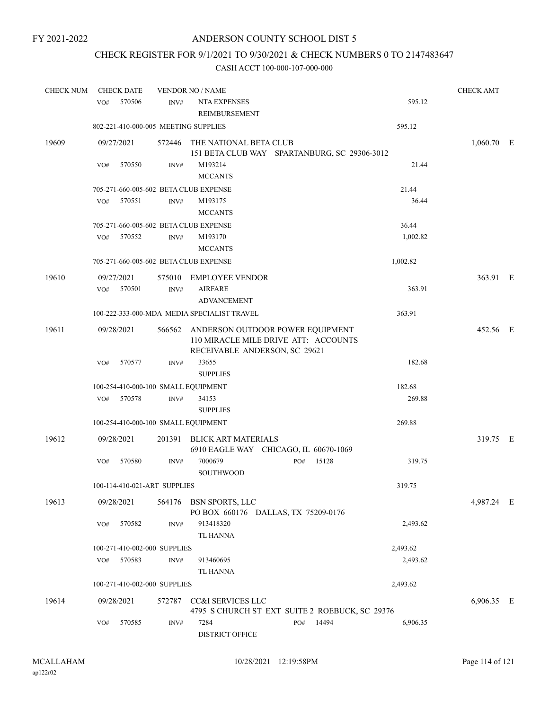# CHECK REGISTER FOR 9/1/2021 TO 9/30/2021 & CHECK NUMBERS 0 TO 2147483647

| <b>CHECK NUM</b> | <b>CHECK DATE</b>                     |                | <b>VENDOR NO / NAME</b>                                                                                          |              |          | <b>CHECK AMT</b> |  |
|------------------|---------------------------------------|----------------|------------------------------------------------------------------------------------------------------------------|--------------|----------|------------------|--|
|                  | 570506<br>VO#                         | INV#           | <b>NTA EXPENSES</b><br>REIMBURSEMENT                                                                             |              | 595.12   |                  |  |
|                  | 802-221-410-000-005 MEETING SUPPLIES  |                |                                                                                                                  |              | 595.12   |                  |  |
| 19609            | 09/27/2021                            | 572446         | THE NATIONAL BETA CLUB<br>151 BETA CLUB WAY SPARTANBURG, SC 29306-3012                                           |              |          | $1,060.70$ E     |  |
|                  | 570550<br>VO#                         | INV#           | M193214<br><b>MCCANTS</b>                                                                                        |              | 21.44    |                  |  |
|                  | 705-271-660-005-602 BETA CLUB EXPENSE |                |                                                                                                                  |              | 21.44    |                  |  |
|                  | VO#<br>570551                         | INV#           | M193175<br><b>MCCANTS</b>                                                                                        |              | 36.44    |                  |  |
|                  | 705-271-660-005-602 BETA CLUB EXPENSE |                |                                                                                                                  |              | 36.44    |                  |  |
|                  | 570552<br>VO#                         | INV#           | M193170<br><b>MCCANTS</b>                                                                                        |              | 1,002.82 |                  |  |
|                  | 705-271-660-005-602 BETA CLUB EXPENSE |                |                                                                                                                  |              | 1,002.82 |                  |  |
| 19610            | 09/27/2021<br>VO# 570501              | 575010<br>INV# | EMPLOYEE VENDOR<br><b>AIRFARE</b><br><b>ADVANCEMENT</b>                                                          |              | 363.91   | 363.91 E         |  |
|                  |                                       |                | 100-222-333-000-MDA MEDIA SPECIALIST TRAVEL                                                                      |              | 363.91   |                  |  |
| 19611            | 09/28/2021                            |                | 566562 ANDERSON OUTDOOR POWER EQUIPMENT<br>110 MIRACLE MILE DRIVE ATT: ACCOUNTS<br>RECEIVABLE ANDERSON, SC 29621 |              |          | 452.56 E         |  |
|                  | 570577<br>VO#                         | INV#           | 33655<br><b>SUPPLIES</b>                                                                                         |              | 182.68   |                  |  |
|                  | 100-254-410-000-100 SMALL EQUIPMENT   |                |                                                                                                                  |              | 182.68   |                  |  |
|                  | 570578<br>VO#                         | INV#           | 34153<br><b>SUPPLIES</b>                                                                                         |              | 269.88   |                  |  |
|                  | 100-254-410-000-100 SMALL EQUIPMENT   |                |                                                                                                                  |              | 269.88   |                  |  |
| 19612            | 09/28/2021                            | 201391         | <b>BLICK ART MATERIALS</b><br>6910 EAGLE WAY CHICAGO, IL 60670-1069                                              |              |          | 319.75 E         |  |
|                  | 570580<br>VO#                         | INV#           | 7000679<br><b>SOUTHWOOD</b>                                                                                      | 15128<br>PO# | 319.75   |                  |  |
|                  | 100-114-410-021-ART SUPPLIES          |                |                                                                                                                  |              | 319.75   |                  |  |
| 19613            | 09/28/2021                            |                | 564176 BSN SPORTS, LLC<br>PO BOX 660176 DALLAS, TX 75209-0176                                                    |              |          | 4,987.24 E       |  |
|                  | 570582<br>VO#                         | INV#           | 913418320<br>TL HANNA                                                                                            |              | 2,493.62 |                  |  |
|                  | 100-271-410-002-000 SUPPLIES          |                |                                                                                                                  |              | 2,493.62 |                  |  |
|                  | 570583<br>VO#                         | INV#           | 913460695<br><b>TL HANNA</b>                                                                                     |              | 2,493.62 |                  |  |
|                  | 100-271-410-002-000 SUPPLIES          |                |                                                                                                                  |              | 2,493.62 |                  |  |
| 19614            | 09/28/2021                            | 572787         | CC&I SERVICES LLC<br>4795 S CHURCH ST EXT SUITE 2 ROEBUCK, SC 29376                                              |              |          | 6,906.35 E       |  |
|                  | 570585<br>VO#                         | INV#           | 7284<br><b>DISTRICT OFFICE</b>                                                                                   | 14494<br>PO# | 6,906.35 |                  |  |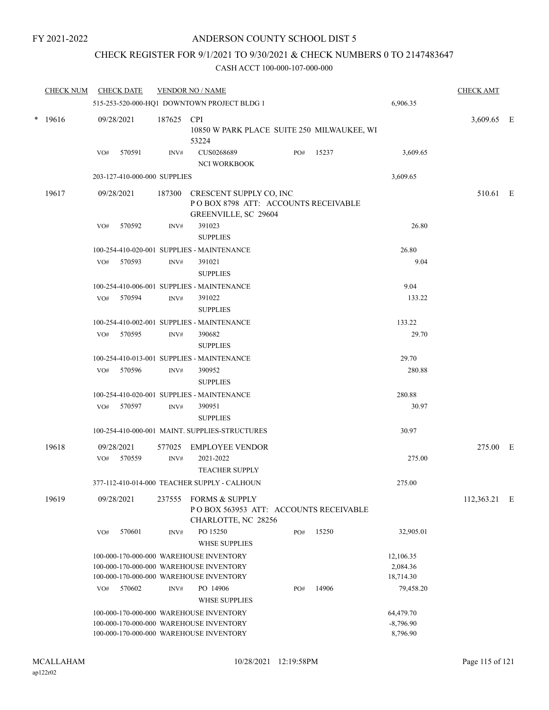### CHECK REGISTER FOR 9/1/2021 TO 9/30/2021 & CHECK NUMBERS 0 TO 2147483647

| <b>CHECK NUM</b> |     | <b>CHECK DATE</b>            |                | <b>VENDOR NO / NAME</b>                                                                |     |       |                         | <b>CHECK AMT</b> |  |
|------------------|-----|------------------------------|----------------|----------------------------------------------------------------------------------------|-----|-------|-------------------------|------------------|--|
|                  |     |                              |                | 515-253-520-000-HQ1 DOWNTOWN PROJECT BLDG 1                                            |     |       | 6,906.35                |                  |  |
| $* 19616$        |     | 09/28/2021                   | 187625 CPI     | 10850 W PARK PLACE SUITE 250 MILWAUKEE, WI<br>53224                                    |     |       |                         | 3,609.65 E       |  |
|                  | VO# | 570591                       | INV#           | CUS0268689<br><b>NCI WORKBOOK</b>                                                      | PO# | 15237 | 3,609.65                |                  |  |
|                  |     | 203-127-410-000-000 SUPPLIES |                |                                                                                        |     |       | 3,609.65                |                  |  |
| 19617            |     | 09/28/2021                   | 187300         | CRESCENT SUPPLY CO, INC<br>POBOX 8798 ATT: ACCOUNTS RECEIVABLE<br>GREENVILLE, SC 29604 |     |       |                         | 510.61 E         |  |
|                  | VO# | 570592                       | INV#           | 391023<br><b>SUPPLIES</b>                                                              |     |       | 26.80                   |                  |  |
|                  |     |                              |                | 100-254-410-020-001 SUPPLIES - MAINTENANCE                                             |     |       | 26.80                   |                  |  |
|                  | VO# | 570593                       | INV#           | 391021<br><b>SUPPLIES</b>                                                              |     |       | 9.04                    |                  |  |
|                  |     |                              |                | 100-254-410-006-001 SUPPLIES - MAINTENANCE                                             |     |       | 9.04                    |                  |  |
|                  | VO# | 570594                       | $\text{INV}\#$ | 391022<br><b>SUPPLIES</b>                                                              |     |       | 133.22                  |                  |  |
|                  |     |                              |                | 100-254-410-002-001 SUPPLIES - MAINTENANCE                                             |     |       | 133.22                  |                  |  |
|                  | VO# | 570595                       | INV#           | 390682<br><b>SUPPLIES</b>                                                              |     |       | 29.70                   |                  |  |
|                  |     |                              |                | 100-254-410-013-001 SUPPLIES - MAINTENANCE                                             |     |       | 29.70                   |                  |  |
|                  | VO# | 570596                       | INV#           | 390952<br><b>SUPPLIES</b>                                                              |     |       | 280.88                  |                  |  |
|                  | VO# | 570597                       | INV#           | 100-254-410-020-001 SUPPLIES - MAINTENANCE<br>390951<br><b>SUPPLIES</b>                |     |       | 280.88<br>30.97         |                  |  |
|                  |     |                              |                | 100-254-410-000-001 MAINT. SUPPLIES-STRUCTURES                                         |     |       | 30.97                   |                  |  |
| 19618            |     | 09/28/2021                   | 577025         | <b>EMPLOYEE VENDOR</b>                                                                 |     |       |                         | 275.00 E         |  |
|                  | VO# | 570559                       | INV#           | 2021-2022<br><b>TEACHER SUPPLY</b>                                                     |     |       | 275.00                  |                  |  |
|                  |     |                              |                | 377-112-410-014-000 TEACHER SUPPLY - CALHOUN                                           |     |       | 275.00                  |                  |  |
| 19619            |     | 09/28/2021                   |                | 237555 FORMS & SUPPLY<br>POBOX 563953 ATT: ACCOUNTS RECEIVABLE<br>CHARLOTTE, NC 28256  |     |       |                         | 112,363.21 E     |  |
|                  | VO# | 570601                       | INV#           | PO 15250<br><b>WHSE SUPPLIES</b>                                                       | PO# | 15250 | 32,905.01               |                  |  |
|                  |     |                              |                | 100-000-170-000-000 WAREHOUSE INVENTORY                                                |     |       | 12,106.35               |                  |  |
|                  |     |                              |                | 100-000-170-000-000 WAREHOUSE INVENTORY                                                |     |       | 2,084.36                |                  |  |
|                  |     |                              |                | 100-000-170-000-000 WAREHOUSE INVENTORY                                                |     |       | 18,714.30               |                  |  |
|                  | VO# | 570602                       | $\text{INV}\#$ | PO 14906<br><b>WHSE SUPPLIES</b>                                                       | PO# | 14906 | 79,458.20               |                  |  |
|                  |     |                              |                | 100-000-170-000-000 WAREHOUSE INVENTORY                                                |     |       | 64,479.70               |                  |  |
|                  |     |                              |                | 100-000-170-000-000 WAREHOUSE INVENTORY<br>100-000-170-000-000 WAREHOUSE INVENTORY     |     |       | $-8,796.90$<br>8,796.90 |                  |  |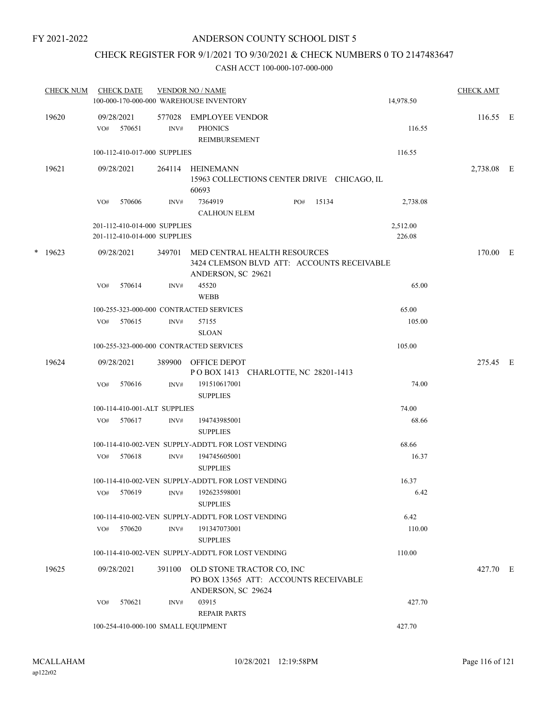### CHECK REGISTER FOR 9/1/2021 TO 9/30/2021 & CHECK NUMBERS 0 TO 2147483647

|  | <b>CHECK NUM</b> | <b>CHECK DATE</b><br>100-000-170-000-000 WAREHOUSE INVENTORY |                      | <b>VENDOR NO / NAME</b>                                                                                 |     |       | 14,978.50 | <b>CHECK AMT</b> |  |
|--|------------------|--------------------------------------------------------------|----------------------|---------------------------------------------------------------------------------------------------------|-----|-------|-----------|------------------|--|
|  | 19620            | 09/28/2021<br>570651<br>VO#                                  | 577028<br>INV#       | <b>EMPLOYEE VENDOR</b><br><b>PHONICS</b><br>REIMBURSEMENT                                               |     |       | 116.55    | 116.55 E         |  |
|  |                  | 100-112-410-017-000 SUPPLIES                                 |                      |                                                                                                         |     |       | 116.55    |                  |  |
|  | 19621            | 09/28/2021                                                   | 264114               | HEINEMANN<br>15963 COLLECTIONS CENTER DRIVE CHICAGO, IL<br>60693                                        |     |       |           | 2,738.08 E       |  |
|  |                  | 570606<br>VO#                                                | INV#                 | 7364919<br><b>CALHOUN ELEM</b>                                                                          | PO# | 15134 | 2,738.08  |                  |  |
|  |                  | 201-112-410-014-000 SUPPLIES                                 |                      |                                                                                                         |     |       | 2,512.00  |                  |  |
|  |                  | 201-112-410-014-000 SUPPLIES                                 |                      |                                                                                                         |     |       | 226.08    |                  |  |
|  | $*$ 19623        | 09/28/2021                                                   |                      | 349701 MED CENTRAL HEALTH RESOURCES<br>3424 CLEMSON BLVD ATT: ACCOUNTS RECEIVABLE<br>ANDERSON, SC 29621 |     |       |           | 170.00 E         |  |
|  | 570614<br>VO#    | INV#                                                         | 45520<br><b>WEBB</b> |                                                                                                         |     | 65.00 |           |                  |  |
|  |                  | 100-255-323-000-000 CONTRACTED SERVICES                      |                      |                                                                                                         |     |       | 65.00     |                  |  |
|  |                  | 570615<br>VO#                                                | INV#                 | 57155<br><b>SLOAN</b>                                                                                   |     |       | 105.00    |                  |  |
|  |                  | 100-255-323-000-000 CONTRACTED SERVICES                      |                      |                                                                                                         |     |       | 105.00    |                  |  |
|  | 19624            | 09/28/2021                                                   |                      | 389900 OFFICE DEPOT<br>POBOX 1413 CHARLOTTE, NC 28201-1413                                              |     |       |           | 275.45 E         |  |
|  |                  | 570616<br>VO#                                                | INV#                 | 191510617001<br><b>SUPPLIES</b>                                                                         |     |       | 74.00     |                  |  |
|  |                  | 100-114-410-001-ALT SUPPLIES                                 |                      |                                                                                                         |     |       | 74.00     |                  |  |
|  |                  | 570617<br>VO#                                                | INV#                 | 194743985001<br><b>SUPPLIES</b>                                                                         |     |       | 68.66     |                  |  |
|  |                  |                                                              |                      | 100-114-410-002-VEN SUPPLY-ADDT'L FOR LOST VENDING                                                      |     |       | 68.66     |                  |  |
|  |                  | 570618<br>VO#                                                | INV#                 | 194745605001<br><b>SUPPLIES</b>                                                                         |     |       | 16.37     |                  |  |
|  |                  |                                                              |                      | 100-114-410-002-VEN SUPPLY-ADDT'L FOR LOST VENDING                                                      |     |       | 16.37     |                  |  |
|  |                  | 570619<br>VO#                                                | INV#                 | 192623598001<br><b>SUPPLIES</b>                                                                         |     |       | 6.42      |                  |  |
|  |                  |                                                              |                      | 100-114-410-002-VEN SUPPLY-ADDT'L FOR LOST VENDING                                                      |     |       | 6.42      |                  |  |
|  |                  | 570620<br>VO#                                                | $\text{INV}\#$       | 191347073001<br><b>SUPPLIES</b>                                                                         |     |       | 110.00    |                  |  |
|  |                  |                                                              |                      | 100-114-410-002-VEN SUPPLY-ADDT'L FOR LOST VENDING                                                      |     |       | 110.00    |                  |  |
|  | 19625            | 09/28/2021                                                   | 391100               | OLD STONE TRACTOR CO, INC<br>PO BOX 13565 ATT: ACCOUNTS RECEIVABLE<br>ANDERSON, SC 29624                |     |       |           | 427.70 E         |  |
|  |                  | 570621<br>VO#                                                | INV#                 | 03915<br><b>REPAIR PARTS</b>                                                                            |     |       | 427.70    |                  |  |
|  |                  | 100-254-410-000-100 SMALL EQUIPMENT                          |                      |                                                                                                         |     |       | 427.70    |                  |  |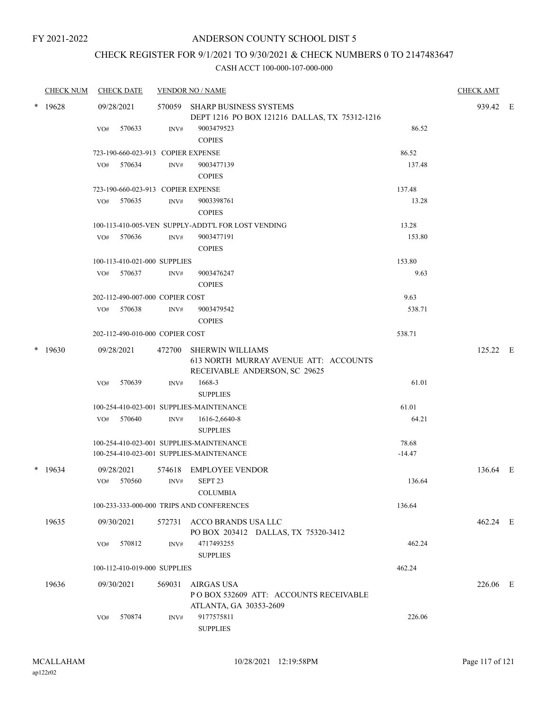# CHECK REGISTER FOR 9/1/2021 TO 9/30/2021 & CHECK NUMBERS 0 TO 2147483647

|   | <b>CHECK NUM</b> |     | <b>CHECK DATE</b>                  |                | <b>VENDOR NO / NAME</b>                                                                           |          | <b>CHECK AMT</b> |  |
|---|------------------|-----|------------------------------------|----------------|---------------------------------------------------------------------------------------------------|----------|------------------|--|
| * | 19628            |     | 09/28/2021                         |                | 570059 SHARP BUSINESS SYSTEMS<br>DEPT 1216 PO BOX 121216 DALLAS, TX 75312-1216                    |          | 939.42 E         |  |
|   |                  | VO# | 570633                             | INV#           | 9003479523<br><b>COPIES</b>                                                                       | 86.52    |                  |  |
|   |                  |     | 723-190-660-023-913 COPIER EXPENSE |                |                                                                                                   | 86.52    |                  |  |
|   |                  | VO# | 570634                             | INV#           | 9003477139<br><b>COPIES</b>                                                                       | 137.48   |                  |  |
|   |                  |     | 723-190-660-023-913 COPIER EXPENSE |                |                                                                                                   | 137.48   |                  |  |
|   |                  | VO# | 570635                             | INV#           | 9003398761<br><b>COPIES</b>                                                                       | 13.28    |                  |  |
|   |                  |     |                                    |                | 100-113-410-005-VEN SUPPLY-ADDT'L FOR LOST VENDING                                                | 13.28    |                  |  |
|   |                  | VO# | 570636                             | INV#           | 9003477191<br><b>COPIES</b>                                                                       | 153.80   |                  |  |
|   |                  |     | 100-113-410-021-000 SUPPLIES       |                |                                                                                                   | 153.80   |                  |  |
|   |                  | VO# | 570637                             | INV#           | 9003476247<br><b>COPIES</b>                                                                       | 9.63     |                  |  |
|   |                  |     | 202-112-490-007-000 COPIER COST    |                |                                                                                                   | 9.63     |                  |  |
|   |                  | VO# | 570638                             | INV#           | 9003479542<br><b>COPIES</b>                                                                       | 538.71   |                  |  |
|   |                  |     | 202-112-490-010-000 COPIER COST    |                |                                                                                                   | 538.71   |                  |  |
| * | 19630            |     | 09/28/2021                         | 472700         | <b>SHERWIN WILLIAMS</b><br>613 NORTH MURRAY AVENUE ATT: ACCOUNTS<br>RECEIVABLE ANDERSON, SC 29625 |          | 125.22 E         |  |
|   |                  | VO# | 570639                             | INV#           | 1668-3<br><b>SUPPLIES</b>                                                                         | 61.01    |                  |  |
|   |                  |     |                                    |                | 100-254-410-023-001 SUPPLIES-MAINTENANCE                                                          | 61.01    |                  |  |
|   |                  | VO# | 570640                             | $\text{INV}\#$ | 1616-2,6640-8<br><b>SUPPLIES</b>                                                                  | 64.21    |                  |  |
|   |                  |     |                                    |                | 100-254-410-023-001 SUPPLIES-MAINTENANCE                                                          | 78.68    |                  |  |
|   |                  |     |                                    |                | 100-254-410-023-001 SUPPLIES-MAINTENANCE                                                          | $-14.47$ |                  |  |
|   | $*$ 19634        | VO# | 09/28/2021<br>570560               | 574618<br>INV# | <b>EMPLOYEE VENDOR</b><br>SEPT <sub>23</sub>                                                      | 136.64   | 136.64 E         |  |
|   |                  |     |                                    |                | <b>COLUMBIA</b>                                                                                   |          |                  |  |
|   |                  |     |                                    |                | 100-233-333-000-000 TRIPS AND CONFERENCES                                                         | 136.64   |                  |  |
|   | 19635            |     | 09/30/2021                         |                | 572731 ACCO BRANDS USA LLC<br>PO BOX 203412 DALLAS, TX 75320-3412                                 |          | 462.24 E         |  |
|   |                  | VO# | 570812                             | INV#           | 4717493255<br><b>SUPPLIES</b>                                                                     | 462.24   |                  |  |
|   |                  |     | 100-112-410-019-000 SUPPLIES       |                |                                                                                                   | 462.24   |                  |  |
|   | 19636            |     | 09/30/2021                         | 569031         | <b>AIRGAS USA</b><br>POBOX 532609 ATT: ACCOUNTS RECEIVABLE<br>ATLANTA, GA 30353-2609              |          | 226.06 E         |  |
|   |                  | VO# | 570874                             | INV#           | 9177575811<br><b>SUPPLIES</b>                                                                     | 226.06   |                  |  |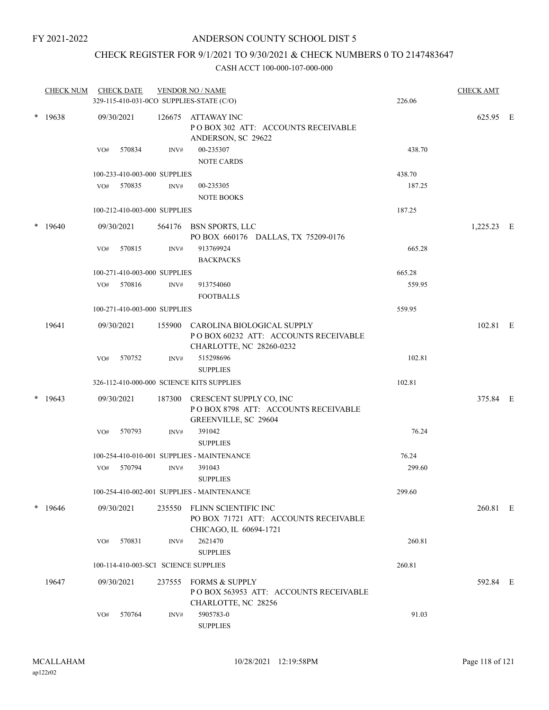# CHECK REGISTER FOR 9/1/2021 TO 9/30/2021 & CHECK NUMBERS 0 TO 2147483647

|        | <b>CHECK NUM</b> |     | <b>CHECK DATE</b> |                              | <b>VENDOR NO / NAME</b><br>329-115-410-031-0CO SUPPLIES-STATE (C/O)                                   | 226.06 | <b>CHECK AMT</b> |  |
|--------|------------------|-----|-------------------|------------------------------|-------------------------------------------------------------------------------------------------------|--------|------------------|--|
| $\ast$ | 19638            |     | 09/30/2021        |                              | 126675 ATTAWAY INC<br>POBOX 302 ATT: ACCOUNTS RECEIVABLE<br>ANDERSON, SC 29622                        |        | 625.95 E         |  |
|        |                  | VO# | 570834            | INV#                         | 00-235307<br><b>NOTE CARDS</b>                                                                        | 438.70 |                  |  |
|        |                  |     |                   | 100-233-410-003-000 SUPPLIES |                                                                                                       | 438.70 |                  |  |
|        |                  |     | VO# 570835        | INV#                         | 00-235305<br><b>NOTE BOOKS</b>                                                                        | 187.25 |                  |  |
|        |                  |     |                   | 100-212-410-003-000 SUPPLIES |                                                                                                       | 187.25 |                  |  |
|        | $*$ 19640        |     | 09/30/2021        |                              | 564176 BSN SPORTS, LLC<br>PO BOX 660176 DALLAS, TX 75209-0176                                         |        | 1,225.23 E       |  |
|        |                  | VO# | 570815            | INV#                         | 913769924<br><b>BACKPACKS</b>                                                                         | 665.28 |                  |  |
|        |                  |     |                   | 100-271-410-003-000 SUPPLIES |                                                                                                       | 665.28 |                  |  |
|        |                  | VO# | 570816            | INV#                         | 913754060<br><b>FOOTBALLS</b>                                                                         | 559.95 |                  |  |
|        |                  |     |                   | 100-271-410-003-000 SUPPLIES |                                                                                                       | 559.95 |                  |  |
|        | 19641            |     | 09/30/2021        |                              | 155900 CAROLINA BIOLOGICAL SUPPLY<br>POBOX 60232 ATT: ACCOUNTS RECEIVABLE<br>CHARLOTTE, NC 28260-0232 |        | 102.81 E         |  |
|        |                  | VO# | 570752            | INV#                         | 515298696<br><b>SUPPLIES</b>                                                                          | 102.81 |                  |  |
|        |                  |     |                   |                              | 326-112-410-000-000 SCIENCE KITS SUPPLIES                                                             | 102.81 |                  |  |
|        | $*$ 19643        |     | 09/30/2021        | 187300                       | CRESCENT SUPPLY CO, INC<br>POBOX 8798 ATT: ACCOUNTS RECEIVABLE<br>GREENVILLE, SC 29604                |        | 375.84 E         |  |
|        |                  | VO# | 570793            | INV#                         | 391042<br><b>SUPPLIES</b>                                                                             | 76.24  |                  |  |
|        |                  |     |                   |                              | 100-254-410-010-001 SUPPLIES - MAINTENANCE                                                            | 76.24  |                  |  |
|        |                  | VO# | 570794            | INV#                         | 391043<br><b>SUPPLIES</b>                                                                             | 299.60 |                  |  |
|        |                  |     |                   |                              | 100-254-410-002-001 SUPPLIES - MAINTENANCE                                                            | 299.60 |                  |  |
|        | $*19646$         |     | 09/30/2021        | 235550                       | FLINN SCIENTIFIC INC<br>PO BOX 71721 ATT: ACCOUNTS RECEIVABLE<br>CHICAGO, IL 60694-1721               |        | 260.81 E         |  |
|        |                  | VO# | 570831            | INV#                         | 2621470<br><b>SUPPLIES</b>                                                                            | 260.81 |                  |  |
|        |                  |     |                   |                              | 100-114-410-003-SCI SCIENCE SUPPLIES                                                                  | 260.81 |                  |  |
|        | 19647            |     | 09/30/2021        |                              | 237555 FORMS & SUPPLY<br>POBOX 563953 ATT: ACCOUNTS RECEIVABLE<br>CHARLOTTE, NC 28256                 |        | 592.84 E         |  |
|        |                  | VO# | 570764            | INV#                         | 5905783-0<br><b>SUPPLIES</b>                                                                          | 91.03  |                  |  |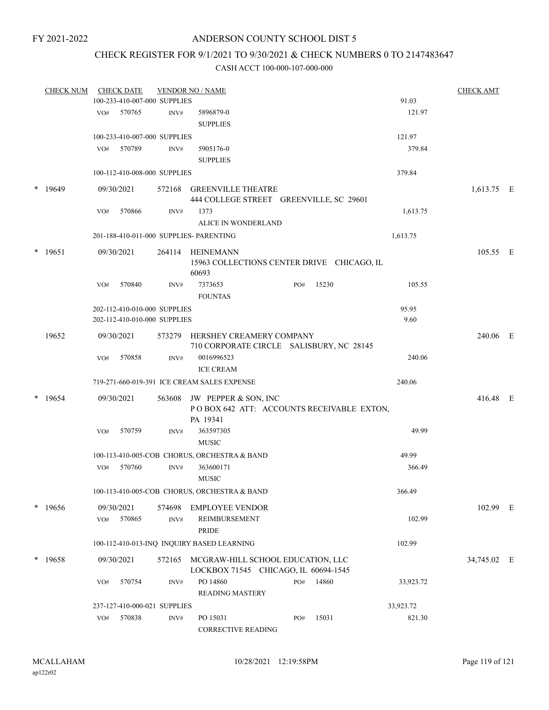### CHECK REGISTER FOR 9/1/2021 TO 9/30/2021 & CHECK NUMBERS 0 TO 2147483647

|   | <b>CHECK NUM</b> |     | <b>CHECK DATE</b>    |                              | <b>VENDOR NO / NAME</b>                                                              |     |       |           | <b>CHECK AMT</b> |  |
|---|------------------|-----|----------------------|------------------------------|--------------------------------------------------------------------------------------|-----|-------|-----------|------------------|--|
|   |                  |     |                      | 100-233-410-007-000 SUPPLIES |                                                                                      |     |       | 91.03     |                  |  |
|   |                  | VO# | 570765               | INV#                         | 5896879-0<br><b>SUPPLIES</b>                                                         |     |       | 121.97    |                  |  |
|   |                  |     |                      | 100-233-410-007-000 SUPPLIES |                                                                                      |     |       | 121.97    |                  |  |
|   |                  | VO# | 570789               | INV#                         | 5905176-0                                                                            |     |       | 379.84    |                  |  |
|   |                  |     |                      |                              | <b>SUPPLIES</b>                                                                      |     |       |           |                  |  |
|   |                  |     |                      | 100-112-410-008-000 SUPPLIES |                                                                                      |     |       | 379.84    |                  |  |
| * | 19649            |     | 09/30/2021           |                              | 572168 GREENVILLE THEATRE<br>444 COLLEGE STREET GREENVILLE, SC 29601                 |     |       |           | 1,613.75 E       |  |
|   |                  | VO# | 570866               | INV#                         | 1373                                                                                 |     |       | 1,613.75  |                  |  |
|   |                  |     |                      |                              | ALICE IN WONDERLAND                                                                  |     |       |           |                  |  |
|   |                  |     |                      |                              | 201-188-410-011-000 SUPPLIES- PARENTING                                              |     |       | 1,613.75  |                  |  |
| * | 19651            |     | 09/30/2021           |                              | 264114 HEINEMANN<br>15963 COLLECTIONS CENTER DRIVE CHICAGO, IL<br>60693              |     |       |           | 105.55 E         |  |
|   |                  | VO# | 570840               | INV#                         | 7373653<br><b>FOUNTAS</b>                                                            | PO# | 15230 | 105.55    |                  |  |
|   |                  |     |                      | 202-112-410-010-000 SUPPLIES |                                                                                      |     |       | 95.95     |                  |  |
|   |                  |     |                      | 202-112-410-010-000 SUPPLIES |                                                                                      |     |       | 9.60      |                  |  |
|   | 19652            |     | 09/30/2021           |                              | 573279 HERSHEY CREAMERY COMPANY<br>710 CORPORATE CIRCLE SALISBURY, NC 28145          |     |       |           | 240.06 E         |  |
|   |                  | VO# | 570858               | INV#                         | 0016996523                                                                           |     |       | 240.06    |                  |  |
|   |                  |     |                      |                              | <b>ICE CREAM</b>                                                                     |     |       |           |                  |  |
|   |                  |     |                      |                              | 719-271-660-019-391 ICE CREAM SALES EXPENSE                                          |     |       | 240.06    |                  |  |
| * | 19654            |     | 09/30/2021           |                              | 563608 JW PEPPER & SON, INC<br>POBOX 642 ATT: ACCOUNTS RECEIVABLE EXTON,<br>PA 19341 |     |       |           | 416.48 E         |  |
|   |                  | VO# | 570759               | INV#                         | 363597305<br><b>MUSIC</b>                                                            |     |       | 49.99     |                  |  |
|   |                  |     |                      |                              | 100-113-410-005-COB CHORUS, ORCHESTRA & BAND                                         |     |       | 49.99     |                  |  |
|   |                  | VO# | 570760               | INV#                         | 363600171<br><b>MUSIC</b>                                                            |     |       | 366.49    |                  |  |
|   |                  |     |                      |                              | 100-113-410-005-COB CHORUS, ORCHESTRA & BAND                                         |     |       | 366.49    |                  |  |
|   |                  |     |                      |                              |                                                                                      |     |       |           |                  |  |
|   | $*$ 19656        | VO# | 09/30/2021<br>570865 | 574698<br>INV#               | <b>EMPLOYEE VENDOR</b><br><b>REIMBURSEMENT</b><br><b>PRIDE</b>                       |     |       | 102.99    | 102.99 E         |  |
|   |                  |     |                      |                              | 100-112-410-013-INQ INQUIRY BASED LEARNING                                           |     |       | 102.99    |                  |  |
|   | * 19658          |     | 09/30/2021           | 572165                       | MCGRAW-HILL SCHOOL EDUCATION, LLC<br>LOCKBOX 71545 CHICAGO, IL 60694-1545            |     |       |           | 34,745.02 E      |  |
|   |                  | VO# | 570754               | INV#                         | PO 14860<br><b>READING MASTERY</b>                                                   | PO# | 14860 | 33,923.72 |                  |  |
|   |                  |     |                      | 237-127-410-000-021 SUPPLIES |                                                                                      |     |       | 33,923.72 |                  |  |
|   |                  | VO# | 570838               | INV#                         | PO 15031                                                                             | PO# | 15031 | 821.30    |                  |  |
|   |                  |     |                      |                              | CORRECTIVE READING                                                                   |     |       |           |                  |  |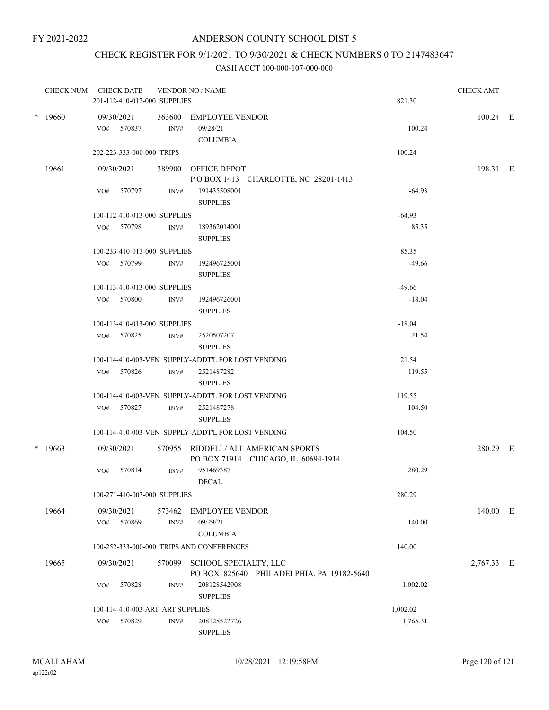# CHECK REGISTER FOR 9/1/2021 TO 9/30/2021 & CHECK NUMBERS 0 TO 2147483647

|           | CHECK NUM CHECK DATE                              |        | <b>VENDOR NO / NAME</b>                            |                      | <b>CHECK AMT</b> |  |
|-----------|---------------------------------------------------|--------|----------------------------------------------------|----------------------|------------------|--|
|           | 201-112-410-012-000 SUPPLIES                      |        |                                                    | 821.30               |                  |  |
| $*$ 19660 | 09/30/2021                                        | 363600 | EMPLOYEE VENDOR                                    |                      | 100.24 E         |  |
|           | VO# 570837                                        | INV#   | 09/28/21                                           | 100.24               |                  |  |
|           |                                                   |        | <b>COLUMBIA</b>                                    |                      |                  |  |
|           | 202-223-333-000-000 TRIPS                         |        |                                                    | 100.24               |                  |  |
| 19661     | 09/30/2021                                        | 389900 | OFFICE DEPOT                                       |                      | 198.31 E         |  |
|           |                                                   |        | POBOX 1413 CHARLOTTE, NC 28201-1413                |                      |                  |  |
|           | VO# 570797                                        | INV#   | 191435508001                                       | $-64.93$             |                  |  |
|           |                                                   |        | <b>SUPPLIES</b>                                    |                      |                  |  |
|           | 100-112-410-013-000 SUPPLIES<br>VO# 570798        | INV#   |                                                    | $-64.93$<br>85.35    |                  |  |
|           |                                                   |        | 189362014001<br><b>SUPPLIES</b>                    |                      |                  |  |
|           | 100-233-410-013-000 SUPPLIES                      |        |                                                    | 85.35                |                  |  |
|           | VO# 570799                                        | INV#   | 192496725001                                       | $-49.66$             |                  |  |
|           |                                                   |        | <b>SUPPLIES</b>                                    |                      |                  |  |
|           | 100-113-410-013-000 SUPPLIES                      |        |                                                    | $-49.66$             |                  |  |
|           | VO# 570800                                        | INV#   | 192496726001                                       | $-18.04$             |                  |  |
|           |                                                   |        | <b>SUPPLIES</b>                                    |                      |                  |  |
|           | 100-113-410-013-000 SUPPLIES                      |        |                                                    | $-18.04$             |                  |  |
|           | VO# 570825                                        | INV#   | 2520507207                                         | 21.54                |                  |  |
|           |                                                   |        | <b>SUPPLIES</b>                                    |                      |                  |  |
|           |                                                   |        | 100-114-410-003-VEN SUPPLY-ADDT'L FOR LOST VENDING | 21.54                |                  |  |
|           | VO# 570826                                        | INV#   | 2521487282<br><b>SUPPLIES</b>                      | 119.55               |                  |  |
|           |                                                   |        | 100-114-410-003-VEN SUPPLY-ADDT'L FOR LOST VENDING | 119.55               |                  |  |
|           | VO# 570827                                        | INV#   | 2521487278                                         | 104.50               |                  |  |
|           |                                                   |        | <b>SUPPLIES</b>                                    |                      |                  |  |
|           |                                                   |        | 100-114-410-003-VEN SUPPLY-ADDT'L FOR LOST VENDING | 104.50               |                  |  |
| $*$ 19663 | 09/30/2021                                        |        | 570955 RIDDELL/ ALL AMERICAN SPORTS                |                      | 280.29 E         |  |
|           |                                                   |        | PO BOX 71914 CHICAGO, IL 60694-1914                |                      |                  |  |
|           | 570814<br>VO#                                     | INV#   | 951469387                                          | 280.29               |                  |  |
|           |                                                   |        | <b>DECAL</b>                                       |                      |                  |  |
|           | 100-271-410-003-000 SUPPLIES                      |        |                                                    | 280.29               |                  |  |
| 19664     | 09/30/2021                                        | 573462 | <b>EMPLOYEE VENDOR</b>                             |                      | 140.00 E         |  |
|           | 570869<br>VO#                                     | INV#   | 09/29/21                                           | 140.00               |                  |  |
|           |                                                   |        | <b>COLUMBIA</b>                                    |                      |                  |  |
|           |                                                   |        | 100-252-333-000-000 TRIPS AND CONFERENCES          | 140.00               |                  |  |
| 19665     | 09/30/2021                                        | 570099 | SCHOOL SPECIALTY, LLC                              |                      | 2,767.33 E       |  |
|           |                                                   |        | PO BOX 825640 PHILADELPHIA, PA 19182-5640          |                      |                  |  |
|           | 570828<br>VO#                                     | INV#   | 208128542908                                       | 1,002.02             |                  |  |
|           |                                                   |        | <b>SUPPLIES</b>                                    |                      |                  |  |
|           | 100-114-410-003-ART ART SUPPLIES<br>570829<br>VO# | INV#   | 208128522726                                       | 1,002.02<br>1,765.31 |                  |  |
|           |                                                   |        | <b>SUPPLIES</b>                                    |                      |                  |  |